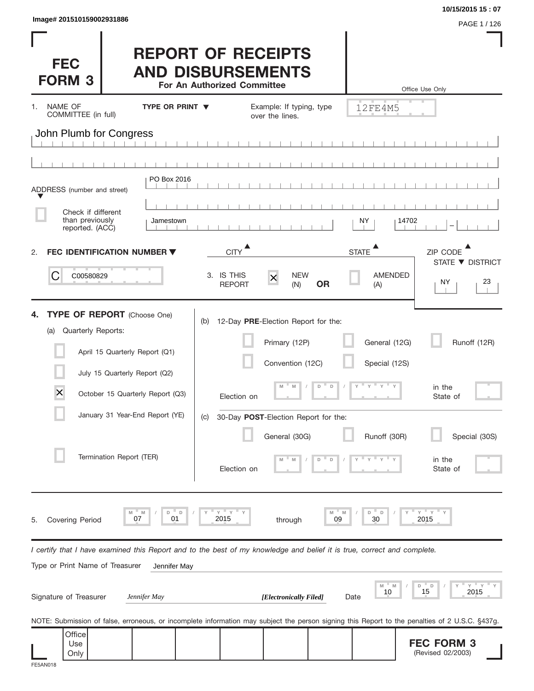| lmage# 201510159002931886 |  |  |
|---------------------------|--|--|
|                           |  |  |

| Image# 201510159002931886                                                                                                                                                                                                                                                                                   |                                                                                                                                                                                                          |                                                                                      |                                                                                                                                                                      |                                                              | 10/15/2015 15:07<br>PAGE 1 / 126                                                                                                                                                         |  |
|-------------------------------------------------------------------------------------------------------------------------------------------------------------------------------------------------------------------------------------------------------------------------------------------------------------|----------------------------------------------------------------------------------------------------------------------------------------------------------------------------------------------------------|--------------------------------------------------------------------------------------|----------------------------------------------------------------------------------------------------------------------------------------------------------------------|--------------------------------------------------------------|------------------------------------------------------------------------------------------------------------------------------------------------------------------------------------------|--|
| <b>FEC</b><br><b>FORM 3</b>                                                                                                                                                                                                                                                                                 |                                                                                                                                                                                                          | <b>REPORT OF RECEIPTS</b><br><b>AND DISBURSEMENTS</b><br>For An Authorized Committee |                                                                                                                                                                      |                                                              | Office Use Only                                                                                                                                                                          |  |
| NAME OF<br>1.<br>COMMITTEE (in full)                                                                                                                                                                                                                                                                        | <b>TYPE OR PRINT ▼</b>                                                                                                                                                                                   |                                                                                      | Example: If typing, type<br>over the lines.                                                                                                                          | 12FE4M5                                                      |                                                                                                                                                                                          |  |
| John Plumb for Congress                                                                                                                                                                                                                                                                                     |                                                                                                                                                                                                          |                                                                                      |                                                                                                                                                                      |                                                              |                                                                                                                                                                                          |  |
|                                                                                                                                                                                                                                                                                                             |                                                                                                                                                                                                          |                                                                                      |                                                                                                                                                                      |                                                              |                                                                                                                                                                                          |  |
| ADDRESS (number and street)                                                                                                                                                                                                                                                                                 | PO Box 2016                                                                                                                                                                                              |                                                                                      |                                                                                                                                                                      |                                                              |                                                                                                                                                                                          |  |
| Check if different<br>than previously<br>reported. (ACC)                                                                                                                                                                                                                                                    | Jamestown                                                                                                                                                                                                |                                                                                      |                                                                                                                                                                      | 14702<br>NY.                                                 |                                                                                                                                                                                          |  |
| 2.                                                                                                                                                                                                                                                                                                          | FEC IDENTIFICATION NUMBER ▼                                                                                                                                                                              | <b>CITY</b>                                                                          |                                                                                                                                                                      | <b>STATE</b>                                                 | ZIP CODE                                                                                                                                                                                 |  |
| C<br>C00580829                                                                                                                                                                                                                                                                                              |                                                                                                                                                                                                          | 3. IS THIS<br><b>REPORT</b>                                                          | <b>NEW</b><br>$\times$<br><b>OR</b><br>(N)                                                                                                                           | <b>AMENDED</b><br>(A)                                        | STATE ▼ DISTRICT<br>ΝY<br>23                                                                                                                                                             |  |
| 4.<br>Quarterly Reports:<br>(a)<br>$\times$                                                                                                                                                                                                                                                                 | <b>TYPE OF REPORT</b> (Choose One)<br>April 15 Quarterly Report (Q1)<br>July 15 Quarterly Report (Q2)<br>October 15 Quarterly Report (Q3)<br>January 31 Year-End Report (YE)<br>Termination Report (TER) | (b)<br>Election on<br>(C)<br>Election on                                             | 12-Day PRE-Election Report for the:<br>Primary (12P)<br>Convention (12C)<br>D<br>$\Box$<br>M<br>M<br>30-Day POST-Election Report for the:<br>General (30G)<br>D<br>D | General (12G)<br>Special (12S)<br>Y<br>$Y =$<br>Runoff (30R) | Runoff (12R)<br>in the<br>State of<br>Special (30S)<br>in the<br>State of                                                                                                                |  |
| ΞY.<br>$Y$ $Y$<br>Y<br>M<br>D<br>D<br>D<br>D<br>M<br>07<br>01<br>2015<br>09<br>30<br>2015<br>Covering Period<br>through<br>5.<br>I certify that I have examined this Report and to the best of my knowledge and belief it is true, correct and complete.<br>Type or Print Name of Treasurer<br>Jennifer May |                                                                                                                                                                                                          |                                                                                      |                                                                                                                                                                      |                                                              |                                                                                                                                                                                          |  |
| Signature of Treasurer                                                                                                                                                                                                                                                                                      | Jennifer May                                                                                                                                                                                             |                                                                                      | [Electronically Filed]                                                                                                                                               | M<br>M<br>10<br>Date                                         | Υ<br>- D<br>D<br>15<br>2015                                                                                                                                                              |  |
| Office<br>Use<br>Only                                                                                                                                                                                                                                                                                       |                                                                                                                                                                                                          |                                                                                      |                                                                                                                                                                      |                                                              | NOTE: Submission of false, erroneous, or incomplete information may subject the person signing this Report to the penalties of 2 U.S.C. §437g.<br><b>FEC FORM 3</b><br>(Revised 02/2003) |  |

Only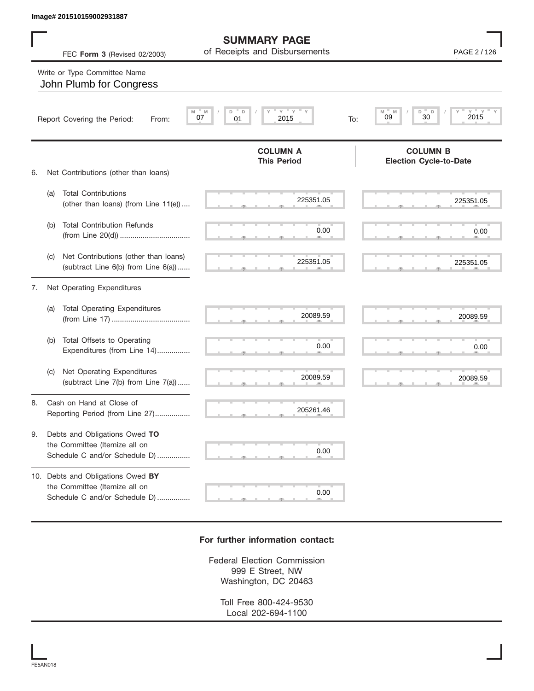|    |     | Image# 201510159002931887                                                                           |                                                      |                                                            |
|----|-----|-----------------------------------------------------------------------------------------------------|------------------------------------------------------|------------------------------------------------------------|
|    |     | FEC Form 3 (Revised 02/2003)                                                                        | <b>SUMMARY PAGE</b><br>of Receipts and Disbursements | PAGE 2 / 126                                               |
|    |     | Write or Type Committee Name<br>John Plumb for Congress                                             |                                                      |                                                            |
|    |     | Report Covering the Period:<br>From:                                                                | $Y$ $Y$ $Y$<br>D<br>D<br>M<br>07<br>01<br>2015       | $Y = Y = Y$<br>M<br>M<br>D<br>D<br>30<br>09<br>2015<br>To: |
| 6. |     | Net Contributions (other than loans)                                                                | <b>COLUMN A</b><br><b>This Period</b>                | <b>COLUMN B</b><br><b>Election Cycle-to-Date</b>           |
|    | (a) | <b>Total Contributions</b><br>(other than loans) (from Line 11(e))                                  | 225351.05                                            | 225351.05                                                  |
|    | (b) | <b>Total Contribution Refunds</b>                                                                   | 0.00                                                 | 0.00                                                       |
|    | (C) | Net Contributions (other than loans)<br>(subtract Line 6(b) from Line 6(a))                         | 225351.05                                            | 225351.05                                                  |
| 7. |     | Net Operating Expenditures                                                                          |                                                      |                                                            |
|    | (a) | <b>Total Operating Expenditures</b>                                                                 | 20089.59                                             | 20089.59                                                   |
|    | (b) | Total Offsets to Operating<br>Expenditures (from Line 14)                                           | 0.00                                                 | 0.00                                                       |
|    | (C) | Net Operating Expenditures<br>(subtract Line 7(b) from Line 7(a))                                   | 20089.59                                             | 20089.59                                                   |
| 8  |     | Cash on Hand at Close of<br>Reporting Period (from Line 27)                                         | 205261.46                                            |                                                            |
| 9. |     | Debts and Obligations Owed TO<br>the Committee (Itemize all on<br>Schedule C and/or Schedule D)     | 0.00                                                 |                                                            |
|    |     | 10. Debts and Obligations Owed BY<br>the Committee (Itemize all on<br>Schedule C and/or Schedule D) | 0.00                                                 |                                                            |

## **For further information contact:**

Federal Election Commission 999 E Street, NW Washington, DC 20463

> Toll Free 800-424-9530 Local 202-694-1100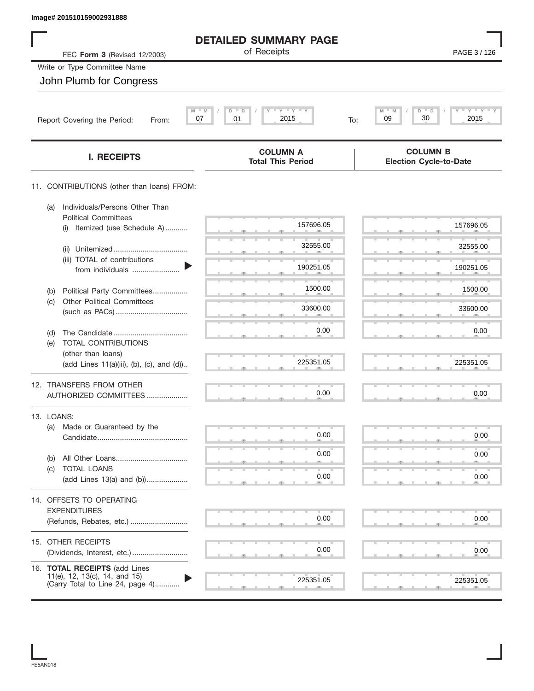|  |  | Image# 201510159002931888 |  |
|--|--|---------------------------|--|
|--|--|---------------------------|--|

| Image# 201510159002931888                                                                          |                                                             |                                                  |
|----------------------------------------------------------------------------------------------------|-------------------------------------------------------------|--------------------------------------------------|
|                                                                                                    | <b>DETAILED SUMMARY PAGE</b>                                |                                                  |
| FEC Form 3 (Revised 12/2003)                                                                       | of Receipts                                                 | PAGE 3 / 126                                     |
| Write or Type Committee Name                                                                       |                                                             |                                                  |
| John Plumb for Congress                                                                            |                                                             |                                                  |
| Report Covering the Period:<br>From:                                                               | $Y$ $Y$ $Y$<br>$M = M$<br>D<br>D<br>07<br>01<br>2015<br>To: | $Y$ $Y$ $Y$<br>M<br>D<br>D<br>30<br>09<br>2015   |
| <b>I. RECEIPTS</b>                                                                                 | <b>COLUMN A</b><br><b>Total This Period</b>                 | <b>COLUMN B</b><br><b>Election Cycle-to-Date</b> |
| 11. CONTRIBUTIONS (other than loans) FROM:                                                         |                                                             |                                                  |
| Individuals/Persons Other Than<br>(a)<br><b>Political Committees</b>                               |                                                             |                                                  |
| Itemized (use Schedule A)<br>(i)                                                                   | 157696.05                                                   | 157696.05                                        |
| (ii)                                                                                               | 32555.00                                                    | 32555.00                                         |
| (iii) TOTAL of contributions<br>from individuals                                                   | 190251.05                                                   | 190251.05                                        |
| Political Party Committees<br>(b)                                                                  | 1500.00                                                     | 1500.00                                          |
| <b>Other Political Committees</b><br>(c)                                                           | 33600.00                                                    | 33600.00                                         |
|                                                                                                    | 0.00                                                        | 0.00                                             |
| (d)<br>TOTAL CONTRIBUTIONS<br>(e)                                                                  |                                                             |                                                  |
| (other than loans)<br>(add Lines 11(a)(iii), (b), (c), and (d))                                    | 225351.05                                                   | 225351.05                                        |
| 12. TRANSFERS FROM OTHER                                                                           |                                                             |                                                  |
| AUTHORIZED COMMITTEES                                                                              | 0.00                                                        | 0.00                                             |
| 13. LOANS:                                                                                         |                                                             |                                                  |
| Made or Guaranteed by the<br>(a)                                                                   | 0.00                                                        | 0.00                                             |
| (b)                                                                                                | 0.00                                                        | 0.00                                             |
| <b>TOTAL LOANS</b><br>(c)<br>(add Lines 13(a) and (b))                                             | 0.00                                                        | 0.00                                             |
|                                                                                                    |                                                             |                                                  |
| 14. OFFSETS TO OPERATING<br><b>EXPENDITURES</b>                                                    |                                                             |                                                  |
| (Refunds, Rebates, etc.)                                                                           | 0.00                                                        | 0.00                                             |
| 15. OTHER RECEIPTS                                                                                 |                                                             |                                                  |
|                                                                                                    | 0.00                                                        | 0.00                                             |
| 16. TOTAL RECEIPTS (add Lines<br>11(e), 12, 13(c), 14, and 15)<br>(Carry Total to Line 24, page 4) | 225351.05                                                   | 225351.05<br>- 9                                 |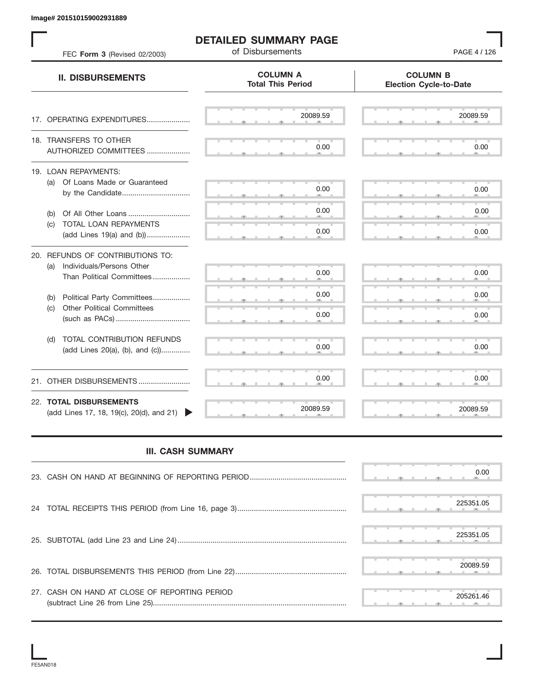## **DETAILED SUMMARY PAGE**<br>of Disbursements

| Image# 201510159002931889                                                                         | <b>DETAILED SUMMARY PAGE</b><br>of Disbursements | PAGE 4 / 126                                     |
|---------------------------------------------------------------------------------------------------|--------------------------------------------------|--------------------------------------------------|
| FEC Form 3 (Revised 02/2003)<br><b>II. DISBURSEMENTS</b>                                          | <b>COLUMN A</b><br><b>Total This Period</b>      | <b>COLUMN B</b><br><b>Election Cycle-to-Date</b> |
| 17. OPERATING EXPENDITURES                                                                        | 20089.59                                         | 20089.59                                         |
| 18. TRANSFERS TO OTHER                                                                            | 0.00                                             | 0.00                                             |
| AUTHORIZED COMMITTEES                                                                             |                                                  |                                                  |
| 19. LOAN REPAYMENTS:<br>(a) Of Loans Made or Guaranteed<br>by the Candidate                       | 0.00                                             | 0.00                                             |
| Of All Other Loans<br>(b)                                                                         | 0.00                                             | 0.00                                             |
| TOTAL LOAN REPAYMENTS<br>(c)<br>(add Lines 19(a) and (b))                                         | 0.00                                             | 0.00                                             |
| 20. REFUNDS OF CONTRIBUTIONS TO:<br>Individuals/Persons Other<br>(a)<br>Than Political Committees | 0.00                                             | 0.00                                             |
| Political Party Committees<br>(b)                                                                 | 0.00                                             | 0.00                                             |
| <b>Other Political Committees</b><br>(c)                                                          | 0.00                                             | 0.00                                             |
| TOTAL CONTRIBUTION REFUNDS<br>(d)<br>(add Lines 20(a), (b), and (c))                              | 0.00                                             | 0.00                                             |
| 21. OTHER DISBURSEMENTS                                                                           | 0.00                                             | 0.00                                             |
| 22. TOTAL DISBURSEMENTS<br>(add Lines 17, 18, 19(c), 20(d), and 21)                               | 20089.59                                         | 20089.59                                         |
| <b>III. CASH SUMMARY</b>                                                                          |                                                  |                                                  |
|                                                                                                   |                                                  | 0.00                                             |
| 24                                                                                                |                                                  | 225351.05                                        |
|                                                                                                   |                                                  | 225351.05                                        |
|                                                                                                   |                                                  | 20089.59                                         |
| 27. CASH ON HAND AT CLOSE OF REPORTING PERIOD                                                     |                                                  | 205261.46                                        |

## **III. CASH SUMMARY**

|                                               |  |  |  |           | 0.00 |
|-----------------------------------------------|--|--|--|-----------|------|
|                                               |  |  |  |           |      |
|                                               |  |  |  | 225351.05 |      |
|                                               |  |  |  | 225351.05 |      |
|                                               |  |  |  | 20089.59  |      |
| 27. CASH ON HAND AT CLOSE OF REPORTING PERIOD |  |  |  | 205261.46 |      |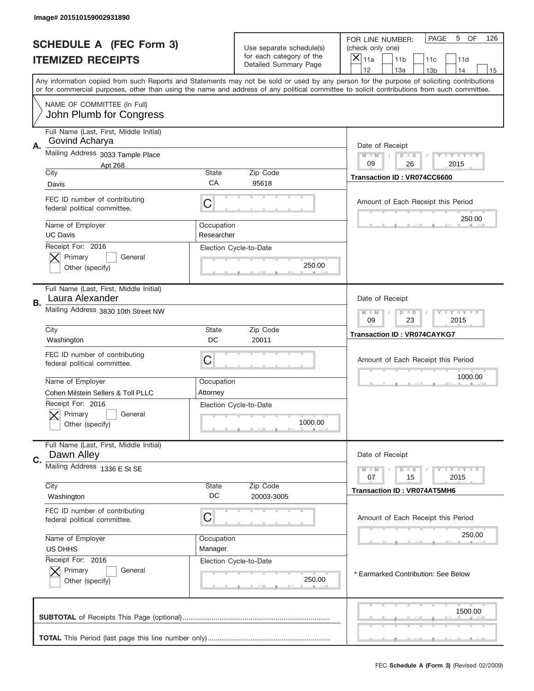|                                                            | Image# 201510159002931890                                     |             |                                                           |                                                                                                                                                                                                                                                                                         |  |  |
|------------------------------------------------------------|---------------------------------------------------------------|-------------|-----------------------------------------------------------|-----------------------------------------------------------------------------------------------------------------------------------------------------------------------------------------------------------------------------------------------------------------------------------------|--|--|
| <b>SCHEDULE A (FEC Form 3)</b><br><b>ITEMIZED RECEIPTS</b> |                                                               |             | Use separate schedule(s)<br>for each category of the      | PAGE<br>OF<br>5<br>126<br>FOR LINE NUMBER:<br>(check only one)<br>×<br>11a<br>11 <sub>b</sub><br>11c<br>11d                                                                                                                                                                             |  |  |
|                                                            |                                                               |             | Detailed Summary Page                                     | 12<br>13a<br>14<br>13 <sub>b</sub><br>15                                                                                                                                                                                                                                                |  |  |
|                                                            |                                                               |             |                                                           | Any information copied from such Reports and Statements may not be sold or used by any person for the purpose of soliciting contributions<br>or for commercial purposes, other than using the name and address of any political committee to solicit contributions from such committee. |  |  |
|                                                            | NAME OF COMMITTEE (In Full)<br>John Plumb for Congress        |             |                                                           |                                                                                                                                                                                                                                                                                         |  |  |
|                                                            | Full Name (Last, First, Middle Initial)                       |             |                                                           |                                                                                                                                                                                                                                                                                         |  |  |
| Α.                                                         | Govind Acharya<br>Mailing Address 3033 Tample Place           |             |                                                           | Date of Receipt                                                                                                                                                                                                                                                                         |  |  |
|                                                            | Apt 268                                                       |             |                                                           | $M - M$<br><b>LYLYLY</b><br>$D$ $D$<br>09<br>26<br>2015                                                                                                                                                                                                                                 |  |  |
|                                                            | City<br>Davis                                                 | State<br>CA | Zip Code<br>95618                                         | Transaction ID: VR074CC6600                                                                                                                                                                                                                                                             |  |  |
|                                                            | FEC ID number of contributing<br>federal political committee. | C           |                                                           | Amount of Each Receipt this Period                                                                                                                                                                                                                                                      |  |  |
|                                                            | Name of Employer                                              | Occupation  |                                                           | 250.00                                                                                                                                                                                                                                                                                  |  |  |
|                                                            | <b>UC Davis</b><br>Receipt For: 2016                          | Researcher  | Election Cycle-to-Date                                    |                                                                                                                                                                                                                                                                                         |  |  |
|                                                            | Primary<br>General                                            |             |                                                           |                                                                                                                                                                                                                                                                                         |  |  |
|                                                            | Other (specify)                                               |             | 250.00                                                    |                                                                                                                                                                                                                                                                                         |  |  |
| В.                                                         | Full Name (Last, First, Middle Initial)<br>Laura Alexander    |             |                                                           | Date of Receipt                                                                                                                                                                                                                                                                         |  |  |
|                                                            | Mailing Address 3830 10th Street NW                           |             | <b>LY LY LY</b><br>$M - M$<br>$D$ $D$<br>09<br>23<br>2015 |                                                                                                                                                                                                                                                                                         |  |  |
|                                                            | City<br>Washington                                            | State<br>DC | Zip Code<br>20011                                         | <b>Transaction ID: VR074CAYKG7</b>                                                                                                                                                                                                                                                      |  |  |
|                                                            | FEC ID number of contributing<br>federal political committee. | C           |                                                           | Amount of Each Receipt this Period                                                                                                                                                                                                                                                      |  |  |
|                                                            | Name of Employer                                              | Occupation  |                                                           | 1000.00                                                                                                                                                                                                                                                                                 |  |  |
|                                                            | Cohen Milstein Sellers & Toll PLLC                            | Attorney    |                                                           |                                                                                                                                                                                                                                                                                         |  |  |
|                                                            | Receipt For: 2016<br>General<br>Primary<br>Other (specify)    |             | Election Cycle-to-Date<br>1000.00                         |                                                                                                                                                                                                                                                                                         |  |  |
|                                                            | Full Name (Last, First, Middle Initial)<br>Dawn Alley         |             |                                                           | Date of Receipt                                                                                                                                                                                                                                                                         |  |  |
| C.                                                         | Mailing Address 1336 E St SE                                  |             |                                                           | $D$ $D$<br>$T + Y = Y + Y$<br>$M - M$                                                                                                                                                                                                                                                   |  |  |
|                                                            |                                                               |             |                                                           | 07<br>15<br>2015                                                                                                                                                                                                                                                                        |  |  |
|                                                            | City<br>Washington                                            | State<br>DC | Zip Code<br>20003-3005                                    | <b>Transaction ID: VR074AT5MH6</b>                                                                                                                                                                                                                                                      |  |  |
|                                                            | FEC ID number of contributing<br>federal political committee. | C           |                                                           | Amount of Each Receipt this Period                                                                                                                                                                                                                                                      |  |  |
|                                                            | Name of Employer                                              | Occupation  |                                                           | 250.00                                                                                                                                                                                                                                                                                  |  |  |
|                                                            | US DHHS<br>Receipt For: 2016                                  | Manager     | Election Cycle-to-Date                                    |                                                                                                                                                                                                                                                                                         |  |  |
|                                                            | Primary<br>General<br>Other (specify)                         |             | 250.00                                                    | * Earmarked Contribution: See Below                                                                                                                                                                                                                                                     |  |  |
|                                                            |                                                               |             |                                                           | 1500.00                                                                                                                                                                                                                                                                                 |  |  |
|                                                            |                                                               |             |                                                           |                                                                                                                                                                                                                                                                                         |  |  |
|                                                            |                                                               |             |                                                           | FEC Schedule A (Form 3) (Revised 02/2009)                                                                                                                                                                                                                                               |  |  |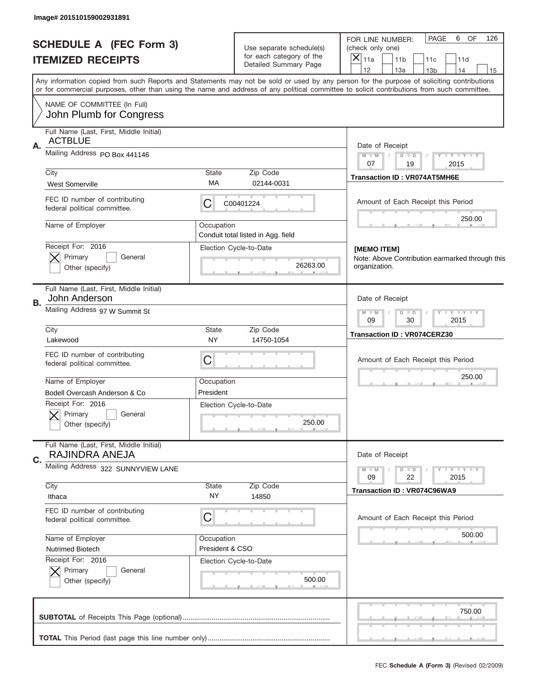| Image# 201510159002931891                                      |                                                              |                                                      |                                                                                                                                                                                                                                                                                         |  |  |  |
|----------------------------------------------------------------|--------------------------------------------------------------|------------------------------------------------------|-----------------------------------------------------------------------------------------------------------------------------------------------------------------------------------------------------------------------------------------------------------------------------------------|--|--|--|
| <b>SCHEDULE A (FEC Form 3)</b>                                 |                                                              | Use separate schedule(s)<br>for each category of the | PAGE<br>6 OF<br>126<br>FOR LINE NUMBER:<br>(check only one)<br>$\times$                                                                                                                                                                                                                 |  |  |  |
| <b>ITEMIZED RECEIPTS</b>                                       |                                                              | Detailed Summary Page                                | 11a<br>11 <sub>b</sub><br>11c<br>11d<br>12<br>13a<br>14<br>13 <sub>b</sub><br>15                                                                                                                                                                                                        |  |  |  |
|                                                                |                                                              |                                                      | Any information copied from such Reports and Statements may not be sold or used by any person for the purpose of soliciting contributions<br>or for commercial purposes, other than using the name and address of any political committee to solicit contributions from such committee. |  |  |  |
| NAME OF COMMITTEE (In Full)<br>John Plumb for Congress         |                                                              |                                                      |                                                                                                                                                                                                                                                                                         |  |  |  |
| Full Name (Last, First, Middle Initial)                        |                                                              |                                                      |                                                                                                                                                                                                                                                                                         |  |  |  |
| <b>ACTBLUE</b><br>Α.                                           |                                                              |                                                      | Date of Receipt                                                                                                                                                                                                                                                                         |  |  |  |
| Mailing Address PO Box 441146                                  |                                                              |                                                      | $M - M$<br>$D$ $D$<br>$Y - Y - Y - Y - Y$<br>07                                                                                                                                                                                                                                         |  |  |  |
| City                                                           | State                                                        | Zip Code                                             | 19<br>2015<br><b>Transaction ID: VR074AT5MH6E</b>                                                                                                                                                                                                                                       |  |  |  |
| <b>West Somerville</b>                                         | МA                                                           | 02144-0031                                           |                                                                                                                                                                                                                                                                                         |  |  |  |
| FEC ID number of contributing<br>federal political committee.  | С                                                            | C00401224                                            | Amount of Each Receipt this Period                                                                                                                                                                                                                                                      |  |  |  |
| Name of Employer                                               | Occupation                                                   |                                                      | 250.00                                                                                                                                                                                                                                                                                  |  |  |  |
|                                                                |                                                              | Conduit total listed in Agg. field                   | [MEMO ITEM]                                                                                                                                                                                                                                                                             |  |  |  |
| Primary<br>General                                             | Receipt For: 2016<br>Election Cycle-to-Date                  |                                                      |                                                                                                                                                                                                                                                                                         |  |  |  |
| Other (specify)                                                |                                                              | 26263.00                                             | Note: Above Contribution earmarked through this<br>organization.                                                                                                                                                                                                                        |  |  |  |
| Full Name (Last, First, Middle Initial)<br>John Anderson<br>В. |                                                              |                                                      | Date of Receipt                                                                                                                                                                                                                                                                         |  |  |  |
| Mailing Address 97 W Summit St                                 | <b>TEY TEY TEY</b><br>$M - M$<br>$D$ $D$<br>09<br>30<br>2015 |                                                      |                                                                                                                                                                                                                                                                                         |  |  |  |
| City<br>Lakewood                                               | State<br>NY                                                  | Zip Code<br>14750-1054                               | <b>Transaction ID: VR074CERZ30</b>                                                                                                                                                                                                                                                      |  |  |  |
| FEC ID number of contributing<br>federal political committee.  | C                                                            |                                                      |                                                                                                                                                                                                                                                                                         |  |  |  |
| Name of Employer                                               | Occupation                                                   |                                                      | 250.00                                                                                                                                                                                                                                                                                  |  |  |  |
| Bodell Overcash Anderson & Co                                  | President                                                    |                                                      |                                                                                                                                                                                                                                                                                         |  |  |  |
| Receipt For: 2016                                              |                                                              | Election Cycle-to-Date                               |                                                                                                                                                                                                                                                                                         |  |  |  |
| Primary<br>General<br>Other (specify)                          |                                                              | 250.00                                               |                                                                                                                                                                                                                                                                                         |  |  |  |
| Full Name (Last, First, Middle Initial)                        |                                                              |                                                      |                                                                                                                                                                                                                                                                                         |  |  |  |
| RAJINDRA ANEJA<br>C.                                           |                                                              |                                                      | Date of Receipt                                                                                                                                                                                                                                                                         |  |  |  |
| Mailing Address 322 SUNNYVIEW LANE                             |                                                              |                                                      | $D$ $D$<br>Y - Y - Y - Y<br>$M - M$<br>22<br>2015<br>09                                                                                                                                                                                                                                 |  |  |  |
| City                                                           | State                                                        | Zip Code                                             | Transaction ID: VR074C96WA9                                                                                                                                                                                                                                                             |  |  |  |
| Ithaca                                                         | NY.                                                          | 14850                                                |                                                                                                                                                                                                                                                                                         |  |  |  |
| FEC ID number of contributing<br>federal political committee.  | С                                                            |                                                      | Amount of Each Receipt this Period                                                                                                                                                                                                                                                      |  |  |  |
| Name of Employer                                               | Occupation                                                   |                                                      | 500.00                                                                                                                                                                                                                                                                                  |  |  |  |
| Nutrimed Biotech                                               | President & CSO                                              |                                                      |                                                                                                                                                                                                                                                                                         |  |  |  |
| Receipt For: 2016<br>Primary<br>General                        |                                                              | Election Cycle-to-Date                               |                                                                                                                                                                                                                                                                                         |  |  |  |
| Other (specify)                                                |                                                              | 500.00                                               |                                                                                                                                                                                                                                                                                         |  |  |  |
|                                                                |                                                              |                                                      | 750.00                                                                                                                                                                                                                                                                                  |  |  |  |
|                                                                |                                                              |                                                      |                                                                                                                                                                                                                                                                                         |  |  |  |
|                                                                |                                                              |                                                      |                                                                                                                                                                                                                                                                                         |  |  |  |
|                                                                |                                                              |                                                      | FEC Schedule A (Form 3) (Revised 02/2009)                                                                                                                                                                                                                                               |  |  |  |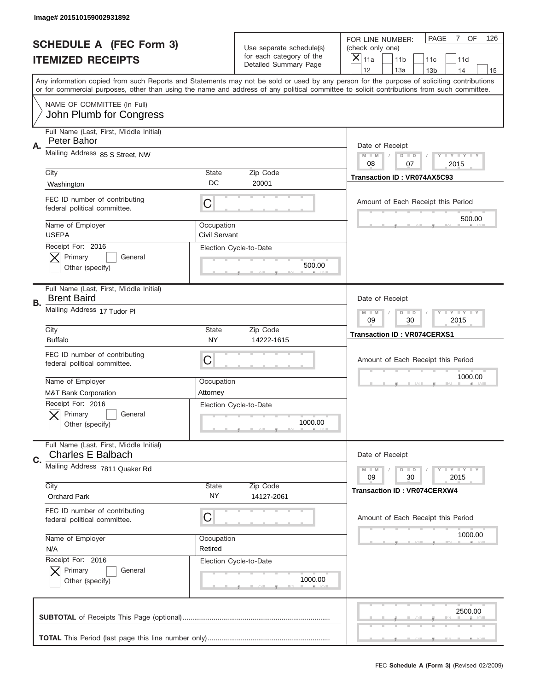|                          | Image# 201510159002931892                                           |                                                         |                                                   |                                                                                                                                                                                                                                                                                                                                     |  |  |  |
|--------------------------|---------------------------------------------------------------------|---------------------------------------------------------|---------------------------------------------------|-------------------------------------------------------------------------------------------------------------------------------------------------------------------------------------------------------------------------------------------------------------------------------------------------------------------------------------|--|--|--|
|                          | <b>SCHEDULE A (FEC Form 3)</b>                                      |                                                         | Use separate schedule(s)                          | PAGE<br>OF<br>$\overline{7}$<br>126<br>FOR LINE NUMBER:<br>(check only one)                                                                                                                                                                                                                                                         |  |  |  |
| <b>ITEMIZED RECEIPTS</b> |                                                                     |                                                         | for each category of the<br>Detailed Summary Page | ×<br>11a<br>11 <sub>b</sub><br>11c<br>11d                                                                                                                                                                                                                                                                                           |  |  |  |
|                          |                                                                     |                                                         |                                                   | 12<br>13a<br>14<br>13 <sub>b</sub><br>15<br>Any information copied from such Reports and Statements may not be sold or used by any person for the purpose of soliciting contributions<br>or for commercial purposes, other than using the name and address of any political committee to solicit contributions from such committee. |  |  |  |
|                          | NAME OF COMMITTEE (In Full)<br>John Plumb for Congress              |                                                         |                                                   |                                                                                                                                                                                                                                                                                                                                     |  |  |  |
| Α.                       | Full Name (Last, First, Middle Initial)<br>Peter Bahor              |                                                         |                                                   | Date of Receipt                                                                                                                                                                                                                                                                                                                     |  |  |  |
|                          | Mailing Address 85 S Street, NW                                     | $M - M$<br><b>LYLYLY</b><br>$D$ $D$<br>08<br>07<br>2015 |                                                   |                                                                                                                                                                                                                                                                                                                                     |  |  |  |
|                          | City<br>Washington                                                  | State<br>DC                                             | Zip Code<br>20001                                 | Transaction ID: VR074AX5C93                                                                                                                                                                                                                                                                                                         |  |  |  |
|                          | FEC ID number of contributing<br>federal political committee.       | C                                                       |                                                   | Amount of Each Receipt this Period<br>500.00                                                                                                                                                                                                                                                                                        |  |  |  |
|                          | Name of Employer<br><b>USEPA</b>                                    | Occupation<br>Civil Servant                             |                                                   |                                                                                                                                                                                                                                                                                                                                     |  |  |  |
|                          | Receipt For: 2016<br>Primary<br>General<br>Other (specify)          |                                                         | Election Cycle-to-Date<br>500.00                  |                                                                                                                                                                                                                                                                                                                                     |  |  |  |
| В.                       | Full Name (Last, First, Middle Initial)<br><b>Brent Baird</b>       | Date of Receipt                                         |                                                   |                                                                                                                                                                                                                                                                                                                                     |  |  |  |
|                          | Mailing Address 17 Tudor PI                                         | <b>LY LY LY</b><br>$M$ M<br>$D$ $D$<br>09<br>30<br>2015 |                                                   |                                                                                                                                                                                                                                                                                                                                     |  |  |  |
|                          | City<br><b>Buffalo</b>                                              | State<br><b>NY</b>                                      | Zip Code<br>14222-1615                            | <b>Transaction ID: VR074CERXS1</b>                                                                                                                                                                                                                                                                                                  |  |  |  |
|                          | FEC ID number of contributing<br>federal political committee.       | C                                                       |                                                   | Amount of Each Receipt this Period<br>1000.00                                                                                                                                                                                                                                                                                       |  |  |  |
|                          | Name of Employer<br><b>M&amp;T Bank Corporation</b>                 | Occupation<br>Attorney                                  |                                                   |                                                                                                                                                                                                                                                                                                                                     |  |  |  |
|                          | Receipt For: 2016<br>General<br>Primary                             |                                                         | Election Cycle-to-Date                            |                                                                                                                                                                                                                                                                                                                                     |  |  |  |
|                          | Other (specify)                                                     |                                                         | 1000.00                                           |                                                                                                                                                                                                                                                                                                                                     |  |  |  |
| C.                       | Full Name (Last, First, Middle Initial)<br><b>Charles E Balbach</b> |                                                         |                                                   | Date of Receipt                                                                                                                                                                                                                                                                                                                     |  |  |  |
|                          | Mailing Address 7811 Quaker Rd                                      |                                                         |                                                   | <b>LEY LEY LEY</b><br>$M - M$<br>$D$ $D$<br>09<br>2015<br>30                                                                                                                                                                                                                                                                        |  |  |  |
|                          | City<br>Orchard Park                                                | State<br>NY.                                            | Zip Code<br>14127-2061                            | <b>Transaction ID: VR074CERXW4</b>                                                                                                                                                                                                                                                                                                  |  |  |  |
|                          | FEC ID number of contributing<br>federal political committee.       | C                                                       |                                                   | Amount of Each Receipt this Period                                                                                                                                                                                                                                                                                                  |  |  |  |
|                          | Name of Employer<br>N/A                                             | Occupation<br>Retired                                   |                                                   | 1000.00                                                                                                                                                                                                                                                                                                                             |  |  |  |
|                          | Receipt For: 2016<br>Primary<br>General<br>Other (specify)          |                                                         | Election Cycle-to-Date<br>1000.00                 |                                                                                                                                                                                                                                                                                                                                     |  |  |  |
|                          |                                                                     |                                                         |                                                   | 2500.00                                                                                                                                                                                                                                                                                                                             |  |  |  |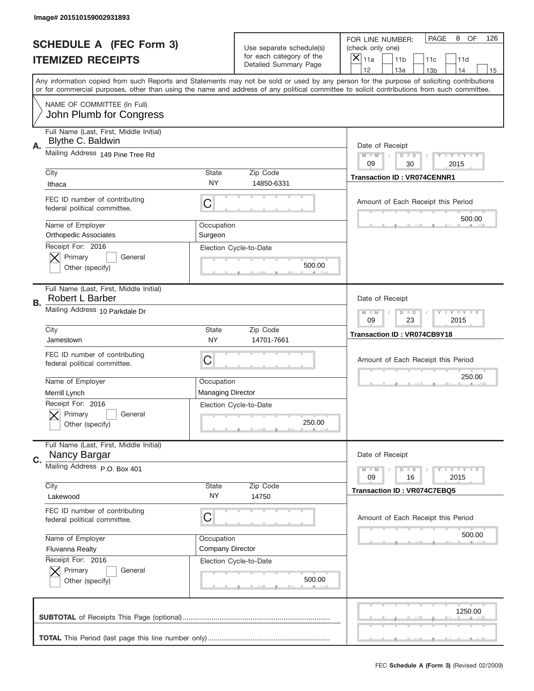|                          | Image# 201510159002931893                                     |                                                           |                                                   |                                                                                                                                                                                                                                                                                                                                     |  |  |  |
|--------------------------|---------------------------------------------------------------|-----------------------------------------------------------|---------------------------------------------------|-------------------------------------------------------------------------------------------------------------------------------------------------------------------------------------------------------------------------------------------------------------------------------------------------------------------------------------|--|--|--|
|                          | <b>SCHEDULE A (FEC Form 3)</b>                                |                                                           | Use separate schedule(s)                          | PAGE<br>OF<br>8<br>126<br>FOR LINE NUMBER:<br>(check only one)                                                                                                                                                                                                                                                                      |  |  |  |
| <b>ITEMIZED RECEIPTS</b> |                                                               |                                                           | for each category of the<br>Detailed Summary Page | ×<br>11a<br>11 <sub>b</sub><br>11c<br>11d                                                                                                                                                                                                                                                                                           |  |  |  |
|                          |                                                               |                                                           |                                                   | 12<br>13a<br>14<br>13 <sub>b</sub><br>15<br>Any information copied from such Reports and Statements may not be sold or used by any person for the purpose of soliciting contributions<br>or for commercial purposes, other than using the name and address of any political committee to solicit contributions from such committee. |  |  |  |
|                          | NAME OF COMMITTEE (In Full)<br>John Plumb for Congress        |                                                           |                                                   |                                                                                                                                                                                                                                                                                                                                     |  |  |  |
| Α.                       | Full Name (Last, First, Middle Initial)<br>Blythe C. Baldwin  |                                                           |                                                   | Date of Receipt                                                                                                                                                                                                                                                                                                                     |  |  |  |
|                          | Mailing Address 149 Pine Tree Rd                              |                                                           |                                                   | $M - M$<br><b>LEY LEY LEY</b><br>$D$ $D$<br>09<br>30<br>2015                                                                                                                                                                                                                                                                        |  |  |  |
|                          | City<br>Ithaca                                                | State<br><b>NY</b>                                        | Zip Code<br>14850-6331                            | <b>Transaction ID: VR074CENNR1</b>                                                                                                                                                                                                                                                                                                  |  |  |  |
|                          | FEC ID number of contributing<br>federal political committee. | C                                                         |                                                   | Amount of Each Receipt this Period<br>500.00                                                                                                                                                                                                                                                                                        |  |  |  |
|                          | Name of Employer<br><b>Orthopedic Associates</b>              | Occupation<br>Surgeon                                     |                                                   |                                                                                                                                                                                                                                                                                                                                     |  |  |  |
|                          | Receipt For: 2016<br>Primary<br>General<br>Other (specify)    |                                                           | Election Cycle-to-Date<br>500.00                  |                                                                                                                                                                                                                                                                                                                                     |  |  |  |
| В.                       | Full Name (Last, First, Middle Initial)<br>Robert L Barber    | Date of Receipt                                           |                                                   |                                                                                                                                                                                                                                                                                                                                     |  |  |  |
|                          | Mailing Address 10 Parkdale Dr                                | $M$ M<br><b>LEYTEY LEY</b><br>$D$ $D$<br>09<br>23<br>2015 |                                                   |                                                                                                                                                                                                                                                                                                                                     |  |  |  |
|                          | City<br>Jamestown                                             | State<br><b>NY</b>                                        | Zip Code<br>14701-7661                            | Transaction ID: VR074CB9Y18                                                                                                                                                                                                                                                                                                         |  |  |  |
|                          | FEC ID number of contributing<br>federal political committee. | C                                                         |                                                   | Amount of Each Receipt this Period<br>250.00                                                                                                                                                                                                                                                                                        |  |  |  |
|                          |                                                               |                                                           |                                                   |                                                                                                                                                                                                                                                                                                                                     |  |  |  |
|                          | Name of Employer<br>Merrill Lynch                             | Occupation<br><b>Managing Director</b>                    |                                                   |                                                                                                                                                                                                                                                                                                                                     |  |  |  |
|                          | Receipt For: 2016<br>General<br>Primary<br>Other (specify)    |                                                           | Election Cycle-to-Date<br>250.00                  |                                                                                                                                                                                                                                                                                                                                     |  |  |  |
| C.                       | Full Name (Last, First, Middle Initial)<br>Nancy Bargar       |                                                           |                                                   | Date of Receipt                                                                                                                                                                                                                                                                                                                     |  |  |  |
|                          | Mailing Address P.O. Box 401                                  |                                                           |                                                   | <b>LEY LEY LEY</b><br>$M - M$<br>$D$ $D$<br>09<br>2015<br>16                                                                                                                                                                                                                                                                        |  |  |  |
|                          | City<br>Lakewood                                              | <b>State</b><br>NY.                                       | Zip Code<br>14750                                 | <b>Transaction ID: VR074C7EBQ5</b>                                                                                                                                                                                                                                                                                                  |  |  |  |
|                          | FEC ID number of contributing<br>federal political committee. | C                                                         |                                                   | Amount of Each Receipt this Period                                                                                                                                                                                                                                                                                                  |  |  |  |
|                          | Name of Employer<br><b>Fluvanna Realty</b>                    | Occupation<br>Company Director                            |                                                   | 500.00                                                                                                                                                                                                                                                                                                                              |  |  |  |
|                          | Receipt For: 2016<br>Primary<br>General<br>Other (specify)    |                                                           | Election Cycle-to-Date<br>500.00                  |                                                                                                                                                                                                                                                                                                                                     |  |  |  |
|                          |                                                               |                                                           |                                                   | 1250.00                                                                                                                                                                                                                                                                                                                             |  |  |  |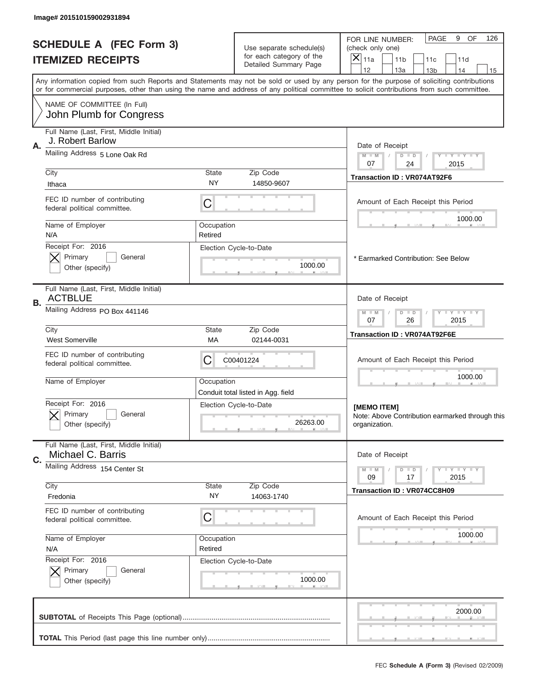|    | Image# 201510159002931894                                     |                                                           |                                                      |                                                                                                                                                                                                                                                                                         |  |  |
|----|---------------------------------------------------------------|-----------------------------------------------------------|------------------------------------------------------|-----------------------------------------------------------------------------------------------------------------------------------------------------------------------------------------------------------------------------------------------------------------------------------------|--|--|
|    | <b>SCHEDULE A (FEC Form 3)</b><br><b>ITEMIZED RECEIPTS</b>    |                                                           | Use separate schedule(s)<br>for each category of the | PAGE<br>9 OF<br>126<br>FOR LINE NUMBER:<br>(check only one)<br>X<br>11a<br>11 <sub>b</sub><br>11c<br>11d                                                                                                                                                                                |  |  |
|    |                                                               |                                                           | Detailed Summary Page                                | 12<br>13a<br>13 <sub>b</sub><br>14<br>15                                                                                                                                                                                                                                                |  |  |
|    |                                                               |                                                           |                                                      | Any information copied from such Reports and Statements may not be sold or used by any person for the purpose of soliciting contributions<br>or for commercial purposes, other than using the name and address of any political committee to solicit contributions from such committee. |  |  |
|    | NAME OF COMMITTEE (In Full)<br>John Plumb for Congress        |                                                           |                                                      |                                                                                                                                                                                                                                                                                         |  |  |
|    | Full Name (Last, First, Middle Initial)                       |                                                           |                                                      |                                                                                                                                                                                                                                                                                         |  |  |
| Α. | J. Robert Barlow                                              | Mailing Address 5 Lone Oak Rd                             |                                                      |                                                                                                                                                                                                                                                                                         |  |  |
|    |                                                               |                                                           |                                                      | $M - M$<br>Y FY FY FY<br>$D$ $D$<br>07<br>24<br>2015                                                                                                                                                                                                                                    |  |  |
|    | City                                                          | <b>State</b><br>NY                                        | Zip Code<br>14850-9607                               | <b>Transaction ID: VR074AT92F6</b>                                                                                                                                                                                                                                                      |  |  |
|    | Ithaca                                                        |                                                           |                                                      |                                                                                                                                                                                                                                                                                         |  |  |
|    | FEC ID number of contributing<br>federal political committee. | С                                                         |                                                      | Amount of Each Receipt this Period<br>1000.00                                                                                                                                                                                                                                           |  |  |
|    | Name of Employer                                              | Occupation                                                |                                                      |                                                                                                                                                                                                                                                                                         |  |  |
|    | N/A<br>Receipt For: 2016                                      | Retired                                                   | Election Cycle-to-Date                               |                                                                                                                                                                                                                                                                                         |  |  |
|    | Primary<br>General                                            |                                                           |                                                      | * Earmarked Contribution: See Below                                                                                                                                                                                                                                                     |  |  |
|    | Other (specify)                                               |                                                           | 1000.00                                              |                                                                                                                                                                                                                                                                                         |  |  |
| В. | Full Name (Last, First, Middle Initial)<br><b>ACTBLUE</b>     |                                                           |                                                      | Date of Receipt                                                                                                                                                                                                                                                                         |  |  |
|    | Mailing Address PO Box 441146                                 | <b>LY LY LY</b><br>$M - M$<br>$D$ $D$<br>07<br>26<br>2015 |                                                      |                                                                                                                                                                                                                                                                                         |  |  |
|    | City<br><b>West Somerville</b>                                | Zip Code<br><b>State</b><br>МA<br>02144-0031              |                                                      |                                                                                                                                                                                                                                                                                         |  |  |
|    | FEC ID number of contributing<br>federal political committee. | C                                                         | C00401224                                            | Amount of Each Receipt this Period                                                                                                                                                                                                                                                      |  |  |
|    | Name of Employer                                              | Occupation                                                | Conduit total listed in Agg. field                   | 1000.00                                                                                                                                                                                                                                                                                 |  |  |
|    | Receipt For: 2016<br>General<br>Primary                       |                                                           | Election Cycle-to-Date                               | [MEMO ITEM]<br>Note: Above Contribution earmarked through this                                                                                                                                                                                                                          |  |  |
|    | Other (specify)                                               |                                                           | 26263.00                                             | organization.                                                                                                                                                                                                                                                                           |  |  |
|    | Full Name (Last, First, Middle Initial)                       |                                                           |                                                      |                                                                                                                                                                                                                                                                                         |  |  |
| C. | Michael C. Barris                                             |                                                           |                                                      | Date of Receipt                                                                                                                                                                                                                                                                         |  |  |
|    | Mailing Address 154 Center St                                 |                                                           |                                                      | <b>LY LY LY</b><br>$M - M$<br>$D$ $D$<br>2015<br>09<br>17                                                                                                                                                                                                                               |  |  |
|    | City                                                          | State<br>NY.                                              | Zip Code                                             | <b>Transaction ID: VR074CC8H09</b>                                                                                                                                                                                                                                                      |  |  |
|    | Fredonia<br>FEC ID number of contributing                     |                                                           | 14063-1740                                           |                                                                                                                                                                                                                                                                                         |  |  |
|    | federal political committee.                                  | C                                                         |                                                      | Amount of Each Receipt this Period                                                                                                                                                                                                                                                      |  |  |
|    | Name of Employer                                              | Occupation                                                |                                                      | 1000.00                                                                                                                                                                                                                                                                                 |  |  |
|    | N/A<br>Receipt For: 2016                                      | Retired                                                   | Election Cycle-to-Date                               |                                                                                                                                                                                                                                                                                         |  |  |
|    | Primary<br>General                                            |                                                           |                                                      |                                                                                                                                                                                                                                                                                         |  |  |
|    | Other (specify)                                               |                                                           | 1000.00                                              |                                                                                                                                                                                                                                                                                         |  |  |
|    |                                                               |                                                           |                                                      | 2000.00                                                                                                                                                                                                                                                                                 |  |  |
|    |                                                               |                                                           |                                                      |                                                                                                                                                                                                                                                                                         |  |  |
|    |                                                               |                                                           |                                                      |                                                                                                                                                                                                                                                                                         |  |  |
|    |                                                               |                                                           |                                                      |                                                                                                                                                                                                                                                                                         |  |  |
|    |                                                               |                                                           |                                                      | FEC Schedule A (Form 3) (Revised 02/2009)                                                                                                                                                                                                                                               |  |  |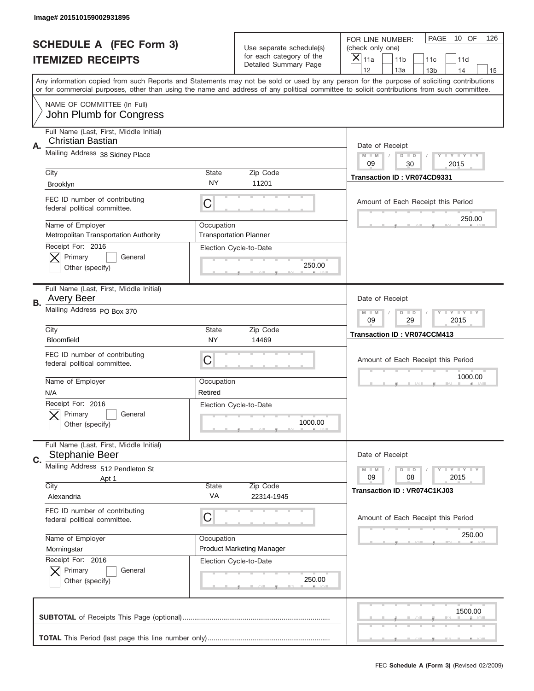|           | Image# 201510159002931895                                                      |                                                             |                                                      |                                                                                                                                                                                                                                                                                                                         |
|-----------|--------------------------------------------------------------------------------|-------------------------------------------------------------|------------------------------------------------------|-------------------------------------------------------------------------------------------------------------------------------------------------------------------------------------------------------------------------------------------------------------------------------------------------------------------------|
|           | <b>SCHEDULE A (FEC Form 3)</b>                                                 |                                                             | Use separate schedule(s)<br>for each category of the | PAGE<br>10 OF<br>126<br>FOR LINE NUMBER:<br>(check only one)                                                                                                                                                                                                                                                            |
|           | <b>ITEMIZED RECEIPTS</b>                                                       |                                                             | Detailed Summary Page                                | ×<br>11a<br>11 <sub>b</sub><br>11c<br>11d<br>12<br>14                                                                                                                                                                                                                                                                   |
|           | NAME OF COMMITTEE (In Full)                                                    |                                                             |                                                      | 13a<br>13 <sub>b</sub><br>15<br>Any information copied from such Reports and Statements may not be sold or used by any person for the purpose of soliciting contributions<br>or for commercial purposes, other than using the name and address of any political committee to solicit contributions from such committee. |
|           | John Plumb for Congress                                                        |                                                             |                                                      |                                                                                                                                                                                                                                                                                                                         |
| Α.        | Full Name (Last, First, Middle Initial)<br>Christian Bastian                   |                                                             |                                                      | Date of Receipt                                                                                                                                                                                                                                                                                                         |
|           | Mailing Address 38 Sidney Place                                                | $M - M$<br><b>LYLYLY</b><br>$D$ $D$<br>09<br>30<br>2015     |                                                      |                                                                                                                                                                                                                                                                                                                         |
|           | City<br><b>Brooklyn</b>                                                        | State<br>NY                                                 | Zip Code<br>11201                                    | Transaction ID: VR074CD9331                                                                                                                                                                                                                                                                                             |
|           | FEC ID number of contributing<br>federal political committee.                  | C                                                           |                                                      | Amount of Each Receipt this Period<br>250.00                                                                                                                                                                                                                                                                            |
|           | Name of Employer<br>Metropolitan Transportation Authority<br>Receipt For: 2016 | Occupation                                                  | <b>Transportation Planner</b>                        |                                                                                                                                                                                                                                                                                                                         |
|           | Primary<br>General<br>Other (specify)                                          |                                                             | Election Cycle-to-Date<br>250.00                     |                                                                                                                                                                                                                                                                                                                         |
| <b>B.</b> | Full Name (Last, First, Middle Initial)<br><b>Avery Beer</b>                   |                                                             |                                                      | Date of Receipt                                                                                                                                                                                                                                                                                                         |
|           | Mailing Address PO Box 370                                                     | $M - M$<br><b>LEYTEY LEY</b><br>$D$ $D$<br>09<br>29<br>2015 |                                                      |                                                                                                                                                                                                                                                                                                                         |
|           | City<br>Bloomfield                                                             | <b>State</b><br>NY                                          | Zip Code<br>14469                                    | <b>Transaction ID: VR074CCM413</b>                                                                                                                                                                                                                                                                                      |
|           | FEC ID number of contributing                                                  |                                                             |                                                      | Amount of Each Receipt this Period                                                                                                                                                                                                                                                                                      |
|           | federal political committee.                                                   | C                                                           |                                                      |                                                                                                                                                                                                                                                                                                                         |
|           | Name of Employer<br>N/A                                                        | Occupation<br>Retired                                       |                                                      | 1000.00                                                                                                                                                                                                                                                                                                                 |
|           | Receipt For: 2016<br>General<br>Primary<br>Other (specify)                     |                                                             | Election Cycle-to-Date<br>1000.00                    |                                                                                                                                                                                                                                                                                                                         |
| C.        | Full Name (Last, First, Middle Initial)<br><b>Stephanie Beer</b>               |                                                             |                                                      | Date of Receipt                                                                                                                                                                                                                                                                                                         |
|           | Mailing Address 512 Pendleton St<br>Apt 1                                      |                                                             |                                                      | <b>LEY LEY LEY</b><br>$M - M$<br>$D$ $D$<br>09<br>2015<br>08                                                                                                                                                                                                                                                            |
|           | City<br>Alexandria                                                             | <b>State</b><br>VA                                          | Zip Code<br>22314-1945                               | Transaction ID: VR074C1KJ03                                                                                                                                                                                                                                                                                             |
|           | FEC ID number of contributing<br>federal political committee.                  | С                                                           |                                                      | Amount of Each Receipt this Period                                                                                                                                                                                                                                                                                      |
|           | Name of Employer<br>Morningstar                                                | Occupation                                                  | <b>Product Marketing Manager</b>                     | 250.00                                                                                                                                                                                                                                                                                                                  |
|           | Receipt For: 2016<br>Primary<br>General<br>Other (specify)                     |                                                             | Election Cycle-to-Date<br>250.00                     |                                                                                                                                                                                                                                                                                                                         |
|           |                                                                                |                                                             |                                                      | 1500.00                                                                                                                                                                                                                                                                                                                 |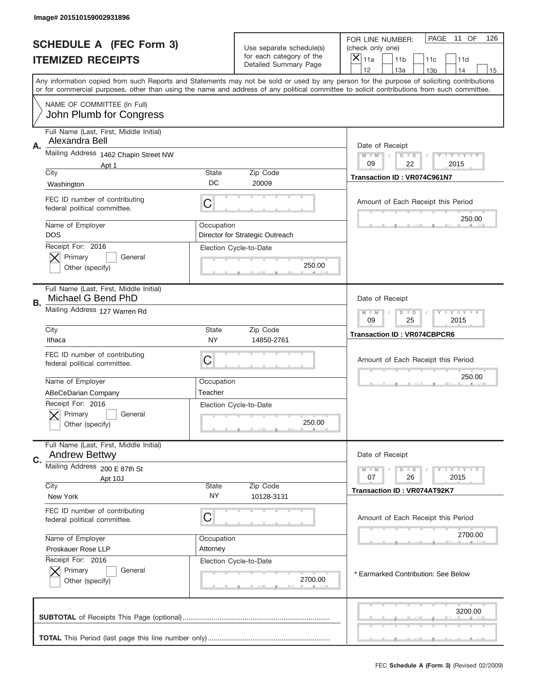|    | Image# 201510159002931896                                       |                                                           |                                                      |                                                                                                                                                                                                                                                                                         |
|----|-----------------------------------------------------------------|-----------------------------------------------------------|------------------------------------------------------|-----------------------------------------------------------------------------------------------------------------------------------------------------------------------------------------------------------------------------------------------------------------------------------------|
|    | <b>SCHEDULE A (FEC Form 3)</b><br><b>ITEMIZED RECEIPTS</b>      |                                                           | Use separate schedule(s)<br>for each category of the | PAGE<br>11 OF<br>126<br>FOR LINE NUMBER:<br>(check only one)<br>×<br>11a<br>11 <sub>b</sub><br>11c<br>11d                                                                                                                                                                               |
|    |                                                                 |                                                           | Detailed Summary Page                                | 12<br>13a<br>13 <sub>b</sub><br>14<br>15                                                                                                                                                                                                                                                |
|    |                                                                 |                                                           |                                                      | Any information copied from such Reports and Statements may not be sold or used by any person for the purpose of soliciting contributions<br>or for commercial purposes, other than using the name and address of any political committee to solicit contributions from such committee. |
|    | NAME OF COMMITTEE (In Full)<br>John Plumb for Congress          |                                                           |                                                      |                                                                                                                                                                                                                                                                                         |
|    | Full Name (Last, First, Middle Initial)                         |                                                           |                                                      |                                                                                                                                                                                                                                                                                         |
| Α. | Alexandra Bell                                                  |                                                           |                                                      | Date of Receipt                                                                                                                                                                                                                                                                         |
|    | Mailing Address 1462 Chapin Street NW<br>Apt 1                  |                                                           |                                                      | $M - M$<br>$D$ $D$<br>Y FY FY FY<br>09<br>22<br>2015                                                                                                                                                                                                                                    |
|    | City                                                            | <b>State</b>                                              | Zip Code                                             | Transaction ID: VR074C961N7                                                                                                                                                                                                                                                             |
|    | Washington                                                      | DC                                                        | 20009                                                |                                                                                                                                                                                                                                                                                         |
|    | FEC ID number of contributing<br>federal political committee.   | C                                                         |                                                      | Amount of Each Receipt this Period<br>250.00                                                                                                                                                                                                                                            |
|    | Name of Employer<br><b>DOS</b>                                  | Occupation                                                | Director for Strategic Outreach                      |                                                                                                                                                                                                                                                                                         |
|    | Receipt For: 2016                                               |                                                           | Election Cycle-to-Date                               |                                                                                                                                                                                                                                                                                         |
|    | Primary<br>General<br>Other (specify)                           |                                                           | 250.00                                               |                                                                                                                                                                                                                                                                                         |
|    |                                                                 |                                                           |                                                      |                                                                                                                                                                                                                                                                                         |
| В. | Full Name (Last, First, Middle Initial)<br>Michael G Bend PhD   |                                                           |                                                      | Date of Receipt                                                                                                                                                                                                                                                                         |
|    | Mailing Address 127 Warren Rd                                   | <b>LY LY LY</b><br>$M - M$<br>$D$ $D$<br>09<br>25<br>2015 |                                                      |                                                                                                                                                                                                                                                                                         |
|    | City<br>Ithaca                                                  | <b>State</b><br>NY                                        | Zip Code<br>14850-2761                               | <b>Transaction ID: VR074CBPCR6</b>                                                                                                                                                                                                                                                      |
|    | FEC ID number of contributing<br>federal political committee.   | C                                                         |                                                      | Amount of Each Receipt this Period                                                                                                                                                                                                                                                      |
|    | Name of Employer                                                | Occupation                                                |                                                      | 250.00                                                                                                                                                                                                                                                                                  |
|    | ABeCeDarian Company                                             | Teacher                                                   |                                                      |                                                                                                                                                                                                                                                                                         |
|    | Receipt For: 2016                                               |                                                           | Election Cycle-to-Date                               |                                                                                                                                                                                                                                                                                         |
|    | General<br>Primary<br>Other (specify)                           |                                                           | 250.00                                               |                                                                                                                                                                                                                                                                                         |
|    |                                                                 |                                                           |                                                      |                                                                                                                                                                                                                                                                                         |
|    | Full Name (Last, First, Middle Initial)<br><b>Andrew Bettwy</b> |                                                           |                                                      | Date of Receipt                                                                                                                                                                                                                                                                         |
| C. | Mailing Address 200 E 87th St                                   |                                                           |                                                      | $D$ $D$<br><b>LY LY LY</b><br>$M - M$                                                                                                                                                                                                                                                   |
|    | Apt 10J                                                         | State                                                     |                                                      | 07<br>26<br>2015                                                                                                                                                                                                                                                                        |
|    | City<br>New York                                                | Zip Code<br>10128-3131                                    | <b>Transaction ID: VR074AT92K7</b>                   |                                                                                                                                                                                                                                                                                         |
|    | FEC ID number of contributing<br>federal political committee.   | С                                                         |                                                      | Amount of Each Receipt this Period                                                                                                                                                                                                                                                      |
|    | Name of Employer                                                | Occupation                                                |                                                      | 2700.00                                                                                                                                                                                                                                                                                 |
|    | Proskauer Rose LLP                                              | Attorney                                                  |                                                      |                                                                                                                                                                                                                                                                                         |
|    | Receipt For: 2016<br>Primary<br>General                         |                                                           | Election Cycle-to-Date                               |                                                                                                                                                                                                                                                                                         |
|    | Other (specify)                                                 |                                                           | 2700.00                                              | * Earmarked Contribution: See Below                                                                                                                                                                                                                                                     |
|    |                                                                 |                                                           |                                                      | 3200.00                                                                                                                                                                                                                                                                                 |
|    |                                                                 |                                                           |                                                      |                                                                                                                                                                                                                                                                                         |
|    |                                                                 |                                                           |                                                      |                                                                                                                                                                                                                                                                                         |
|    |                                                                 |                                                           |                                                      | FEC Schedule A (Form 3) (Revised 02/2009)                                                                                                                                                                                                                                               |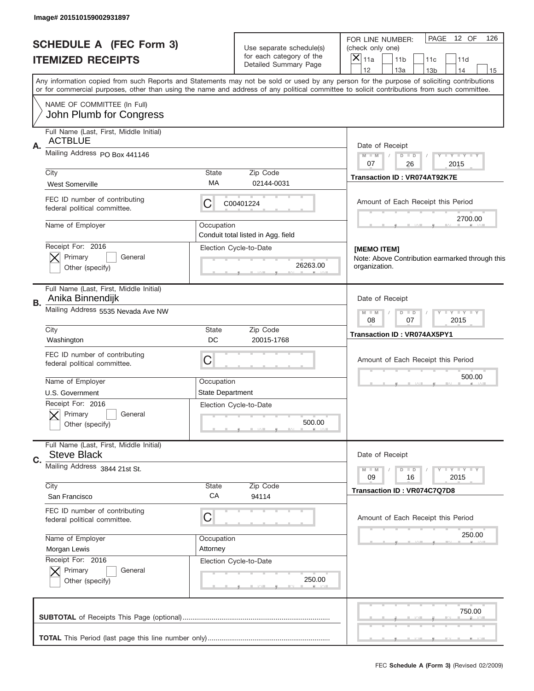| Image# 201510159002931897                                     |                                                               |                                                      |                                                                                                                                                                                                                                                                                         |  |
|---------------------------------------------------------------|---------------------------------------------------------------|------------------------------------------------------|-----------------------------------------------------------------------------------------------------------------------------------------------------------------------------------------------------------------------------------------------------------------------------------------|--|
| <b>SCHEDULE A (FEC Form 3)</b>                                |                                                               | Use separate schedule(s)<br>for each category of the | PAGE<br>12 OF<br>126<br>FOR LINE NUMBER:<br>(check only one)<br>$\boldsymbol{\times}$                                                                                                                                                                                                   |  |
| <b>ITEMIZED RECEIPTS</b>                                      |                                                               | Detailed Summary Page                                | 11a<br>11 <sub>b</sub><br>11c<br>11d<br>12<br>13a<br>14<br>13 <sub>b</sub><br>15                                                                                                                                                                                                        |  |
|                                                               |                                                               |                                                      | Any information copied from such Reports and Statements may not be sold or used by any person for the purpose of soliciting contributions<br>or for commercial purposes, other than using the name and address of any political committee to solicit contributions from such committee. |  |
| NAME OF COMMITTEE (In Full)<br>John Plumb for Congress        |                                                               |                                                      |                                                                                                                                                                                                                                                                                         |  |
| Full Name (Last, First, Middle Initial)                       |                                                               |                                                      |                                                                                                                                                                                                                                                                                         |  |
| <b>ACTBLUE</b><br>Α.                                          |                                                               |                                                      | Date of Receipt                                                                                                                                                                                                                                                                         |  |
| Mailing Address PO Box 441146                                 | $M$ M<br>$D$ $D$<br>Y FY FY FY<br>07<br>26<br>2015            |                                                      |                                                                                                                                                                                                                                                                                         |  |
| City                                                          | State                                                         | Zip Code                                             | Transaction ID: VR074AT92K7E                                                                                                                                                                                                                                                            |  |
| <b>West Somerville</b>                                        | МA                                                            | 02144-0031                                           |                                                                                                                                                                                                                                                                                         |  |
| FEC ID number of contributing<br>federal political committee. | С                                                             | C00401224                                            | Amount of Each Receipt this Period                                                                                                                                                                                                                                                      |  |
| Name of Employer                                              | Occupation                                                    |                                                      | 2700.00                                                                                                                                                                                                                                                                                 |  |
| Receipt For: 2016                                             |                                                               | Conduit total listed in Agg. field                   |                                                                                                                                                                                                                                                                                         |  |
| Primary<br>General                                            |                                                               | Election Cycle-to-Date                               | <b>IMEMO ITEM1</b><br>Note: Above Contribution earmarked through this                                                                                                                                                                                                                   |  |
| Other (specify)                                               |                                                               | 26263.00                                             | organization.                                                                                                                                                                                                                                                                           |  |
| Full Name (Last, First, Middle Initial)<br>Anika Binnendijk   |                                                               |                                                      | Date of Receipt                                                                                                                                                                                                                                                                         |  |
| В.<br>Mailing Address 5535 Nevada Ave NW                      | $D$ $D$<br>$T$ $Y$ $Y$ $Y$ $Y$<br>$M - M$<br>08<br>2015<br>07 |                                                      |                                                                                                                                                                                                                                                                                         |  |
| City<br>Washington                                            | State<br>DC                                                   | Zip Code<br>20015-1768                               | Transaction ID: VR074AX5PY1                                                                                                                                                                                                                                                             |  |
| FEC ID number of contributing<br>federal political committee. | C                                                             |                                                      |                                                                                                                                                                                                                                                                                         |  |
| Name of Employer                                              | Occupation                                                    |                                                      | 500.00                                                                                                                                                                                                                                                                                  |  |
| U.S. Government                                               | <b>State Department</b>                                       |                                                      |                                                                                                                                                                                                                                                                                         |  |
| Receipt For: 2016                                             |                                                               | Election Cycle-to-Date                               |                                                                                                                                                                                                                                                                                         |  |
| General<br>Primary<br>Other (specify)                         |                                                               | 500.00                                               |                                                                                                                                                                                                                                                                                         |  |
| Full Name (Last, First, Middle Initial)                       |                                                               |                                                      |                                                                                                                                                                                                                                                                                         |  |
| <b>Steve Black</b><br>C.                                      |                                                               |                                                      | Date of Receipt                                                                                                                                                                                                                                                                         |  |
| Mailing Address 3844 21st St.                                 |                                                               |                                                      | $D$ $D$<br>Y - Y - Y - Y<br>$M - M$<br>2015<br>09<br>16                                                                                                                                                                                                                                 |  |
| City                                                          | <b>State</b>                                                  | Zip Code                                             | Transaction ID: VR074C7Q7D8                                                                                                                                                                                                                                                             |  |
| San Francisco                                                 | СA                                                            | 94114                                                |                                                                                                                                                                                                                                                                                         |  |
| FEC ID number of contributing<br>federal political committee. | C                                                             |                                                      | Amount of Each Receipt this Period                                                                                                                                                                                                                                                      |  |
| Name of Employer                                              | Occupation                                                    |                                                      | 250.00                                                                                                                                                                                                                                                                                  |  |
| Morgan Lewis<br>Receipt For: 2016                             | Attorney                                                      |                                                      |                                                                                                                                                                                                                                                                                         |  |
| Primary<br>General                                            |                                                               | Election Cycle-to-Date                               |                                                                                                                                                                                                                                                                                         |  |
| Other (specify)                                               |                                                               | 250.00                                               |                                                                                                                                                                                                                                                                                         |  |
|                                                               |                                                               |                                                      | 750.00                                                                                                                                                                                                                                                                                  |  |
|                                                               |                                                               |                                                      |                                                                                                                                                                                                                                                                                         |  |
|                                                               |                                                               |                                                      |                                                                                                                                                                                                                                                                                         |  |
|                                                               |                                                               |                                                      | FEC Schedule A (Form 3) (Revised 02/2009)                                                                                                                                                                                                                                               |  |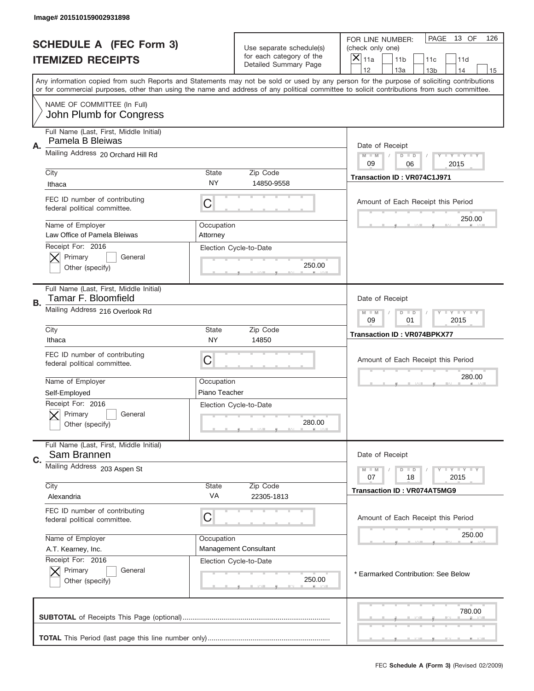|           | Image# 201510159002931898                                      |                                                           |                                                      |                                                                                                                                                                                                                                                                                         |
|-----------|----------------------------------------------------------------|-----------------------------------------------------------|------------------------------------------------------|-----------------------------------------------------------------------------------------------------------------------------------------------------------------------------------------------------------------------------------------------------------------------------------------|
|           | <b>SCHEDULE A (FEC Form 3)</b><br><b>ITEMIZED RECEIPTS</b>     |                                                           | Use separate schedule(s)<br>for each category of the | PAGE<br>13 OF<br>126<br>FOR LINE NUMBER:<br>(check only one)<br>$\overline{X} _{11a}$<br>11 <sub>b</sub><br>11c<br>11d                                                                                                                                                                  |
|           |                                                                |                                                           | <b>Detailed Summary Page</b>                         | 12<br>13a<br>14<br>13 <sub>b</sub><br>15                                                                                                                                                                                                                                                |
|           |                                                                |                                                           |                                                      | Any information copied from such Reports and Statements may not be sold or used by any person for the purpose of soliciting contributions<br>or for commercial purposes, other than using the name and address of any political committee to solicit contributions from such committee. |
|           | NAME OF COMMITTEE (In Full)<br>John Plumb for Congress         |                                                           |                                                      |                                                                                                                                                                                                                                                                                         |
|           | Full Name (Last, First, Middle Initial)                        |                                                           |                                                      |                                                                                                                                                                                                                                                                                         |
| Α.        | Pamela B Bleiwas                                               |                                                           |                                                      | Date of Receipt                                                                                                                                                                                                                                                                         |
|           | Mailing Address 20 Orchard Hill Rd                             |                                                           |                                                      | $M$ $M$<br>$D$ $D$<br>Y FY FY FY<br>09<br>06<br>2015                                                                                                                                                                                                                                    |
|           | City                                                           | State                                                     | Zip Code                                             | Transaction ID: VR074C1J971                                                                                                                                                                                                                                                             |
|           | Ithaca                                                         | NY                                                        | 14850-9558                                           |                                                                                                                                                                                                                                                                                         |
|           | FEC ID number of contributing<br>federal political committee.  | C                                                         |                                                      | Amount of Each Receipt this Period<br>250.00                                                                                                                                                                                                                                            |
|           | Name of Employer                                               | Occupation                                                |                                                      |                                                                                                                                                                                                                                                                                         |
|           | Law Office of Pamela Bleiwas<br>Receipt For: 2016              | Attorney                                                  |                                                      |                                                                                                                                                                                                                                                                                         |
|           | Primary<br>General                                             |                                                           | Election Cycle-to-Date                               |                                                                                                                                                                                                                                                                                         |
|           | Other (specify)                                                |                                                           | 250.00                                               |                                                                                                                                                                                                                                                                                         |
|           | Full Name (Last, First, Middle Initial)<br>Tamar F. Bloomfield |                                                           |                                                      | Date of Receipt                                                                                                                                                                                                                                                                         |
| <b>B.</b> | Mailing Address 216 Overlook Rd                                | <b>LY LY LY</b><br>$D$ $D$<br>$M - M$<br>09<br>01<br>2015 |                                                      |                                                                                                                                                                                                                                                                                         |
|           | City<br>Ithaca                                                 | <b>State</b><br>NY                                        | Zip Code<br>14850                                    | <b>Transaction ID: VR074BPKX77</b>                                                                                                                                                                                                                                                      |
|           | FEC ID number of contributing<br>federal political committee.  | C                                                         |                                                      | Amount of Each Receipt this Period                                                                                                                                                                                                                                                      |
|           | Name of Employer                                               | Occupation                                                |                                                      | 280.00                                                                                                                                                                                                                                                                                  |
|           | Self-Employed                                                  | Piano Teacher                                             |                                                      |                                                                                                                                                                                                                                                                                         |
|           | Receipt For: 2016<br>General<br>Primary<br>Other (specify)     |                                                           | Election Cycle-to-Date<br>280.00                     |                                                                                                                                                                                                                                                                                         |
|           | Full Name (Last, First, Middle Initial)                        |                                                           |                                                      |                                                                                                                                                                                                                                                                                         |
| C.        | Sam Brannen                                                    |                                                           |                                                      | Date of Receipt                                                                                                                                                                                                                                                                         |
|           | Mailing Address 203 Aspen St                                   |                                                           |                                                      | $D$ $D$<br><b>LYLYLY</b><br>$M - M$<br>07<br>18<br>2015                                                                                                                                                                                                                                 |
|           | City                                                           | State                                                     | Zip Code                                             | <b>Transaction ID: VR074AT5MG9</b>                                                                                                                                                                                                                                                      |
|           | Alexandria                                                     | VA                                                        | 22305-1813                                           |                                                                                                                                                                                                                                                                                         |
|           | FEC ID number of contributing<br>federal political committee.  | C                                                         |                                                      | Amount of Each Receipt this Period                                                                                                                                                                                                                                                      |
|           | Name of Employer                                               | Occupation                                                |                                                      | 250.00                                                                                                                                                                                                                                                                                  |
|           | A.T. Kearney, Inc.<br>Receipt For: 2016                        |                                                           | Management Consultant                                |                                                                                                                                                                                                                                                                                         |
|           | Primary<br>General                                             |                                                           | Election Cycle-to-Date                               | * Earmarked Contribution: See Below                                                                                                                                                                                                                                                     |
|           | Other (specify)                                                |                                                           | 250.00                                               |                                                                                                                                                                                                                                                                                         |
|           |                                                                |                                                           |                                                      | 780.00                                                                                                                                                                                                                                                                                  |
|           |                                                                |                                                           |                                                      |                                                                                                                                                                                                                                                                                         |
|           |                                                                |                                                           |                                                      | FEC Schedule A (Form 3) (Revised 02/2009)                                                                                                                                                                                                                                               |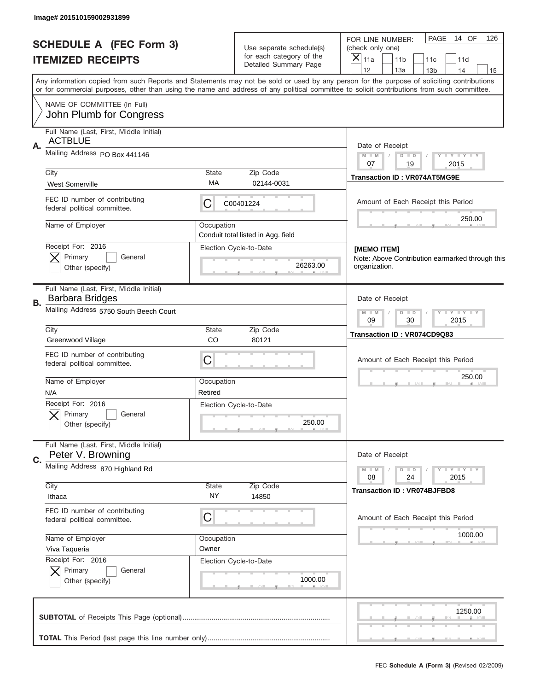| Image# 201510159002931899                                               |                                                              |                                                      |                                                                                                                                                                                                                                                                                         |
|-------------------------------------------------------------------------|--------------------------------------------------------------|------------------------------------------------------|-----------------------------------------------------------------------------------------------------------------------------------------------------------------------------------------------------------------------------------------------------------------------------------------|
| <b>SCHEDULE A (FEC Form 3)</b>                                          |                                                              | Use separate schedule(s)<br>for each category of the | PAGE<br>14 OF<br>126<br>FOR LINE NUMBER:<br>(check only one)                                                                                                                                                                                                                            |
| <b>ITEMIZED RECEIPTS</b>                                                |                                                              | Detailed Summary Page                                | $\overline{X} _{11a}$<br>11 <sub>b</sub><br>11c<br>11d<br>12<br>13a<br>14<br>13 <sub>b</sub><br>15                                                                                                                                                                                      |
|                                                                         |                                                              |                                                      | Any information copied from such Reports and Statements may not be sold or used by any person for the purpose of soliciting contributions<br>or for commercial purposes, other than using the name and address of any political committee to solicit contributions from such committee. |
| NAME OF COMMITTEE (In Full)<br>John Plumb for Congress                  |                                                              |                                                      |                                                                                                                                                                                                                                                                                         |
| Full Name (Last, First, Middle Initial)                                 |                                                              |                                                      |                                                                                                                                                                                                                                                                                         |
| <b>ACTBLUE</b><br>A.                                                    |                                                              |                                                      | Date of Receipt                                                                                                                                                                                                                                                                         |
| Mailing Address PO Box 441146                                           |                                                              |                                                      | $M$ M<br>Y FY FY FY<br>$D$ $D$<br>07<br>19                                                                                                                                                                                                                                              |
| City                                                                    | State                                                        | Zip Code                                             | 2015<br><b>Transaction ID: VR074AT5MG9E</b>                                                                                                                                                                                                                                             |
| <b>West Somerville</b>                                                  | МA                                                           | 02144-0031                                           |                                                                                                                                                                                                                                                                                         |
| FEC ID number of contributing<br>federal political committee.           | C                                                            | C00401224                                            | Amount of Each Receipt this Period                                                                                                                                                                                                                                                      |
| Name of Employer                                                        | Occupation                                                   |                                                      | 250.00                                                                                                                                                                                                                                                                                  |
| Receipt For: 2016                                                       |                                                              | Conduit total listed in Agg. field                   |                                                                                                                                                                                                                                                                                         |
| Primary<br>General                                                      |                                                              | Election Cycle-to-Date                               | [MEMO ITEM]<br>Note: Above Contribution earmarked through this                                                                                                                                                                                                                          |
| Other (specify)                                                         |                                                              | 26263.00                                             | organization.                                                                                                                                                                                                                                                                           |
| Full Name (Last, First, Middle Initial)<br><b>Barbara Bridges</b><br>В. |                                                              |                                                      | Date of Receipt                                                                                                                                                                                                                                                                         |
| Mailing Address 5750 South Beech Court                                  | <b>TEY TEY TEY</b><br>$M - M$<br>$D$ $D$<br>09<br>30<br>2015 |                                                      |                                                                                                                                                                                                                                                                                         |
| City<br>Greenwood Village                                               | State<br>CO                                                  | Zip Code<br>80121                                    | Transaction ID: VR074CD9Q83                                                                                                                                                                                                                                                             |
| FEC ID number of contributing<br>federal political committee.           | C                                                            |                                                      | Amount of Each Receipt this Period                                                                                                                                                                                                                                                      |
| Name of Employer                                                        | Occupation                                                   |                                                      | 250.00                                                                                                                                                                                                                                                                                  |
| N/A                                                                     | Retired                                                      |                                                      |                                                                                                                                                                                                                                                                                         |
| Receipt For: 2016<br>General<br>Primary                                 |                                                              | Election Cycle-to-Date                               |                                                                                                                                                                                                                                                                                         |
| Other (specify)                                                         |                                                              | 250.00                                               |                                                                                                                                                                                                                                                                                         |
| Full Name (Last, First, Middle Initial)                                 |                                                              |                                                      |                                                                                                                                                                                                                                                                                         |
| Peter V. Browning<br>C.                                                 |                                                              |                                                      | Date of Receipt                                                                                                                                                                                                                                                                         |
| Mailing Address 870 Highland Rd                                         |                                                              |                                                      | $D$ $D$<br>$T$ $Y$ $Y$ $Y$ $Y$<br>$M - M$<br>24<br>2015<br>08                                                                                                                                                                                                                           |
| City                                                                    | <b>State</b>                                                 | Zip Code                                             | <b>Transaction ID: VR074BJFBD8</b>                                                                                                                                                                                                                                                      |
| Ithaca                                                                  | NY.                                                          | 14850                                                |                                                                                                                                                                                                                                                                                         |
| FEC ID number of contributing<br>federal political committee.           | C                                                            |                                                      | Amount of Each Receipt this Period                                                                                                                                                                                                                                                      |
| Name of Employer                                                        | Occupation                                                   |                                                      | 1000.00                                                                                                                                                                                                                                                                                 |
| Viva Taqueria<br>Receipt For: 2016                                      | Owner                                                        |                                                      |                                                                                                                                                                                                                                                                                         |
| Primary<br>General                                                      |                                                              | Election Cycle-to-Date                               |                                                                                                                                                                                                                                                                                         |
| Other (specify)                                                         |                                                              | 1000.00                                              |                                                                                                                                                                                                                                                                                         |
|                                                                         |                                                              |                                                      | 1250.00                                                                                                                                                                                                                                                                                 |
|                                                                         |                                                              |                                                      |                                                                                                                                                                                                                                                                                         |
|                                                                         |                                                              |                                                      |                                                                                                                                                                                                                                                                                         |
|                                                                         |                                                              |                                                      | FEC Schedule A (Form 3) (Revised 02/2009)                                                                                                                                                                                                                                               |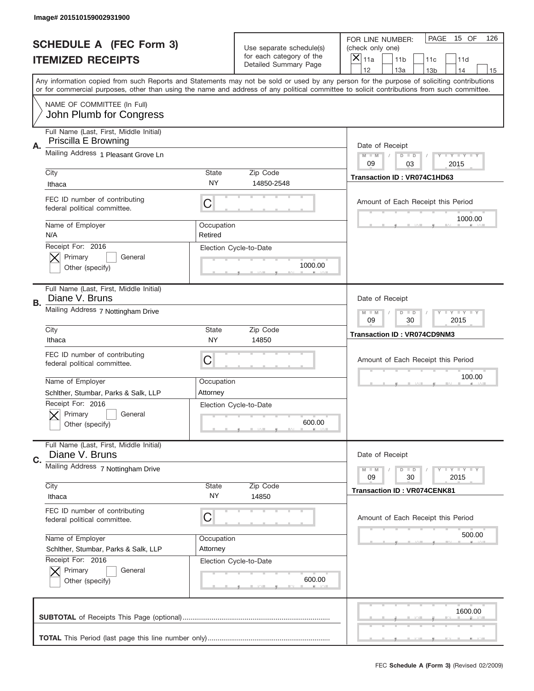|    | Image# 201510159002931900                                       |                                                           |                                                   |                                                                                                                                                                                                                                                                                                                                     |
|----|-----------------------------------------------------------------|-----------------------------------------------------------|---------------------------------------------------|-------------------------------------------------------------------------------------------------------------------------------------------------------------------------------------------------------------------------------------------------------------------------------------------------------------------------------------|
|    | <b>SCHEDULE A (FEC Form 3)</b>                                  |                                                           | Use separate schedule(s)                          | PAGE<br>15 OF<br>126<br>FOR LINE NUMBER:<br>(check only one)                                                                                                                                                                                                                                                                        |
|    | <b>ITEMIZED RECEIPTS</b>                                        |                                                           | for each category of the<br>Detailed Summary Page | $\boldsymbol{\times}$<br>11a<br>11 <sub>b</sub><br>11c<br>11d                                                                                                                                                                                                                                                                       |
|    |                                                                 |                                                           |                                                   | 12<br>13a<br>14<br>13 <sub>b</sub><br>15<br>Any information copied from such Reports and Statements may not be sold or used by any person for the purpose of soliciting contributions<br>or for commercial purposes, other than using the name and address of any political committee to solicit contributions from such committee. |
|    | NAME OF COMMITTEE (In Full)<br>John Plumb for Congress          |                                                           |                                                   |                                                                                                                                                                                                                                                                                                                                     |
| Α. | Full Name (Last, First, Middle Initial)<br>Priscilla E Browning |                                                           |                                                   | Date of Receipt                                                                                                                                                                                                                                                                                                                     |
|    | Mailing Address 1 Pleasant Grove Ln                             | <b>LYLYLY</b><br>$M - M$<br>$D$ $D$<br>09<br>03<br>2015   |                                                   |                                                                                                                                                                                                                                                                                                                                     |
|    | City<br>Ithaca                                                  | <b>State</b><br>NY.                                       | Zip Code<br>14850-2548                            | Transaction ID: VR074C1HD63                                                                                                                                                                                                                                                                                                         |
|    | FEC ID number of contributing<br>federal political committee.   | С                                                         |                                                   | Amount of Each Receipt this Period<br>1000.00                                                                                                                                                                                                                                                                                       |
|    | Name of Employer<br>N/A                                         | Occupation<br>Retired                                     |                                                   |                                                                                                                                                                                                                                                                                                                                     |
|    | Receipt For: 2016<br>Primary<br>General<br>Other (specify)      |                                                           | Election Cycle-to-Date<br>1000.00                 |                                                                                                                                                                                                                                                                                                                                     |
| В. | Full Name (Last, First, Middle Initial)<br>Diane V. Bruns       |                                                           |                                                   | Date of Receipt                                                                                                                                                                                                                                                                                                                     |
|    | Mailing Address 7 Nottingham Drive                              | <b>LY LY LY</b><br>$M - M$<br>$D$ $D$<br>09<br>30<br>2015 |                                                   |                                                                                                                                                                                                                                                                                                                                     |
|    | City<br>Ithaca                                                  | <b>State</b><br>NY                                        | Zip Code<br>14850                                 | Transaction ID: VR074CD9NM3                                                                                                                                                                                                                                                                                                         |
|    | FEC ID number of contributing<br>federal political committee.   | С                                                         |                                                   | Amount of Each Receipt this Period                                                                                                                                                                                                                                                                                                  |
|    | Name of Employer<br>Schlther, Stumbar, Parks & Salk, LLP        | Occupation<br>Attorney                                    |                                                   | 100.00                                                                                                                                                                                                                                                                                                                              |
|    | Receipt For: 2016<br>General<br>Primary<br>Other (specify)      |                                                           | Election Cycle-to-Date<br>600.00                  |                                                                                                                                                                                                                                                                                                                                     |
| C. | Full Name (Last, First, Middle Initial)<br>Diane V. Bruns       |                                                           |                                                   | Date of Receipt                                                                                                                                                                                                                                                                                                                     |
|    | Mailing Address 7 Nottingham Drive                              | <b>LY LY LY</b><br>$M - M$<br>$D$ $D$<br>2015<br>09<br>30 |                                                   |                                                                                                                                                                                                                                                                                                                                     |
|    | City<br>Ithaca                                                  | <b>State</b><br>NY.                                       | Zip Code<br>14850                                 | <b>Transaction ID: VR074CENK81</b>                                                                                                                                                                                                                                                                                                  |
|    |                                                                 |                                                           |                                                   |                                                                                                                                                                                                                                                                                                                                     |
|    | FEC ID number of contributing<br>federal political committee.   | С                                                         |                                                   | Amount of Each Receipt this Period                                                                                                                                                                                                                                                                                                  |
|    | Name of Employer<br>Schlther, Stumbar, Parks & Salk, LLP        | Occupation<br>Attorney                                    |                                                   | 500.00                                                                                                                                                                                                                                                                                                                              |
|    | Receipt For: 2016<br>Primary<br>General<br>Other (specify)      |                                                           | Election Cycle-to-Date<br>600.00                  |                                                                                                                                                                                                                                                                                                                                     |
|    |                                                                 |                                                           |                                                   | 1600.00                                                                                                                                                                                                                                                                                                                             |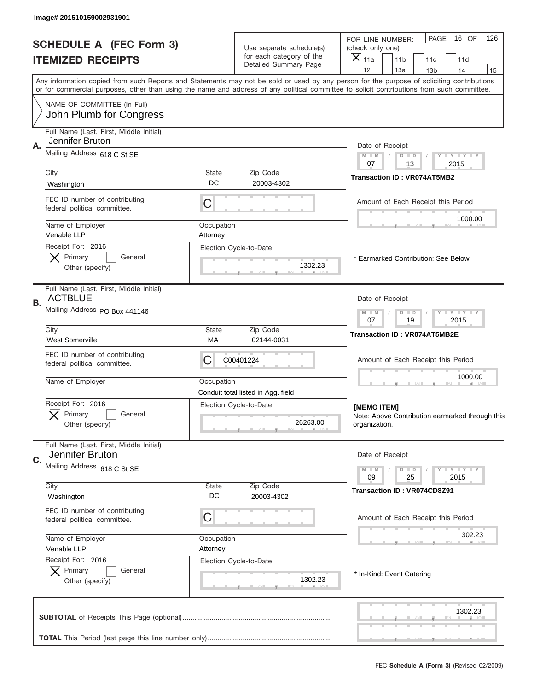|    | Image# 201510159002931901                                     |                                                           |                                                      |                                                                                                                                                                                                                                                                                         |  |
|----|---------------------------------------------------------------|-----------------------------------------------------------|------------------------------------------------------|-----------------------------------------------------------------------------------------------------------------------------------------------------------------------------------------------------------------------------------------------------------------------------------------|--|
|    | <b>SCHEDULE A (FEC Form 3)</b><br><b>ITEMIZED RECEIPTS</b>    | Use separate schedule(s)<br>for each category of the      |                                                      | PAGE<br>16 OF<br>126<br>FOR LINE NUMBER:<br>(check only one)<br>$\boldsymbol{\times}$<br>11a<br>11 <sub>b</sub><br>11c<br>11d                                                                                                                                                           |  |
|    |                                                               |                                                           | Detailed Summary Page                                | 12<br>13a<br>14<br>13 <sub>b</sub><br>15                                                                                                                                                                                                                                                |  |
|    |                                                               |                                                           |                                                      | Any information copied from such Reports and Statements may not be sold or used by any person for the purpose of soliciting contributions<br>or for commercial purposes, other than using the name and address of any political committee to solicit contributions from such committee. |  |
|    | NAME OF COMMITTEE (In Full)<br>John Plumb for Congress        |                                                           |                                                      |                                                                                                                                                                                                                                                                                         |  |
|    | Full Name (Last, First, Middle Initial)                       |                                                           |                                                      |                                                                                                                                                                                                                                                                                         |  |
| Α. | Jennifer Bruton                                               |                                                           |                                                      | Date of Receipt                                                                                                                                                                                                                                                                         |  |
|    | Mailing Address 618 C St SE                                   |                                                           | $M$ $M$<br>Y FY FY FY<br>$D$ $D$<br>07<br>13<br>2015 |                                                                                                                                                                                                                                                                                         |  |
|    | City                                                          | State<br>DC                                               | Zip Code                                             | <b>Transaction ID: VR074AT5MB2</b>                                                                                                                                                                                                                                                      |  |
|    | Washington                                                    |                                                           | 20003-4302                                           |                                                                                                                                                                                                                                                                                         |  |
|    | FEC ID number of contributing<br>federal political committee. | C                                                         |                                                      | Amount of Each Receipt this Period<br>1000.00                                                                                                                                                                                                                                           |  |
|    | Name of Employer<br>Venable LLP                               | Occupation                                                |                                                      |                                                                                                                                                                                                                                                                                         |  |
|    | Receipt For: 2016                                             | Attorney                                                  | Election Cycle-to-Date                               |                                                                                                                                                                                                                                                                                         |  |
|    | Primary<br>General                                            |                                                           |                                                      | * Earmarked Contribution: See Below                                                                                                                                                                                                                                                     |  |
|    | Other (specify)                                               |                                                           | 1302.23                                              |                                                                                                                                                                                                                                                                                         |  |
| В. | Full Name (Last, First, Middle Initial)<br><b>ACTBLUE</b>     |                                                           |                                                      | Date of Receipt                                                                                                                                                                                                                                                                         |  |
|    | Mailing Address PO Box 441146                                 | $M - M$<br>$D$ $D$<br><b>LY LY LY</b><br>07<br>19<br>2015 |                                                      |                                                                                                                                                                                                                                                                                         |  |
|    | City<br><b>West Somerville</b>                                | <b>State</b><br>МA                                        | <b>Transaction ID: VR074AT5MB2E</b>                  |                                                                                                                                                                                                                                                                                         |  |
|    | FEC ID number of contributing<br>federal political committee. | 02144-0031<br>C<br>C00401224                              |                                                      |                                                                                                                                                                                                                                                                                         |  |
|    | Name of Employer                                              | Occupation                                                | Conduit total listed in Agg. field                   | 1000.00                                                                                                                                                                                                                                                                                 |  |
|    | Receipt For: 2016                                             |                                                           | Election Cycle-to-Date                               | [MEMO ITEM]                                                                                                                                                                                                                                                                             |  |
|    | General<br>Primary<br>Other (specify)                         |                                                           | 26263.00                                             | Note: Above Contribution earmarked through this<br>organization.                                                                                                                                                                                                                        |  |
|    | Full Name (Last, First, Middle Initial)                       |                                                           |                                                      |                                                                                                                                                                                                                                                                                         |  |
| C. | Jennifer Bruton                                               |                                                           |                                                      | Date of Receipt                                                                                                                                                                                                                                                                         |  |
|    | Mailing Address 618 C St SE                                   |                                                           |                                                      | <b>LYLYLY</b><br>$M - M$<br>$D$ $D$<br>09<br>25<br>2015                                                                                                                                                                                                                                 |  |
|    | City                                                          | State                                                     | Zip Code                                             | <b>Transaction ID: VR074CD8Z91</b>                                                                                                                                                                                                                                                      |  |
|    | Washington                                                    | DC                                                        | 20003-4302                                           |                                                                                                                                                                                                                                                                                         |  |
|    | FEC ID number of contributing<br>federal political committee. | C                                                         |                                                      | Amount of Each Receipt this Period                                                                                                                                                                                                                                                      |  |
|    | Name of Employer                                              | Occupation                                                |                                                      | 302.23                                                                                                                                                                                                                                                                                  |  |
|    | Venable LLP<br>Receipt For: 2016                              | Attorney                                                  |                                                      |                                                                                                                                                                                                                                                                                         |  |
|    | Primary<br>General                                            |                                                           | Election Cycle-to-Date                               | * In-Kind: Event Catering                                                                                                                                                                                                                                                               |  |
|    | Other (specify)                                               |                                                           | 1302.23                                              |                                                                                                                                                                                                                                                                                         |  |
|    |                                                               |                                                           |                                                      | 1302.23                                                                                                                                                                                                                                                                                 |  |
|    |                                                               |                                                           |                                                      |                                                                                                                                                                                                                                                                                         |  |
|    |                                                               |                                                           |                                                      |                                                                                                                                                                                                                                                                                         |  |
|    |                                                               |                                                           |                                                      | FEC Schedule A (Form 3) (Revised 02/2009)                                                                                                                                                                                                                                               |  |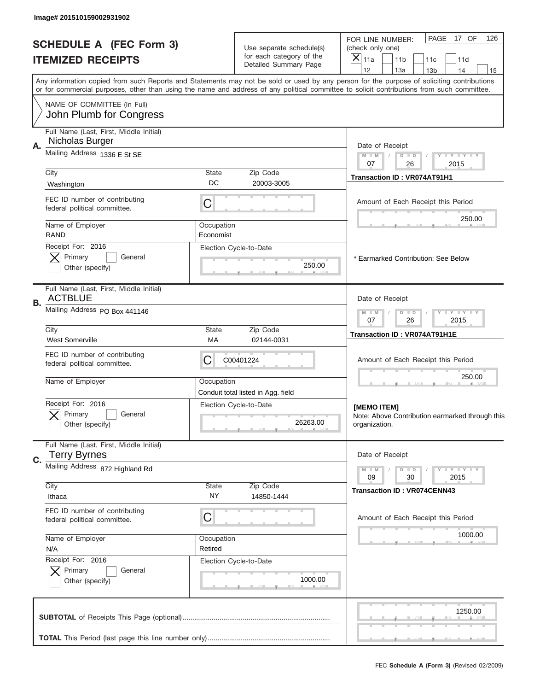|    | Image# 201510159002931902                                     |                                                           |                                                                                                           |                                                                                                                                                                                                                                                                                         |  |
|----|---------------------------------------------------------------|-----------------------------------------------------------|-----------------------------------------------------------------------------------------------------------|-----------------------------------------------------------------------------------------------------------------------------------------------------------------------------------------------------------------------------------------------------------------------------------------|--|
|    | <b>SCHEDULE A (FEC Form 3)</b><br><b>ITEMIZED RECEIPTS</b>    |                                                           | PAGE<br>17 OF<br>126<br>FOR LINE NUMBER:<br>(check only one)<br>X<br>11a<br>11 <sub>b</sub><br>11c<br>11d |                                                                                                                                                                                                                                                                                         |  |
|    |                                                               |                                                           | Detailed Summary Page                                                                                     | 12<br>13a<br>13 <sub>b</sub><br>14<br>15                                                                                                                                                                                                                                                |  |
|    |                                                               |                                                           |                                                                                                           | Any information copied from such Reports and Statements may not be sold or used by any person for the purpose of soliciting contributions<br>or for commercial purposes, other than using the name and address of any political committee to solicit contributions from such committee. |  |
|    | NAME OF COMMITTEE (In Full)<br>John Plumb for Congress        |                                                           |                                                                                                           |                                                                                                                                                                                                                                                                                         |  |
|    | Full Name (Last, First, Middle Initial)                       |                                                           |                                                                                                           |                                                                                                                                                                                                                                                                                         |  |
| Α. | Nicholas Burger<br>Mailing Address 1336 E St SE               |                                                           |                                                                                                           | Date of Receipt                                                                                                                                                                                                                                                                         |  |
|    |                                                               |                                                           | $M - M$<br>Y FY FY FY<br>$D$ $D$<br>07<br>26<br>2015                                                      |                                                                                                                                                                                                                                                                                         |  |
|    | City                                                          | <b>State</b><br>DC                                        | Zip Code<br>20003-3005                                                                                    | Transaction ID: VR074AT91H1                                                                                                                                                                                                                                                             |  |
|    | Washington                                                    |                                                           |                                                                                                           |                                                                                                                                                                                                                                                                                         |  |
|    | FEC ID number of contributing<br>federal political committee. | С                                                         |                                                                                                           | Amount of Each Receipt this Period<br>250.00                                                                                                                                                                                                                                            |  |
|    | Name of Employer<br>RAND                                      | Occupation<br>Economist                                   |                                                                                                           |                                                                                                                                                                                                                                                                                         |  |
|    | Receipt For: 2016                                             |                                                           | Election Cycle-to-Date                                                                                    |                                                                                                                                                                                                                                                                                         |  |
|    | Primary<br>General                                            |                                                           |                                                                                                           | * Earmarked Contribution: See Below                                                                                                                                                                                                                                                     |  |
|    | Other (specify)                                               |                                                           | 250.00                                                                                                    |                                                                                                                                                                                                                                                                                         |  |
| В. | Full Name (Last, First, Middle Initial)<br><b>ACTBLUE</b>     |                                                           |                                                                                                           | Date of Receipt                                                                                                                                                                                                                                                                         |  |
|    | Mailing Address PO Box 441146                                 | <b>LY LY LY</b><br>$M - M$<br>$D$ $D$<br>07<br>26<br>2015 |                                                                                                           |                                                                                                                                                                                                                                                                                         |  |
|    | City<br><b>West Somerville</b>                                | <b>State</b><br>МA                                        | Zip Code<br>02144-0031                                                                                    | Transaction ID: VR074AT91H1E                                                                                                                                                                                                                                                            |  |
|    | FEC ID number of contributing<br>federal political committee. | C<br>C00401224                                            |                                                                                                           |                                                                                                                                                                                                                                                                                         |  |
|    | Name of Employer                                              | Occupation                                                | Conduit total listed in Agg. field                                                                        | 250.00                                                                                                                                                                                                                                                                                  |  |
|    | Receipt For: 2016                                             |                                                           | Election Cycle-to-Date                                                                                    | [MEMO ITEM]                                                                                                                                                                                                                                                                             |  |
|    | General<br>Primary<br>Other (specify)                         |                                                           | 26263.00                                                                                                  | Note: Above Contribution earmarked through this<br>organization.                                                                                                                                                                                                                        |  |
|    | Full Name (Last, First, Middle Initial)                       |                                                           |                                                                                                           |                                                                                                                                                                                                                                                                                         |  |
| C. | <b>Terry Byrnes</b>                                           |                                                           |                                                                                                           | Date of Receipt                                                                                                                                                                                                                                                                         |  |
|    | Mailing Address 872 Highland Rd                               |                                                           |                                                                                                           | <b>LY LY LY</b><br>$M - M$<br>$D$ $D$<br>2015<br>09<br>30                                                                                                                                                                                                                               |  |
|    | City                                                          | State                                                     | Zip Code                                                                                                  | <b>Transaction ID: VR074CENN43</b>                                                                                                                                                                                                                                                      |  |
|    | Ithaca                                                        | NY.                                                       | 14850-1444                                                                                                |                                                                                                                                                                                                                                                                                         |  |
|    | FEC ID number of contributing<br>federal political committee. | С                                                         |                                                                                                           | Amount of Each Receipt this Period                                                                                                                                                                                                                                                      |  |
|    | Name of Employer                                              | Occupation                                                |                                                                                                           | 1000.00                                                                                                                                                                                                                                                                                 |  |
|    | N/A<br>Receipt For: 2016                                      | Retired                                                   |                                                                                                           |                                                                                                                                                                                                                                                                                         |  |
|    | Primary<br>General                                            |                                                           | Election Cycle-to-Date                                                                                    |                                                                                                                                                                                                                                                                                         |  |
|    | Other (specify)                                               |                                                           | 1000.00                                                                                                   |                                                                                                                                                                                                                                                                                         |  |
|    |                                                               |                                                           |                                                                                                           | 1250.00                                                                                                                                                                                                                                                                                 |  |
|    |                                                               |                                                           |                                                                                                           |                                                                                                                                                                                                                                                                                         |  |
|    |                                                               |                                                           |                                                                                                           |                                                                                                                                                                                                                                                                                         |  |
|    |                                                               |                                                           |                                                                                                           |                                                                                                                                                                                                                                                                                         |  |
|    |                                                               |                                                           |                                                                                                           | FEC Schedule A (Form 3) (Revised 02/2009)                                                                                                                                                                                                                                               |  |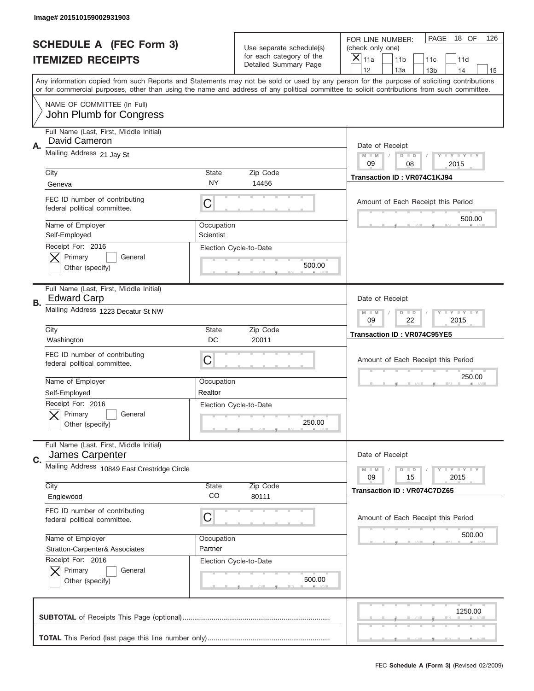|    | Image# 201510159002931903                                               |                                                                   |                                                      |                                                                                                                                                                                                                                                                                                                               |
|----|-------------------------------------------------------------------------|-------------------------------------------------------------------|------------------------------------------------------|-------------------------------------------------------------------------------------------------------------------------------------------------------------------------------------------------------------------------------------------------------------------------------------------------------------------------------|
|    | <b>SCHEDULE A (FEC Form 3)</b>                                          |                                                                   | Use separate schedule(s)<br>for each category of the | PAGE<br>18 OF<br>126<br>FOR LINE NUMBER:<br>(check only one)                                                                                                                                                                                                                                                                  |
|    | <b>ITEMIZED RECEIPTS</b>                                                |                                                                   | Detailed Summary Page                                | ×<br>11a<br>11 <sub>b</sub><br>11c<br>11d<br>12                                                                                                                                                                                                                                                                               |
|    |                                                                         |                                                                   |                                                      | 13a<br>14<br>13 <sub>b</sub><br>15<br>Any information copied from such Reports and Statements may not be sold or used by any person for the purpose of soliciting contributions<br>or for commercial purposes, other than using the name and address of any political committee to solicit contributions from such committee. |
|    | NAME OF COMMITTEE (In Full)<br>John Plumb for Congress                  |                                                                   |                                                      |                                                                                                                                                                                                                                                                                                                               |
| Α. | Full Name (Last, First, Middle Initial)<br>David Cameron                |                                                                   |                                                      | Date of Receipt                                                                                                                                                                                                                                                                                                               |
|    | Mailing Address 21 Jay St                                               | $M - M$<br>Y FY FY FY<br>$D$ $D$<br>09<br>08<br>2015              |                                                      |                                                                                                                                                                                                                                                                                                                               |
|    | City                                                                    | State<br><b>NY</b>                                                | Zip Code<br>14456                                    | Transaction ID: VR074C1KJ94                                                                                                                                                                                                                                                                                                   |
|    | Geneva<br>FEC ID number of contributing<br>federal political committee. | C                                                                 |                                                      | Amount of Each Receipt this Period                                                                                                                                                                                                                                                                                            |
|    | Name of Employer<br>Self-Employed                                       | Occupation<br>Scientist                                           |                                                      | 500.00                                                                                                                                                                                                                                                                                                                        |
|    | Receipt For: 2016<br>Primary<br>General<br>Other (specify)              |                                                                   | Election Cycle-to-Date<br>500.00                     |                                                                                                                                                                                                                                                                                                                               |
| В. | Full Name (Last, First, Middle Initial)<br><b>Edward Carp</b>           |                                                                   |                                                      | Date of Receipt                                                                                                                                                                                                                                                                                                               |
|    | Mailing Address 1223 Decatur St NW                                      | $T$ $Y$ $T$ $Y$ $T$ $Y$<br>$M - M$<br>$D$ $D$<br>09<br>22<br>2015 |                                                      |                                                                                                                                                                                                                                                                                                                               |
|    | City<br>Washington                                                      | State<br>DC                                                       | Zip Code<br>20011                                    | Transaction ID: VR074C95YE5                                                                                                                                                                                                                                                                                                   |
|    | FEC ID number of contributing<br>federal political committee.           | C                                                                 |                                                      | Amount of Each Receipt this Period                                                                                                                                                                                                                                                                                            |
|    | Name of Employer<br>Self-Employed                                       | Occupation<br>Realtor                                             |                                                      | 250.00                                                                                                                                                                                                                                                                                                                        |
|    | Receipt For: 2016<br>General<br>Primary<br>Other (specify)              |                                                                   | Election Cycle-to-Date<br>250.00                     |                                                                                                                                                                                                                                                                                                                               |
| C. | Full Name (Last, First, Middle Initial)<br>James Carpenter              |                                                                   |                                                      | Date of Receipt                                                                                                                                                                                                                                                                                                               |
|    | Mailing Address 10849 East Crestridge Circle                            | <b>TEY TEY TEY</b><br>$M - M$<br>$D$ $D$<br>2015<br>09<br>15      |                                                      |                                                                                                                                                                                                                                                                                                                               |
|    | City<br>Englewood                                                       | State<br>CO                                                       | Zip Code<br>80111                                    | Transaction ID: VR074C7DZ65                                                                                                                                                                                                                                                                                                   |
|    | FEC ID number of contributing<br>federal political committee.           | C                                                                 |                                                      | Amount of Each Receipt this Period                                                                                                                                                                                                                                                                                            |
|    | Name of Employer<br>Stratton-Carpenter& Associates                      | Occupation<br>Partner                                             |                                                      | 500.00                                                                                                                                                                                                                                                                                                                        |
|    | Receipt For: 2016<br>Primary<br>General<br>Other (specify)              |                                                                   | Election Cycle-to-Date<br>500.00                     |                                                                                                                                                                                                                                                                                                                               |
|    |                                                                         |                                                                   |                                                      | 1250.00                                                                                                                                                                                                                                                                                                                       |
|    |                                                                         |                                                                   |                                                      |                                                                                                                                                                                                                                                                                                                               |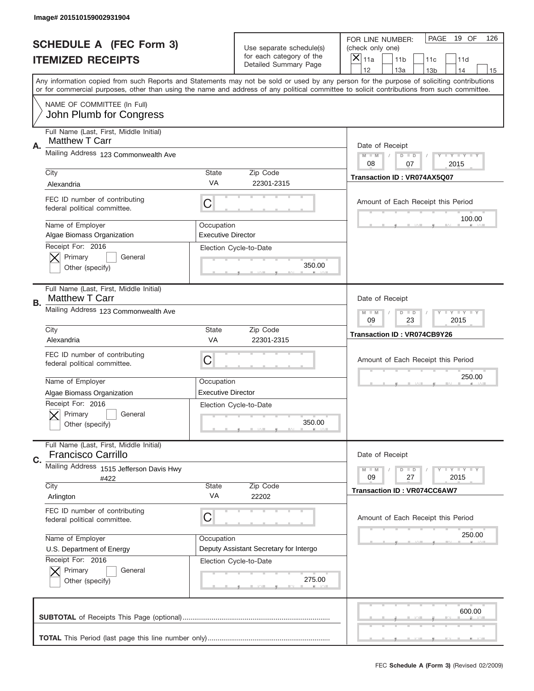|    | Image# 201510159002931904                                            |                                                         |                                                      |                                                                                                                                                                                                                                                                                                                                     |
|----|----------------------------------------------------------------------|---------------------------------------------------------|------------------------------------------------------|-------------------------------------------------------------------------------------------------------------------------------------------------------------------------------------------------------------------------------------------------------------------------------------------------------------------------------------|
|    | <b>SCHEDULE A (FEC Form 3)</b>                                       |                                                         | Use separate schedule(s)<br>for each category of the | PAGE<br>19 OF<br>126<br>FOR LINE NUMBER:<br>(check only one)                                                                                                                                                                                                                                                                        |
|    | <b>ITEMIZED RECEIPTS</b>                                             |                                                         | Detailed Summary Page                                | ×<br>11a<br>11 <sub>b</sub><br>11c<br>11d                                                                                                                                                                                                                                                                                           |
|    |                                                                      |                                                         |                                                      | 12<br>13a<br>14<br>13 <sub>b</sub><br>15<br>Any information copied from such Reports and Statements may not be sold or used by any person for the purpose of soliciting contributions<br>or for commercial purposes, other than using the name and address of any political committee to solicit contributions from such committee. |
|    | NAME OF COMMITTEE (In Full)<br>John Plumb for Congress               |                                                         |                                                      |                                                                                                                                                                                                                                                                                                                                     |
| Α. | Full Name (Last, First, Middle Initial)<br><b>Matthew T Carr</b>     |                                                         |                                                      | Date of Receipt                                                                                                                                                                                                                                                                                                                     |
|    | Mailing Address 123 Commonwealth Ave                                 |                                                         |                                                      | $M - M$<br><b>LEY LEY LEY</b><br>$D$ $D$<br>08<br>07<br>2015                                                                                                                                                                                                                                                                        |
|    | City<br>Alexandria                                                   | State<br>VA                                             | Zip Code<br>22301-2315                               | Transaction ID: VR074AX5Q07                                                                                                                                                                                                                                                                                                         |
|    | FEC ID number of contributing<br>federal political committee.        | C                                                       |                                                      | Amount of Each Receipt this Period<br>100.00                                                                                                                                                                                                                                                                                        |
|    | Name of Employer<br>Algae Biomass Organization<br>Receipt For: 2016  | Occupation<br><b>Executive Director</b>                 |                                                      |                                                                                                                                                                                                                                                                                                                                     |
|    | Primary<br>General<br>Other (specify)                                |                                                         | Election Cycle-to-Date<br>350.00                     |                                                                                                                                                                                                                                                                                                                                     |
| В. | Full Name (Last, First, Middle Initial)<br><b>Matthew T Carr</b>     |                                                         |                                                      | Date of Receipt                                                                                                                                                                                                                                                                                                                     |
|    | Mailing Address 123 Commonwealth Ave                                 | $M - M$<br>$D$ $D$<br><b>LYLYLY</b><br>09<br>23<br>2015 |                                                      |                                                                                                                                                                                                                                                                                                                                     |
|    | City<br>Alexandria                                                   | State<br><b>VA</b>                                      | Zip Code<br>22301-2315                               | <b>Transaction ID: VR074CB9Y26</b>                                                                                                                                                                                                                                                                                                  |
|    | FEC ID number of contributing<br>federal political committee.        | C                                                       |                                                      | Amount of Each Receipt this Period                                                                                                                                                                                                                                                                                                  |
|    | Name of Employer<br>Algae Biomass Organization                       | Occupation<br><b>Executive Director</b>                 |                                                      | 250.00                                                                                                                                                                                                                                                                                                                              |
|    |                                                                      |                                                         |                                                      |                                                                                                                                                                                                                                                                                                                                     |
|    | Receipt For: 2016<br>General<br>Primary<br>Other (specify)           |                                                         | Election Cycle-to-Date<br>350.00                     |                                                                                                                                                                                                                                                                                                                                     |
| C. | Full Name (Last, First, Middle Initial)<br><b>Francisco Carrillo</b> |                                                         |                                                      | Date of Receipt                                                                                                                                                                                                                                                                                                                     |
|    | Mailing Address 1515 Jefferson Davis Hwy<br>#422                     |                                                         |                                                      | <b>LY LY LY</b><br>$M - M$<br>$D$ $D$<br>09<br>2015<br>27                                                                                                                                                                                                                                                                           |
|    | City<br>Arlington                                                    | State<br>VA                                             | Zip Code<br>22202                                    | <b>Transaction ID: VR074CC6AW7</b>                                                                                                                                                                                                                                                                                                  |
|    | FEC ID number of contributing<br>federal political committee.        | C                                                       |                                                      | Amount of Each Receipt this Period                                                                                                                                                                                                                                                                                                  |
|    | Name of Employer<br>U.S. Department of Energy                        | Occupation                                              | Deputy Assistant Secretary for Intergo               | 250.00                                                                                                                                                                                                                                                                                                                              |
|    | Receipt For: 2016<br>Primary<br>General<br>Other (specify)           |                                                         | Election Cycle-to-Date<br>275.00                     |                                                                                                                                                                                                                                                                                                                                     |
|    |                                                                      |                                                         |                                                      | 600.00                                                                                                                                                                                                                                                                                                                              |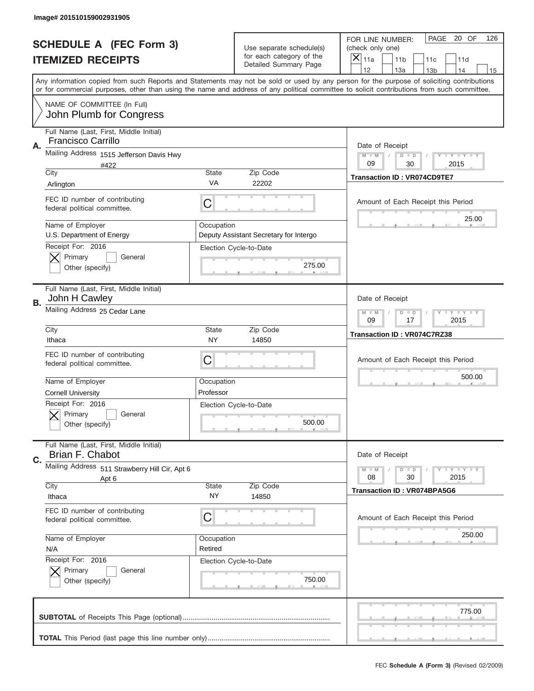|    | Image# 201510159002931905                                                               |                                                       |                                                   |                                                                                                                                                                                                                                                                                                                                     |
|----|-----------------------------------------------------------------------------------------|-------------------------------------------------------|---------------------------------------------------|-------------------------------------------------------------------------------------------------------------------------------------------------------------------------------------------------------------------------------------------------------------------------------------------------------------------------------------|
|    | <b>SCHEDULE A (FEC Form 3)</b>                                                          |                                                       | Use separate schedule(s)                          | PAGE 20 OF<br>126<br>FOR LINE NUMBER:<br>(check only one)                                                                                                                                                                                                                                                                           |
|    | <b>ITEMIZED RECEIPTS</b>                                                                |                                                       | for each category of the<br>Detailed Summary Page | ×<br>11a<br>11 <sub>b</sub><br>11c<br>11d                                                                                                                                                                                                                                                                                           |
|    |                                                                                         |                                                       |                                                   | 12<br>13a<br>14<br>13 <sub>b</sub><br>15<br>Any information copied from such Reports and Statements may not be sold or used by any person for the purpose of soliciting contributions<br>or for commercial purposes, other than using the name and address of any political committee to solicit contributions from such committee. |
|    | NAME OF COMMITTEE (In Full)<br>John Plumb for Congress                                  |                                                       |                                                   |                                                                                                                                                                                                                                                                                                                                     |
| Α. | Full Name (Last, First, Middle Initial)<br>Francisco Carrillo                           |                                                       |                                                   | Date of Receipt                                                                                                                                                                                                                                                                                                                     |
|    | Mailing Address 1515 Jefferson Davis Hwy<br>#422                                        |                                                       |                                                   | $M - M$<br><b>LYLYLY</b><br>$D$ $D$<br>09<br>30<br>2015                                                                                                                                                                                                                                                                             |
|    | City<br>Arlington                                                                       | State<br>VA                                           | Zip Code<br>22202                                 | <b>Transaction ID: VR074CD9TE7</b>                                                                                                                                                                                                                                                                                                  |
|    | FEC ID number of contributing<br>federal political committee.                           | C                                                     |                                                   | Amount of Each Receipt this Period<br>25.00                                                                                                                                                                                                                                                                                         |
|    | Name of Employer<br>U.S. Department of Energy<br>Receipt For: 2016                      | Occupation                                            | Deputy Assistant Secretary for Intergo            |                                                                                                                                                                                                                                                                                                                                     |
|    | Primary<br>General<br>Other (specify)                                                   |                                                       | Election Cycle-to-Date<br>275.00                  |                                                                                                                                                                                                                                                                                                                                     |
| В. | Full Name (Last, First, Middle Initial)<br>John H Cawley                                |                                                       |                                                   | Date of Receipt                                                                                                                                                                                                                                                                                                                     |
|    | Mailing Address 25 Cedar Lane                                                           | $M$ M<br>$D$ $D$<br><b>LYLYLY</b><br>09<br>17<br>2015 |                                                   |                                                                                                                                                                                                                                                                                                                                     |
|    | City<br>Ithaca                                                                          | State<br>NY                                           | Zip Code<br>14850                                 | Transaction ID: VR074C7RZ38                                                                                                                                                                                                                                                                                                         |
|    |                                                                                         |                                                       |                                                   |                                                                                                                                                                                                                                                                                                                                     |
|    | FEC ID number of contributing<br>federal political committee.                           | C                                                     |                                                   | Amount of Each Receipt this Period                                                                                                                                                                                                                                                                                                  |
|    | Name of Employer                                                                        | Occupation<br>Professor                               |                                                   | 500.00                                                                                                                                                                                                                                                                                                                              |
|    | <b>Cornell University</b><br>Receipt For: 2016<br>General<br>Primary<br>Other (specify) |                                                       | Election Cycle-to-Date<br>500.00                  |                                                                                                                                                                                                                                                                                                                                     |
| C. | Full Name (Last, First, Middle Initial)<br>Brian F. Chabot                              |                                                       |                                                   | Date of Receipt                                                                                                                                                                                                                                                                                                                     |
|    | Mailing Address 511 Strawberry Hill Cir, Apt 6<br>Apt 6                                 |                                                       |                                                   | <b>LEY LEY LEY</b><br>$M - M$<br>$D$ $D$<br>08<br>2015<br>30                                                                                                                                                                                                                                                                        |
|    | City<br>Ithaca                                                                          | State<br>NY.                                          | Zip Code<br>14850                                 | <b>Transaction ID: VR074BPA5G6</b>                                                                                                                                                                                                                                                                                                  |
|    | FEC ID number of contributing<br>federal political committee.                           | C                                                     |                                                   | Amount of Each Receipt this Period                                                                                                                                                                                                                                                                                                  |
|    | Name of Employer<br>N/A                                                                 | Occupation<br>Retired                                 |                                                   | 250.00                                                                                                                                                                                                                                                                                                                              |
|    | Receipt For: 2016<br>Primary<br>General<br>Other (specify)                              |                                                       | Election Cycle-to-Date<br>750.00                  |                                                                                                                                                                                                                                                                                                                                     |
|    |                                                                                         |                                                       |                                                   | 775.00                                                                                                                                                                                                                                                                                                                              |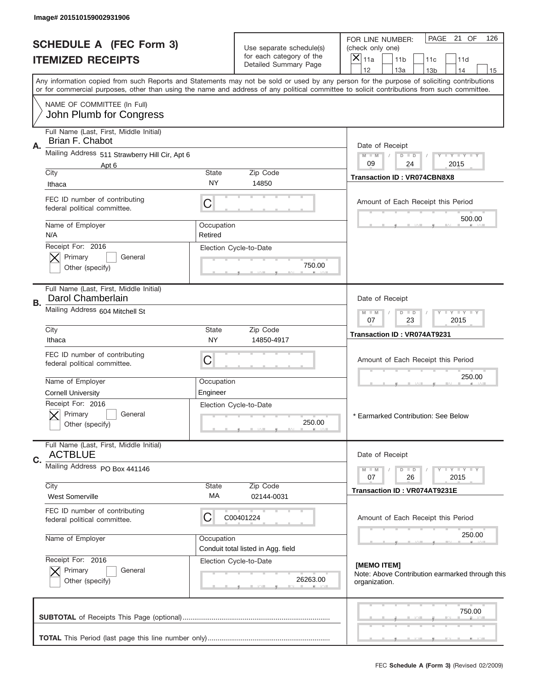| Image# 201510159002931906                                          |                                  |                                                      |                                                                                                                                                                                                                                                                                         |
|--------------------------------------------------------------------|----------------------------------|------------------------------------------------------|-----------------------------------------------------------------------------------------------------------------------------------------------------------------------------------------------------------------------------------------------------------------------------------------|
| <b>SCHEDULE A (FEC Form 3)</b>                                     |                                  |                                                      | PAGE 21 OF<br>126<br>FOR LINE NUMBER:                                                                                                                                                                                                                                                   |
|                                                                    |                                  | Use separate schedule(s)<br>for each category of the | (check only one)<br>$\boldsymbol{\times}$                                                                                                                                                                                                                                               |
| <b>ITEMIZED RECEIPTS</b>                                           |                                  | Detailed Summary Page                                | 11a<br>11 <sub>b</sub><br>11d<br>11c<br>12<br>13a<br>14<br>13 <sub>b</sub><br>15                                                                                                                                                                                                        |
|                                                                    |                                  |                                                      | Any information copied from such Reports and Statements may not be sold or used by any person for the purpose of soliciting contributions<br>or for commercial purposes, other than using the name and address of any political committee to solicit contributions from such committee. |
| NAME OF COMMITTEE (In Full)<br>John Plumb for Congress             |                                  |                                                      |                                                                                                                                                                                                                                                                                         |
| Full Name (Last, First, Middle Initial)                            |                                  |                                                      |                                                                                                                                                                                                                                                                                         |
| Brian F. Chabot<br>Α.                                              |                                  |                                                      | Date of Receipt                                                                                                                                                                                                                                                                         |
| Mailing Address 511 Strawberry Hill Cir, Apt 6                     | Y LY LY LY<br>$M - M$<br>$D$ $D$ |                                                      |                                                                                                                                                                                                                                                                                         |
| Apt 6<br>City                                                      | <b>State</b>                     | Zip Code                                             | 09<br>24<br>2015                                                                                                                                                                                                                                                                        |
| Ithaca                                                             | NY.                              | 14850                                                | <b>Transaction ID: VR074CBN8X8</b>                                                                                                                                                                                                                                                      |
| FEC ID number of contributing<br>federal political committee.      | C                                |                                                      | Amount of Each Receipt this Period                                                                                                                                                                                                                                                      |
| Name of Employer                                                   | Occupation                       |                                                      | 500.00                                                                                                                                                                                                                                                                                  |
| N/A<br>Receipt For: 2016                                           | Retired                          |                                                      |                                                                                                                                                                                                                                                                                         |
| Primary<br>General                                                 |                                  | Election Cycle-to-Date                               |                                                                                                                                                                                                                                                                                         |
| Other (specify)                                                    |                                  | 750.00                                               |                                                                                                                                                                                                                                                                                         |
| Full Name (Last, First, Middle Initial)<br>Darol Chamberlain<br>В. |                                  |                                                      | Date of Receipt                                                                                                                                                                                                                                                                         |
| Mailing Address 604 Mitchell St                                    |                                  |                                                      | Y LY LY LY<br>$D$ $D$<br>$M - M$<br>07<br>23<br>2015                                                                                                                                                                                                                                    |
| City<br>Ithaca                                                     | <b>State</b><br><b>NY</b>        | Zip Code<br>14850-4917                               | Transaction ID: VR074AT9231                                                                                                                                                                                                                                                             |
| FEC ID number of contributing<br>federal political committee.      | C                                |                                                      | Amount of Each Receipt this Period                                                                                                                                                                                                                                                      |
| Name of Employer                                                   | Occupation                       |                                                      | 250.00                                                                                                                                                                                                                                                                                  |
| <b>Cornell University</b>                                          | Engineer                         |                                                      |                                                                                                                                                                                                                                                                                         |
| Receipt For: 2016<br>General<br>Primary<br>Other (specify)         |                                  | Election Cycle-to-Date<br>250.00                     | * Earmarked Contribution: See Below                                                                                                                                                                                                                                                     |
| Full Name (Last, First, Middle Initial)<br><b>ACTBLUE</b>          |                                  |                                                      | Date of Receipt                                                                                                                                                                                                                                                                         |
| C.<br>Mailing Address PO Box 441146                                |                                  |                                                      |                                                                                                                                                                                                                                                                                         |
|                                                                    |                                  |                                                      | $D$ $D$<br>$T + Y = Y + Y$<br>$M - M$<br>26<br>2015<br>07                                                                                                                                                                                                                               |
| City<br><b>West Somerville</b>                                     | State<br>МA                      | Zip Code<br>02144-0031                               | Transaction ID: VR074AT9231E                                                                                                                                                                                                                                                            |
| FEC ID number of contributing<br>federal political committee.      | C                                | C00401224                                            | Amount of Each Receipt this Period                                                                                                                                                                                                                                                      |
| Name of Employer                                                   | Occupation                       | Conduit total listed in Agg. field                   | 250.00                                                                                                                                                                                                                                                                                  |
| Receipt For: 2016<br>Primary<br>General<br>Other (specify)         |                                  | Election Cycle-to-Date<br>26263.00                   | [MEMO ITEM]<br>Note: Above Contribution earmarked through this<br>organization.                                                                                                                                                                                                         |
|                                                                    |                                  |                                                      | 750.00                                                                                                                                                                                                                                                                                  |
|                                                                    |                                  |                                                      |                                                                                                                                                                                                                                                                                         |
|                                                                    |                                  |                                                      |                                                                                                                                                                                                                                                                                         |
|                                                                    |                                  |                                                      | FEC Schedule A (Form 3) (Revised 02/2009)                                                                                                                                                                                                                                               |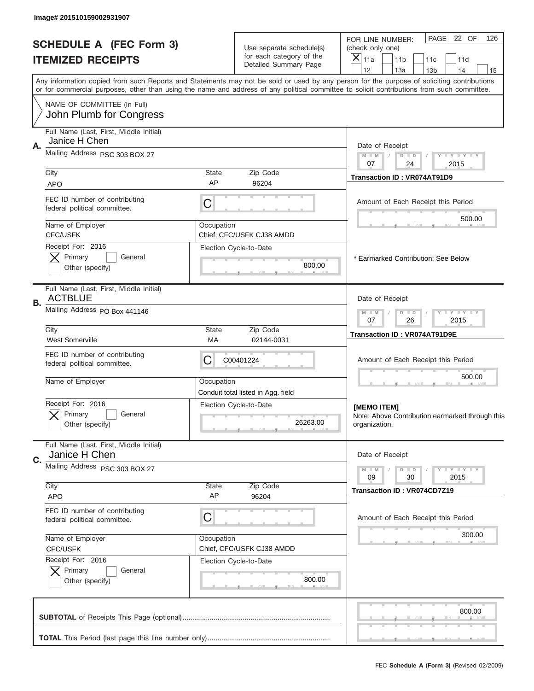|                                                            | Image# 201510159002931907                                     |                                                                                                                                                                                                                                                                                         |                                                      |                                                                                                        |
|------------------------------------------------------------|---------------------------------------------------------------|-----------------------------------------------------------------------------------------------------------------------------------------------------------------------------------------------------------------------------------------------------------------------------------------|------------------------------------------------------|--------------------------------------------------------------------------------------------------------|
| <b>SCHEDULE A (FEC Form 3)</b><br><b>ITEMIZED RECEIPTS</b> |                                                               |                                                                                                                                                                                                                                                                                         | Use separate schedule(s)<br>for each category of the | PAGE 22 OF<br>126<br>FOR LINE NUMBER:<br>(check only one)<br>X<br>11a<br>11 <sub>b</sub><br>11c<br>11d |
|                                                            |                                                               |                                                                                                                                                                                                                                                                                         | Detailed Summary Page                                | 12<br>13a<br>14<br>13 <sub>b</sub><br>15                                                               |
|                                                            |                                                               | Any information copied from such Reports and Statements may not be sold or used by any person for the purpose of soliciting contributions<br>or for commercial purposes, other than using the name and address of any political committee to solicit contributions from such committee. |                                                      |                                                                                                        |
|                                                            | NAME OF COMMITTEE (In Full)<br>John Plumb for Congress        |                                                                                                                                                                                                                                                                                         |                                                      |                                                                                                        |
|                                                            | Full Name (Last, First, Middle Initial)                       |                                                                                                                                                                                                                                                                                         |                                                      |                                                                                                        |
| Α.                                                         | Janice H Chen<br>Mailing Address PSC 303 BOX 27               |                                                                                                                                                                                                                                                                                         |                                                      | Date of Receipt                                                                                        |
|                                                            |                                                               |                                                                                                                                                                                                                                                                                         |                                                      | $M - M$<br>Y FY FY FY<br>$D$ $D$<br>07<br>24<br>2015                                                   |
|                                                            | City<br><b>APO</b>                                            | <b>State</b><br>AP                                                                                                                                                                                                                                                                      | Zip Code<br>96204                                    | Transaction ID: VR074AT91D9                                                                            |
|                                                            | FEC ID number of contributing<br>federal political committee. | С                                                                                                                                                                                                                                                                                       |                                                      | Amount of Each Receipt this Period                                                                     |
|                                                            | Name of Employer<br><b>CFC/USFK</b>                           | Occupation                                                                                                                                                                                                                                                                              | Chief, CFC/USFK CJ38 AMDD                            | 500.00                                                                                                 |
|                                                            | Receipt For: 2016                                             |                                                                                                                                                                                                                                                                                         | Election Cycle-to-Date                               |                                                                                                        |
|                                                            | Primary<br>General<br>Other (specify)                         |                                                                                                                                                                                                                                                                                         | 800.00                                               | * Earmarked Contribution: See Below                                                                    |
| В.                                                         | Full Name (Last, First, Middle Initial)<br><b>ACTBLUE</b>     |                                                                                                                                                                                                                                                                                         |                                                      | Date of Receipt                                                                                        |
|                                                            | Mailing Address PO Box 441146                                 |                                                                                                                                                                                                                                                                                         |                                                      | <b>LY LY LY</b><br>$M - M$<br>$D$ $D$<br>07<br>26<br>2015                                              |
|                                                            | City<br><b>West Somerville</b>                                | <b>State</b><br>МA                                                                                                                                                                                                                                                                      | Zip Code<br>02144-0031                               | Transaction ID: VR074AT91D9E                                                                           |
|                                                            | FEC ID number of contributing<br>federal political committee. | C                                                                                                                                                                                                                                                                                       | C00401224                                            | Amount of Each Receipt this Period                                                                     |
|                                                            | Name of Employer                                              | Occupation                                                                                                                                                                                                                                                                              | Conduit total listed in Agg. field                   | 500.00                                                                                                 |
|                                                            | Receipt For: 2016<br>General<br>Primary<br>Other (specify)    |                                                                                                                                                                                                                                                                                         | Election Cycle-to-Date<br>26263.00                   | [MEMO ITEM]<br>Note: Above Contribution earmarked through this<br>organization.                        |
|                                                            | Full Name (Last, First, Middle Initial)                       |                                                                                                                                                                                                                                                                                         |                                                      |                                                                                                        |
| C.                                                         | Janice H Chen<br>Mailing Address PSC 303 BOX 27               |                                                                                                                                                                                                                                                                                         |                                                      | Date of Receipt<br><b>LY LY LY</b>                                                                     |
|                                                            |                                                               |                                                                                                                                                                                                                                                                                         |                                                      | $M - M$<br>$D$ $D$<br>2015<br>09<br>30                                                                 |
|                                                            | City<br><b>APO</b>                                            | State<br>AP                                                                                                                                                                                                                                                                             | Zip Code<br>96204                                    | <b>Transaction ID: VR074CD7Z19</b>                                                                     |
|                                                            | FEC ID number of contributing<br>federal political committee. | С                                                                                                                                                                                                                                                                                       |                                                      | Amount of Each Receipt this Period                                                                     |
|                                                            | Name of Employer                                              | Occupation                                                                                                                                                                                                                                                                              |                                                      | 300.00                                                                                                 |
|                                                            | <b>CFC/USFK</b><br>Receipt For: 2016                          |                                                                                                                                                                                                                                                                                         | Chief, CFC/USFK CJ38 AMDD<br>Election Cycle-to-Date  |                                                                                                        |
|                                                            | Primary<br>General<br>Other (specify)                         |                                                                                                                                                                                                                                                                                         | 800.00                                               |                                                                                                        |
|                                                            |                                                               |                                                                                                                                                                                                                                                                                         |                                                      | 800.00                                                                                                 |
|                                                            |                                                               |                                                                                                                                                                                                                                                                                         |                                                      |                                                                                                        |
|                                                            |                                                               |                                                                                                                                                                                                                                                                                         |                                                      | FEC Schedule A (Form 3) (Revised 02/2009)                                                              |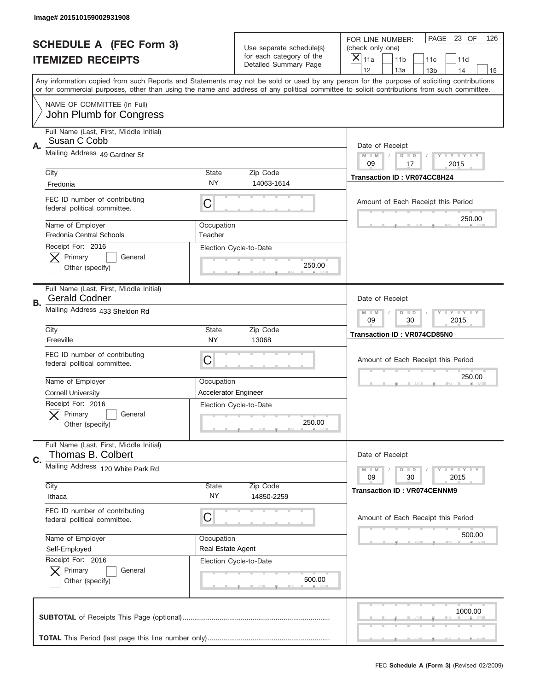|           | Image# 201510159002931908                                       |                                                         |                                                      |                                                                                                                                                                                                                                                                                                                               |
|-----------|-----------------------------------------------------------------|---------------------------------------------------------|------------------------------------------------------|-------------------------------------------------------------------------------------------------------------------------------------------------------------------------------------------------------------------------------------------------------------------------------------------------------------------------------|
|           | <b>SCHEDULE A (FEC Form 3)</b>                                  |                                                         | Use separate schedule(s)<br>for each category of the | PAGE 23 OF<br>126<br>FOR LINE NUMBER:<br>(check only one)                                                                                                                                                                                                                                                                     |
|           | <b>ITEMIZED RECEIPTS</b>                                        |                                                         | Detailed Summary Page                                | ×<br>11a<br>11 <sub>b</sub><br>11c<br>11d<br>12                                                                                                                                                                                                                                                                               |
|           |                                                                 |                                                         |                                                      | 13a<br>14<br>13 <sub>b</sub><br>15<br>Any information copied from such Reports and Statements may not be sold or used by any person for the purpose of soliciting contributions<br>or for commercial purposes, other than using the name and address of any political committee to solicit contributions from such committee. |
|           | NAME OF COMMITTEE (In Full)<br>John Plumb for Congress          |                                                         |                                                      |                                                                                                                                                                                                                                                                                                                               |
| Α.        | Full Name (Last, First, Middle Initial)<br>Susan C Cobb         |                                                         |                                                      | Date of Receipt                                                                                                                                                                                                                                                                                                               |
|           | Mailing Address 49 Gardner St                                   |                                                         |                                                      | $M - M$<br><b>LYLYLY</b><br>$D$ $D$<br>09<br>17<br>2015                                                                                                                                                                                                                                                                       |
|           | City<br>Fredonia                                                | State<br>NY                                             | Zip Code<br>14063-1614                               | Transaction ID: VR074CC8H24                                                                                                                                                                                                                                                                                                   |
|           | FEC ID number of contributing<br>federal political committee.   | C                                                       |                                                      | Amount of Each Receipt this Period<br>250.00                                                                                                                                                                                                                                                                                  |
|           | Name of Employer<br><b>Fredonia Central Schools</b>             | Occupation<br>Teacher                                   |                                                      |                                                                                                                                                                                                                                                                                                                               |
|           | Receipt For: 2016<br>Primary<br>General<br>Other (specify)      |                                                         | Election Cycle-to-Date<br>250.00                     |                                                                                                                                                                                                                                                                                                                               |
| <b>B.</b> | Full Name (Last, First, Middle Initial)<br><b>Gerald Codner</b> |                                                         |                                                      | Date of Receipt                                                                                                                                                                                                                                                                                                               |
|           | Mailing Address 433 Sheldon Rd                                  | $M - M$<br><b>LYLYLY</b><br>$D$ $D$<br>09<br>30<br>2015 |                                                      |                                                                                                                                                                                                                                                                                                                               |
|           | City<br>Freeville                                               | State<br>NY                                             | Zip Code<br>13068                                    | Transaction ID: VR074CD85N0                                                                                                                                                                                                                                                                                                   |
|           | FEC ID number of contributing<br>federal political committee.   | C                                                       |                                                      | Amount of Each Receipt this Period                                                                                                                                                                                                                                                                                            |
|           | Name of Employer                                                | Occupation<br>Accelerator Engineer                      |                                                      | 250.00                                                                                                                                                                                                                                                                                                                        |
|           | <b>Cornell University</b><br>Receipt For: 2016                  |                                                         |                                                      |                                                                                                                                                                                                                                                                                                                               |
|           | General<br>Primary<br>Other (specify)                           | Election Cycle-to-Date                                  | 250.00                                               |                                                                                                                                                                                                                                                                                                                               |
| C.        | Full Name (Last, First, Middle Initial)<br>Thomas B. Colbert    |                                                         |                                                      | Date of Receipt                                                                                                                                                                                                                                                                                                               |
|           | Mailing Address 120 White Park Rd                               |                                                         |                                                      | <b>LEY LEY LEY</b><br>$M - M$<br>$D$ $D$<br>09<br>2015<br>30                                                                                                                                                                                                                                                                  |
|           | City<br>Ithaca                                                  | State<br><b>NY</b>                                      | Zip Code<br>14850-2259                               | <b>Transaction ID: VR074CENNM9</b>                                                                                                                                                                                                                                                                                            |
|           | FEC ID number of contributing<br>federal political committee.   | С                                                       |                                                      | Amount of Each Receipt this Period                                                                                                                                                                                                                                                                                            |
|           | Name of Employer<br>Self-Employed                               | Occupation<br>Real Estate Agent                         |                                                      | 500.00                                                                                                                                                                                                                                                                                                                        |
|           | Receipt For: 2016<br>Primary<br>General<br>Other (specify)      |                                                         | Election Cycle-to-Date<br>500.00                     |                                                                                                                                                                                                                                                                                                                               |
|           |                                                                 |                                                         |                                                      | 1000.00                                                                                                                                                                                                                                                                                                                       |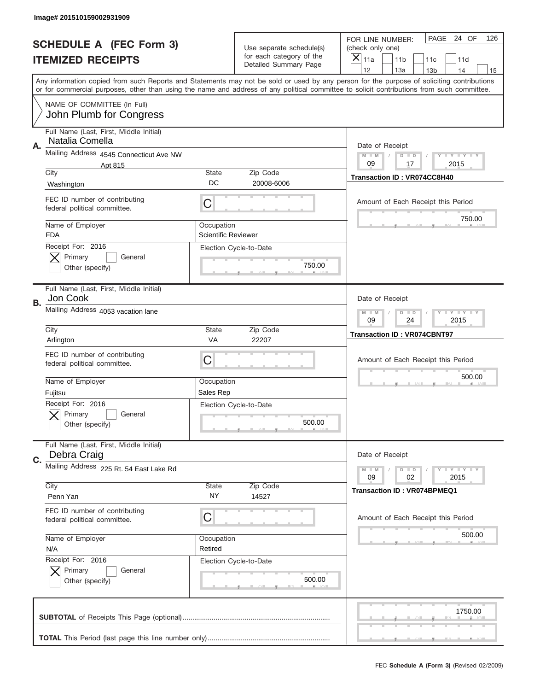|    | Image# 201510159002931909                                     |                                          |                                                      |                                                                                                                                                                                                                                                                                         |
|----|---------------------------------------------------------------|------------------------------------------|------------------------------------------------------|-----------------------------------------------------------------------------------------------------------------------------------------------------------------------------------------------------------------------------------------------------------------------------------------|
|    | <b>SCHEDULE A (FEC Form 3)</b>                                |                                          | Use separate schedule(s)<br>for each category of the | PAGE 24 OF<br>126<br>FOR LINE NUMBER:<br>(check only one)                                                                                                                                                                                                                               |
|    | <b>ITEMIZED RECEIPTS</b>                                      |                                          | Detailed Summary Page                                | ×<br>11a<br>11 <sub>b</sub><br>11c<br>11d<br>12<br>13a<br>14<br>13 <sub>b</sub><br>15                                                                                                                                                                                                   |
|    |                                                               |                                          |                                                      | Any information copied from such Reports and Statements may not be sold or used by any person for the purpose of soliciting contributions<br>or for commercial purposes, other than using the name and address of any political committee to solicit contributions from such committee. |
|    | NAME OF COMMITTEE (In Full)<br>John Plumb for Congress        |                                          |                                                      |                                                                                                                                                                                                                                                                                         |
| Α. | Full Name (Last, First, Middle Initial)<br>Natalia Comella    |                                          |                                                      | Date of Receipt                                                                                                                                                                                                                                                                         |
|    | Mailing Address 4545 Connecticut Ave NW<br>Apt 815            |                                          |                                                      | $M - M$<br><b>LYLYLY</b><br>$D$ $D$<br>09<br>17<br>2015                                                                                                                                                                                                                                 |
|    | City<br>Washington                                            | State<br>DC                              | Zip Code<br>20008-6006                               | Transaction ID: VR074CC8H40                                                                                                                                                                                                                                                             |
|    | FEC ID number of contributing<br>federal political committee. | C                                        |                                                      | Amount of Each Receipt this Period                                                                                                                                                                                                                                                      |
|    | Name of Employer<br><b>FDA</b>                                | Occupation<br><b>Scientific Reviewer</b> |                                                      | 750.00                                                                                                                                                                                                                                                                                  |
|    | Receipt For: 2016<br>Primary<br>General<br>Other (specify)    |                                          | Election Cycle-to-Date<br>750.00                     |                                                                                                                                                                                                                                                                                         |
| В. | Full Name (Last, First, Middle Initial)<br>Jon Cook           |                                          |                                                      | Date of Receipt                                                                                                                                                                                                                                                                         |
|    | Mailing Address 4053 vacation lane                            |                                          |                                                      | $M$ M<br><b>LYLYLY</b><br>$D$ $D$<br>09<br>24<br>2015                                                                                                                                                                                                                                   |
|    | City<br>Arlington                                             | State<br>VA                              | Zip Code<br>22207                                    | <b>Transaction ID: VR074CBNT97</b>                                                                                                                                                                                                                                                      |
|    | FEC ID number of contributing                                 | C                                        |                                                      | Amount of Each Receipt this Period                                                                                                                                                                                                                                                      |
|    | federal political committee.                                  |                                          |                                                      |                                                                                                                                                                                                                                                                                         |
|    | Name of Employer<br>Fujitsu                                   | Occupation<br>Sales Rep                  |                                                      | 500.00                                                                                                                                                                                                                                                                                  |
|    | Receipt For: 2016<br>General<br>Primary<br>Other (specify)    |                                          | Election Cycle-to-Date<br>500.00                     |                                                                                                                                                                                                                                                                                         |
| C. | Full Name (Last, First, Middle Initial)<br>Debra Craig        |                                          |                                                      | Date of Receipt                                                                                                                                                                                                                                                                         |
|    | Mailing Address 225 Rt. 54 East Lake Rd                       |                                          |                                                      | <b>LYLYLY</b><br>$M - M$<br>$D$ $D$<br>09<br>2015<br>02                                                                                                                                                                                                                                 |
|    | City<br>Penn Yan                                              | State<br>NY.                             | Zip Code<br>14527                                    | <b>Transaction ID: VR074BPMEQ1</b>                                                                                                                                                                                                                                                      |
|    | FEC ID number of contributing<br>federal political committee. | C                                        |                                                      | Amount of Each Receipt this Period                                                                                                                                                                                                                                                      |
|    | Name of Employer<br>N/A                                       | Occupation<br>Retired                    |                                                      | 500.00                                                                                                                                                                                                                                                                                  |
|    | Receipt For: 2016<br>Primary<br>General<br>Other (specify)    |                                          | Election Cycle-to-Date<br>500.00                     |                                                                                                                                                                                                                                                                                         |
|    |                                                               |                                          |                                                      | 1750.00                                                                                                                                                                                                                                                                                 |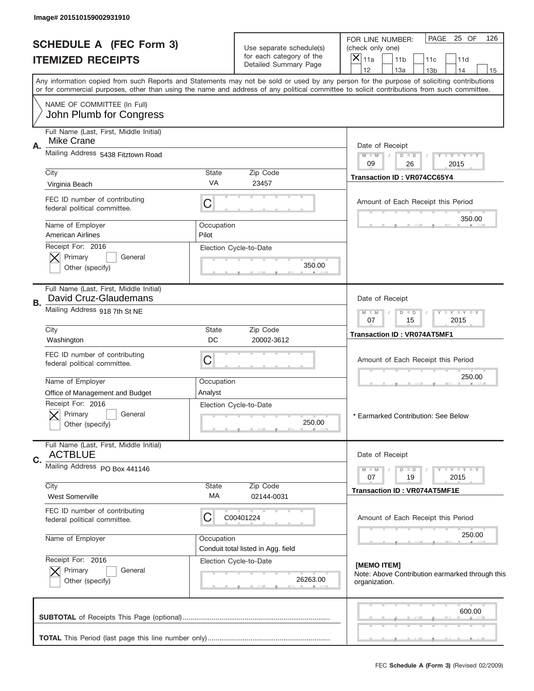| Image# 201510159002931910                                              |                    |                                                      |                                                                                                                                                                                                                                                                                         |  |
|------------------------------------------------------------------------|--------------------|------------------------------------------------------|-----------------------------------------------------------------------------------------------------------------------------------------------------------------------------------------------------------------------------------------------------------------------------------------|--|
| <b>SCHEDULE A (FEC Form 3)</b><br><b>ITEMIZED RECEIPTS</b>             |                    | Use separate schedule(s)<br>for each category of the | PAGE<br>25 OF<br>126<br>FOR LINE NUMBER:<br>(check only one)                                                                                                                                                                                                                            |  |
|                                                                        |                    | Detailed Summary Page                                | $\left. \times \right $<br>11a<br>11 <sub>b</sub><br>11d<br>11c<br>12<br>13a<br>14<br>13 <sub>b</sub><br>15                                                                                                                                                                             |  |
|                                                                        |                    |                                                      | Any information copied from such Reports and Statements may not be sold or used by any person for the purpose of soliciting contributions<br>or for commercial purposes, other than using the name and address of any political committee to solicit contributions from such committee. |  |
| NAME OF COMMITTEE (In Full)<br>John Plumb for Congress                 |                    |                                                      |                                                                                                                                                                                                                                                                                         |  |
| Full Name (Last, First, Middle Initial)                                |                    |                                                      |                                                                                                                                                                                                                                                                                         |  |
| Mike Crane<br>Α.                                                       |                    |                                                      | Date of Receipt                                                                                                                                                                                                                                                                         |  |
| Mailing Address 5438 Fitztown Road                                     |                    |                                                      | $M$ $M$<br>$D$ $D$<br>Y FY FY FY<br>$\sqrt{2}$<br>09<br>26<br>2015                                                                                                                                                                                                                      |  |
| City                                                                   | <b>State</b>       | Zip Code                                             | Transaction ID: VR074CC65Y4                                                                                                                                                                                                                                                             |  |
| Virginia Beach                                                         | VA                 | 23457                                                |                                                                                                                                                                                                                                                                                         |  |
| FEC ID number of contributing<br>federal political committee.          | C                  |                                                      | Amount of Each Receipt this Period                                                                                                                                                                                                                                                      |  |
| Name of Employer                                                       | Occupation         |                                                      | 350.00                                                                                                                                                                                                                                                                                  |  |
| <b>American Airlines</b><br>Receipt For: 2016                          | Pilot              |                                                      |                                                                                                                                                                                                                                                                                         |  |
| Primary<br>General                                                     |                    | Election Cycle-to-Date                               |                                                                                                                                                                                                                                                                                         |  |
| Other (specify)                                                        |                    | 350.00                                               |                                                                                                                                                                                                                                                                                         |  |
| Full Name (Last, First, Middle Initial)<br>David Cruz-Glaudemans<br>В. |                    |                                                      | Date of Receipt                                                                                                                                                                                                                                                                         |  |
| Mailing Address 918 7th St NE                                          |                    |                                                      | <b>TEY LY LY</b><br>$M$ M<br>$D$ $D$<br>07<br>15<br>2015                                                                                                                                                                                                                                |  |
| City<br>Washington                                                     | <b>State</b><br>DC | Zip Code<br>20002-3612                               | Transaction ID: VR074AT5MF1                                                                                                                                                                                                                                                             |  |
| FEC ID number of contributing<br>federal political committee.          | C                  |                                                      | Amount of Each Receipt this Period                                                                                                                                                                                                                                                      |  |
| Name of Employer                                                       | Occupation         |                                                      | 250.00                                                                                                                                                                                                                                                                                  |  |
| Office of Management and Budget                                        | Analyst            |                                                      |                                                                                                                                                                                                                                                                                         |  |
| Receipt For: 2016<br>Primary<br>General<br>Other (specify)             |                    | Election Cycle-to-Date<br>250.00                     | * Earmarked Contribution: See Below                                                                                                                                                                                                                                                     |  |
| Full Name (Last, First, Middle Initial)                                |                    |                                                      |                                                                                                                                                                                                                                                                                         |  |
| <b>ACTBLUE</b><br>C.<br>Mailing Address PO Box 441146                  |                    |                                                      | Date of Receipt                                                                                                                                                                                                                                                                         |  |
|                                                                        |                    |                                                      | $D$ $D$<br>$T - Y = T - Y$<br>$M$ $M$<br>19<br>2015<br>07                                                                                                                                                                                                                               |  |
| City<br><b>West Somerville</b>                                         | <b>State</b><br>МA | Zip Code<br>02144-0031                               | <b>Transaction ID: VR074AT5MF1E</b>                                                                                                                                                                                                                                                     |  |
| FEC ID number of contributing<br>federal political committee.          | С                  | C00401224                                            | Amount of Each Receipt this Period                                                                                                                                                                                                                                                      |  |
| Name of Employer                                                       | Occupation         | Conduit total listed in Agg. field                   | 250.00                                                                                                                                                                                                                                                                                  |  |
| Receipt For: 2016                                                      |                    | Election Cycle-to-Date                               | [MEMO ITEM]                                                                                                                                                                                                                                                                             |  |
| Primary<br>General<br>Other (specify)                                  |                    | 26263.00                                             | Note: Above Contribution earmarked through this<br>organization.                                                                                                                                                                                                                        |  |
|                                                                        |                    |                                                      | 600.00                                                                                                                                                                                                                                                                                  |  |
|                                                                        |                    |                                                      |                                                                                                                                                                                                                                                                                         |  |
|                                                                        |                    |                                                      |                                                                                                                                                                                                                                                                                         |  |
|                                                                        |                    |                                                      | FEC Schedule A (Form 3) (Revised 02/2009)                                                                                                                                                                                                                                               |  |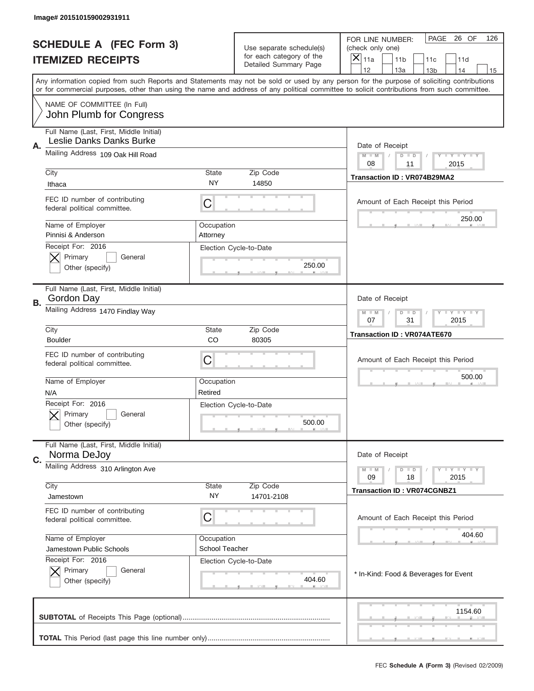|                                                                                                                                           | Image# 201510159002931911                                           |                        |                                                                               |                                                                                                                                            |
|-------------------------------------------------------------------------------------------------------------------------------------------|---------------------------------------------------------------------|------------------------|-------------------------------------------------------------------------------|--------------------------------------------------------------------------------------------------------------------------------------------|
|                                                                                                                                           | <b>SCHEDULE A (FEC Form 3)</b><br><b>ITEMIZED RECEIPTS</b>          |                        | Use separate schedule(s)<br>for each category of the<br>Detailed Summary Page | PAGE 26 OF<br>126<br>FOR LINE NUMBER:<br>(check only one)<br>×<br>11a<br>11 <sub>b</sub><br>11c<br>11d                                     |
| Any information copied from such Reports and Statements may not be sold or used by any person for the purpose of soliciting contributions |                                                                     |                        |                                                                               | 12<br>13a<br>14<br>13 <sub>b</sub><br>15                                                                                                   |
|                                                                                                                                           |                                                                     |                        |                                                                               | or for commercial purposes, other than using the name and address of any political committee to solicit contributions from such committee. |
|                                                                                                                                           | NAME OF COMMITTEE (In Full)<br>John Plumb for Congress              |                        |                                                                               |                                                                                                                                            |
|                                                                                                                                           | Full Name (Last, First, Middle Initial)<br>Leslie Danks Danks Burke |                        |                                                                               |                                                                                                                                            |
| Α.                                                                                                                                        | Mailing Address 109 Oak Hill Road                                   |                        |                                                                               | Date of Receipt<br>$M - M$<br><b>LYLYLY</b><br>$D$ $D$<br>08<br>11<br>2015                                                                 |
|                                                                                                                                           | City                                                                | State<br>NY            | Zip Code                                                                      | Transaction ID: VR074B29MA2                                                                                                                |
|                                                                                                                                           | Ithaca                                                              |                        | 14850                                                                         |                                                                                                                                            |
|                                                                                                                                           | FEC ID number of contributing<br>federal political committee.       | C                      |                                                                               | Amount of Each Receipt this Period<br>250.00                                                                                               |
|                                                                                                                                           | Name of Employer<br>Pinnisi & Anderson                              | Occupation<br>Attorney |                                                                               |                                                                                                                                            |
|                                                                                                                                           | Receipt For: 2016                                                   |                        | Election Cycle-to-Date                                                        |                                                                                                                                            |
|                                                                                                                                           | Primary<br>General<br>Other (specify)                               |                        | 250.00                                                                        |                                                                                                                                            |
|                                                                                                                                           | Full Name (Last, First, Middle Initial)                             |                        |                                                                               |                                                                                                                                            |
| <b>B.</b>                                                                                                                                 | Gordon Day<br>Mailing Address 1470 Findlay Way                      |                        |                                                                               | Date of Receipt<br>$M - M$<br>$D$ $D$<br><b>LYLYLY</b>                                                                                     |
|                                                                                                                                           |                                                                     |                        | 07<br>31<br>2015                                                              |                                                                                                                                            |
|                                                                                                                                           | City<br><b>Boulder</b>                                              | State<br>CO            | Zip Code<br>80305                                                             | <b>Transaction ID: VR074ATE670</b>                                                                                                         |
|                                                                                                                                           | FEC ID number of contributing<br>federal political committee.       | C                      |                                                                               | Amount of Each Receipt this Period                                                                                                         |
|                                                                                                                                           | Name of Employer                                                    | Occupation             |                                                                               | 500.00                                                                                                                                     |
|                                                                                                                                           | N/A<br>Receipt For: 2016                                            | Retired                | Election Cycle-to-Date                                                        |                                                                                                                                            |
|                                                                                                                                           | General<br>Primary<br>Other (specify)                               |                        | 500.00                                                                        |                                                                                                                                            |
|                                                                                                                                           | Full Name (Last, First, Middle Initial)                             |                        |                                                                               |                                                                                                                                            |
| C.                                                                                                                                        | Norma DeJoy<br>Mailing Address 310 Arlington Ave                    |                        |                                                                               | Date of Receipt                                                                                                                            |
|                                                                                                                                           |                                                                     |                        |                                                                               | <b>LYLYLY</b><br>$M - M$<br>$D$ $D$<br>09<br>18<br>2015                                                                                    |
|                                                                                                                                           | City<br>Jamestown                                                   | State<br>ΝY            | Zip Code<br>14701-2108                                                        | <b>Transaction ID: VR074CGNBZ1</b>                                                                                                         |
|                                                                                                                                           | FEC ID number of contributing<br>federal political committee.       | С                      |                                                                               | Amount of Each Receipt this Period                                                                                                         |
|                                                                                                                                           | Name of Employer                                                    | Occupation             |                                                                               | 404.60                                                                                                                                     |
|                                                                                                                                           | Jamestown Public Schools<br>Receipt For: 2016                       | School Teacher         | Election Cycle-to-Date                                                        |                                                                                                                                            |
|                                                                                                                                           | Primary<br>General<br>Other (specify)                               |                        | 404.60                                                                        | * In-Kind: Food & Beverages for Event                                                                                                      |
|                                                                                                                                           |                                                                     |                        |                                                                               | 1154.60                                                                                                                                    |
|                                                                                                                                           |                                                                     |                        |                                                                               |                                                                                                                                            |
|                                                                                                                                           |                                                                     |                        |                                                                               | FEC Schedule A (Form 3) (Revised 02/2009)                                                                                                  |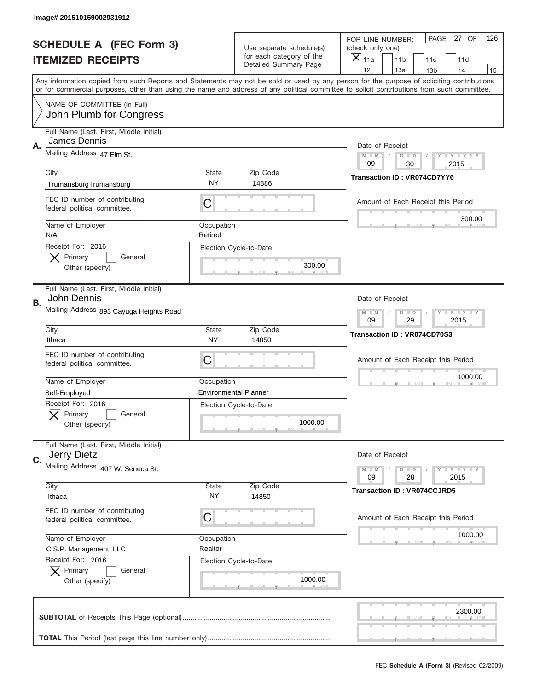|    | Image# 201510159002931912                                     |                       |                                                      |                                                                                                                                                                                                                                                                                                                                     |
|----|---------------------------------------------------------------|-----------------------|------------------------------------------------------|-------------------------------------------------------------------------------------------------------------------------------------------------------------------------------------------------------------------------------------------------------------------------------------------------------------------------------------|
|    | <b>SCHEDULE A (FEC Form 3)</b>                                |                       | Use separate schedule(s)<br>for each category of the | PAGE 27 OF<br>126<br>FOR LINE NUMBER:<br>(check only one)                                                                                                                                                                                                                                                                           |
|    | <b>ITEMIZED RECEIPTS</b>                                      |                       | <b>Detailed Summary Page</b>                         | ×<br>11 <sub>b</sub><br>11a<br>11c<br>11d                                                                                                                                                                                                                                                                                           |
|    |                                                               |                       |                                                      | 12<br>13a<br>14<br>13 <sub>b</sub><br>15<br>Any information copied from such Reports and Statements may not be sold or used by any person for the purpose of soliciting contributions<br>or for commercial purposes, other than using the name and address of any political committee to solicit contributions from such committee. |
|    | NAME OF COMMITTEE (In Full)<br>John Plumb for Congress        |                       |                                                      |                                                                                                                                                                                                                                                                                                                                     |
| Α. | Full Name (Last, First, Middle Initial)<br>James Dennis       |                       |                                                      | Date of Receipt                                                                                                                                                                                                                                                                                                                     |
|    | Mailing Address 47 Elm St.                                    |                       |                                                      | $M$ M<br><b>LYLYLY</b><br>$D$ $D$<br>09<br>30<br>2015                                                                                                                                                                                                                                                                               |
|    | City<br>TrumansburgTrumansburg                                | State<br>NY.          | Zip Code<br>14886                                    | <b>Transaction ID: VR074CD7YY6</b>                                                                                                                                                                                                                                                                                                  |
|    | FEC ID number of contributing<br>federal political committee. | C                     |                                                      | Amount of Each Receipt this Period                                                                                                                                                                                                                                                                                                  |
|    | Name of Employer<br>N/A                                       | Occupation<br>Retired |                                                      | 300.00                                                                                                                                                                                                                                                                                                                              |
|    | Receipt For: 2016<br>Primary<br>General<br>Other (specify)    |                       | Election Cycle-to-Date<br>300.00                     |                                                                                                                                                                                                                                                                                                                                     |
| В. | Full Name (Last, First, Middle Initial)<br>John Dennis        |                       |                                                      | Date of Receipt                                                                                                                                                                                                                                                                                                                     |
|    | Mailing Address 893 Cayuga Heights Road                       |                       |                                                      | $M - M$<br><b>LEYTEY LEY</b><br>$D$ $D$<br>09<br>29<br>2015                                                                                                                                                                                                                                                                         |
|    | City<br>Ithaca                                                | State<br><b>NY</b>    | Zip Code<br>14850                                    | Transaction ID: VR074CD70S3                                                                                                                                                                                                                                                                                                         |
|    |                                                               |                       |                                                      |                                                                                                                                                                                                                                                                                                                                     |
|    | FEC ID number of contributing<br>federal political committee. | C                     |                                                      | Amount of Each Receipt this Period                                                                                                                                                                                                                                                                                                  |
|    | Name of Employer                                              | Occupation            |                                                      | 1000.00                                                                                                                                                                                                                                                                                                                             |
|    | Self-Employed                                                 |                       | <b>Environmental Planner</b>                         |                                                                                                                                                                                                                                                                                                                                     |
|    | Receipt For: 2016<br>General<br>Primary<br>Other (specify)    |                       | Election Cycle-to-Date<br>1000.00                    |                                                                                                                                                                                                                                                                                                                                     |
| C. | Full Name (Last, First, Middle Initial)<br>Jerry Dietz        |                       |                                                      | Date of Receipt                                                                                                                                                                                                                                                                                                                     |
|    | Mailing Address 407 W. Seneca St.                             |                       |                                                      | <b>LY LY LY</b><br>$M - M$<br>$D$ $D$<br>09<br>2015<br>28                                                                                                                                                                                                                                                                           |
|    | City<br>Ithaca                                                | State<br>NY.          | Zip Code<br>14850                                    | <b>Transaction ID: VR074CCJRD5</b>                                                                                                                                                                                                                                                                                                  |
|    | FEC ID number of contributing<br>federal political committee. | C                     |                                                      | Amount of Each Receipt this Period                                                                                                                                                                                                                                                                                                  |
|    | Name of Employer                                              | Occupation            |                                                      | 1000.00                                                                                                                                                                                                                                                                                                                             |
|    | C.S.P. Management, LLC                                        | Realtor               |                                                      |                                                                                                                                                                                                                                                                                                                                     |
|    | Receipt For: 2016<br>Primary<br>General<br>Other (specify)    |                       | Election Cycle-to-Date<br>1000.00                    |                                                                                                                                                                                                                                                                                                                                     |
|    |                                                               |                       |                                                      | 2300.00                                                                                                                                                                                                                                                                                                                             |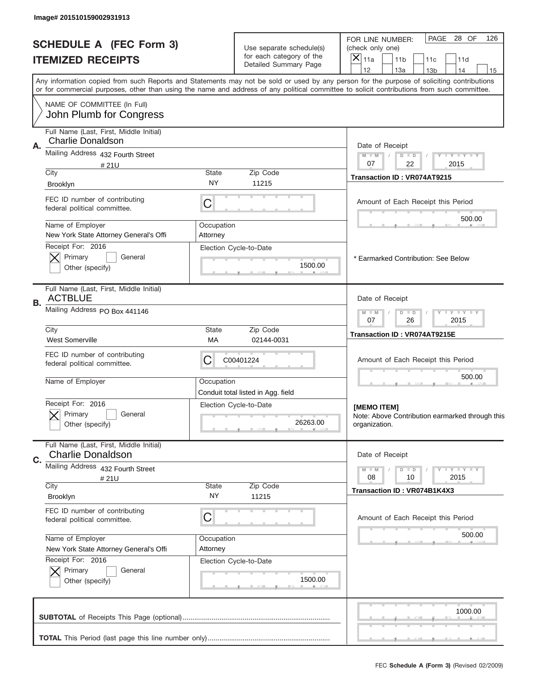|                          | Image# 201510159002931913                                     |                                                                                                                                                                                                                                                                                         |                                                      |                                                                                  |
|--------------------------|---------------------------------------------------------------|-----------------------------------------------------------------------------------------------------------------------------------------------------------------------------------------------------------------------------------------------------------------------------------------|------------------------------------------------------|----------------------------------------------------------------------------------|
|                          | <b>SCHEDULE A (FEC Form 3)</b>                                |                                                                                                                                                                                                                                                                                         | Use separate schedule(s)<br>for each category of the | PAGE<br>28 OF<br>126<br>FOR LINE NUMBER:<br>(check only one)<br>$\times$         |
| <b>ITEMIZED RECEIPTS</b> |                                                               |                                                                                                                                                                                                                                                                                         | Detailed Summary Page                                | 11a<br>11 <sub>b</sub><br>11c<br>11d<br>12<br>13a<br>14<br>13 <sub>b</sub><br>15 |
|                          |                                                               | Any information copied from such Reports and Statements may not be sold or used by any person for the purpose of soliciting contributions<br>or for commercial purposes, other than using the name and address of any political committee to solicit contributions from such committee. |                                                      |                                                                                  |
|                          | NAME OF COMMITTEE (In Full)<br>John Plumb for Congress        |                                                                                                                                                                                                                                                                                         |                                                      |                                                                                  |
|                          | Full Name (Last, First, Middle Initial)                       |                                                                                                                                                                                                                                                                                         |                                                      |                                                                                  |
| А.                       | Charlie Donaldson                                             |                                                                                                                                                                                                                                                                                         |                                                      | Date of Receipt                                                                  |
|                          | Mailing Address 432 Fourth Street<br>#21U                     |                                                                                                                                                                                                                                                                                         |                                                      | $M$ $M$<br>Y FY FY FY<br>$D$ $D$<br>07<br>22<br>2015                             |
|                          | City                                                          | State                                                                                                                                                                                                                                                                                   | Zip Code                                             | Transaction ID: VR074AT9215                                                      |
|                          | <b>Brooklyn</b>                                               | NY                                                                                                                                                                                                                                                                                      | 11215                                                |                                                                                  |
|                          | FEC ID number of contributing<br>federal political committee. | C                                                                                                                                                                                                                                                                                       |                                                      | Amount of Each Receipt this Period                                               |
|                          | Name of Employer                                              | Occupation                                                                                                                                                                                                                                                                              |                                                      | 500.00                                                                           |
|                          | New York State Attorney General's Offi<br>Receipt For: 2016   | Attorney                                                                                                                                                                                                                                                                                | Election Cycle-to-Date                               |                                                                                  |
|                          | Primary<br>General                                            |                                                                                                                                                                                                                                                                                         |                                                      | * Earmarked Contribution: See Below                                              |
|                          | Other (specify)                                               |                                                                                                                                                                                                                                                                                         | 1500.00                                              |                                                                                  |
| В.                       | Full Name (Last, First, Middle Initial)<br><b>ACTBLUE</b>     |                                                                                                                                                                                                                                                                                         |                                                      | Date of Receipt                                                                  |
|                          | Mailing Address PO Box 441146                                 |                                                                                                                                                                                                                                                                                         |                                                      | $D$ $D$<br><b>LY LY LY</b><br>$M - M$<br>07<br>26<br>2015                        |
|                          | City<br><b>West Somerville</b>                                | <b>State</b><br>МA                                                                                                                                                                                                                                                                      | Zip Code<br>02144-0031                               | Transaction ID: VR074AT9215E                                                     |
|                          | FEC ID number of contributing<br>federal political committee. | C                                                                                                                                                                                                                                                                                       | C00401224                                            | Amount of Each Receipt this Period                                               |
|                          | Name of Employer                                              | Occupation                                                                                                                                                                                                                                                                              | Conduit total listed in Agg. field                   | 500.00                                                                           |
|                          | Receipt For: 2016                                             |                                                                                                                                                                                                                                                                                         | Election Cycle-to-Date                               | [MEMO ITEM]                                                                      |
|                          | General<br>Primary<br>Other (specify)                         |                                                                                                                                                                                                                                                                                         | 26263.00                                             | Note: Above Contribution earmarked through this<br>organization.                 |
|                          | Full Name (Last, First, Middle Initial)                       |                                                                                                                                                                                                                                                                                         |                                                      |                                                                                  |
| C.                       | <b>Charlie Donaldson</b>                                      |                                                                                                                                                                                                                                                                                         |                                                      | Date of Receipt                                                                  |
|                          | Mailing Address 432 Fourth Street<br>#21U                     |                                                                                                                                                                                                                                                                                         |                                                      | <b>LYLYLY</b><br>$M - M$<br>$D$ $D$<br>08<br>2015<br>10                          |
|                          | City<br>Brooklyn                                              | State<br>ΝY                                                                                                                                                                                                                                                                             | Zip Code<br>11215                                    | Transaction ID: VR074B1K4X3                                                      |
|                          | FEC ID number of contributing                                 |                                                                                                                                                                                                                                                                                         |                                                      |                                                                                  |
|                          | federal political committee.                                  | C                                                                                                                                                                                                                                                                                       |                                                      | Amount of Each Receipt this Period                                               |
|                          | Name of Employer                                              | Occupation                                                                                                                                                                                                                                                                              |                                                      | 500.00                                                                           |
|                          | New York State Attorney General's Offi<br>Receipt For: 2016   | Attorney                                                                                                                                                                                                                                                                                | Election Cycle-to-Date                               |                                                                                  |
|                          | Primary<br>General                                            |                                                                                                                                                                                                                                                                                         |                                                      |                                                                                  |
|                          | Other (specify)                                               |                                                                                                                                                                                                                                                                                         | 1500.00                                              |                                                                                  |
|                          |                                                               |                                                                                                                                                                                                                                                                                         |                                                      | 1000.00                                                                          |
|                          |                                                               |                                                                                                                                                                                                                                                                                         |                                                      |                                                                                  |
|                          |                                                               |                                                                                                                                                                                                                                                                                         |                                                      |                                                                                  |
|                          |                                                               |                                                                                                                                                                                                                                                                                         |                                                      | FEC Schedule A (Form 3) (Revised 02/2009)                                        |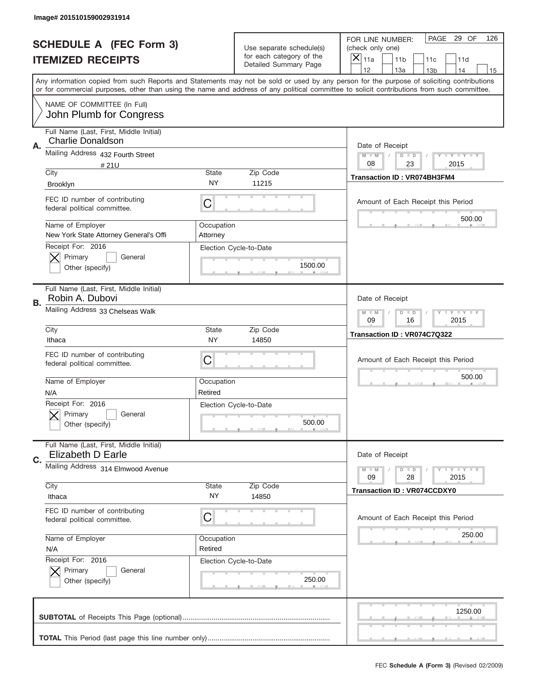|    | Image# 201510159002931914                                           |                        |                                                            |                                                                                                                                                                                                                                                                                         |
|----|---------------------------------------------------------------------|------------------------|------------------------------------------------------------|-----------------------------------------------------------------------------------------------------------------------------------------------------------------------------------------------------------------------------------------------------------------------------------------|
|    | <b>SCHEDULE A (FEC Form 3)</b>                                      |                        | Use separate schedule(s)<br>for each category of the       | PAGE<br>29 OF<br>126<br>FOR LINE NUMBER:<br>(check only one)                                                                                                                                                                                                                            |
|    | <b>ITEMIZED RECEIPTS</b>                                            |                        | Detailed Summary Page                                      | $\overline{\mathsf{x}}$<br>11a<br>11 <sub>b</sub><br>11c<br>11d<br>12<br>13a<br>14<br>13 <sub>b</sub><br>15                                                                                                                                                                             |
|    |                                                                     |                        |                                                            | Any information copied from such Reports and Statements may not be sold or used by any person for the purpose of soliciting contributions<br>or for commercial purposes, other than using the name and address of any political committee to solicit contributions from such committee. |
|    | NAME OF COMMITTEE (In Full)<br>John Plumb for Congress              |                        |                                                            |                                                                                                                                                                                                                                                                                         |
| Α. | Full Name (Last, First, Middle Initial)<br><b>Charlie Donaldson</b> |                        |                                                            | Date of Receipt                                                                                                                                                                                                                                                                         |
|    | Mailing Address 432 Fourth Street<br>#21U                           |                        |                                                            | $M - M$<br>Y FY FY FY<br>$D$ $D$<br>08<br>23<br>2015                                                                                                                                                                                                                                    |
|    | City<br>Brooklyn                                                    | State<br><b>NY</b>     | Zip Code<br>11215                                          | Transaction ID: VR074BH3FM4                                                                                                                                                                                                                                                             |
|    | FEC ID number of contributing<br>federal political committee.       | C                      |                                                            | Amount of Each Receipt this Period                                                                                                                                                                                                                                                      |
|    | Name of Employer<br>New York State Attorney General's Offi          | Occupation<br>Attorney |                                                            | 500.00                                                                                                                                                                                                                                                                                  |
|    | Receipt For: 2016<br>Primary<br>General<br>Other (specify)          |                        | Election Cycle-to-Date<br>1500.00                          |                                                                                                                                                                                                                                                                                         |
| В. | Full Name (Last, First, Middle Initial)<br>Robin A. Dubovi          |                        |                                                            | Date of Receipt                                                                                                                                                                                                                                                                         |
|    | Mailing Address 33 Chelseas Walk                                    |                        |                                                            | $T$ $Y$ $T$ $Y$ $T$ $Y$<br>$M - M$<br>$D$ $D$<br>09<br>16<br>2015                                                                                                                                                                                                                       |
|    | City<br>Ithaca                                                      | State<br>NY            | Zip Code<br>14850                                          | Transaction ID: VR074C7Q322                                                                                                                                                                                                                                                             |
|    | FEC ID number of contributing<br>federal political committee.       | C                      |                                                            | Amount of Each Receipt this Period                                                                                                                                                                                                                                                      |
|    | Name of Employer<br>N/A                                             | Occupation<br>Retired  |                                                            | 500.00                                                                                                                                                                                                                                                                                  |
|    | Receipt For: 2016<br>General<br>Primary<br>Other (specify)          |                        | Election Cycle-to-Date<br>500.00                           |                                                                                                                                                                                                                                                                                         |
| C. | Full Name (Last, First, Middle Initial)<br>Elizabeth D Earle        |                        |                                                            | Date of Receipt                                                                                                                                                                                                                                                                         |
|    | Mailing Address 314 Elmwood Avenue<br>City                          | Zip Code               | <b>TEY LY LY</b><br>$M - M$<br>$D$ $D$<br>28<br>2015<br>09 |                                                                                                                                                                                                                                                                                         |
|    | Ithaca                                                              | State<br>NY            | 14850                                                      | <b>Transaction ID: VR074CCDXY0</b>                                                                                                                                                                                                                                                      |
|    | FEC ID number of contributing<br>federal political committee.       | C                      |                                                            | Amount of Each Receipt this Period                                                                                                                                                                                                                                                      |
|    | Name of Employer<br>N/A                                             | Occupation<br>Retired  |                                                            | 250.00                                                                                                                                                                                                                                                                                  |
|    | Receipt For: 2016<br>Primary<br>General<br>Other (specify)          |                        | Election Cycle-to-Date<br>250.00                           |                                                                                                                                                                                                                                                                                         |
|    |                                                                     |                        |                                                            |                                                                                                                                                                                                                                                                                         |
|    |                                                                     |                        |                                                            | 1250.00                                                                                                                                                                                                                                                                                 |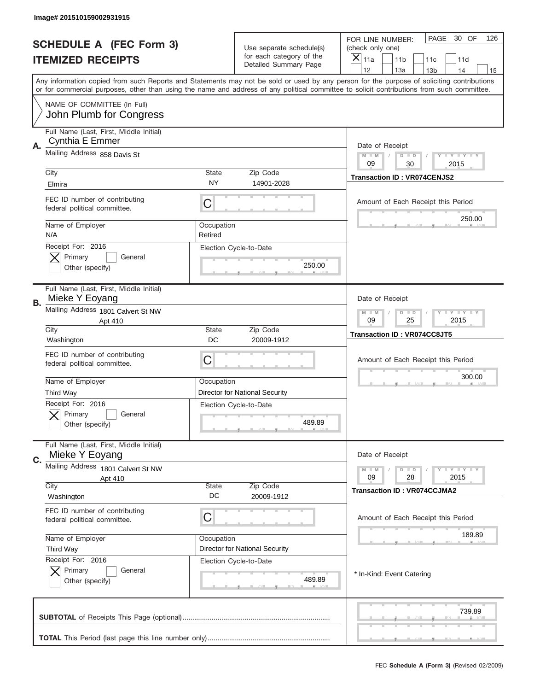|           | Image# 201510159002931915                                     |             |                                                                               |                                                                                                                                                                                                                                                                                         |
|-----------|---------------------------------------------------------------|-------------|-------------------------------------------------------------------------------|-----------------------------------------------------------------------------------------------------------------------------------------------------------------------------------------------------------------------------------------------------------------------------------------|
|           | <b>SCHEDULE A (FEC Form 3)</b><br><b>ITEMIZED RECEIPTS</b>    |             | Use separate schedule(s)<br>for each category of the<br>Detailed Summary Page | PAGE<br>30 OF<br>126<br>FOR LINE NUMBER:<br>(check only one)<br>×<br>11a<br>11 <sub>b</sub><br>11c<br>11d                                                                                                                                                                               |
|           |                                                               |             |                                                                               | 12<br>13a<br>14<br>13 <sub>b</sub><br>15                                                                                                                                                                                                                                                |
|           |                                                               |             |                                                                               | Any information copied from such Reports and Statements may not be sold or used by any person for the purpose of soliciting contributions<br>or for commercial purposes, other than using the name and address of any political committee to solicit contributions from such committee. |
|           | NAME OF COMMITTEE (In Full)<br>John Plumb for Congress        |             |                                                                               |                                                                                                                                                                                                                                                                                         |
|           | Full Name (Last, First, Middle Initial)                       |             |                                                                               |                                                                                                                                                                                                                                                                                         |
| Α.        | <b>Cynthia E Emmer</b><br>Mailing Address 858 Davis St        |             |                                                                               | Date of Receipt                                                                                                                                                                                                                                                                         |
|           |                                                               |             |                                                                               | $M - M$<br><b>LYLYLY</b><br>$D$ $D$<br>09<br>30<br>2015                                                                                                                                                                                                                                 |
|           | City<br>Elmira                                                | State<br>NY | Zip Code<br>14901-2028                                                        | <b>Transaction ID: VR074CENJS2</b>                                                                                                                                                                                                                                                      |
|           | FEC ID number of contributing<br>federal political committee. | C           |                                                                               | Amount of Each Receipt this Period                                                                                                                                                                                                                                                      |
|           | Name of Employer                                              | Occupation  |                                                                               | 250.00                                                                                                                                                                                                                                                                                  |
|           | N/A<br>Receipt For: 2016                                      | Retired     | Election Cycle-to-Date                                                        |                                                                                                                                                                                                                                                                                         |
|           | Primary<br>General                                            |             |                                                                               |                                                                                                                                                                                                                                                                                         |
|           | Other (specify)                                               |             | 250.00                                                                        |                                                                                                                                                                                                                                                                                         |
| <b>B.</b> | Full Name (Last, First, Middle Initial)<br>Mieke Y Eoyang     |             |                                                                               | Date of Receipt                                                                                                                                                                                                                                                                         |
|           | Mailing Address 1801 Calvert St NW<br>Apt 410                 |             |                                                                               | $M - M$<br>$D$ $D$<br><b>LYLYLY</b><br>09<br>25<br>2015                                                                                                                                                                                                                                 |
|           | City<br>Washington                                            | State<br>DC | Zip Code<br>20009-1912                                                        | Transaction ID: VR074CC8JT5                                                                                                                                                                                                                                                             |
|           | FEC ID number of contributing<br>federal political committee. | C           |                                                                               | Amount of Each Receipt this Period                                                                                                                                                                                                                                                      |
|           | Name of Employer                                              | Occupation  |                                                                               | 300.00                                                                                                                                                                                                                                                                                  |
|           | Third Way                                                     |             | <b>Director for National Security</b>                                         |                                                                                                                                                                                                                                                                                         |
|           | Receipt For: 2016<br>General<br>Primary                       |             | Election Cycle-to-Date                                                        |                                                                                                                                                                                                                                                                                         |
|           | Other (specify)                                               |             | 489.89                                                                        |                                                                                                                                                                                                                                                                                         |
|           | Full Name (Last, First, Middle Initial)                       |             |                                                                               |                                                                                                                                                                                                                                                                                         |
| C.        | Mieke Y Eoyang                                                |             |                                                                               | Date of Receipt                                                                                                                                                                                                                                                                         |
|           | Mailing Address 1801 Calvert St NW<br>Apt 410                 |             |                                                                               | <b>LEY LEY LEY</b><br>$M - M$<br>$D$ $D$<br>09<br>28<br>2015                                                                                                                                                                                                                            |
|           | City<br>Washington                                            | State<br>DC | Zip Code<br>20009-1912                                                        | <b>Transaction ID: VR074CCJMA2</b>                                                                                                                                                                                                                                                      |
|           | FEC ID number of contributing                                 |             |                                                                               |                                                                                                                                                                                                                                                                                         |
|           | federal political committee.                                  | С           |                                                                               | Amount of Each Receipt this Period                                                                                                                                                                                                                                                      |
|           | Name of Employer                                              | Occupation  |                                                                               | 189.89                                                                                                                                                                                                                                                                                  |
|           | Third Way                                                     |             | <b>Director for National Security</b>                                         |                                                                                                                                                                                                                                                                                         |
|           | Receipt For: 2016<br>Primary<br>General                       |             | Election Cycle-to-Date                                                        |                                                                                                                                                                                                                                                                                         |
|           | Other (specify)                                               |             | 489.89                                                                        | * In-Kind: Event Catering                                                                                                                                                                                                                                                               |
|           |                                                               |             |                                                                               | 739.89                                                                                                                                                                                                                                                                                  |
|           |                                                               |             |                                                                               |                                                                                                                                                                                                                                                                                         |
|           |                                                               |             |                                                                               |                                                                                                                                                                                                                                                                                         |
|           |                                                               |             |                                                                               | FEC Schedule A (Form 3) (Revised 02/2009)                                                                                                                                                                                                                                               |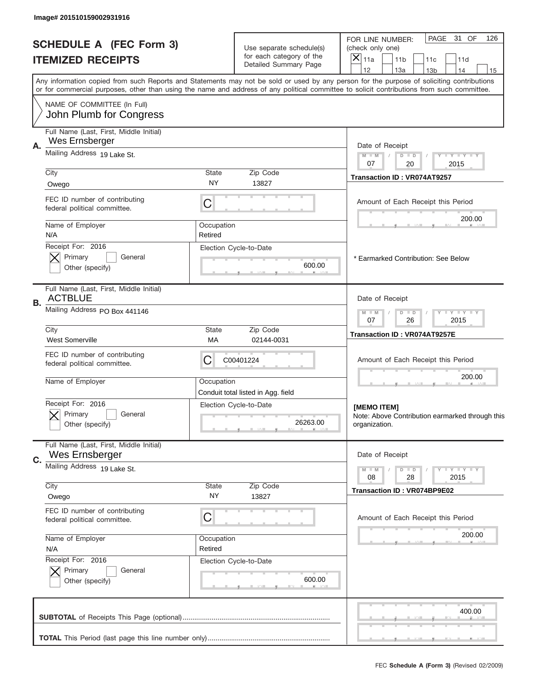|                                                            | Image# 201510159002931916                                     |                    |                                                      |                                                                                                                                                                                                                                                                                         |
|------------------------------------------------------------|---------------------------------------------------------------|--------------------|------------------------------------------------------|-----------------------------------------------------------------------------------------------------------------------------------------------------------------------------------------------------------------------------------------------------------------------------------------|
| <b>SCHEDULE A (FEC Form 3)</b><br><b>ITEMIZED RECEIPTS</b> |                                                               |                    | Use separate schedule(s)<br>for each category of the | PAGE<br>31 OF<br>126<br>FOR LINE NUMBER:<br>(check only one)<br>$\overline{X} _{11a}$<br>11 <sub>b</sub><br>11c<br>11d                                                                                                                                                                  |
|                                                            |                                                               |                    | Detailed Summary Page                                | 12<br>13a<br>14<br>13 <sub>b</sub><br>15                                                                                                                                                                                                                                                |
|                                                            |                                                               |                    |                                                      | Any information copied from such Reports and Statements may not be sold or used by any person for the purpose of soliciting contributions<br>or for commercial purposes, other than using the name and address of any political committee to solicit contributions from such committee. |
|                                                            | NAME OF COMMITTEE (In Full)<br>John Plumb for Congress        |                    |                                                      |                                                                                                                                                                                                                                                                                         |
|                                                            | Full Name (Last, First, Middle Initial)                       |                    |                                                      |                                                                                                                                                                                                                                                                                         |
| Α.                                                         | Wes Ernsberger                                                |                    |                                                      | Date of Receipt                                                                                                                                                                                                                                                                         |
|                                                            | Mailing Address 19 Lake St.                                   |                    |                                                      | $M$ $M$<br>Y FY FY FY<br>$D$ $D$<br>07<br>20<br>2015                                                                                                                                                                                                                                    |
|                                                            | City                                                          | State              | Zip Code                                             | Transaction ID: VR074AT9257                                                                                                                                                                                                                                                             |
|                                                            | Owego                                                         | NY                 | 13827                                                |                                                                                                                                                                                                                                                                                         |
|                                                            | FEC ID number of contributing<br>federal political committee. | C                  |                                                      | Amount of Each Receipt this Period<br>200.00                                                                                                                                                                                                                                            |
|                                                            | Name of Employer                                              | Occupation         |                                                      |                                                                                                                                                                                                                                                                                         |
|                                                            | N/A<br>Receipt For: 2016                                      | Retired            | Election Cycle-to-Date                               |                                                                                                                                                                                                                                                                                         |
|                                                            | Primary<br>General                                            |                    |                                                      | * Earmarked Contribution: See Below                                                                                                                                                                                                                                                     |
|                                                            | Other (specify)                                               |                    | 600.00                                               |                                                                                                                                                                                                                                                                                         |
| В.                                                         | Full Name (Last, First, Middle Initial)<br><b>ACTBLUE</b>     |                    |                                                      | Date of Receipt                                                                                                                                                                                                                                                                         |
|                                                            | Mailing Address PO Box 441146                                 |                    | Zip Code                                             | <b>LY LY LY</b><br>$D$ $D$<br>$M - M$<br>07<br>26<br>2015                                                                                                                                                                                                                               |
|                                                            | City<br><b>West Somerville</b>                                | <b>State</b><br>МA | Transaction ID: VR074AT9257E                         |                                                                                                                                                                                                                                                                                         |
|                                                            | FEC ID number of contributing<br>federal political committee. | C                  | C00401224                                            | Amount of Each Receipt this Period                                                                                                                                                                                                                                                      |
|                                                            | Name of Employer                                              | Occupation         | Conduit total listed in Agg. field                   | 200.00                                                                                                                                                                                                                                                                                  |
|                                                            | Receipt For: 2016                                             |                    | Election Cycle-to-Date                               | [MEMO ITEM]                                                                                                                                                                                                                                                                             |
|                                                            | General<br>Primary<br>Other (specify)                         |                    | 26263.00                                             | Note: Above Contribution earmarked through this<br>organization.                                                                                                                                                                                                                        |
|                                                            | Full Name (Last, First, Middle Initial)                       |                    |                                                      |                                                                                                                                                                                                                                                                                         |
| C.                                                         | Wes Ernsberger                                                |                    |                                                      | Date of Receipt                                                                                                                                                                                                                                                                         |
|                                                            | Mailing Address 19 Lake St.                                   |                    |                                                      | <b>LY LY LY</b><br>$M - M$<br>$D$ $D$<br>08<br>28<br>2015                                                                                                                                                                                                                               |
|                                                            | City                                                          | <b>State</b>       | Zip Code                                             | Transaction ID: VR074BP9E02                                                                                                                                                                                                                                                             |
|                                                            | Owego                                                         | ΝY                 | 13827                                                |                                                                                                                                                                                                                                                                                         |
|                                                            | FEC ID number of contributing<br>federal political committee. | C                  |                                                      | Amount of Each Receipt this Period                                                                                                                                                                                                                                                      |
|                                                            | Name of Employer                                              | Occupation         |                                                      | 200.00                                                                                                                                                                                                                                                                                  |
|                                                            | N/A<br>Receipt For: 2016                                      | Retired            |                                                      |                                                                                                                                                                                                                                                                                         |
|                                                            | Primary<br>General                                            |                    | Election Cycle-to-Date                               |                                                                                                                                                                                                                                                                                         |
|                                                            | Other (specify)                                               |                    | 600.00                                               |                                                                                                                                                                                                                                                                                         |
|                                                            |                                                               |                    |                                                      | 400.00                                                                                                                                                                                                                                                                                  |
|                                                            |                                                               |                    |                                                      |                                                                                                                                                                                                                                                                                         |
|                                                            |                                                               |                    |                                                      |                                                                                                                                                                                                                                                                                         |
|                                                            |                                                               |                    |                                                      |                                                                                                                                                                                                                                                                                         |
|                                                            |                                                               |                    |                                                      | FEC Schedule A (Form 3) (Revised 02/2009)                                                                                                                                                                                                                                               |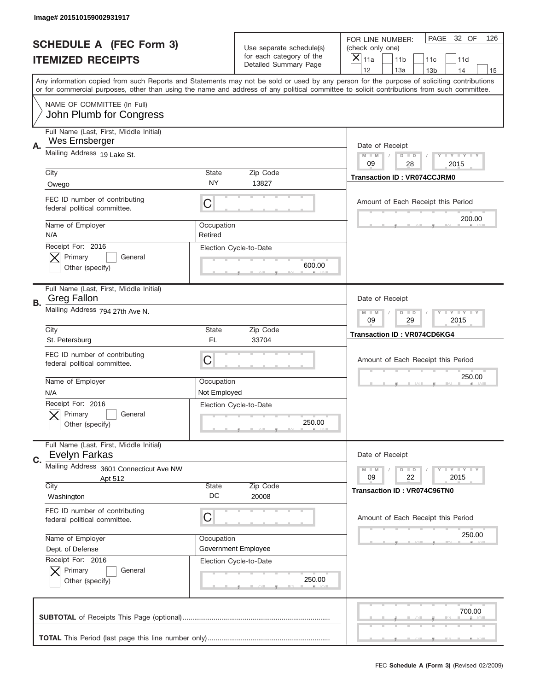|                | Image# 201510159002931917                                                   |                            |                                                   |                                                                                                                                                                                                                                                                                                                                     |
|----------------|-----------------------------------------------------------------------------|----------------------------|---------------------------------------------------|-------------------------------------------------------------------------------------------------------------------------------------------------------------------------------------------------------------------------------------------------------------------------------------------------------------------------------------|
|                | <b>SCHEDULE A (FEC Form 3)</b>                                              |                            | Use separate schedule(s)                          | PAGE<br>32 OF<br>126<br>FOR LINE NUMBER:<br>(check only one)                                                                                                                                                                                                                                                                        |
|                | <b>ITEMIZED RECEIPTS</b>                                                    |                            | for each category of the<br>Detailed Summary Page | ×<br>11a<br>11 <sub>b</sub><br>11c<br>11d                                                                                                                                                                                                                                                                                           |
|                |                                                                             |                            |                                                   | 12<br>13a<br>14<br>13 <sub>b</sub><br>15<br>Any information copied from such Reports and Statements may not be sold or used by any person for the purpose of soliciting contributions<br>or for commercial purposes, other than using the name and address of any political committee to solicit contributions from such committee. |
|                | NAME OF COMMITTEE (In Full)<br>John Plumb for Congress                      |                            |                                                   |                                                                                                                                                                                                                                                                                                                                     |
| Α.             | Full Name (Last, First, Middle Initial)<br>Wes Ernsberger                   |                            |                                                   | Date of Receipt                                                                                                                                                                                                                                                                                                                     |
|                | Mailing Address 19 Lake St.                                                 |                            |                                                   | $M - M$<br><b>LYLYLY</b><br>$D$ $D$<br>09<br>28<br>2015                                                                                                                                                                                                                                                                             |
|                | City<br>Owego                                                               | State<br>NY                | Zip Code<br>13827                                 | <b>Transaction ID: VR074CCJRM0</b>                                                                                                                                                                                                                                                                                                  |
|                | FEC ID number of contributing<br>federal political committee.               | C                          |                                                   | Amount of Each Receipt this Period<br>200.00                                                                                                                                                                                                                                                                                        |
|                | Name of Employer<br>N/A                                                     | Occupation<br>Retired      |                                                   |                                                                                                                                                                                                                                                                                                                                     |
|                | Receipt For: 2016<br>Primary<br>General<br>Other (specify)                  |                            | Election Cycle-to-Date<br>600.00                  |                                                                                                                                                                                                                                                                                                                                     |
| В.             | Full Name (Last, First, Middle Initial)<br><b>Greg Fallon</b>               |                            |                                                   | Date of Receipt                                                                                                                                                                                                                                                                                                                     |
|                | Mailing Address 794 27th Ave N.                                             |                            |                                                   | $M - M$<br><b>LYLYLY</b><br>$D$ $D$<br>09<br>29<br>2015                                                                                                                                                                                                                                                                             |
|                | City<br>St. Petersburg                                                      | State<br>FL                | Zip Code<br>33704                                 | <b>Transaction ID: VR074CD6KG4</b>                                                                                                                                                                                                                                                                                                  |
|                |                                                                             |                            |                                                   |                                                                                                                                                                                                                                                                                                                                     |
|                | FEC ID number of contributing<br>federal political committee.               | C                          |                                                   | Amount of Each Receipt this Period                                                                                                                                                                                                                                                                                                  |
|                | Name of Employer<br>N/A                                                     | Occupation<br>Not Employed |                                                   | 250.00                                                                                                                                                                                                                                                                                                                              |
|                | Receipt For: 2016<br>General<br>Primary<br>Other (specify)                  |                            | Election Cycle-to-Date<br>250.00                  |                                                                                                                                                                                                                                                                                                                                     |
| $\mathbf{C}$ . | Full Name (Last, First, Middle Initial)<br>Evelyn Farkas                    |                            |                                                   | Date of Receipt                                                                                                                                                                                                                                                                                                                     |
|                | Mailing Address 3601 Connecticut Ave NW                                     |                            |                                                   | <b>LEY LEY LEY</b><br>$M - M$<br>$D$ $D$                                                                                                                                                                                                                                                                                            |
|                | Apt 512<br>City                                                             | State<br>DC                | Zip Code                                          | 09<br>22<br>2015<br><b>Transaction ID: VR074C96TN0</b>                                                                                                                                                                                                                                                                              |
|                | Washington<br>FEC ID number of contributing<br>federal political committee. | С                          | 20008                                             | Amount of Each Receipt this Period                                                                                                                                                                                                                                                                                                  |
|                | Name of Employer<br>Dept. of Defense                                        | Occupation                 | Government Employee                               | 250.00                                                                                                                                                                                                                                                                                                                              |
|                | Receipt For: 2016<br>Primary<br>General<br>Other (specify)                  |                            | Election Cycle-to-Date<br>250.00                  |                                                                                                                                                                                                                                                                                                                                     |
|                |                                                                             |                            |                                                   | 700.00                                                                                                                                                                                                                                                                                                                              |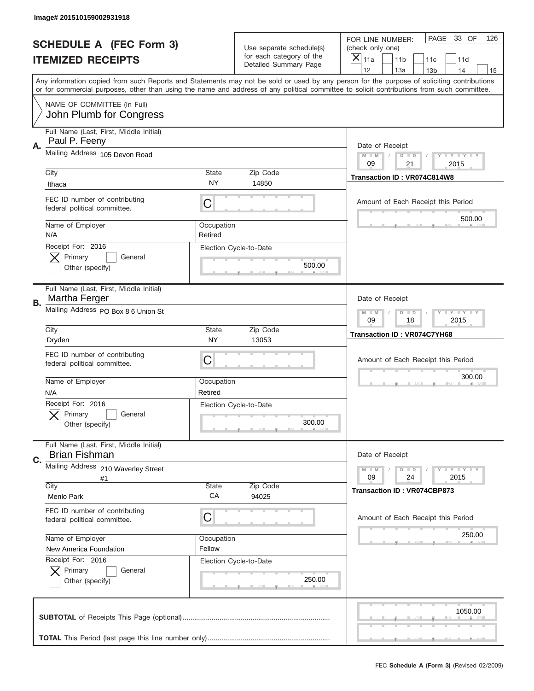|    | Image# 201510159002931918                                       |                           |                                                           |                                                                                                                                                                                       |
|----|-----------------------------------------------------------------|---------------------------|-----------------------------------------------------------|---------------------------------------------------------------------------------------------------------------------------------------------------------------------------------------|
|    | <b>SCHEDULE A (FEC Form 3)</b>                                  |                           | Use separate schedule(s)                                  | PAGE<br>33 OF<br>126<br>FOR LINE NUMBER:<br>(check only one)                                                                                                                          |
|    | <b>ITEMIZED RECEIPTS</b>                                        |                           | for each category of the<br>Detailed Summary Page         | ×<br>11a<br>11 <sub>b</sub><br>11c<br>11d                                                                                                                                             |
|    |                                                                 |                           |                                                           | 12<br>13a<br>14<br>13 <sub>b</sub><br>15<br>Any information copied from such Reports and Statements may not be sold or used by any person for the purpose of soliciting contributions |
|    |                                                                 |                           |                                                           | or for commercial purposes, other than using the name and address of any political committee to solicit contributions from such committee.                                            |
|    | NAME OF COMMITTEE (In Full)<br>John Plumb for Congress          |                           |                                                           |                                                                                                                                                                                       |
| Α. | Full Name (Last, First, Middle Initial)<br>Paul P. Feeny        |                           |                                                           | Date of Receipt                                                                                                                                                                       |
|    | Mailing Address 105 Devon Road                                  |                           |                                                           | $M - M$<br>Y I Y I Y I Y<br>$D$ $D$<br>09<br>21<br>2015                                                                                                                               |
|    | City                                                            | <b>State</b>              | Zip Code                                                  | Transaction ID: VR074C814W8                                                                                                                                                           |
|    | Ithaca                                                          | <b>NY</b>                 | 14850                                                     |                                                                                                                                                                                       |
|    | FEC ID number of contributing<br>federal political committee.   | C                         |                                                           | Amount of Each Receipt this Period                                                                                                                                                    |
|    | Name of Employer<br>N/A                                         | Occupation<br>Retired     |                                                           | 500.00                                                                                                                                                                                |
|    | Receipt For: 2016<br>Primary<br>General<br>Other (specify)      |                           | Election Cycle-to-Date<br>500.00                          |                                                                                                                                                                                       |
| В. | Full Name (Last, First, Middle Initial)<br>Martha Ferger        |                           |                                                           | Date of Receipt                                                                                                                                                                       |
|    | Mailing Address PO Box 8 6 Union St                             |                           | <b>LY LY LY</b><br>$M - M$<br>$D$ $D$<br>09<br>18<br>2015 |                                                                                                                                                                                       |
|    | City<br>Dryden                                                  | <b>State</b><br><b>NY</b> | Zip Code<br>13053                                         | Transaction ID: VR074C7YH68                                                                                                                                                           |
|    | FEC ID number of contributing<br>federal political committee.   | C                         |                                                           | Amount of Each Receipt this Period                                                                                                                                                    |
|    | Name of Employer<br>N/A                                         | Occupation<br>Retired     |                                                           | 300.00                                                                                                                                                                                |
|    | Receipt For: 2016<br>General<br>Primary<br>Other (specify)      |                           | Election Cycle-to-Date<br>300.00                          |                                                                                                                                                                                       |
| C. | Full Name (Last, First, Middle Initial)<br><b>Brian Fishman</b> |                           |                                                           | Date of Receipt                                                                                                                                                                       |
|    | Mailing Address 210 Waverley Street<br>#1                       |                           |                                                           | <b>TEY LY LY</b><br>$M - M$<br>$D$ $D$<br>09<br>24<br>2015                                                                                                                            |
|    | City<br>Menlo Park                                              | <b>State</b><br>CA        | Zip Code<br>94025                                         | <b>Transaction ID: VR074CBP873</b>                                                                                                                                                    |
|    | FEC ID number of contributing<br>federal political committee.   | C                         |                                                           | Amount of Each Receipt this Period                                                                                                                                                    |
|    | Name of Employer                                                | Occupation                |                                                           | 250.00                                                                                                                                                                                |
|    | New America Foundation                                          | Fellow                    |                                                           |                                                                                                                                                                                       |
|    | Receipt For: 2016<br>Primary<br>General<br>Other (specify)      |                           | Election Cycle-to-Date<br>250.00                          |                                                                                                                                                                                       |
|    |                                                                 |                           |                                                           | 1050.00                                                                                                                                                                               |
|    |                                                                 |                           |                                                           |                                                                                                                                                                                       |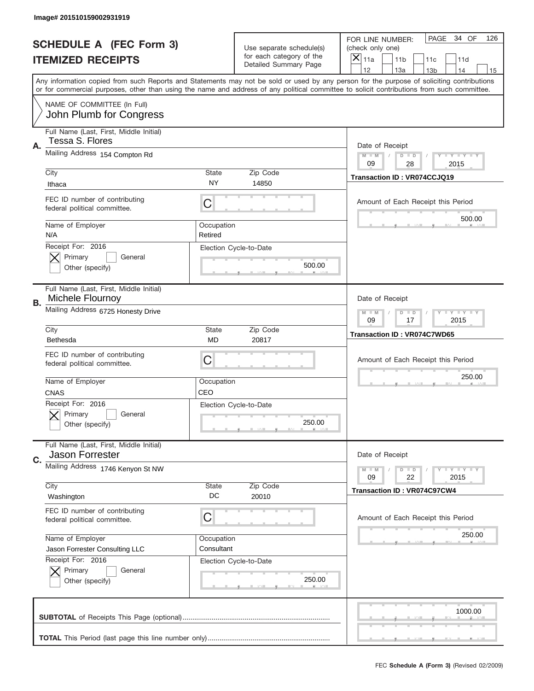|                          | Image# 201510159002931919                                     |                                                           |                                                   |                                                                                                                                                                                                                                                                                                                                     |  |  |
|--------------------------|---------------------------------------------------------------|-----------------------------------------------------------|---------------------------------------------------|-------------------------------------------------------------------------------------------------------------------------------------------------------------------------------------------------------------------------------------------------------------------------------------------------------------------------------------|--|--|
|                          | <b>SCHEDULE A (FEC Form 3)</b>                                |                                                           | Use separate schedule(s)                          | PAGE<br>34 OF<br>126<br>FOR LINE NUMBER:<br>(check only one)                                                                                                                                                                                                                                                                        |  |  |
| <b>ITEMIZED RECEIPTS</b> |                                                               |                                                           | for each category of the<br>Detailed Summary Page | $\overline{X} _{11a}$<br>11 <sub>b</sub><br>11c<br>11d                                                                                                                                                                                                                                                                              |  |  |
|                          |                                                               |                                                           |                                                   | 12<br>13a<br>14<br>13 <sub>b</sub><br>15<br>Any information copied from such Reports and Statements may not be sold or used by any person for the purpose of soliciting contributions<br>or for commercial purposes, other than using the name and address of any political committee to solicit contributions from such committee. |  |  |
|                          | NAME OF COMMITTEE (In Full)<br>John Plumb for Congress        |                                                           |                                                   |                                                                                                                                                                                                                                                                                                                                     |  |  |
| Α.                       | Full Name (Last, First, Middle Initial)<br>Tessa S. Flores    | Date of Receipt                                           |                                                   |                                                                                                                                                                                                                                                                                                                                     |  |  |
|                          | Mailing Address 154 Compton Rd                                | <b>LYLYLY</b><br>$M - M$<br>$D$ $D$<br>09<br>28<br>2015   |                                                   |                                                                                                                                                                                                                                                                                                                                     |  |  |
|                          | City<br>Ithaca                                                | <b>State</b><br>NY                                        | Zip Code<br>14850                                 | Transaction ID: VR074CCJQ19                                                                                                                                                                                                                                                                                                         |  |  |
|                          | FEC ID number of contributing<br>federal political committee. | C                                                         |                                                   | Amount of Each Receipt this Period<br>500.00                                                                                                                                                                                                                                                                                        |  |  |
|                          | Name of Employer<br>N/A                                       | Occupation<br>Retired                                     |                                                   |                                                                                                                                                                                                                                                                                                                                     |  |  |
|                          | Receipt For: 2016<br>Primary<br>General<br>Other (specify)    |                                                           | Election Cycle-to-Date<br>500.00                  |                                                                                                                                                                                                                                                                                                                                     |  |  |
| <b>B.</b>                | Full Name (Last, First, Middle Initial)<br>Michele Flournoy   |                                                           |                                                   | Date of Receipt                                                                                                                                                                                                                                                                                                                     |  |  |
|                          | Mailing Address 6725 Honesty Drive                            | <b>LY LY LY</b><br>$D$ $D$<br>$M - M$<br>09<br>17<br>2015 |                                                   |                                                                                                                                                                                                                                                                                                                                     |  |  |
|                          | City<br>Bethesda                                              | <b>State</b><br>MD                                        | Zip Code<br>20817                                 | Transaction ID: VR074C7WD65                                                                                                                                                                                                                                                                                                         |  |  |
|                          | FEC ID number of contributing<br>federal political committee. | С                                                         |                                                   | Amount of Each Receipt this Period                                                                                                                                                                                                                                                                                                  |  |  |
|                          | Name of Employer<br><b>CNAS</b>                               | Occupation<br>CEO                                         |                                                   | 250.00                                                                                                                                                                                                                                                                                                                              |  |  |
|                          | Receipt For: 2016                                             |                                                           | Election Cycle-to-Date                            |                                                                                                                                                                                                                                                                                                                                     |  |  |
|                          | General<br>Primary<br>Other (specify)                         |                                                           | 250.00                                            |                                                                                                                                                                                                                                                                                                                                     |  |  |
| C.                       | Full Name (Last, First, Middle Initial)<br>Jason Forrester    |                                                           |                                                   | Date of Receipt                                                                                                                                                                                                                                                                                                                     |  |  |
|                          | Mailing Address 1746 Kenyon St NW                             |                                                           |                                                   | <b>LY LY LY</b><br>$M - M$<br>$D$ $D$<br>09<br>22<br>2015                                                                                                                                                                                                                                                                           |  |  |
|                          | City<br>Washington                                            | <b>State</b><br>DC                                        | Zip Code<br>20010                                 | <b>Transaction ID: VR074C97CW4</b>                                                                                                                                                                                                                                                                                                  |  |  |
|                          | FEC ID number of contributing<br>federal political committee. | С                                                         |                                                   | Amount of Each Receipt this Period                                                                                                                                                                                                                                                                                                  |  |  |
|                          | Name of Employer<br>Jason Forrester Consulting LLC            | Occupation<br>Consultant                                  |                                                   | 250.00                                                                                                                                                                                                                                                                                                                              |  |  |
|                          | Receipt For: 2016<br>Primary<br>General<br>Other (specify)    |                                                           | Election Cycle-to-Date<br>250.00                  |                                                                                                                                                                                                                                                                                                                                     |  |  |
|                          |                                                               |                                                           |                                                   | 1000.00                                                                                                                                                                                                                                                                                                                             |  |  |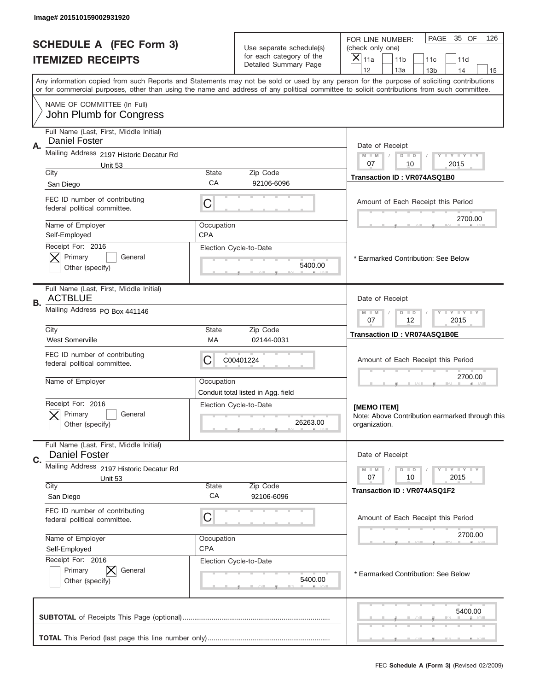|                                | Image# 201510159002931920                                     |                                                           |                                                      |                                                                                                                                                                                                                                                                                         |  |  |
|--------------------------------|---------------------------------------------------------------|-----------------------------------------------------------|------------------------------------------------------|-----------------------------------------------------------------------------------------------------------------------------------------------------------------------------------------------------------------------------------------------------------------------------------------|--|--|
| <b>SCHEDULE A (FEC Form 3)</b> |                                                               |                                                           | Use separate schedule(s)<br>for each category of the | PAGE<br>35 OF<br>126<br>FOR LINE NUMBER:<br>(check only one)<br>X                                                                                                                                                                                                                       |  |  |
| <b>ITEMIZED RECEIPTS</b>       |                                                               |                                                           | Detailed Summary Page                                | 11a<br>11 <sub>b</sub><br>11c<br>11d<br>12<br>13a<br>14<br>13 <sub>b</sub><br>15                                                                                                                                                                                                        |  |  |
|                                |                                                               |                                                           |                                                      | Any information copied from such Reports and Statements may not be sold or used by any person for the purpose of soliciting contributions<br>or for commercial purposes, other than using the name and address of any political committee to solicit contributions from such committee. |  |  |
|                                | NAME OF COMMITTEE (In Full)<br>John Plumb for Congress        |                                                           |                                                      |                                                                                                                                                                                                                                                                                         |  |  |
|                                | Full Name (Last, First, Middle Initial)                       |                                                           |                                                      |                                                                                                                                                                                                                                                                                         |  |  |
| Α.                             | <b>Daniel Foster</b>                                          | Date of Receipt                                           |                                                      |                                                                                                                                                                                                                                                                                         |  |  |
|                                | Mailing Address 2197 Historic Decatur Rd<br>Unit 53           | $M - M$<br>Y FY FY FY<br>$D$ $D$<br>07<br>10<br>2015      |                                                      |                                                                                                                                                                                                                                                                                         |  |  |
|                                | City                                                          | Zip Code                                                  | Transaction ID: VR074ASQ1B0                          |                                                                                                                                                                                                                                                                                         |  |  |
|                                | San Diego                                                     | CA                                                        | 92106-6096                                           |                                                                                                                                                                                                                                                                                         |  |  |
|                                | FEC ID number of contributing<br>federal political committee. | C                                                         |                                                      | Amount of Each Receipt this Period                                                                                                                                                                                                                                                      |  |  |
|                                | Name of Employer                                              | Occupation                                                |                                                      | 2700.00                                                                                                                                                                                                                                                                                 |  |  |
|                                | Self-Employed<br>Receipt For: 2016                            | <b>CPA</b>                                                | Election Cycle-to-Date                               |                                                                                                                                                                                                                                                                                         |  |  |
|                                | Primary<br>General                                            |                                                           |                                                      | * Earmarked Contribution: See Below                                                                                                                                                                                                                                                     |  |  |
|                                | Other (specify)                                               |                                                           | 5400.00                                              |                                                                                                                                                                                                                                                                                         |  |  |
| В.                             | Full Name (Last, First, Middle Initial)<br><b>ACTBLUE</b>     | Date of Receipt                                           |                                                      |                                                                                                                                                                                                                                                                                         |  |  |
|                                | Mailing Address PO Box 441146                                 | $D$ $D$<br><b>LY LY LY</b><br>$M - M$<br>07<br>12<br>2015 |                                                      |                                                                                                                                                                                                                                                                                         |  |  |
|                                | City<br><b>West Somerville</b>                                | <b>State</b><br>МA                                        | Zip Code<br>02144-0031                               | Transaction ID: VR074ASQ1B0E                                                                                                                                                                                                                                                            |  |  |
|                                | FEC ID number of contributing<br>federal political committee. | C                                                         | C00401224                                            | Amount of Each Receipt this Period                                                                                                                                                                                                                                                      |  |  |
|                                | Name of Employer                                              | Occupation                                                | Conduit total listed in Agg. field                   | 2700.00                                                                                                                                                                                                                                                                                 |  |  |
|                                | Receipt For: 2016                                             |                                                           | Election Cycle-to-Date                               | [MEMO ITEM]                                                                                                                                                                                                                                                                             |  |  |
|                                | Primary<br>General<br>Other (specify)                         |                                                           | 26263.00                                             | Note: Above Contribution earmarked through this<br>organization.                                                                                                                                                                                                                        |  |  |
|                                | Full Name (Last, First, Middle Initial)                       |                                                           |                                                      |                                                                                                                                                                                                                                                                                         |  |  |
| C.                             | <b>Daniel Foster</b>                                          |                                                           |                                                      | Date of Receipt                                                                                                                                                                                                                                                                         |  |  |
|                                | Mailing Address 2197 Historic Decatur Rd<br>Unit 53           |                                                           |                                                      | <b>LY LY LY</b><br>$M - M$<br>$D$ $D$<br>07<br>2015<br>10                                                                                                                                                                                                                               |  |  |
|                                | City                                                          | <b>Transaction ID: VR074ASQ1F2</b>                        |                                                      |                                                                                                                                                                                                                                                                                         |  |  |
|                                | San Diego                                                     | CA                                                        | 92106-6096                                           |                                                                                                                                                                                                                                                                                         |  |  |
|                                | FEC ID number of contributing<br>federal political committee. | C                                                         |                                                      | Amount of Each Receipt this Period                                                                                                                                                                                                                                                      |  |  |
|                                | Name of Employer                                              | Occupation                                                |                                                      | 2700.00                                                                                                                                                                                                                                                                                 |  |  |
|                                | Self-Employed                                                 | <b>CPA</b>                                                |                                                      |                                                                                                                                                                                                                                                                                         |  |  |
|                                | Receipt For: 2016<br>Primary<br>General                       |                                                           | Election Cycle-to-Date                               |                                                                                                                                                                                                                                                                                         |  |  |
|                                | Other (specify)                                               |                                                           | 5400.00                                              | * Earmarked Contribution: See Below                                                                                                                                                                                                                                                     |  |  |
|                                |                                                               |                                                           |                                                      | 5400.00                                                                                                                                                                                                                                                                                 |  |  |
|                                |                                                               |                                                           |                                                      |                                                                                                                                                                                                                                                                                         |  |  |
|                                |                                                               |                                                           |                                                      |                                                                                                                                                                                                                                                                                         |  |  |
|                                |                                                               |                                                           |                                                      | FEC Schedule A (Form 3) (Revised 02/2009)                                                                                                                                                                                                                                               |  |  |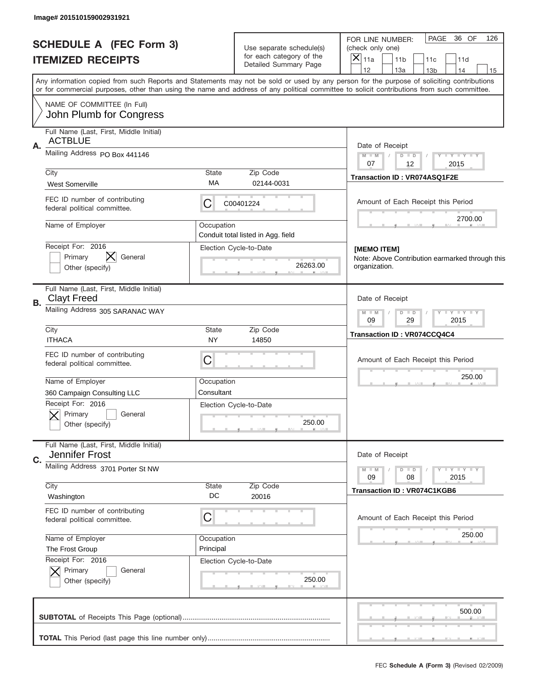| Image# 201510159002931921                                           |                                                               |                                                      |                                                                                                                                                                                                                                                                                         |  |  |  |
|---------------------------------------------------------------------|---------------------------------------------------------------|------------------------------------------------------|-----------------------------------------------------------------------------------------------------------------------------------------------------------------------------------------------------------------------------------------------------------------------------------------|--|--|--|
| <b>SCHEDULE A (FEC Form 3)</b>                                      |                                                               | Use separate schedule(s)<br>for each category of the | PAGE<br>36 OF<br>126<br>FOR LINE NUMBER:<br>(check only one)<br>$\overline{X} _{11a}$                                                                                                                                                                                                   |  |  |  |
| <b>ITEMIZED RECEIPTS</b>                                            |                                                               | Detailed Summary Page                                | 11 <sub>b</sub><br>11c<br>11d<br>12<br>13a<br>14<br>13 <sub>b</sub><br>15                                                                                                                                                                                                               |  |  |  |
|                                                                     |                                                               |                                                      | Any information copied from such Reports and Statements may not be sold or used by any person for the purpose of soliciting contributions<br>or for commercial purposes, other than using the name and address of any political committee to solicit contributions from such committee. |  |  |  |
| NAME OF COMMITTEE (In Full)<br>John Plumb for Congress              |                                                               |                                                      |                                                                                                                                                                                                                                                                                         |  |  |  |
| Full Name (Last, First, Middle Initial)                             |                                                               |                                                      |                                                                                                                                                                                                                                                                                         |  |  |  |
| <b>ACTBLUE</b><br>Α.                                                | Date of Receipt                                               |                                                      |                                                                                                                                                                                                                                                                                         |  |  |  |
| Mailing Address PO Box 441146                                       | $M$ M<br>$Y - Y - Y - Y - Y$<br>$D$ $D$                       |                                                      |                                                                                                                                                                                                                                                                                         |  |  |  |
| City                                                                | 07<br>12<br>2015                                              |                                                      |                                                                                                                                                                                                                                                                                         |  |  |  |
| <b>West Somerville</b>                                              | State<br>МA                                                   | Zip Code<br>02144-0031                               | Transaction ID: VR074ASQ1F2E                                                                                                                                                                                                                                                            |  |  |  |
| FEC ID number of contributing<br>federal political committee.       | С                                                             | C00401224                                            | Amount of Each Receipt this Period                                                                                                                                                                                                                                                      |  |  |  |
| Name of Employer                                                    | Occupation                                                    | Conduit total listed in Agg. field                   | 2700.00                                                                                                                                                                                                                                                                                 |  |  |  |
| Receipt For: 2016                                                   |                                                               | Election Cycle-to-Date                               | [MEMO ITEM]                                                                                                                                                                                                                                                                             |  |  |  |
| ⋉<br>Primary<br>General                                             |                                                               |                                                      | Note: Above Contribution earmarked through this                                                                                                                                                                                                                                         |  |  |  |
| Other (specify)                                                     |                                                               | 26263.00                                             | organization.                                                                                                                                                                                                                                                                           |  |  |  |
| Full Name (Last, First, Middle Initial)<br><b>Clayt Freed</b><br>В. | Date of Receipt                                               |                                                      |                                                                                                                                                                                                                                                                                         |  |  |  |
| Mailing Address 305 SARANAC WAY                                     | $T$ $Y$ $Y$ $Y$ $Y$<br>$M - M$<br>$D$ $D$<br>09<br>29<br>2015 |                                                      |                                                                                                                                                                                                                                                                                         |  |  |  |
| City<br><b>ITHACA</b>                                               | State<br>NY                                                   | Zip Code<br>14850                                    | Transaction ID: VR074CCQ4C4                                                                                                                                                                                                                                                             |  |  |  |
| FEC ID number of contributing<br>federal political committee.       | C                                                             |                                                      | Amount of Each Receipt this Period                                                                                                                                                                                                                                                      |  |  |  |
| Name of Employer                                                    | 250.00                                                        |                                                      |                                                                                                                                                                                                                                                                                         |  |  |  |
| 360 Campaign Consulting LLC                                         | Consultant                                                    |                                                      |                                                                                                                                                                                                                                                                                         |  |  |  |
| Receipt For: 2016<br>General<br>Primary                             |                                                               | Election Cycle-to-Date                               |                                                                                                                                                                                                                                                                                         |  |  |  |
| Other (specify)                                                     |                                                               | 250.00                                               |                                                                                                                                                                                                                                                                                         |  |  |  |
| Full Name (Last, First, Middle Initial)                             |                                                               |                                                      |                                                                                                                                                                                                                                                                                         |  |  |  |
| Jennifer Frost<br>C.                                                |                                                               |                                                      | Date of Receipt                                                                                                                                                                                                                                                                         |  |  |  |
|                                                                     | Mailing Address 3701 Porter St NW                             |                                                      |                                                                                                                                                                                                                                                                                         |  |  |  |
| City                                                                | Zip Code                                                      | 2015<br><b>Transaction ID: VR074C1KGB6</b>           |                                                                                                                                                                                                                                                                                         |  |  |  |
| Washington                                                          | DC                                                            | 20016                                                |                                                                                                                                                                                                                                                                                         |  |  |  |
| FEC ID number of contributing<br>federal political committee.       | C                                                             |                                                      | Amount of Each Receipt this Period                                                                                                                                                                                                                                                      |  |  |  |
| Name of Employer                                                    | Occupation                                                    |                                                      | 250.00                                                                                                                                                                                                                                                                                  |  |  |  |
| The Frost Group<br>Receipt For: 2016                                | Principal                                                     | Election Cycle-to-Date                               |                                                                                                                                                                                                                                                                                         |  |  |  |
| Primary<br>General                                                  |                                                               |                                                      |                                                                                                                                                                                                                                                                                         |  |  |  |
| Other (specify)                                                     |                                                               | 250.00                                               |                                                                                                                                                                                                                                                                                         |  |  |  |
|                                                                     |                                                               |                                                      | 500.00                                                                                                                                                                                                                                                                                  |  |  |  |
|                                                                     |                                                               |                                                      |                                                                                                                                                                                                                                                                                         |  |  |  |
|                                                                     |                                                               |                                                      |                                                                                                                                                                                                                                                                                         |  |  |  |
|                                                                     |                                                               |                                                      | FEC Schedule A (Form 3) (Revised 02/2009)                                                                                                                                                                                                                                               |  |  |  |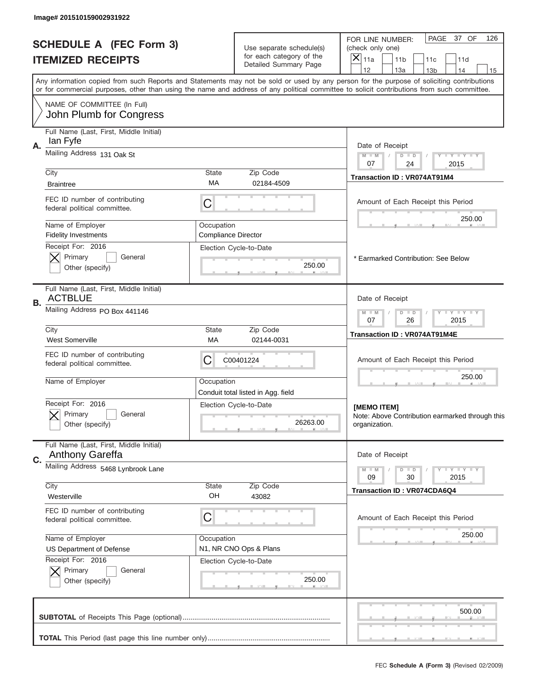|      | Image# 201510159002931922                                     |                                          |                                                      |                                                                                                                                                                                                                                                                                         |
|------|---------------------------------------------------------------|------------------------------------------|------------------------------------------------------|-----------------------------------------------------------------------------------------------------------------------------------------------------------------------------------------------------------------------------------------------------------------------------------------|
|      | <b>SCHEDULE A (FEC Form 3)</b><br><b>ITEMIZED RECEIPTS</b>    |                                          | Use separate schedule(s)<br>for each category of the | PAGE<br>37 OF<br>126<br>FOR LINE NUMBER:<br>(check only one)<br>X<br>11a<br>11 <sub>b</sub><br>11c<br>11d                                                                                                                                                                               |
|      |                                                               |                                          | Detailed Summary Page                                | 12<br>13a<br>14<br>13 <sub>b</sub><br>15                                                                                                                                                                                                                                                |
|      |                                                               |                                          |                                                      | Any information copied from such Reports and Statements may not be sold or used by any person for the purpose of soliciting contributions<br>or for commercial purposes, other than using the name and address of any political committee to solicit contributions from such committee. |
|      | NAME OF COMMITTEE (In Full)<br>John Plumb for Congress        |                                          |                                                      |                                                                                                                                                                                                                                                                                         |
|      | Full Name (Last, First, Middle Initial)                       |                                          |                                                      |                                                                                                                                                                                                                                                                                         |
| Α.   | lan Fyfe                                                      |                                          |                                                      | Date of Receipt                                                                                                                                                                                                                                                                         |
|      | Mailing Address 131 Oak St                                    |                                          |                                                      | $M - M$<br>Y FY FY FY<br>$D$ $D$<br>07<br>24<br>2015                                                                                                                                                                                                                                    |
| City |                                                               | <b>State</b><br>МA                       | Zip Code                                             | Transaction ID: VR074AT91M4                                                                                                                                                                                                                                                             |
|      | <b>Braintree</b>                                              |                                          | 02184-4509                                           |                                                                                                                                                                                                                                                                                         |
|      | FEC ID number of contributing<br>federal political committee. | С                                        |                                                      | Amount of Each Receipt this Period<br>250.00                                                                                                                                                                                                                                            |
|      | Name of Employer<br><b>Fidelity Investments</b>               | Occupation<br><b>Compliance Director</b> |                                                      |                                                                                                                                                                                                                                                                                         |
|      | Receipt For: 2016                                             |                                          | Election Cycle-to-Date                               |                                                                                                                                                                                                                                                                                         |
|      | Primary<br>General<br>Other (specify)                         |                                          | 250.00                                               | * Earmarked Contribution: See Below                                                                                                                                                                                                                                                     |
|      |                                                               |                                          |                                                      |                                                                                                                                                                                                                                                                                         |
| В.   | Full Name (Last, First, Middle Initial)<br><b>ACTBLUE</b>     |                                          |                                                      | Date of Receipt                                                                                                                                                                                                                                                                         |
|      | Mailing Address PO Box 441146                                 |                                          |                                                      | <b>LY LY LY</b><br>$M - M$<br>$D$ $D$<br>07<br>26<br>2015                                                                                                                                                                                                                               |
| City | <b>West Somerville</b>                                        | <b>State</b><br>МA                       | Zip Code<br>02144-0031                               | <b>Transaction ID: VR074AT91M4E</b>                                                                                                                                                                                                                                                     |
|      | FEC ID number of contributing<br>federal political committee. | C                                        | C00401224                                            | Amount of Each Receipt this Period                                                                                                                                                                                                                                                      |
|      | Name of Employer                                              | Occupation                               | Conduit total listed in Agg. field                   | 250.00                                                                                                                                                                                                                                                                                  |
|      | Receipt For: 2016                                             |                                          | Election Cycle-to-Date                               | [MEMO ITEM]                                                                                                                                                                                                                                                                             |
|      | General<br>Primary<br>Other (specify)                         |                                          | 26263.00                                             | Note: Above Contribution earmarked through this<br>organization.                                                                                                                                                                                                                        |
|      | Full Name (Last, First, Middle Initial)                       |                                          |                                                      |                                                                                                                                                                                                                                                                                         |
| C.   | <b>Anthony Gareffa</b>                                        |                                          |                                                      | Date of Receipt                                                                                                                                                                                                                                                                         |
|      | Mailing Address 5468 Lynbrook Lane                            |                                          |                                                      | $I - Y - I - Y - I - Y$<br>$M - M$<br>$D$ $D$<br>2015<br>09<br>30                                                                                                                                                                                                                       |
| City |                                                               | <b>State</b><br>OH                       | Zip Code                                             | <b>Transaction ID: VR074CDA6Q4</b>                                                                                                                                                                                                                                                      |
|      | Westerville                                                   |                                          | 43082                                                |                                                                                                                                                                                                                                                                                         |
|      | FEC ID number of contributing<br>federal political committee. | C                                        |                                                      | Amount of Each Receipt this Period                                                                                                                                                                                                                                                      |
|      | Name of Employer                                              | Occupation                               |                                                      | 250.00                                                                                                                                                                                                                                                                                  |
|      | US Department of Defense<br>Receipt For: 2016                 |                                          | N1, NR CNO Ops & Plans<br>Election Cycle-to-Date     |                                                                                                                                                                                                                                                                                         |
|      | Primary<br>General                                            |                                          |                                                      |                                                                                                                                                                                                                                                                                         |
|      | Other (specify)                                               |                                          | 250.00                                               |                                                                                                                                                                                                                                                                                         |
|      |                                                               |                                          |                                                      | 500.00                                                                                                                                                                                                                                                                                  |
|      |                                                               |                                          |                                                      |                                                                                                                                                                                                                                                                                         |
|      |                                                               |                                          |                                                      |                                                                                                                                                                                                                                                                                         |
|      |                                                               |                                          |                                                      | FEC Schedule A (Form 3) (Revised 02/2009)                                                                                                                                                                                                                                               |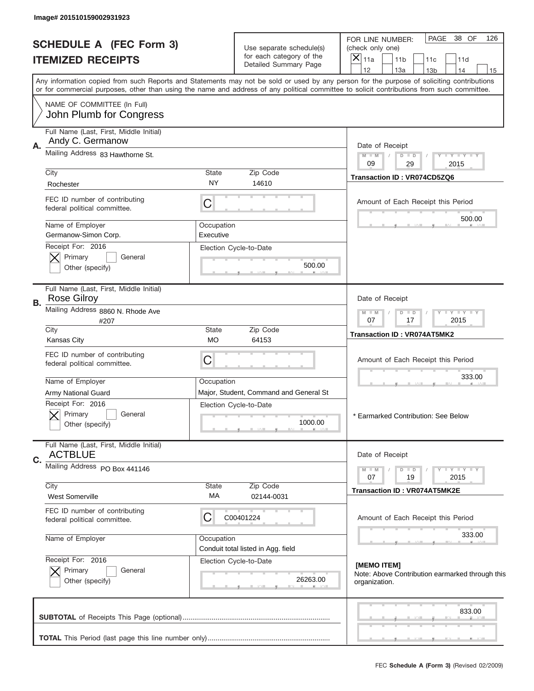| Image# 201510159002931923                                           |                    |                                                   |                                                                                                                                                                                       |
|---------------------------------------------------------------------|--------------------|---------------------------------------------------|---------------------------------------------------------------------------------------------------------------------------------------------------------------------------------------|
| <b>SCHEDULE A (FEC Form 3)</b>                                      |                    | Use separate schedule(s)                          | PAGE<br>38 OF<br>126<br>FOR LINE NUMBER:<br>(check only one)                                                                                                                          |
| <b>ITEMIZED RECEIPTS</b>                                            |                    | for each category of the<br>Detailed Summary Page | $\boldsymbol{\times}$<br>11a<br>11 <sub>b</sub><br>11d<br>11c                                                                                                                         |
|                                                                     |                    |                                                   | 12<br>13a<br>14<br>13 <sub>b</sub><br>15<br>Any information copied from such Reports and Statements may not be sold or used by any person for the purpose of soliciting contributions |
| NAME OF COMMITTEE (In Full)                                         |                    |                                                   | or for commercial purposes, other than using the name and address of any political committee to solicit contributions from such committee.                                            |
| John Plumb for Congress                                             |                    |                                                   |                                                                                                                                                                                       |
| Full Name (Last, First, Middle Initial)<br>Andy C. Germanow         |                    |                                                   |                                                                                                                                                                                       |
| Α.<br>Mailing Address 83 Hawthorne St.                              |                    |                                                   | Date of Receipt<br>Y TY TY TY<br>$M - M$<br>$D$ $D$                                                                                                                                   |
| City                                                                | State              | Zip Code                                          | 09<br>29<br>2015                                                                                                                                                                      |
| Rochester                                                           | NY.                | 14610                                             | Transaction ID: VR074CD5ZQ6                                                                                                                                                           |
| FEC ID number of contributing<br>federal political committee.       | C                  |                                                   | Amount of Each Receipt this Period                                                                                                                                                    |
| Name of Employer                                                    | Occupation         |                                                   | 500.00                                                                                                                                                                                |
| Germanow-Simon Corp.<br>Receipt For: 2016                           | Executive          | Election Cycle-to-Date                            |                                                                                                                                                                                       |
| Primary<br>General                                                  |                    |                                                   |                                                                                                                                                                                       |
| Other (specify)                                                     |                    | 500.00                                            |                                                                                                                                                                                       |
| Full Name (Last, First, Middle Initial)<br><b>Rose Gilroy</b><br>В. |                    |                                                   | Date of Receipt                                                                                                                                                                       |
| Mailing Address 8860 N. Rhode Ave<br>#207                           |                    |                                                   | Y LY LY LY<br>$M$ M<br>$D$ $D$<br>07<br>17<br>2015                                                                                                                                    |
| City<br><b>Kansas City</b>                                          | <b>State</b><br>МO | Zip Code<br>64153                                 | Transaction ID: VR074AT5MK2                                                                                                                                                           |
| FEC ID number of contributing<br>federal political committee.       | C                  |                                                   | Amount of Each Receipt this Period                                                                                                                                                    |
| Name of Employer                                                    | Occupation         |                                                   | 333.00                                                                                                                                                                                |
| Army National Guard                                                 |                    | Major, Student, Command and General St            |                                                                                                                                                                                       |
| Receipt For: 2016<br>General<br>Primary<br>Other (specify)          |                    | Election Cycle-to-Date<br>1000.00                 | * Earmarked Contribution: See Below                                                                                                                                                   |
| Full Name (Last, First, Middle Initial)<br><b>ACTBLUE</b>           |                    |                                                   | Date of Receipt                                                                                                                                                                       |
| C.<br>Mailing Address PO Box 441146                                 |                    |                                                   | $D$ $D$<br>$T - Y = Y - T Y$<br>$M - M$                                                                                                                                               |
| City                                                                | State              | Zip Code                                          | 19<br>2015<br>07                                                                                                                                                                      |
| <b>West Somerville</b>                                              | МA                 | 02144-0031                                        | <b>Transaction ID: VR074AT5MK2E</b>                                                                                                                                                   |
| FEC ID number of contributing<br>federal political committee.       | C                  | C00401224                                         | Amount of Each Receipt this Period                                                                                                                                                    |
| Name of Employer                                                    | Occupation         | Conduit total listed in Agg. field                | 333.00                                                                                                                                                                                |
| Receipt For: 2016                                                   |                    | Election Cycle-to-Date                            | [MEMO ITEM]                                                                                                                                                                           |
| Primary<br>General<br>Other (specify)                               |                    | 26263.00                                          | Note: Above Contribution earmarked through this<br>organization.                                                                                                                      |
|                                                                     |                    |                                                   | 833.00                                                                                                                                                                                |
|                                                                     |                    |                                                   |                                                                                                                                                                                       |
|                                                                     |                    |                                                   |                                                                                                                                                                                       |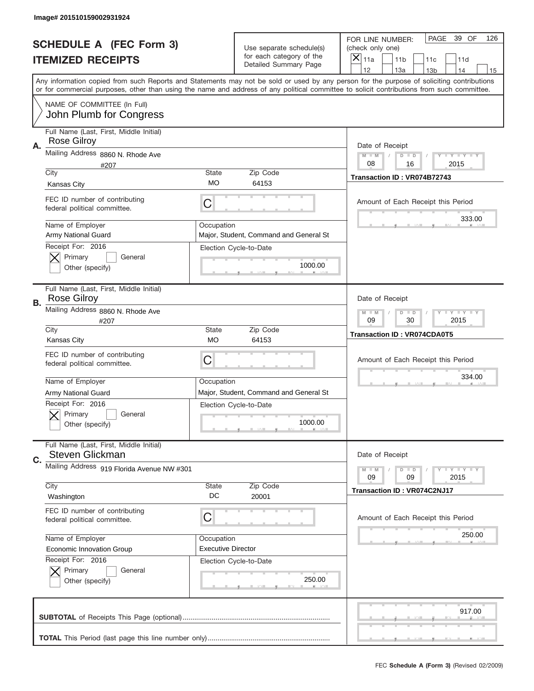|    | Image# 201510159002931924                                     |                           |                                                   |                                                                                                                                                                                                                                                                                                                                     |
|----|---------------------------------------------------------------|---------------------------|---------------------------------------------------|-------------------------------------------------------------------------------------------------------------------------------------------------------------------------------------------------------------------------------------------------------------------------------------------------------------------------------------|
|    | <b>SCHEDULE A (FEC Form 3)</b>                                |                           | Use separate schedule(s)                          | PAGE<br>39 OF<br>126<br>FOR LINE NUMBER:<br>(check only one)                                                                                                                                                                                                                                                                        |
|    | <b>ITEMIZED RECEIPTS</b>                                      |                           | for each category of the<br>Detailed Summary Page | ×<br>11a<br>11 <sub>b</sub><br>11c<br>11d                                                                                                                                                                                                                                                                                           |
|    |                                                               |                           |                                                   | 12<br>13a<br>14<br>13 <sub>b</sub><br>15<br>Any information copied from such Reports and Statements may not be sold or used by any person for the purpose of soliciting contributions<br>or for commercial purposes, other than using the name and address of any political committee to solicit contributions from such committee. |
|    | NAME OF COMMITTEE (In Full)<br>John Plumb for Congress        |                           |                                                   |                                                                                                                                                                                                                                                                                                                                     |
| Α. | Full Name (Last, First, Middle Initial)<br><b>Rose Gilroy</b> |                           |                                                   | Date of Receipt                                                                                                                                                                                                                                                                                                                     |
|    | Mailing Address 8860 N. Rhode Ave<br>#207                     |                           |                                                   | $M - M$<br><b>LYLYLY</b><br>$D$ $D$<br>08<br>16<br>2015                                                                                                                                                                                                                                                                             |
|    | City<br><b>Kansas City</b>                                    | State<br>МO               | Zip Code<br>64153                                 | Transaction ID: VR074B72743                                                                                                                                                                                                                                                                                                         |
|    | FEC ID number of contributing<br>federal political committee. | C                         |                                                   | Amount of Each Receipt this Period<br>333.00                                                                                                                                                                                                                                                                                        |
|    | Name of Employer<br><b>Army National Guard</b>                | Occupation                | Major, Student, Command and General St            |                                                                                                                                                                                                                                                                                                                                     |
|    | Receipt For: 2016<br>Primary<br>General<br>Other (specify)    |                           | Election Cycle-to-Date<br>1000.00                 |                                                                                                                                                                                                                                                                                                                                     |
| В. | Full Name (Last, First, Middle Initial)<br><b>Rose Gilroy</b> |                           |                                                   | Date of Receipt                                                                                                                                                                                                                                                                                                                     |
|    | Mailing Address 8860 N. Rhode Ave<br>#207                     |                           |                                                   | $M - M$<br><b>LEYTEY LEY</b><br>$D$ $D$<br>09<br>30<br>2015                                                                                                                                                                                                                                                                         |
|    | City<br><b>Kansas City</b>                                    | State<br><b>MO</b>        | Zip Code<br>64153                                 | <b>Transaction ID: VR074CDA0T5</b>                                                                                                                                                                                                                                                                                                  |
|    |                                                               |                           |                                                   |                                                                                                                                                                                                                                                                                                                                     |
|    | FEC ID number of contributing<br>federal political committee. | C                         |                                                   | Amount of Each Receipt this Period                                                                                                                                                                                                                                                                                                  |
|    | Name of Employer                                              | Occupation                |                                                   | 334.00                                                                                                                                                                                                                                                                                                                              |
|    | <b>Army National Guard</b>                                    |                           | Major, Student, Command and General St            |                                                                                                                                                                                                                                                                                                                                     |
|    | Receipt For: 2016<br>Primary<br>General<br>Other (specify)    |                           | Election Cycle-to-Date<br>1000.00                 |                                                                                                                                                                                                                                                                                                                                     |
| C. | Full Name (Last, First, Middle Initial)<br>Steven Glickman    |                           |                                                   | Date of Receipt                                                                                                                                                                                                                                                                                                                     |
|    | Mailing Address 919 Florida Avenue NW #301                    |                           |                                                   | <b>LEY LEY LEY</b><br>$M - M$<br>$D$ $D$<br>09<br>09<br>2015                                                                                                                                                                                                                                                                        |
|    | City<br>Washington                                            | State<br>DC               | Zip Code<br>20001                                 | Transaction ID: VR074C2NJ17                                                                                                                                                                                                                                                                                                         |
|    | FEC ID number of contributing<br>federal political committee. | C                         |                                                   | Amount of Each Receipt this Period                                                                                                                                                                                                                                                                                                  |
|    | Name of Employer                                              | Occupation                |                                                   | 250.00                                                                                                                                                                                                                                                                                                                              |
|    | Economic Innovation Group                                     | <b>Executive Director</b> |                                                   |                                                                                                                                                                                                                                                                                                                                     |
|    | Receipt For: 2016<br>Primary<br>General<br>Other (specify)    |                           | Election Cycle-to-Date<br>250.00                  |                                                                                                                                                                                                                                                                                                                                     |
|    |                                                               |                           |                                                   | 917.00                                                                                                                                                                                                                                                                                                                              |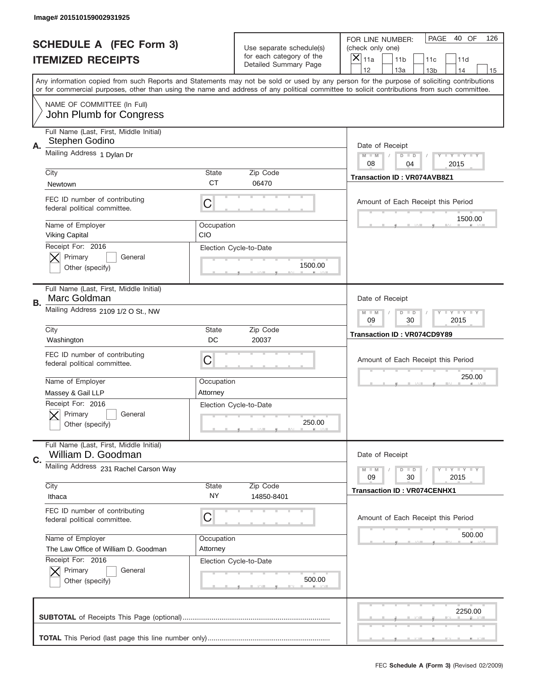|    | Image# 201510159002931925                                                       |                     |                                                      |                                                                                                                                                                                                                                                                                                                               |
|----|---------------------------------------------------------------------------------|---------------------|------------------------------------------------------|-------------------------------------------------------------------------------------------------------------------------------------------------------------------------------------------------------------------------------------------------------------------------------------------------------------------------------|
|    | <b>SCHEDULE A (FEC Form 3)</b>                                                  |                     | Use separate schedule(s)<br>for each category of the | PAGE<br>40 OF<br>126<br>FOR LINE NUMBER:<br>(check only one)                                                                                                                                                                                                                                                                  |
|    | <b>ITEMIZED RECEIPTS</b>                                                        |                     | Detailed Summary Page                                | ×<br>11a<br>11 <sub>b</sub><br>11c<br>11d<br>12                                                                                                                                                                                                                                                                               |
|    |                                                                                 |                     |                                                      | 13a<br>14<br>13 <sub>b</sub><br>15<br>Any information copied from such Reports and Statements may not be sold or used by any person for the purpose of soliciting contributions<br>or for commercial purposes, other than using the name and address of any political committee to solicit contributions from such committee. |
|    | NAME OF COMMITTEE (In Full)<br>John Plumb for Congress                          |                     |                                                      |                                                                                                                                                                                                                                                                                                                               |
| Α. | Full Name (Last, First, Middle Initial)<br>Stephen Godino                       |                     |                                                      | Date of Receipt                                                                                                                                                                                                                                                                                                               |
|    | Mailing Address 1 Dylan Dr                                                      |                     |                                                      | $M - M$<br><b>LEY LEY LEY</b><br>$D$ $D$<br>08<br>04<br>2015                                                                                                                                                                                                                                                                  |
|    | City<br>Newtown                                                                 | State<br><b>CT</b>  | Zip Code<br>06470                                    | Transaction ID: VR074AVB8Z1                                                                                                                                                                                                                                                                                                   |
|    | FEC ID number of contributing<br>federal political committee.                   | C                   |                                                      | Amount of Each Receipt this Period                                                                                                                                                                                                                                                                                            |
|    | Name of Employer<br><b>Viking Capital</b>                                       | Occupation<br>CIO   |                                                      | 1500.00                                                                                                                                                                                                                                                                                                                       |
|    | Receipt For: 2016<br>Primary<br>General<br>Other (specify)                      |                     | Election Cycle-to-Date<br>1500.00                    |                                                                                                                                                                                                                                                                                                                               |
| В. | Full Name (Last, First, Middle Initial)<br>Marc Goldman                         |                     |                                                      | Date of Receipt                                                                                                                                                                                                                                                                                                               |
|    | Mailing Address 2109 1/2 O St., NW                                              |                     |                                                      | $M$ M<br><b>LYLYLY</b><br>$D$ $D$<br>09<br>30<br>2015                                                                                                                                                                                                                                                                         |
|    | City<br>Washington                                                              | State<br>DC         | Zip Code<br>20037                                    | <b>Transaction ID: VR074CD9Y89</b>                                                                                                                                                                                                                                                                                            |
|    |                                                                                 |                     |                                                      |                                                                                                                                                                                                                                                                                                                               |
|    | FEC ID number of contributing<br>federal political committee.                   | C                   |                                                      | Amount of Each Receipt this Period                                                                                                                                                                                                                                                                                            |
|    | Name of Employer                                                                | Occupation          |                                                      | 250.00                                                                                                                                                                                                                                                                                                                        |
|    | Massey & Gail LLP<br>Receipt For: 2016<br>General<br>Primary<br>Other (specify) | Attorney            | Election Cycle-to-Date<br>250.00                     |                                                                                                                                                                                                                                                                                                                               |
| C. | Full Name (Last, First, Middle Initial)<br>William D. Goodman                   |                     |                                                      | Date of Receipt                                                                                                                                                                                                                                                                                                               |
|    | Mailing Address 231 Rachel Carson Way                                           |                     |                                                      | <b>LEY LEY LEY</b><br>$M - M$<br>$D$ $D$<br>09<br>2015<br>30                                                                                                                                                                                                                                                                  |
|    | City<br>Ithaca                                                                  | <b>State</b><br>NY. | Zip Code<br>14850-8401                               | <b>Transaction ID: VR074CENHX1</b>                                                                                                                                                                                                                                                                                            |
|    | FEC ID number of contributing<br>federal political committee.                   | C                   |                                                      | Amount of Each Receipt this Period                                                                                                                                                                                                                                                                                            |
|    | Name of Employer                                                                | Occupation          |                                                      | 500.00                                                                                                                                                                                                                                                                                                                        |
|    | The Law Office of William D. Goodman<br>Receipt For: 2016                       | Attorney            | Election Cycle-to-Date                               |                                                                                                                                                                                                                                                                                                                               |
|    | Primary<br>General<br>Other (specify)                                           |                     | 500.00                                               |                                                                                                                                                                                                                                                                                                                               |
|    |                                                                                 |                     |                                                      | 2250.00                                                                                                                                                                                                                                                                                                                       |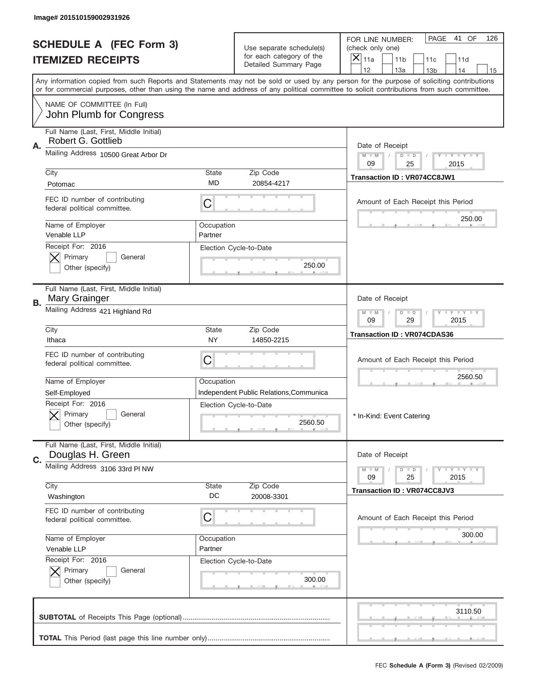|    | Image# 201510159002931926                                     |                    |                                                                               |                                                                                                                                                                                       |
|----|---------------------------------------------------------------|--------------------|-------------------------------------------------------------------------------|---------------------------------------------------------------------------------------------------------------------------------------------------------------------------------------|
|    | <b>SCHEDULE A (FEC Form 3)</b><br><b>ITEMIZED RECEIPTS</b>    |                    | Use separate schedule(s)<br>for each category of the<br>Detailed Summary Page | PAGE<br>41 OF<br>126<br>FOR LINE NUMBER:<br>(check only one)<br>$\overline{\mathsf{x}}$<br>11a<br>11 <sub>b</sub><br>11c<br>11d                                                       |
|    |                                                               |                    |                                                                               | 12<br>13a<br>14<br>13 <sub>b</sub><br>15<br>Any information copied from such Reports and Statements may not be sold or used by any person for the purpose of soliciting contributions |
|    |                                                               |                    |                                                                               | or for commercial purposes, other than using the name and address of any political committee to solicit contributions from such committee.                                            |
|    | NAME OF COMMITTEE (In Full)<br>John Plumb for Congress        |                    |                                                                               |                                                                                                                                                                                       |
|    | Full Name (Last, First, Middle Initial)<br>Robert G. Gottlieb |                    |                                                                               |                                                                                                                                                                                       |
| Α. | Mailing Address 10500 Great Arbor Dr                          |                    |                                                                               | Date of Receipt<br>$M - M$<br>Y FY FY FY<br>$D$ $D$                                                                                                                                   |
|    |                                                               | State              | Zip Code                                                                      | 09<br>25<br>2015                                                                                                                                                                      |
|    | City<br>Potomac                                               | <b>MD</b>          | 20854-4217                                                                    | Transaction ID: VR074CC8JW1                                                                                                                                                           |
|    | FEC ID number of contributing<br>federal political committee. | C                  |                                                                               | Amount of Each Receipt this Period                                                                                                                                                    |
|    | Name of Employer                                              | Occupation         |                                                                               | 250.00                                                                                                                                                                                |
|    | Venable LLP<br>Receipt For: 2016                              | Partner            |                                                                               |                                                                                                                                                                                       |
|    | Primary<br>General                                            |                    | Election Cycle-to-Date                                                        |                                                                                                                                                                                       |
|    | Other (specify)                                               |                    | 250.00                                                                        |                                                                                                                                                                                       |
| В. | Full Name (Last, First, Middle Initial)<br>Mary Grainger      |                    |                                                                               | Date of Receipt                                                                                                                                                                       |
|    | Mailing Address 421 Highland Rd                               |                    |                                                                               | <b>LY LY LY</b><br>$M - M$<br>$D$ $D$<br>09<br>29<br>2015                                                                                                                             |
|    | City<br>Ithaca                                                | State<br><b>NY</b> | Zip Code<br>14850-2215                                                        | <b>Transaction ID: VR074CDAS36</b>                                                                                                                                                    |
|    | FEC ID number of contributing<br>federal political committee. | C                  |                                                                               | Amount of Each Receipt this Period                                                                                                                                                    |
|    | Name of Employer                                              | Occupation         |                                                                               | 2560.50                                                                                                                                                                               |
|    | Self-Employed                                                 |                    | Independent Public Relations, Communica                                       |                                                                                                                                                                                       |
|    | Receipt For: 2016<br>General<br>Primary<br>Other (specify)    |                    | Election Cycle-to-Date<br>2560.50                                             | * In-Kind: Event Catering                                                                                                                                                             |
|    | Full Name (Last, First, Middle Initial)                       |                    |                                                                               | Date of Receipt                                                                                                                                                                       |
| C. | Douglas H. Green<br>Mailing Address 3106 33rd PI NW           |                    |                                                                               | <b>TEY LY LY</b><br>$M - M$<br>$D$ $D$                                                                                                                                                |
|    |                                                               |                    |                                                                               | 25<br>2015<br>09                                                                                                                                                                      |
|    | City<br>Washington                                            | State<br>DC        | Zip Code<br>20008-3301                                                        | Transaction ID: VR074CC8JV3                                                                                                                                                           |
|    | FEC ID number of contributing<br>federal political committee. | C                  |                                                                               | Amount of Each Receipt this Period                                                                                                                                                    |
|    | Name of Employer                                              | Occupation         |                                                                               | 300.00                                                                                                                                                                                |
|    | Venable LLP<br>Receipt For: 2016                              | Partner            | Election Cycle-to-Date                                                        |                                                                                                                                                                                       |
|    | Primary<br>General                                            |                    |                                                                               |                                                                                                                                                                                       |
|    | Other (specify)                                               |                    | 300.00                                                                        |                                                                                                                                                                                       |
|    |                                                               |                    |                                                                               | 3110.50                                                                                                                                                                               |
|    |                                                               |                    |                                                                               |                                                                                                                                                                                       |
|    |                                                               |                    |                                                                               | FEC Schedule A (Form 3) (Revised 02/2009)                                                                                                                                             |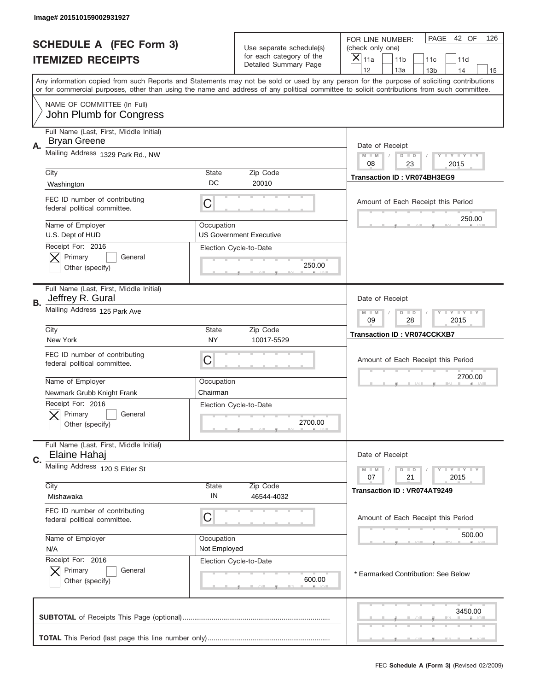|    | Image# 201510159002931927                                     |                    |                                                      |                                                                                                                                                                                                                                                                                         |
|----|---------------------------------------------------------------|--------------------|------------------------------------------------------|-----------------------------------------------------------------------------------------------------------------------------------------------------------------------------------------------------------------------------------------------------------------------------------------|
|    | <b>SCHEDULE A (FEC Form 3)</b><br><b>ITEMIZED RECEIPTS</b>    |                    | Use separate schedule(s)<br>for each category of the | PAGE<br>42 OF<br>126<br>FOR LINE NUMBER:<br>(check only one)<br>×<br>11a<br>11 <sub>b</sub><br>11c<br>11d                                                                                                                                                                               |
|    |                                                               |                    | Detailed Summary Page                                | 12<br>13a<br>14<br>13 <sub>b</sub><br>15                                                                                                                                                                                                                                                |
|    |                                                               |                    |                                                      | Any information copied from such Reports and Statements may not be sold or used by any person for the purpose of soliciting contributions<br>or for commercial purposes, other than using the name and address of any political committee to solicit contributions from such committee. |
|    | NAME OF COMMITTEE (In Full)<br>John Plumb for Congress        |                    |                                                      |                                                                                                                                                                                                                                                                                         |
|    | Full Name (Last, First, Middle Initial)                       |                    |                                                      |                                                                                                                                                                                                                                                                                         |
| Α. | <b>Bryan Greene</b>                                           |                    |                                                      | Date of Receipt                                                                                                                                                                                                                                                                         |
|    | Mailing Address 1329 Park Rd., NW                             |                    |                                                      | $M - M$<br><b>LY LY LY</b><br>$D$ $D$<br>08<br>23<br>2015                                                                                                                                                                                                                               |
|    | City                                                          | State<br>DC        | Zip Code<br>20010                                    | <b>Transaction ID: VR074BH3EG9</b>                                                                                                                                                                                                                                                      |
|    | Washington                                                    |                    |                                                      |                                                                                                                                                                                                                                                                                         |
|    | FEC ID number of contributing<br>federal political committee. | C                  |                                                      | Amount of Each Receipt this Period<br>250.00                                                                                                                                                                                                                                            |
|    | Name of Employer<br>U.S. Dept of HUD                          | Occupation         | <b>US Government Executive</b>                       |                                                                                                                                                                                                                                                                                         |
|    | Receipt For: 2016                                             |                    | Election Cycle-to-Date                               |                                                                                                                                                                                                                                                                                         |
|    | Primary<br>General                                            |                    |                                                      |                                                                                                                                                                                                                                                                                         |
|    | Other (specify)                                               |                    | 250.00                                               |                                                                                                                                                                                                                                                                                         |
| В. | Full Name (Last, First, Middle Initial)<br>Jeffrey R. Gural   |                    |                                                      | Date of Receipt                                                                                                                                                                                                                                                                         |
|    | Mailing Address 125 Park Ave                                  |                    |                                                      | <b>LEY LEY LEY</b><br>$M - M$<br>$D$ $D$<br>09<br>28<br>2015                                                                                                                                                                                                                            |
|    | City<br>New York                                              | State<br><b>NY</b> | Zip Code<br>10017-5529                               | <b>Transaction ID: VR074CCKXB7</b>                                                                                                                                                                                                                                                      |
|    | FEC ID number of contributing<br>federal political committee. | C                  |                                                      | Amount of Each Receipt this Period                                                                                                                                                                                                                                                      |
|    | Name of Employer                                              | Occupation         |                                                      | 2700.00                                                                                                                                                                                                                                                                                 |
|    | Newmark Grubb Knight Frank                                    | Chairman           |                                                      |                                                                                                                                                                                                                                                                                         |
|    | Receipt For: 2016<br>General<br>Primary<br>Other (specify)    |                    | Election Cycle-to-Date<br>2700.00                    |                                                                                                                                                                                                                                                                                         |
|    | Full Name (Last, First, Middle Initial)                       |                    |                                                      |                                                                                                                                                                                                                                                                                         |
| C. | Elaine Hahaj                                                  |                    |                                                      | Date of Receipt                                                                                                                                                                                                                                                                         |
|    | Mailing Address 120 S Elder St                                |                    |                                                      | $D$ $D$<br><b>LY LY LY</b><br>$M - M$<br>2015<br>07<br>21                                                                                                                                                                                                                               |
|    | City                                                          | State              | Zip Code                                             | <b>Transaction ID: VR074AT9249</b>                                                                                                                                                                                                                                                      |
|    | Mishawaka                                                     | IN                 | 46544-4032                                           |                                                                                                                                                                                                                                                                                         |
|    | FEC ID number of contributing<br>federal political committee. | C                  |                                                      | Amount of Each Receipt this Period                                                                                                                                                                                                                                                      |
|    | Name of Employer                                              | Occupation         |                                                      | 500.00                                                                                                                                                                                                                                                                                  |
|    | N/A<br>Receipt For: 2016                                      | Not Employed       |                                                      |                                                                                                                                                                                                                                                                                         |
|    | Primary<br>General                                            |                    | Election Cycle-to-Date                               | * Earmarked Contribution: See Below                                                                                                                                                                                                                                                     |
|    | Other (specify)                                               |                    | 600.00                                               |                                                                                                                                                                                                                                                                                         |
|    |                                                               |                    |                                                      | 3450.00                                                                                                                                                                                                                                                                                 |
|    |                                                               |                    |                                                      |                                                                                                                                                                                                                                                                                         |
|    |                                                               |                    |                                                      | FEC Schedule A (Form 3) (Revised 02/2009)                                                                                                                                                                                                                                               |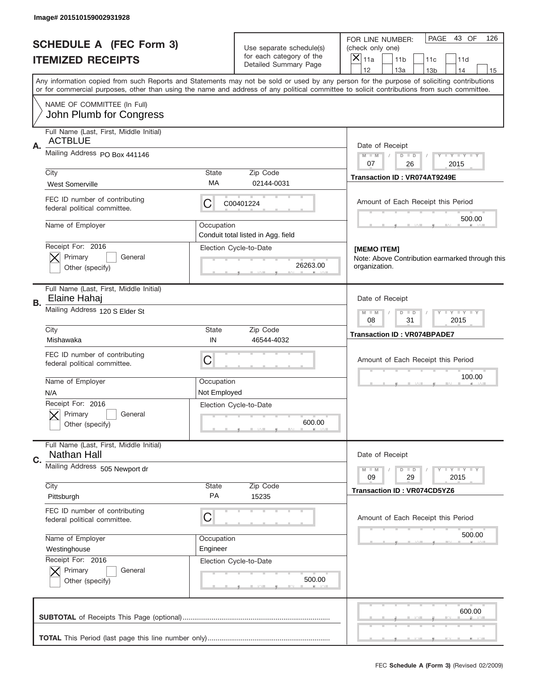| Image# 201510159002931928                                                                                                                                                                                                                                                               |                                |                    |                                                      |                                                |                                                 |                        |                             |     |
|-----------------------------------------------------------------------------------------------------------------------------------------------------------------------------------------------------------------------------------------------------------------------------------------|--------------------------------|--------------------|------------------------------------------------------|------------------------------------------------|-------------------------------------------------|------------------------|-----------------------------|-----|
|                                                                                                                                                                                                                                                                                         | <b>SCHEDULE A (FEC Form 3)</b> |                    | Use separate schedule(s)<br>for each category of the | FOR LINE NUMBER:<br>(check only one)           |                                                 |                        | PAGE 43 OF                  | 126 |
| <b>ITEMIZED RECEIPTS</b>                                                                                                                                                                                                                                                                |                                |                    | Detailed Summary Page                                | $ \mathsf{\overline{X}} _{\mathsf{11a}}$<br>12 | 11 <sub>b</sub><br>13a                          | 11c<br>13 <sub>b</sub> | 11d<br>14                   | 15  |
| Any information copied from such Reports and Statements may not be sold or used by any person for the purpose of soliciting contributions<br>or for commercial purposes, other than using the name and address of any political committee to solicit contributions from such committee. |                                |                    |                                                      |                                                |                                                 |                        |                             |     |
| NAME OF COMMITTEE (In Full)                                                                                                                                                                                                                                                             | John Plumb for Congress        |                    |                                                      |                                                |                                                 |                        |                             |     |
| Full Name (Last, First, Middle Initial)                                                                                                                                                                                                                                                 |                                |                    |                                                      |                                                |                                                 |                        |                             |     |
| <b>ACTBLUE</b><br>Α.                                                                                                                                                                                                                                                                    |                                |                    |                                                      |                                                | Date of Receipt                                 |                        |                             |     |
| Mailing Address PO Box 441146                                                                                                                                                                                                                                                           |                                |                    |                                                      | $M$ $M$                                        | $D$ $D$                                         |                        | Y LY LY LY                  |     |
| City                                                                                                                                                                                                                                                                                    |                                | State              | Zip Code                                             | 07                                             | 26                                              |                        | 2015                        |     |
| <b>West Somerville</b>                                                                                                                                                                                                                                                                  |                                | МA                 | 02144-0031                                           |                                                | Transaction ID: VR074AT9249E                    |                        |                             |     |
| FEC ID number of contributing<br>federal political committee.                                                                                                                                                                                                                           |                                | C                  | C00401224                                            |                                                | Amount of Each Receipt this Period              |                        |                             |     |
| Name of Employer                                                                                                                                                                                                                                                                        |                                | Occupation         | Conduit total listed in Agg. field                   |                                                |                                                 |                        | 500.00                      |     |
| Receipt For: 2016                                                                                                                                                                                                                                                                       |                                |                    | Election Cycle-to-Date                               | [MEMO ITEM]                                    |                                                 |                        |                             |     |
| Primary                                                                                                                                                                                                                                                                                 | General                        |                    |                                                      |                                                | Note: Above Contribution earmarked through this |                        |                             |     |
| Other (specify)                                                                                                                                                                                                                                                                         |                                |                    | 26263.00                                             | organization.                                  |                                                 |                        |                             |     |
| Full Name (Last, First, Middle Initial)<br>Elaine Hahaj<br>В.                                                                                                                                                                                                                           |                                |                    |                                                      |                                                | Date of Receipt                                 |                        |                             |     |
| Mailing Address 120 S Elder St                                                                                                                                                                                                                                                          |                                |                    |                                                      | $M - M$<br>08                                  | $D$ $D$<br>31                                   |                        | $Y - Y - Y - Y - Y$<br>2015 |     |
| City<br>Mishawaka                                                                                                                                                                                                                                                                       |                                | State<br>IN        | Zip Code<br>46544-4032                               |                                                | <b>Transaction ID: VR074BPADE7</b>              |                        |                             |     |
| FEC ID number of contributing<br>federal political committee.                                                                                                                                                                                                                           |                                | C                  |                                                      |                                                | Amount of Each Receipt this Period              |                        |                             |     |
| Name of Employer                                                                                                                                                                                                                                                                        |                                | Occupation         |                                                      |                                                |                                                 |                        | 100.00                      |     |
| N/A                                                                                                                                                                                                                                                                                     |                                | Not Employed       |                                                      |                                                |                                                 |                        |                             |     |
| Receipt For: 2016                                                                                                                                                                                                                                                                       |                                |                    | Election Cycle-to-Date                               |                                                |                                                 |                        |                             |     |
| Primary<br>Other (specify)                                                                                                                                                                                                                                                              | General                        |                    | 600.00                                               |                                                |                                                 |                        |                             |     |
| Full Name (Last, First, Middle Initial)<br>Nathan Hall                                                                                                                                                                                                                                  |                                |                    |                                                      |                                                | Date of Receipt                                 |                        |                             |     |
| $C_{1}$<br>Mailing Address 505 Newport dr                                                                                                                                                                                                                                               |                                |                    |                                                      |                                                |                                                 |                        |                             |     |
|                                                                                                                                                                                                                                                                                         |                                |                    |                                                      | $M - M$<br>09                                  | $D$ $D$<br>29                                   |                        | $T$ $Y$ $Y$ $Y$ $Y$<br>2015 |     |
| City<br>Pittsburgh                                                                                                                                                                                                                                                                      |                                | <b>State</b><br>PA | Zip Code<br>15235                                    |                                                | <b>Transaction ID: VR074CD5YZ6</b>              |                        |                             |     |
| FEC ID number of contributing                                                                                                                                                                                                                                                           |                                | C                  |                                                      |                                                |                                                 |                        |                             |     |
| federal political committee.                                                                                                                                                                                                                                                            |                                |                    |                                                      |                                                | Amount of Each Receipt this Period              |                        |                             |     |
| Name of Employer                                                                                                                                                                                                                                                                        |                                | Occupation         |                                                      |                                                |                                                 |                        | 500.00                      |     |
| Westinghouse                                                                                                                                                                                                                                                                            |                                | Engineer           |                                                      |                                                |                                                 |                        |                             |     |
| Receipt For: 2016<br>Primary                                                                                                                                                                                                                                                            | General                        |                    | Election Cycle-to-Date                               |                                                |                                                 |                        |                             |     |
| Other (specify)                                                                                                                                                                                                                                                                         |                                |                    | 500.00                                               |                                                |                                                 |                        |                             |     |
|                                                                                                                                                                                                                                                                                         |                                |                    |                                                      |                                                |                                                 |                        | 600.00                      |     |
|                                                                                                                                                                                                                                                                                         |                                |                    |                                                      |                                                |                                                 |                        |                             |     |
|                                                                                                                                                                                                                                                                                         |                                |                    |                                                      |                                                |                                                 |                        |                             |     |
|                                                                                                                                                                                                                                                                                         |                                |                    |                                                      |                                                | FEC Schedule A (Form 3) (Revised 02/2009)       |                        |                             |     |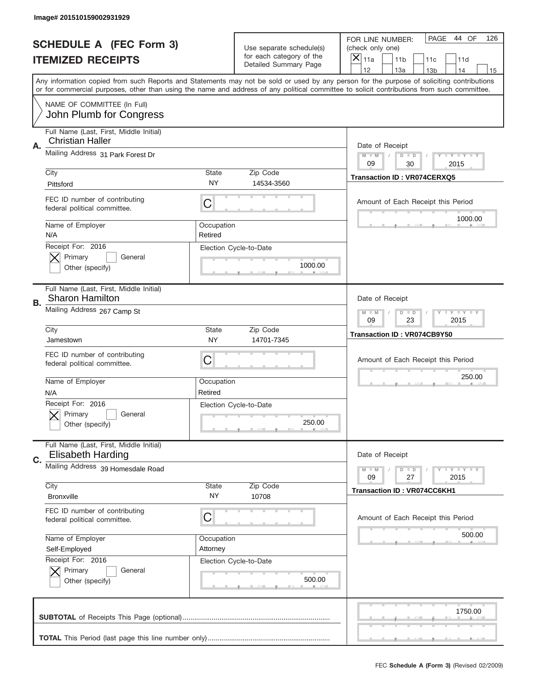|    | Image# 201510159002931929                                           |                        |                                                      |                                                                                                                                                                                                                                                                                         |
|----|---------------------------------------------------------------------|------------------------|------------------------------------------------------|-----------------------------------------------------------------------------------------------------------------------------------------------------------------------------------------------------------------------------------------------------------------------------------------|
|    | <b>SCHEDULE A (FEC Form 3)</b>                                      |                        | Use separate schedule(s)<br>for each category of the | PAGE<br>44 OF<br>126<br>FOR LINE NUMBER:<br>(check only one)                                                                                                                                                                                                                            |
|    | <b>ITEMIZED RECEIPTS</b>                                            |                        | Detailed Summary Page                                | $\overline{\mathsf{x}}$<br>11a<br>11 <sub>b</sub><br>11c<br>11d<br>12<br>13a<br>14<br>13 <sub>b</sub><br>15                                                                                                                                                                             |
|    |                                                                     |                        |                                                      | Any information copied from such Reports and Statements may not be sold or used by any person for the purpose of soliciting contributions<br>or for commercial purposes, other than using the name and address of any political committee to solicit contributions from such committee. |
|    | NAME OF COMMITTEE (In Full)<br>John Plumb for Congress              |                        |                                                      |                                                                                                                                                                                                                                                                                         |
| Α. | Full Name (Last, First, Middle Initial)<br><b>Christian Haller</b>  |                        |                                                      | Date of Receipt                                                                                                                                                                                                                                                                         |
|    | Mailing Address 31 Park Forest Dr                                   |                        |                                                      | Y TY TY TY<br>$M - M$<br>$D$ $D$<br>09<br>30<br>2015                                                                                                                                                                                                                                    |
|    | City<br>Pittsford                                                   | State<br><b>NY</b>     | Zip Code<br>14534-3560                               | Transaction ID: VR074CERXQ5                                                                                                                                                                                                                                                             |
|    | FEC ID number of contributing<br>federal political committee.       | C                      |                                                      | Amount of Each Receipt this Period<br>1000.00                                                                                                                                                                                                                                           |
|    | Name of Employer<br>N/A                                             | Occupation<br>Retired  |                                                      |                                                                                                                                                                                                                                                                                         |
|    | Receipt For: 2016<br>Primary<br>General<br>Other (specify)          |                        | Election Cycle-to-Date<br>1000.00                    |                                                                                                                                                                                                                                                                                         |
| В. | Full Name (Last, First, Middle Initial)<br>Sharon Hamilton          |                        |                                                      | Date of Receipt                                                                                                                                                                                                                                                                         |
|    | Mailing Address 267 Camp St                                         |                        |                                                      | $T$ $Y$ $T$ $Y$ $T$ $Y$<br>$M - M$<br>$D$ $D$<br>09<br>23<br>2015                                                                                                                                                                                                                       |
|    | City<br>Jamestown                                                   | State<br><b>NY</b>     | Zip Code<br>14701-7345                               | Transaction ID: VR074CB9Y50                                                                                                                                                                                                                                                             |
|    | FEC ID number of contributing<br>federal political committee.       | C                      |                                                      | Amount of Each Receipt this Period                                                                                                                                                                                                                                                      |
|    | Name of Employer<br>N/A                                             | Occupation<br>Retired  |                                                      | 250.00                                                                                                                                                                                                                                                                                  |
|    | Receipt For: 2016<br>General<br>Primary<br>Other (specify)          |                        | Election Cycle-to-Date<br>250.00                     |                                                                                                                                                                                                                                                                                         |
| C. | Full Name (Last, First, Middle Initial)<br><b>Elisabeth Harding</b> |                        |                                                      | Date of Receipt                                                                                                                                                                                                                                                                         |
|    | Mailing Address 39 Homesdale Road                                   |                        |                                                      | <b>TEY LY LY</b><br>$M - M$<br>$D$ $D$<br>27<br>2015<br>09                                                                                                                                                                                                                              |
|    | City<br><b>Bronxville</b>                                           | State<br>NY            | Zip Code<br>10708                                    | <b>Transaction ID: VR074CC6KH1</b>                                                                                                                                                                                                                                                      |
|    | FEC ID number of contributing<br>federal political committee.       | C                      |                                                      | Amount of Each Receipt this Period                                                                                                                                                                                                                                                      |
|    | Name of Employer<br>Self-Employed                                   | Occupation<br>Attorney |                                                      | 500.00                                                                                                                                                                                                                                                                                  |
|    | Receipt For: 2016<br>Primary<br>General<br>Other (specify)          |                        | Election Cycle-to-Date<br>500.00                     |                                                                                                                                                                                                                                                                                         |
|    |                                                                     |                        |                                                      | 1750.00                                                                                                                                                                                                                                                                                 |
|    |                                                                     |                        |                                                      |                                                                                                                                                                                                                                                                                         |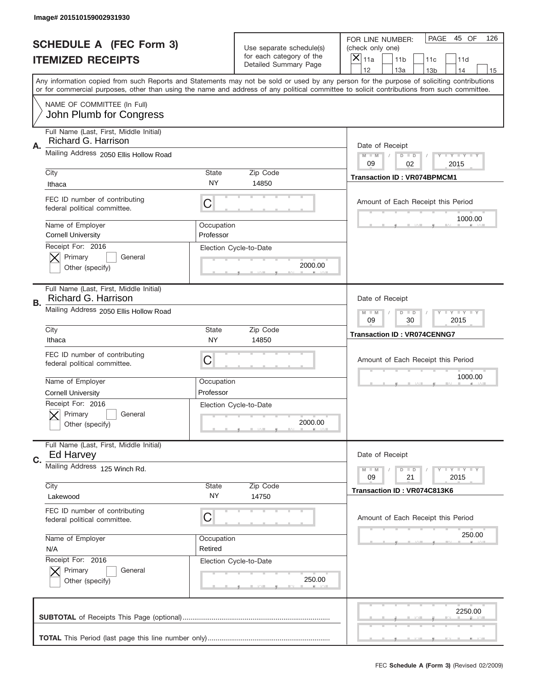|    | Image# 201510159002931930                                      |                         |                                                   |                                                                                                                                                                                                                                                                                                                                     |
|----|----------------------------------------------------------------|-------------------------|---------------------------------------------------|-------------------------------------------------------------------------------------------------------------------------------------------------------------------------------------------------------------------------------------------------------------------------------------------------------------------------------------|
|    | <b>SCHEDULE A (FEC Form 3)</b>                                 |                         | Use separate schedule(s)                          | PAGE<br>45 OF<br>126<br>FOR LINE NUMBER:<br>(check only one)                                                                                                                                                                                                                                                                        |
|    | <b>ITEMIZED RECEIPTS</b>                                       |                         | for each category of the<br>Detailed Summary Page | $\overline{X} _{11a}$<br>11 <sub>b</sub><br>11c<br>11d                                                                                                                                                                                                                                                                              |
|    |                                                                |                         |                                                   | 12<br>13a<br>14<br>13 <sub>b</sub><br>15<br>Any information copied from such Reports and Statements may not be sold or used by any person for the purpose of soliciting contributions<br>or for commercial purposes, other than using the name and address of any political committee to solicit contributions from such committee. |
|    | NAME OF COMMITTEE (In Full)<br>John Plumb for Congress         |                         |                                                   |                                                                                                                                                                                                                                                                                                                                     |
| Α. | Full Name (Last, First, Middle Initial)<br>Richard G. Harrison |                         |                                                   | Date of Receipt                                                                                                                                                                                                                                                                                                                     |
|    | Mailing Address 2050 Ellis Hollow Road                         |                         |                                                   | <b>LYLYLY</b><br>$M - M$<br>$D$ $D$<br>09<br>02<br>2015                                                                                                                                                                                                                                                                             |
|    | City<br>Ithaca                                                 | <b>State</b><br>NY.     | Zip Code<br>14850                                 | <b>Transaction ID: VR074BPMCM1</b>                                                                                                                                                                                                                                                                                                  |
|    | FEC ID number of contributing<br>federal political committee.  | С                       |                                                   | Amount of Each Receipt this Period<br>1000.00                                                                                                                                                                                                                                                                                       |
|    | Name of Employer<br><b>Cornell University</b>                  | Occupation<br>Professor |                                                   |                                                                                                                                                                                                                                                                                                                                     |
|    | Receipt For: 2016<br>Primary<br>General<br>Other (specify)     |                         | Election Cycle-to-Date<br>2000.00                 |                                                                                                                                                                                                                                                                                                                                     |
| В. | Full Name (Last, First, Middle Initial)<br>Richard G. Harrison |                         |                                                   | Date of Receipt                                                                                                                                                                                                                                                                                                                     |
|    | Mailing Address 2050 Ellis Hollow Road                         |                         |                                                   | <b>LY LY LY</b><br>$M - M$<br>$D$ $D$<br>09<br>30<br>2015                                                                                                                                                                                                                                                                           |
|    | City<br>Ithaca                                                 | <b>State</b><br>NY      | Zip Code<br>14850                                 | <b>Transaction ID: VR074CENNG7</b>                                                                                                                                                                                                                                                                                                  |
|    | FEC ID number of contributing<br>federal political committee.  | С                       |                                                   | Amount of Each Receipt this Period                                                                                                                                                                                                                                                                                                  |
|    | Name of Employer<br><b>Cornell University</b>                  | Occupation<br>Professor |                                                   | 1000.00                                                                                                                                                                                                                                                                                                                             |
|    | Receipt For: 2016<br>General<br>Primary<br>Other (specify)     |                         | Election Cycle-to-Date<br>2000.00                 |                                                                                                                                                                                                                                                                                                                                     |
| C. | Full Name (Last, First, Middle Initial)<br>Ed Harvey           |                         |                                                   | Date of Receipt                                                                                                                                                                                                                                                                                                                     |
|    | Mailing Address 125 Winch Rd.<br>City                          | <b>State</b>            | Zip Code                                          | <b>LYLYLY</b><br>$M - M$<br>$D$ $D$<br>21<br>2015<br>09                                                                                                                                                                                                                                                                             |
|    | Lakewood                                                       | NY.                     | 14750                                             | Transaction ID: VR074C813K6                                                                                                                                                                                                                                                                                                         |
|    | FEC ID number of contributing<br>federal political committee.  | С                       |                                                   | Amount of Each Receipt this Period                                                                                                                                                                                                                                                                                                  |
|    | Name of Employer<br>N/A<br>Receipt For: 2016                   | Occupation<br>Retired   |                                                   | 250.00                                                                                                                                                                                                                                                                                                                              |
|    | Primary<br>General<br>Other (specify)                          |                         | Election Cycle-to-Date<br>250.00                  |                                                                                                                                                                                                                                                                                                                                     |
|    |                                                                |                         |                                                   |                                                                                                                                                                                                                                                                                                                                     |
|    |                                                                |                         |                                                   | 2250.00                                                                                                                                                                                                                                                                                                                             |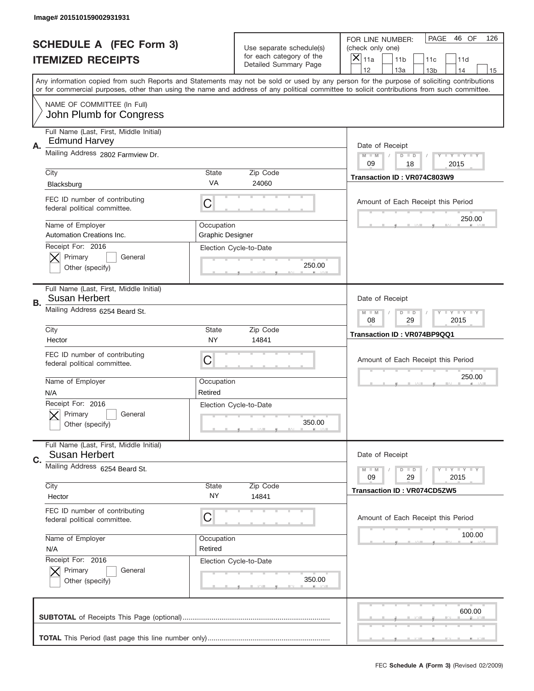|    | Image# 201510159002931931                                       |                                       |                                                      |                                                                                                                                                                                                                                                                                         |
|----|-----------------------------------------------------------------|---------------------------------------|------------------------------------------------------|-----------------------------------------------------------------------------------------------------------------------------------------------------------------------------------------------------------------------------------------------------------------------------------------|
|    | <b>SCHEDULE A (FEC Form 3)</b>                                  |                                       | Use separate schedule(s)<br>for each category of the | PAGE<br>46 OF<br>126<br>FOR LINE NUMBER:<br>(check only one)                                                                                                                                                                                                                            |
|    | <b>ITEMIZED RECEIPTS</b>                                        |                                       | Detailed Summary Page                                | ×<br>11a<br>11 <sub>b</sub><br>11c<br>11d<br>12<br>13a<br>14<br>13 <sub>b</sub><br>15                                                                                                                                                                                                   |
|    |                                                                 |                                       |                                                      | Any information copied from such Reports and Statements may not be sold or used by any person for the purpose of soliciting contributions<br>or for commercial purposes, other than using the name and address of any political committee to solicit contributions from such committee. |
|    | NAME OF COMMITTEE (In Full)<br>John Plumb for Congress          |                                       |                                                      |                                                                                                                                                                                                                                                                                         |
| Α. | Full Name (Last, First, Middle Initial)<br><b>Edmund Harvey</b> |                                       |                                                      | Date of Receipt                                                                                                                                                                                                                                                                         |
|    | Mailing Address 2802 Farmview Dr.                               |                                       |                                                      | $M - M$<br><b>LYLYLY</b><br>$D$ $D$<br>09<br>18<br>2015                                                                                                                                                                                                                                 |
|    | City<br>Blacksburg                                              | State<br>VA                           | Zip Code<br>24060                                    | Transaction ID: VR074C803W9                                                                                                                                                                                                                                                             |
|    | FEC ID number of contributing<br>federal political committee.   | C                                     |                                                      | Amount of Each Receipt this Period                                                                                                                                                                                                                                                      |
|    | Name of Employer<br>Automation Creations Inc.                   | Occupation<br><b>Graphic Designer</b> |                                                      | 250.00                                                                                                                                                                                                                                                                                  |
|    | Receipt For: 2016<br>Primary<br>General<br>Other (specify)      |                                       | Election Cycle-to-Date<br>250.00                     |                                                                                                                                                                                                                                                                                         |
| В. | Full Name (Last, First, Middle Initial)<br>Susan Herbert        |                                       |                                                      | Date of Receipt                                                                                                                                                                                                                                                                         |
|    | Mailing Address 6254 Beard St.                                  |                                       |                                                      | <b>LY LY LY</b><br>$M$ M<br>$D$ $D$<br>08<br>29<br>2015                                                                                                                                                                                                                                 |
|    | City<br>Hector                                                  | State<br><b>NY</b>                    | Zip Code<br>14841                                    | Transaction ID: VR074BP9QQ1                                                                                                                                                                                                                                                             |
|    | FEC ID number of contributing                                   |                                       |                                                      | Amount of Each Receipt this Period                                                                                                                                                                                                                                                      |
|    | federal political committee.                                    | C                                     |                                                      |                                                                                                                                                                                                                                                                                         |
|    | Name of Employer<br>N/A                                         | Occupation<br>Retired                 |                                                      | 250.00                                                                                                                                                                                                                                                                                  |
|    | Receipt For: 2016<br>General<br>Primary<br>Other (specify)      |                                       | Election Cycle-to-Date<br>350.00                     |                                                                                                                                                                                                                                                                                         |
|    | Full Name (Last, First, Middle Initial)<br><b>Susan Herbert</b> |                                       |                                                      | Date of Receipt                                                                                                                                                                                                                                                                         |
| C. | Mailing Address 6254 Beard St.                                  |                                       |                                                      | <b>LY LY LY</b><br>$M - M$<br>$D$ $D$<br>09<br>2015<br>29                                                                                                                                                                                                                               |
|    | City<br>Hector                                                  | <b>State</b><br>NY.                   | Zip Code<br>14841                                    | Transaction ID: VR074CD5ZW5                                                                                                                                                                                                                                                             |
|    | FEC ID number of contributing<br>federal political committee.   | C                                     |                                                      | Amount of Each Receipt this Period                                                                                                                                                                                                                                                      |
|    | Name of Employer<br>N/A                                         | Occupation<br>Retired                 |                                                      | 100.00                                                                                                                                                                                                                                                                                  |
|    | Receipt For: 2016<br>Primary<br>General<br>Other (specify)      |                                       | Election Cycle-to-Date<br>350.00                     |                                                                                                                                                                                                                                                                                         |
|    |                                                                 |                                       |                                                      | 600.00                                                                                                                                                                                                                                                                                  |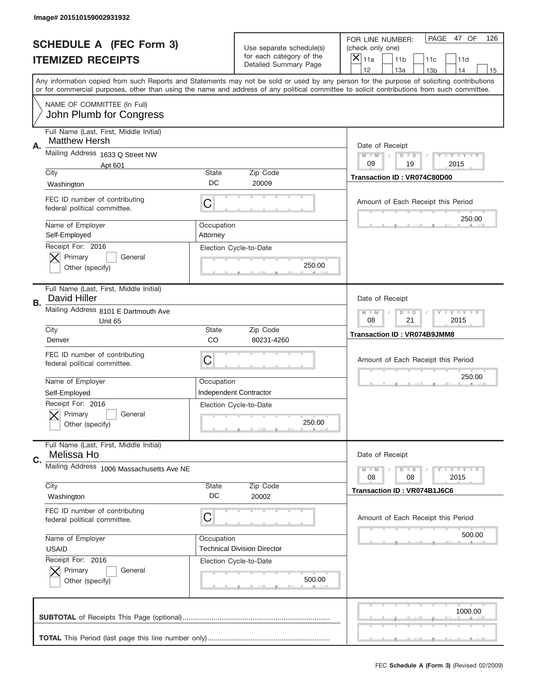|    | Image# 201510159002931932                                       |                        |                                                   |                                                                                                                                                                                                                                                                                                                               |
|----|-----------------------------------------------------------------|------------------------|---------------------------------------------------|-------------------------------------------------------------------------------------------------------------------------------------------------------------------------------------------------------------------------------------------------------------------------------------------------------------------------------|
|    | <b>SCHEDULE A (FEC Form 3)</b>                                  |                        | Use separate schedule(s)                          | PAGE 47 OF<br>126<br>FOR LINE NUMBER:<br>(check only one)                                                                                                                                                                                                                                                                     |
|    | <b>ITEMIZED RECEIPTS</b>                                        |                        | for each category of the<br>Detailed Summary Page | ×<br>11a<br>11 <sub>b</sub><br>11c<br>11d<br>12                                                                                                                                                                                                                                                                               |
|    |                                                                 |                        |                                                   | 13a<br>14<br>13 <sub>b</sub><br>15<br>Any information copied from such Reports and Statements may not be sold or used by any person for the purpose of soliciting contributions<br>or for commercial purposes, other than using the name and address of any political committee to solicit contributions from such committee. |
|    | NAME OF COMMITTEE (In Full)<br>John Plumb for Congress          |                        |                                                   |                                                                                                                                                                                                                                                                                                                               |
| Α. | Full Name (Last, First, Middle Initial)<br><b>Matthew Hersh</b> |                        |                                                   | Date of Receipt                                                                                                                                                                                                                                                                                                               |
|    | Mailing Address 1633 Q Street NW                                |                        |                                                   | $M - M$<br><b>LYLYLY</b><br>$D$ $D$<br>09<br>19<br>2015                                                                                                                                                                                                                                                                       |
|    | Apt 601<br>City                                                 | State                  | Zip Code                                          |                                                                                                                                                                                                                                                                                                                               |
|    | Washington                                                      | DC                     | 20009                                             | Transaction ID: VR074C80D00                                                                                                                                                                                                                                                                                                   |
|    | FEC ID number of contributing<br>federal political committee.   | C                      |                                                   | Amount of Each Receipt this Period                                                                                                                                                                                                                                                                                            |
|    | Name of Employer<br>Self-Employed                               | Occupation<br>Attorney |                                                   | 250.00                                                                                                                                                                                                                                                                                                                        |
|    | Receipt For: 2016<br>Primary<br>General<br>Other (specify)      |                        | Election Cycle-to-Date<br>250.00                  |                                                                                                                                                                                                                                                                                                                               |
| В. | Full Name (Last, First, Middle Initial)<br>David Hiller         |                        |                                                   | Date of Receipt                                                                                                                                                                                                                                                                                                               |
|    | Mailing Address 8101 E Dartmouth Ave<br>Unit 65                 |                        |                                                   | $M - M$<br>$D$ $D$<br><b>LEYTEY LEY</b><br>08<br>21<br>2015                                                                                                                                                                                                                                                                   |
|    | City<br>Denver                                                  | State<br>CO            | Zip Code<br>80231-4260                            | <b>Transaction ID: VR074B9JMM8</b>                                                                                                                                                                                                                                                                                            |
|    |                                                                 |                        |                                                   |                                                                                                                                                                                                                                                                                                                               |
|    | FEC ID number of contributing<br>federal political committee.   | C                      |                                                   | Amount of Each Receipt this Period                                                                                                                                                                                                                                                                                            |
|    | Name of Employer                                                | Occupation             |                                                   | 250.00                                                                                                                                                                                                                                                                                                                        |
|    | Self-Employed                                                   |                        | Independent Contractor                            |                                                                                                                                                                                                                                                                                                                               |
|    | Receipt For: 2016<br>General<br>Primary<br>Other (specify)      |                        | Election Cycle-to-Date<br>250.00                  |                                                                                                                                                                                                                                                                                                                               |
| C. | Full Name (Last, First, Middle Initial)<br>Melissa Ho           |                        |                                                   | Date of Receipt                                                                                                                                                                                                                                                                                                               |
|    | Mailing Address 1006 Massachusetts Ave NE                       |                        |                                                   | <b>LEY LEY LEY</b><br>$M - M$<br>$D$ $D$                                                                                                                                                                                                                                                                                      |
|    | City                                                            | State                  | Zip Code                                          | 08<br>2015<br>08                                                                                                                                                                                                                                                                                                              |
|    | Washington                                                      | DC                     | 20002                                             | Transaction ID: VR074B1J6C6                                                                                                                                                                                                                                                                                                   |
|    | FEC ID number of contributing<br>federal political committee.   | С                      |                                                   | Amount of Each Receipt this Period                                                                                                                                                                                                                                                                                            |
|    | Name of Employer                                                | Occupation             |                                                   | 500.00                                                                                                                                                                                                                                                                                                                        |
|    | <b>USAID</b>                                                    |                        | <b>Technical Division Director</b>                |                                                                                                                                                                                                                                                                                                                               |
|    | Receipt For: 2016<br>Primary<br>General<br>Other (specify)      |                        | Election Cycle-to-Date<br>500.00                  |                                                                                                                                                                                                                                                                                                                               |
|    |                                                                 |                        |                                                   | 1000.00                                                                                                                                                                                                                                                                                                                       |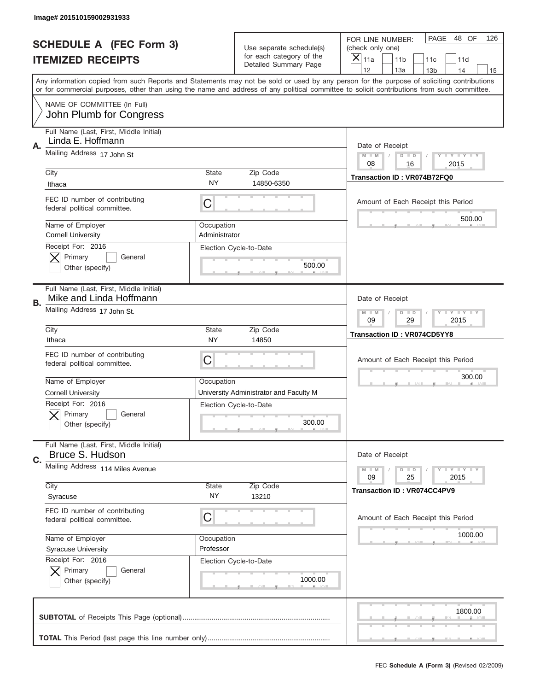|    | Image# 201510159002931933                                                               |                             |                                                                            |                                                                                                                                                                                                                                                                                                                                     |
|----|-----------------------------------------------------------------------------------------|-----------------------------|----------------------------------------------------------------------------|-------------------------------------------------------------------------------------------------------------------------------------------------------------------------------------------------------------------------------------------------------------------------------------------------------------------------------------|
|    | <b>SCHEDULE A (FEC Form 3)</b>                                                          |                             | Use separate schedule(s)                                                   | PAGE<br>48 OF<br>126<br>FOR LINE NUMBER:<br>(check only one)                                                                                                                                                                                                                                                                        |
|    | <b>ITEMIZED RECEIPTS</b>                                                                |                             | for each category of the<br>Detailed Summary Page                          | $\boldsymbol{\times}$<br>11a<br>11 <sub>b</sub><br>11c<br>11d                                                                                                                                                                                                                                                                       |
|    |                                                                                         |                             |                                                                            | 12<br>13a<br>14<br>13 <sub>b</sub><br>15<br>Any information copied from such Reports and Statements may not be sold or used by any person for the purpose of soliciting contributions<br>or for commercial purposes, other than using the name and address of any political committee to solicit contributions from such committee. |
|    | NAME OF COMMITTEE (In Full)<br>John Plumb for Congress                                  |                             |                                                                            |                                                                                                                                                                                                                                                                                                                                     |
| Α. | Full Name (Last, First, Middle Initial)<br>Linda E. Hoffmann                            |                             |                                                                            | Date of Receipt                                                                                                                                                                                                                                                                                                                     |
|    | Mailing Address 17 John St                                                              |                             |                                                                            | <b>LYLYLY</b><br>$M - M$<br>$D$ $D$<br>08<br>16<br>2015                                                                                                                                                                                                                                                                             |
|    | City<br>Ithaca                                                                          | <b>State</b><br>NY.         | Zip Code<br>14850-6350                                                     | Transaction ID: VR074B72FQ0                                                                                                                                                                                                                                                                                                         |
|    | FEC ID number of contributing<br>federal political committee.                           | С                           |                                                                            | Amount of Each Receipt this Period<br>500.00                                                                                                                                                                                                                                                                                        |
|    | Name of Employer<br><b>Cornell University</b>                                           | Occupation<br>Administrator |                                                                            |                                                                                                                                                                                                                                                                                                                                     |
|    | Receipt For: 2016<br>Primary<br>General<br>Other (specify)                              |                             | Election Cycle-to-Date<br>500.00                                           |                                                                                                                                                                                                                                                                                                                                     |
| В. | Full Name (Last, First, Middle Initial)<br>Mike and Linda Hoffmann                      |                             |                                                                            | Date of Receipt                                                                                                                                                                                                                                                                                                                     |
|    | Mailing Address 17 John St.                                                             |                             |                                                                            | <b>LY LY LY</b><br>$M - M$<br>$D$ $D$<br>09<br>29<br>2015                                                                                                                                                                                                                                                                           |
|    | City<br>Ithaca                                                                          | <b>State</b><br>NY          | Zip Code<br>14850                                                          | <b>Transaction ID: VR074CD5YY8</b>                                                                                                                                                                                                                                                                                                  |
|    | FEC ID number of contributing<br>federal political committee.                           | С                           |                                                                            | Amount of Each Receipt this Period                                                                                                                                                                                                                                                                                                  |
|    |                                                                                         |                             |                                                                            | 300.00                                                                                                                                                                                                                                                                                                                              |
|    | Name of Employer                                                                        | Occupation                  |                                                                            |                                                                                                                                                                                                                                                                                                                                     |
|    | <b>Cornell University</b><br>Receipt For: 2016<br>General<br>Primary<br>Other (specify) |                             | University Administrator and Faculty M<br>Election Cycle-to-Date<br>300.00 |                                                                                                                                                                                                                                                                                                                                     |
| C. | Full Name (Last, First, Middle Initial)<br>Bruce S. Hudson                              |                             |                                                                            | Date of Receipt                                                                                                                                                                                                                                                                                                                     |
|    | Mailing Address 114 Miles Avenue                                                        |                             |                                                                            | <b>LY LY LY</b><br>$M - M$<br>$D$ $D$<br>09<br>25<br>2015                                                                                                                                                                                                                                                                           |
|    | City<br>Syracuse                                                                        | <b>State</b><br>NY.         | Zip Code<br>13210                                                          | <b>Transaction ID: VR074CC4PV9</b>                                                                                                                                                                                                                                                                                                  |
|    | FEC ID number of contributing<br>federal political committee.                           | С                           |                                                                            | Amount of Each Receipt this Period                                                                                                                                                                                                                                                                                                  |
|    | Name of Employer<br><b>Syracuse University</b>                                          | Occupation<br>Professor     |                                                                            | 1000.00                                                                                                                                                                                                                                                                                                                             |
|    | Receipt For: 2016<br>Primary<br>General<br>Other (specify)                              |                             | Election Cycle-to-Date<br>1000.00                                          |                                                                                                                                                                                                                                                                                                                                     |
|    |                                                                                         |                             |                                                                            | 1800.00                                                                                                                                                                                                                                                                                                                             |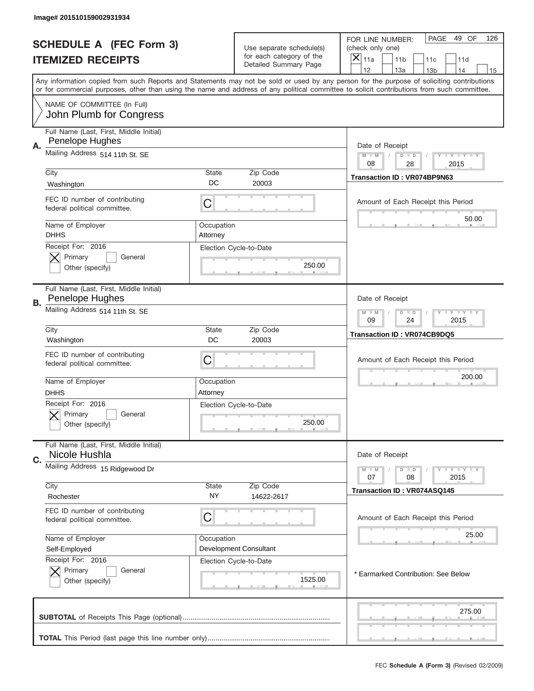|           | Image# 201510159002931934                                     |                    |                                                      |                                                                                                                                                                                                                                                                                         |
|-----------|---------------------------------------------------------------|--------------------|------------------------------------------------------|-----------------------------------------------------------------------------------------------------------------------------------------------------------------------------------------------------------------------------------------------------------------------------------------|
|           | <b>SCHEDULE A (FEC Form 3)</b><br><b>ITEMIZED RECEIPTS</b>    |                    | Use separate schedule(s)<br>for each category of the | PAGE<br>49 OF<br>126<br>FOR LINE NUMBER:<br>(check only one)<br>$\overline{X} _{11a}$<br>11 <sub>b</sub><br>11c<br>11d                                                                                                                                                                  |
|           |                                                               |                    | <b>Detailed Summary Page</b>                         | 12<br>13a<br>14<br>13 <sub>b</sub><br>15                                                                                                                                                                                                                                                |
|           |                                                               |                    |                                                      | Any information copied from such Reports and Statements may not be sold or used by any person for the purpose of soliciting contributions<br>or for commercial purposes, other than using the name and address of any political committee to solicit contributions from such committee. |
|           | NAME OF COMMITTEE (In Full)<br>John Plumb for Congress        |                    |                                                      |                                                                                                                                                                                                                                                                                         |
|           | Full Name (Last, First, Middle Initial)                       |                    |                                                      |                                                                                                                                                                                                                                                                                         |
| А.        | Penelope Hughes                                               |                    |                                                      | Date of Receipt                                                                                                                                                                                                                                                                         |
|           | Mailing Address 514 11th St. SE                               |                    |                                                      | $M$ $M$<br>$D$ $D$<br>Y FY FY FY<br>08<br>28<br>2015                                                                                                                                                                                                                                    |
|           | City                                                          | State              | Zip Code                                             | Transaction ID: VR074BP9N63                                                                                                                                                                                                                                                             |
|           | Washington                                                    | DC                 | 20003                                                |                                                                                                                                                                                                                                                                                         |
|           | FEC ID number of contributing<br>federal political committee. | C                  |                                                      | Amount of Each Receipt this Period<br>50.00                                                                                                                                                                                                                                             |
|           | Name of Employer                                              | Occupation         |                                                      |                                                                                                                                                                                                                                                                                         |
|           | <b>DHHS</b><br>Receipt For: 2016                              | Attorney           |                                                      |                                                                                                                                                                                                                                                                                         |
|           | Primary<br>General                                            |                    | Election Cycle-to-Date                               |                                                                                                                                                                                                                                                                                         |
|           | Other (specify)                                               |                    | 250.00                                               |                                                                                                                                                                                                                                                                                         |
| <b>B.</b> | Full Name (Last, First, Middle Initial)<br>Penelope Hughes    |                    |                                                      | Date of Receipt                                                                                                                                                                                                                                                                         |
|           | Mailing Address 514 11th St. SE                               |                    |                                                      | Y TY TY TY<br>$M - M$<br>$D$ $D$<br>09<br>24<br>2015                                                                                                                                                                                                                                    |
|           | City<br>Washington                                            | <b>State</b><br>DC | Zip Code<br>20003                                    | <b>Transaction ID: VR074CB9DQ5</b>                                                                                                                                                                                                                                                      |
|           | FEC ID number of contributing<br>federal political committee. | C                  |                                                      | Amount of Each Receipt this Period                                                                                                                                                                                                                                                      |
|           | Name of Employer                                              | Occupation         |                                                      | 200.00                                                                                                                                                                                                                                                                                  |
|           | <b>DHHS</b>                                                   | Attorney           |                                                      |                                                                                                                                                                                                                                                                                         |
|           | Receipt For: 2016<br>General<br>Primary<br>Other (specify)    |                    | Election Cycle-to-Date<br>250.00                     |                                                                                                                                                                                                                                                                                         |
|           | Full Name (Last, First, Middle Initial)                       |                    |                                                      |                                                                                                                                                                                                                                                                                         |
| C.        | Nicole Hushla                                                 |                    |                                                      | Date of Receipt                                                                                                                                                                                                                                                                         |
|           | Mailing Address 15 Ridgewood Dr                               |                    |                                                      | $D$ $D$<br><b>LYLYLY</b><br>$M - M$                                                                                                                                                                                                                                                     |
|           | City                                                          | State              | Zip Code                                             | 07<br>08<br>2015                                                                                                                                                                                                                                                                        |
|           | Rochester                                                     | ΝY                 | 14622-2617                                           | Transaction ID: VR074ASQ145                                                                                                                                                                                                                                                             |
|           | FEC ID number of contributing<br>federal political committee. | C                  |                                                      | Amount of Each Receipt this Period                                                                                                                                                                                                                                                      |
|           | Name of Employer                                              | Occupation         |                                                      | 25.00                                                                                                                                                                                                                                                                                   |
|           | Self-Employed                                                 |                    | Development Consultant                               |                                                                                                                                                                                                                                                                                         |
|           | Receipt For: 2016<br>Primary<br>General                       |                    | Election Cycle-to-Date                               |                                                                                                                                                                                                                                                                                         |
|           | Other (specify)                                               |                    | 1525.00                                              | * Earmarked Contribution: See Below                                                                                                                                                                                                                                                     |
|           |                                                               |                    |                                                      | 275.00                                                                                                                                                                                                                                                                                  |
|           |                                                               |                    |                                                      |                                                                                                                                                                                                                                                                                         |
|           |                                                               |                    |                                                      |                                                                                                                                                                                                                                                                                         |
|           |                                                               |                    |                                                      | FEC Schedule A (Form 3) (Revised 02/2009)                                                                                                                                                                                                                                               |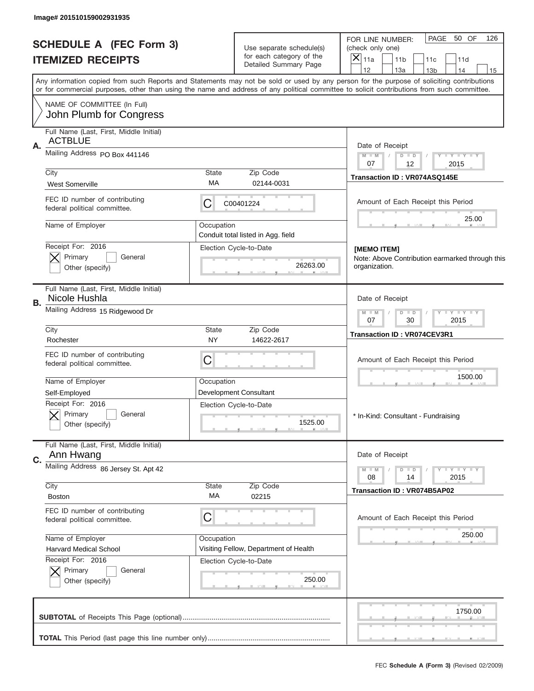| Image# 201510159002931935                                      |                    |                                                      |                                                                                                                                                                                                                                                                                         |
|----------------------------------------------------------------|--------------------|------------------------------------------------------|-----------------------------------------------------------------------------------------------------------------------------------------------------------------------------------------------------------------------------------------------------------------------------------------|
| <b>SCHEDULE A (FEC Form 3)</b>                                 |                    | Use separate schedule(s)<br>for each category of the | PAGE<br>50 OF<br>126<br>FOR LINE NUMBER:<br>(check only one)                                                                                                                                                                                                                            |
| <b>ITEMIZED RECEIPTS</b>                                       |                    | Detailed Summary Page                                | $\times$<br>11a<br>11 <sub>b</sub><br>11c<br>11d<br>12<br>13a<br>14<br>13 <sub>b</sub><br>15                                                                                                                                                                                            |
|                                                                |                    |                                                      | Any information copied from such Reports and Statements may not be sold or used by any person for the purpose of soliciting contributions<br>or for commercial purposes, other than using the name and address of any political committee to solicit contributions from such committee. |
| NAME OF COMMITTEE (In Full)<br>John Plumb for Congress         |                    |                                                      |                                                                                                                                                                                                                                                                                         |
| Full Name (Last, First, Middle Initial)                        |                    |                                                      |                                                                                                                                                                                                                                                                                         |
| <b>ACTBLUE</b><br>Α.                                           |                    |                                                      | Date of Receipt                                                                                                                                                                                                                                                                         |
| Mailing Address PO Box 441146                                  |                    |                                                      | Y LY LY LY<br>$M$ M<br>$D$ $D$<br>07                                                                                                                                                                                                                                                    |
| City                                                           | State              | Zip Code                                             | 12<br>2015                                                                                                                                                                                                                                                                              |
| <b>West Somerville</b>                                         | МA                 | 02144-0031                                           | Transaction ID: VR074ASQ145E                                                                                                                                                                                                                                                            |
| FEC ID number of contributing<br>federal political committee.  | С                  | C00401224                                            | Amount of Each Receipt this Period                                                                                                                                                                                                                                                      |
| Name of Employer                                               | Occupation         | Conduit total listed in Agg. field                   | 25.00                                                                                                                                                                                                                                                                                   |
| Receipt For: 2016                                              |                    | Election Cycle-to-Date                               |                                                                                                                                                                                                                                                                                         |
| Primary<br>General                                             |                    |                                                      | [MEMO ITEM]<br>Note: Above Contribution earmarked through this                                                                                                                                                                                                                          |
| Other (specify)                                                |                    | 26263.00                                             | organization.                                                                                                                                                                                                                                                                           |
| Full Name (Last, First, Middle Initial)<br>Nicole Hushla<br>В. |                    |                                                      | Date of Receipt                                                                                                                                                                                                                                                                         |
| Mailing Address 15 Ridgewood Dr                                |                    |                                                      | $D$ $D$<br><b>LYLYLY</b><br>$M - M$<br>07<br>30<br>2015                                                                                                                                                                                                                                 |
| City<br>Rochester                                              | State<br><b>NY</b> | Zip Code<br>14622-2617                               | Transaction ID: VR074CEV3R1                                                                                                                                                                                                                                                             |
| FEC ID number of contributing<br>federal political committee.  | C                  |                                                      | Amount of Each Receipt this Period                                                                                                                                                                                                                                                      |
| Name of Employer                                               | Occupation         |                                                      | 1500.00                                                                                                                                                                                                                                                                                 |
| Self-Employed                                                  |                    | <b>Development Consultant</b>                        |                                                                                                                                                                                                                                                                                         |
| Receipt For: 2016                                              |                    | Election Cycle-to-Date                               |                                                                                                                                                                                                                                                                                         |
| General<br>Primary<br>Other (specify)                          |                    | 1525.00                                              | * In-Kind: Consultant - Fundraising                                                                                                                                                                                                                                                     |
| Full Name (Last, First, Middle Initial)                        |                    |                                                      |                                                                                                                                                                                                                                                                                         |
| Ann Hwang<br>C.<br>Mailing Address 86 Jersey St. Apt 42        |                    |                                                      | Date of Receipt                                                                                                                                                                                                                                                                         |
|                                                                |                    |                                                      | $D$ $D$<br>$T$ $Y$ $Y$ $Y$ $Y$<br>$M - M$<br>2015<br>08<br>14                                                                                                                                                                                                                           |
| City<br><b>Boston</b>                                          | <b>State</b><br>МA | Zip Code<br>02215                                    | <b>Transaction ID: VR074B5AP02</b>                                                                                                                                                                                                                                                      |
| FEC ID number of contributing<br>federal political committee.  | C                  |                                                      | Amount of Each Receipt this Period                                                                                                                                                                                                                                                      |
| Name of Employer                                               | Occupation         |                                                      | 250.00                                                                                                                                                                                                                                                                                  |
| <b>Harvard Medical School</b>                                  |                    | Visiting Fellow, Department of Health                |                                                                                                                                                                                                                                                                                         |
| Receipt For: 2016                                              |                    | Election Cycle-to-Date                               |                                                                                                                                                                                                                                                                                         |
| Primary<br>General<br>Other (specify)                          |                    | 250.00                                               |                                                                                                                                                                                                                                                                                         |
|                                                                |                    |                                                      | 1750.00                                                                                                                                                                                                                                                                                 |
|                                                                |                    |                                                      |                                                                                                                                                                                                                                                                                         |
|                                                                |                    |                                                      |                                                                                                                                                                                                                                                                                         |
|                                                                |                    |                                                      | FEC Schedule A (Form 3) (Revised 02/2009)                                                                                                                                                                                                                                               |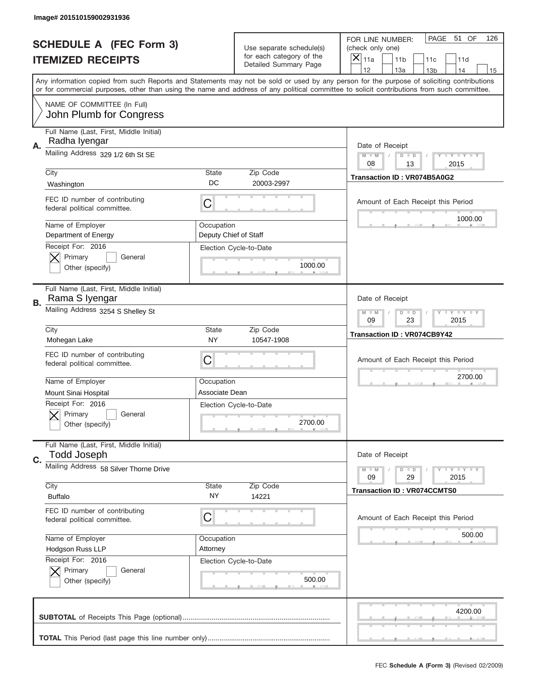|    | Image# 201510159002931936                                     |                                     |                                                   |                                                                                                                                                                                                                                                                                                                                     |
|----|---------------------------------------------------------------|-------------------------------------|---------------------------------------------------|-------------------------------------------------------------------------------------------------------------------------------------------------------------------------------------------------------------------------------------------------------------------------------------------------------------------------------------|
|    | <b>SCHEDULE A (FEC Form 3)</b>                                |                                     | Use separate schedule(s)                          | PAGE 51 OF<br>126<br>FOR LINE NUMBER:<br>(check only one)                                                                                                                                                                                                                                                                           |
|    | <b>ITEMIZED RECEIPTS</b>                                      |                                     | for each category of the<br>Detailed Summary Page | ×<br>11a<br>11 <sub>b</sub><br>11c<br>11d                                                                                                                                                                                                                                                                                           |
|    |                                                               |                                     |                                                   | 12<br>13a<br>14<br>13 <sub>b</sub><br>15<br>Any information copied from such Reports and Statements may not be sold or used by any person for the purpose of soliciting contributions<br>or for commercial purposes, other than using the name and address of any political committee to solicit contributions from such committee. |
|    | NAME OF COMMITTEE (In Full)<br>John Plumb for Congress        |                                     |                                                   |                                                                                                                                                                                                                                                                                                                                     |
| Α. | Full Name (Last, First, Middle Initial)<br>Radha Iyengar      |                                     |                                                   | Date of Receipt                                                                                                                                                                                                                                                                                                                     |
|    | Mailing Address 329 1/2 6th St SE                             |                                     |                                                   | $M - M$<br><b>LEY LEY LEY</b><br>$D$ $D$<br>08<br>13<br>2015                                                                                                                                                                                                                                                                        |
|    | City<br>Washington                                            | State<br>DC                         | Zip Code<br>20003-2997                            | Transaction ID: VR074B5A0G2                                                                                                                                                                                                                                                                                                         |
|    | FEC ID number of contributing<br>federal political committee. | C                                   |                                                   | Amount of Each Receipt this Period<br>1000.00                                                                                                                                                                                                                                                                                       |
|    | Name of Employer<br>Department of Energy                      | Occupation<br>Deputy Chief of Staff |                                                   |                                                                                                                                                                                                                                                                                                                                     |
|    | Receipt For: 2016<br>Primary<br>General<br>Other (specify)    |                                     | Election Cycle-to-Date<br>1000.00                 |                                                                                                                                                                                                                                                                                                                                     |
| В. | Full Name (Last, First, Middle Initial)<br>Rama S Iyengar     |                                     |                                                   | Date of Receipt                                                                                                                                                                                                                                                                                                                     |
|    | Mailing Address 3254 S Shelley St                             |                                     |                                                   | $M$ M<br>$D$ $D$<br><b>LEYTEY LEY</b><br>09<br>23<br>2015                                                                                                                                                                                                                                                                           |
|    | City<br>Mohegan Lake                                          | State<br><b>NY</b>                  | Zip Code<br>10547-1908                            | <b>Transaction ID: VR074CB9Y42</b>                                                                                                                                                                                                                                                                                                  |
|    | FEC ID number of contributing<br>federal political committee. | C                                   |                                                   | Amount of Each Receipt this Period                                                                                                                                                                                                                                                                                                  |
|    |                                                               |                                     |                                                   | 2700.00                                                                                                                                                                                                                                                                                                                             |
|    | Name of Employer                                              | Occupation                          |                                                   |                                                                                                                                                                                                                                                                                                                                     |
|    | Mount Sinai Hospital                                          | Associate Dean                      |                                                   |                                                                                                                                                                                                                                                                                                                                     |
|    | Receipt For: 2016<br>General<br>Primary<br>Other (specify)    |                                     | Election Cycle-to-Date<br>2700.00                 |                                                                                                                                                                                                                                                                                                                                     |
| C. | Full Name (Last, First, Middle Initial)<br><b>Todd Joseph</b> |                                     |                                                   | Date of Receipt                                                                                                                                                                                                                                                                                                                     |
|    | Mailing Address 58 Silver Thorne Drive                        |                                     |                                                   | <b>LEY LEY LEY</b><br>$M - M$<br>$D$ $D$<br>09<br>2015<br>29                                                                                                                                                                                                                                                                        |
|    | City<br><b>Buffalo</b>                                        | <b>State</b><br>NY.                 | Zip Code<br>14221                                 | <b>Transaction ID: VR074CCMTS0</b>                                                                                                                                                                                                                                                                                                  |
|    | FEC ID number of contributing<br>federal political committee. | C                                   |                                                   | Amount of Each Receipt this Period                                                                                                                                                                                                                                                                                                  |
|    | Name of Employer                                              | Occupation                          |                                                   | 500.00                                                                                                                                                                                                                                                                                                                              |
|    | Hodgson Russ LLP                                              | Attorney                            |                                                   |                                                                                                                                                                                                                                                                                                                                     |
|    | Receipt For: 2016<br>Primary<br>General<br>Other (specify)    |                                     | Election Cycle-to-Date<br>500.00                  |                                                                                                                                                                                                                                                                                                                                     |
|    |                                                               |                                     |                                                   | 4200.00                                                                                                                                                                                                                                                                                                                             |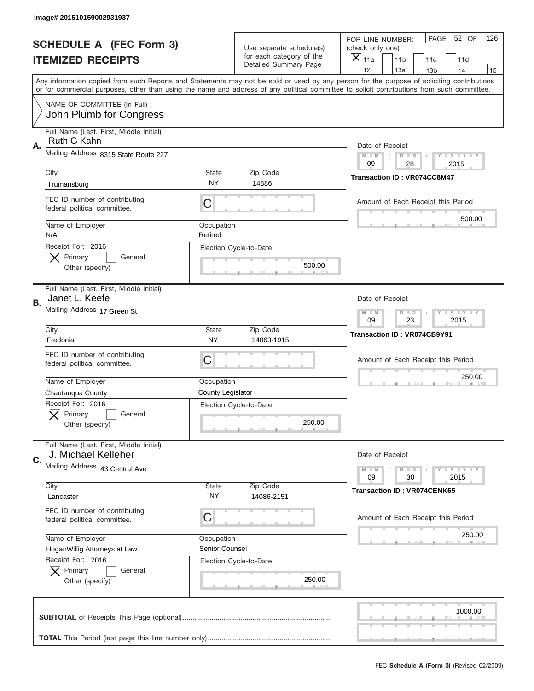|    | Image# 201510159002931937                                                       |                              |                                                      |                                                                                                                                                                                                                                                                                                                               |
|----|---------------------------------------------------------------------------------|------------------------------|------------------------------------------------------|-------------------------------------------------------------------------------------------------------------------------------------------------------------------------------------------------------------------------------------------------------------------------------------------------------------------------------|
|    | <b>SCHEDULE A (FEC Form 3)</b>                                                  |                              | Use separate schedule(s)<br>for each category of the | PAGE<br>52 OF<br>126<br>FOR LINE NUMBER:<br>(check only one)                                                                                                                                                                                                                                                                  |
|    | <b>ITEMIZED RECEIPTS</b>                                                        |                              | Detailed Summary Page                                | $\times$<br>11a<br>11 <sub>b</sub><br>11c<br>11d<br>12                                                                                                                                                                                                                                                                        |
|    |                                                                                 |                              |                                                      | 13a<br>13 <sub>b</sub><br>14<br>15<br>Any information copied from such Reports and Statements may not be sold or used by any person for the purpose of soliciting contributions<br>or for commercial purposes, other than using the name and address of any political committee to solicit contributions from such committee. |
|    | NAME OF COMMITTEE (In Full)<br>John Plumb for Congress                          |                              |                                                      |                                                                                                                                                                                                                                                                                                                               |
| А. | Full Name (Last, First, Middle Initial)<br>Ruth G Kahn                          |                              |                                                      | Date of Receipt                                                                                                                                                                                                                                                                                                               |
|    | Mailing Address 8315 State Route 227                                            |                              |                                                      | $M$ $M$<br>Y I Y I Y I Y<br>$D$ $D$<br>09<br>28<br>2015                                                                                                                                                                                                                                                                       |
|    | City<br>Trumansburg                                                             | State<br><b>NY</b>           | Zip Code<br>14886                                    | Transaction ID: VR074CC8M47                                                                                                                                                                                                                                                                                                   |
|    | FEC ID number of contributing<br>federal political committee.                   | C                            |                                                      | Amount of Each Receipt this Period<br>500.00                                                                                                                                                                                                                                                                                  |
|    | Name of Employer<br>N/A                                                         | Occupation<br>Retired        |                                                      |                                                                                                                                                                                                                                                                                                                               |
|    | Receipt For: 2016<br>Primary<br>General<br>Other (specify)                      |                              | Election Cycle-to-Date<br>500.00                     |                                                                                                                                                                                                                                                                                                                               |
| В. | Full Name (Last, First, Middle Initial)<br>Janet L. Keefe                       |                              |                                                      | Date of Receipt                                                                                                                                                                                                                                                                                                               |
|    | Mailing Address 17 Green St                                                     |                              |                                                      | $T$ $Y$ $Y$ $Y$ $Y$<br>$M$ $M$<br>$D$ $D$<br>09<br>23<br>2015                                                                                                                                                                                                                                                                 |
|    | City<br>Fredonia                                                                | State<br><b>NY</b>           | Zip Code<br>14063-1915                               | <b>Transaction ID: VR074CB9Y91</b>                                                                                                                                                                                                                                                                                            |
|    |                                                                                 |                              |                                                      |                                                                                                                                                                                                                                                                                                                               |
|    | FEC ID number of contributing<br>federal political committee.                   | C                            |                                                      | Amount of Each Receipt this Period                                                                                                                                                                                                                                                                                            |
|    | Name of Employer                                                                | Occupation                   |                                                      | 250.00                                                                                                                                                                                                                                                                                                                        |
|    | Chautauqua County<br>Receipt For: 2016<br>General<br>Primary<br>Other (specify) | County Legislator            | Election Cycle-to-Date<br>250.00                     |                                                                                                                                                                                                                                                                                                                               |
|    | Full Name (Last, First, Middle Initial)<br>J. Michael Kelleher                  |                              |                                                      | Date of Receipt                                                                                                                                                                                                                                                                                                               |
| C. | Mailing Address 43 Central Ave                                                  |                              |                                                      | <b>TEY TEY TEY</b><br>$M - M$<br>$D$ $D$<br>09<br>30<br>2015                                                                                                                                                                                                                                                                  |
|    | City<br>Lancaster                                                               | State<br>NY                  | Zip Code<br>14086-2151                               | <b>Transaction ID: VR074CENK65</b>                                                                                                                                                                                                                                                                                            |
|    | FEC ID number of contributing<br>federal political committee.                   | C                            |                                                      | Amount of Each Receipt this Period                                                                                                                                                                                                                                                                                            |
|    | Name of Employer<br>HoganWillig Attorneys at Law                                | Occupation<br>Senior Counsel |                                                      | 250.00                                                                                                                                                                                                                                                                                                                        |
|    | Receipt For: 2016<br>Primary<br>General<br>Other (specify)                      |                              | Election Cycle-to-Date<br>250.00                     |                                                                                                                                                                                                                                                                                                                               |
|    |                                                                                 |                              |                                                      | 1000.00                                                                                                                                                                                                                                                                                                                       |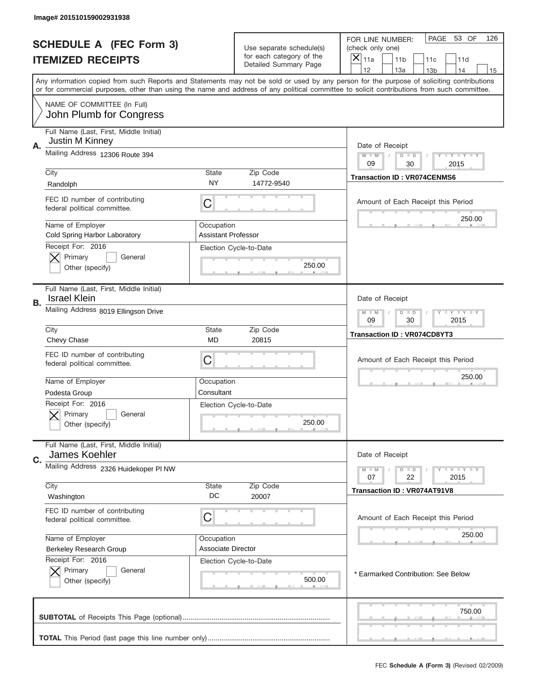|    | Image# 201510159002931938                                      |                     |                                                                               |                                                                                                                                                                                                                                                                                         |
|----|----------------------------------------------------------------|---------------------|-------------------------------------------------------------------------------|-----------------------------------------------------------------------------------------------------------------------------------------------------------------------------------------------------------------------------------------------------------------------------------------|
|    | <b>SCHEDULE A (FEC Form 3)</b><br><b>ITEMIZED RECEIPTS</b>     |                     | Use separate schedule(s)<br>for each category of the<br>Detailed Summary Page | PAGE 53 OF<br>126<br>FOR LINE NUMBER:<br>(check only one)<br>×<br>11a<br>11 <sub>b</sub><br>11c<br>11d                                                                                                                                                                                  |
|    |                                                                |                     |                                                                               | 12<br>13a<br>14<br>13 <sub>b</sub><br>15                                                                                                                                                                                                                                                |
|    |                                                                |                     |                                                                               | Any information copied from such Reports and Statements may not be sold or used by any person for the purpose of soliciting contributions<br>or for commercial purposes, other than using the name and address of any political committee to solicit contributions from such committee. |
|    | NAME OF COMMITTEE (In Full)<br>John Plumb for Congress         |                     |                                                                               |                                                                                                                                                                                                                                                                                         |
|    | Full Name (Last, First, Middle Initial)                        |                     |                                                                               |                                                                                                                                                                                                                                                                                         |
| Α. | Justin M Kinney<br>Mailing Address 12306 Route 394             |                     |                                                                               | Date of Receipt                                                                                                                                                                                                                                                                         |
|    |                                                                |                     |                                                                               | $M - M$<br><b>LYLYLY</b><br>$D$ $D$<br>09<br>30<br>2015                                                                                                                                                                                                                                 |
|    | City<br>Randolph                                               | State<br>NY         | Zip Code<br>14772-9540                                                        | <b>Transaction ID: VR074CENMS6</b>                                                                                                                                                                                                                                                      |
|    | FEC ID number of contributing<br>federal political committee.  | C                   |                                                                               | Amount of Each Receipt this Period                                                                                                                                                                                                                                                      |
|    | Name of Employer                                               | Occupation          |                                                                               | 250.00                                                                                                                                                                                                                                                                                  |
|    | Cold Spring Harbor Laboratory<br>Receipt For: 2016             | Assistant Professor |                                                                               |                                                                                                                                                                                                                                                                                         |
|    | Primary<br>General                                             |                     | Election Cycle-to-Date                                                        |                                                                                                                                                                                                                                                                                         |
|    | Other (specify)                                                |                     | 250.00                                                                        |                                                                                                                                                                                                                                                                                         |
| В. | Full Name (Last, First, Middle Initial)<br><b>Israel Klein</b> |                     |                                                                               | Date of Receipt                                                                                                                                                                                                                                                                         |
|    | Mailing Address 8019 Ellingson Drive                           |                     |                                                                               | <b>LY LY LY</b><br>$M - M$<br>$D$ $D$<br>09<br>30<br>2015                                                                                                                                                                                                                               |
|    | City<br>Chevy Chase                                            | State<br><b>MD</b>  | Zip Code<br>20815                                                             | <b>Transaction ID: VR074CD8YT3</b>                                                                                                                                                                                                                                                      |
|    | FEC ID number of contributing<br>federal political committee.  | C                   |                                                                               | Amount of Each Receipt this Period                                                                                                                                                                                                                                                      |
|    | Name of Employer                                               | Occupation          |                                                                               | 250.00                                                                                                                                                                                                                                                                                  |
|    | Podesta Group                                                  | Consultant          |                                                                               |                                                                                                                                                                                                                                                                                         |
|    | Receipt For: 2016<br>General<br>Primary<br>Other (specify)     |                     | Election Cycle-to-Date<br>250.00                                              |                                                                                                                                                                                                                                                                                         |
|    | Full Name (Last, First, Middle Initial)<br>James Koehler       |                     |                                                                               | Date of Receipt                                                                                                                                                                                                                                                                         |
| C. | Mailing Address 2326 Huidekoper PI NW                          |                     |                                                                               | $D$ $D$<br><b>LY LY LY</b><br>$M - M$                                                                                                                                                                                                                                                   |
|    |                                                                |                     |                                                                               | 07<br>22<br>2015                                                                                                                                                                                                                                                                        |
|    | City<br>Washington                                             | State<br>DC         | Zip Code<br>20007                                                             | Transaction ID: VR074AT91V8                                                                                                                                                                                                                                                             |
|    | FEC ID number of contributing<br>federal political committee.  | C                   |                                                                               | Amount of Each Receipt this Period                                                                                                                                                                                                                                                      |
|    | Name of Employer                                               | Occupation          |                                                                               | 250.00                                                                                                                                                                                                                                                                                  |
|    | Berkeley Research Group<br>Receipt For: 2016                   | Associate Director  | Election Cycle-to-Date                                                        |                                                                                                                                                                                                                                                                                         |
|    | Primary<br>General<br>Other (specify)                          |                     | 500.00                                                                        | * Earmarked Contribution: See Below                                                                                                                                                                                                                                                     |
|    |                                                                |                     |                                                                               | 750.00                                                                                                                                                                                                                                                                                  |
|    |                                                                |                     |                                                                               |                                                                                                                                                                                                                                                                                         |
|    |                                                                |                     |                                                                               | FEC Schedule A (Form 3) (Revised 02/2009)                                                                                                                                                                                                                                               |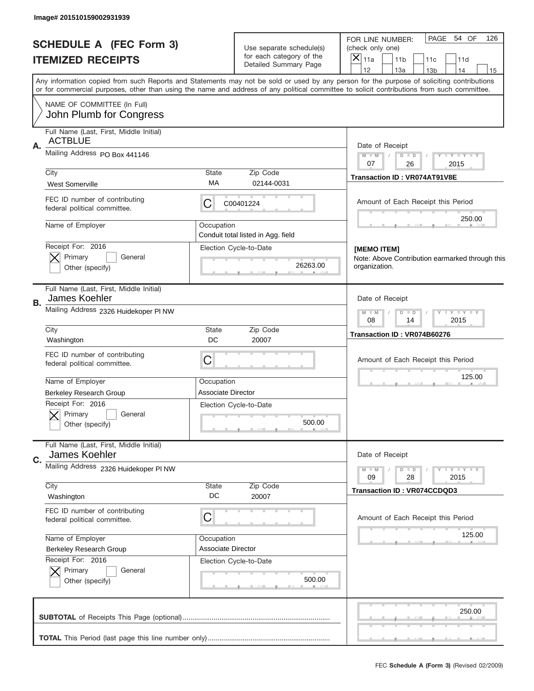| Image# 201510159002931939                                      |                    |                                                      |                                                                                                                                                                                                                                                                                         |
|----------------------------------------------------------------|--------------------|------------------------------------------------------|-----------------------------------------------------------------------------------------------------------------------------------------------------------------------------------------------------------------------------------------------------------------------------------------|
| <b>SCHEDULE A (FEC Form 3)</b>                                 |                    | Use separate schedule(s)<br>for each category of the | PAGE 54 OF<br>126<br>FOR LINE NUMBER:<br>(check only one)<br>$\times$                                                                                                                                                                                                                   |
| <b>ITEMIZED RECEIPTS</b>                                       |                    | Detailed Summary Page                                | 11a<br>11 <sub>b</sub><br>11c<br>11d<br>12<br>13a<br>14<br>13 <sub>b</sub><br>15                                                                                                                                                                                                        |
|                                                                |                    |                                                      | Any information copied from such Reports and Statements may not be sold or used by any person for the purpose of soliciting contributions<br>or for commercial purposes, other than using the name and address of any political committee to solicit contributions from such committee. |
| NAME OF COMMITTEE (In Full)<br>John Plumb for Congress         |                    |                                                      |                                                                                                                                                                                                                                                                                         |
| Full Name (Last, First, Middle Initial)                        |                    |                                                      |                                                                                                                                                                                                                                                                                         |
| <b>ACTBLUE</b><br>Α.                                           |                    |                                                      | Date of Receipt                                                                                                                                                                                                                                                                         |
| Mailing Address PO Box 441146                                  |                    |                                                      | $M$ M<br>$D$ $D$<br>$Y - Y - Y - Y - Y$<br>07<br>26<br>2015                                                                                                                                                                                                                             |
| City                                                           | State              | Zip Code                                             | Transaction ID: VR074AT91V8E                                                                                                                                                                                                                                                            |
| <b>West Somerville</b>                                         | МA                 | 02144-0031                                           |                                                                                                                                                                                                                                                                                         |
| FEC ID number of contributing<br>federal political committee.  | С                  | C00401224                                            | Amount of Each Receipt this Period                                                                                                                                                                                                                                                      |
| Name of Employer                                               | Occupation         |                                                      | 250.00                                                                                                                                                                                                                                                                                  |
| Receipt For: 2016                                              |                    | Conduit total listed in Agg. field                   |                                                                                                                                                                                                                                                                                         |
| Primary<br>General                                             |                    | Election Cycle-to-Date                               | [MEMO ITEM]<br>Note: Above Contribution earmarked through this                                                                                                                                                                                                                          |
| Other (specify)                                                |                    | 26263.00                                             | organization.                                                                                                                                                                                                                                                                           |
| Full Name (Last, First, Middle Initial)<br>James Koehler<br>В. |                    |                                                      | Date of Receipt                                                                                                                                                                                                                                                                         |
| Mailing Address 2326 Huidekoper PI NW                          |                    |                                                      | $T$ $Y$ $Y$ $Y$ $Y$<br>$M - M$<br>$D$ $D$<br>08<br>2015<br>14                                                                                                                                                                                                                           |
| City<br>Washington                                             | <b>State</b><br>DC | Zip Code<br>20007                                    | Transaction ID: VR074B60276                                                                                                                                                                                                                                                             |
| FEC ID number of contributing<br>federal political committee.  | C                  |                                                      | Amount of Each Receipt this Period                                                                                                                                                                                                                                                      |
| Name of Employer                                               | Occupation         |                                                      | 125.00                                                                                                                                                                                                                                                                                  |
| <b>Berkeley Research Group</b>                                 | Associate Director |                                                      |                                                                                                                                                                                                                                                                                         |
| Receipt For: 2016                                              |                    | Election Cycle-to-Date                               |                                                                                                                                                                                                                                                                                         |
| General<br>Primary<br>Other (specify)                          |                    | 500.00                                               |                                                                                                                                                                                                                                                                                         |
| Full Name (Last, First, Middle Initial)                        |                    |                                                      |                                                                                                                                                                                                                                                                                         |
| James Koehler<br>C.                                            |                    |                                                      | Date of Receipt                                                                                                                                                                                                                                                                         |
| Mailing Address 2326 Huidekoper PI NW                          |                    |                                                      | $D$ $D$<br><b>TEY LY LY</b><br>$M - M$<br>28<br>2015<br>09                                                                                                                                                                                                                              |
| City                                                           | <b>State</b>       | Zip Code                                             | <b>Transaction ID: VR074CCDQD3</b>                                                                                                                                                                                                                                                      |
| Washington                                                     | DC                 | 20007                                                |                                                                                                                                                                                                                                                                                         |
| FEC ID number of contributing<br>federal political committee.  | C                  |                                                      | Amount of Each Receipt this Period                                                                                                                                                                                                                                                      |
| Name of Employer                                               | Occupation         |                                                      | 125.00                                                                                                                                                                                                                                                                                  |
| <b>Berkeley Research Group</b><br>Receipt For: 2016            | Associate Director |                                                      |                                                                                                                                                                                                                                                                                         |
| Primary<br>General                                             |                    | Election Cycle-to-Date                               |                                                                                                                                                                                                                                                                                         |
| Other (specify)                                                |                    | 500.00                                               |                                                                                                                                                                                                                                                                                         |
|                                                                |                    |                                                      | 250.00                                                                                                                                                                                                                                                                                  |
|                                                                |                    |                                                      |                                                                                                                                                                                                                                                                                         |
|                                                                |                    |                                                      |                                                                                                                                                                                                                                                                                         |
|                                                                |                    |                                                      | FEC Schedule A (Form 3) (Revised 02/2009)                                                                                                                                                                                                                                               |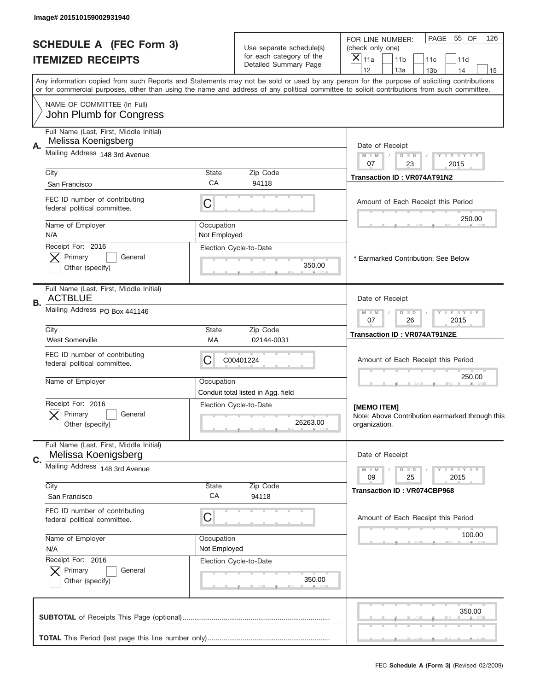|    | Image# 201510159002931940                                     |                            |                                                      |                                                                                                                                                                                                                                                                                         |
|----|---------------------------------------------------------------|----------------------------|------------------------------------------------------|-----------------------------------------------------------------------------------------------------------------------------------------------------------------------------------------------------------------------------------------------------------------------------------------|
|    | <b>SCHEDULE A (FEC Form 3)</b><br><b>ITEMIZED RECEIPTS</b>    |                            | Use separate schedule(s)<br>for each category of the | PAGE<br>55 OF<br>126<br>FOR LINE NUMBER:<br>(check only one)<br>$\boldsymbol{\times}$<br>11a<br>11 <sub>b</sub><br>11c<br>11d                                                                                                                                                           |
|    |                                                               |                            | Detailed Summary Page                                | 12<br>13a<br>14<br>13 <sub>b</sub><br>15                                                                                                                                                                                                                                                |
|    |                                                               |                            |                                                      | Any information copied from such Reports and Statements may not be sold or used by any person for the purpose of soliciting contributions<br>or for commercial purposes, other than using the name and address of any political committee to solicit contributions from such committee. |
|    | NAME OF COMMITTEE (In Full)<br>John Plumb for Congress        |                            |                                                      |                                                                                                                                                                                                                                                                                         |
|    | Full Name (Last, First, Middle Initial)                       |                            |                                                      |                                                                                                                                                                                                                                                                                         |
| А. | Melissa Koenigsberg<br>Mailing Address 148 3rd Avenue         |                            |                                                      | Date of Receipt                                                                                                                                                                                                                                                                         |
|    |                                                               |                            |                                                      | $M$ $M$<br>Y FY FY FY<br>$D$ $D$<br>07<br>23<br>2015                                                                                                                                                                                                                                    |
|    | City                                                          | State<br>СA                | Zip Code<br>94118                                    | Transaction ID: VR074AT91N2                                                                                                                                                                                                                                                             |
|    | San Francisco                                                 |                            |                                                      |                                                                                                                                                                                                                                                                                         |
|    | FEC ID number of contributing<br>federal political committee. | C                          |                                                      | Amount of Each Receipt this Period<br>250.00                                                                                                                                                                                                                                            |
|    | Name of Employer<br>N/A                                       | Occupation<br>Not Employed |                                                      |                                                                                                                                                                                                                                                                                         |
|    | Receipt For: 2016                                             |                            | Election Cycle-to-Date                               |                                                                                                                                                                                                                                                                                         |
|    | Primary<br>General                                            |                            |                                                      | * Earmarked Contribution: See Below                                                                                                                                                                                                                                                     |
|    | Other (specify)                                               |                            | 350.00                                               |                                                                                                                                                                                                                                                                                         |
| В. | Full Name (Last, First, Middle Initial)<br><b>ACTBLUE</b>     |                            |                                                      | Date of Receipt                                                                                                                                                                                                                                                                         |
|    | Mailing Address PO Box 441146                                 |                            |                                                      | $D$ $D$<br><b>LY LY LY</b><br>$M - M$<br>07<br>26<br>2015                                                                                                                                                                                                                               |
|    | City<br><b>West Somerville</b>                                | <b>State</b><br>МA         | Zip Code<br>02144-0031                               | Transaction ID: VR074AT91N2E                                                                                                                                                                                                                                                            |
|    | FEC ID number of contributing<br>federal political committee. | C                          | C00401224                                            | Amount of Each Receipt this Period                                                                                                                                                                                                                                                      |
|    | Name of Employer                                              | Occupation                 | Conduit total listed in Agg. field                   | 250.00                                                                                                                                                                                                                                                                                  |
|    | Receipt For: 2016                                             |                            | Election Cycle-to-Date                               | [MEMO ITEM]                                                                                                                                                                                                                                                                             |
|    | General<br>Primary<br>Other (specify)                         |                            | 26263.00                                             | Note: Above Contribution earmarked through this<br>organization.                                                                                                                                                                                                                        |
|    | Full Name (Last, First, Middle Initial)                       |                            |                                                      |                                                                                                                                                                                                                                                                                         |
| C. | Melissa Koenigsberg                                           |                            |                                                      | Date of Receipt                                                                                                                                                                                                                                                                         |
|    | Mailing Address 148 3rd Avenue                                |                            |                                                      | <b>LYLYLY</b><br>$M - M$<br>$D$ $D$<br>09<br>25<br>2015                                                                                                                                                                                                                                 |
|    | City                                                          | <b>State</b><br>СA         | Zip Code                                             | <b>Transaction ID: VR074CBP968</b>                                                                                                                                                                                                                                                      |
|    | San Francisco                                                 |                            | 94118                                                |                                                                                                                                                                                                                                                                                         |
|    | FEC ID number of contributing<br>federal political committee. | C                          |                                                      | Amount of Each Receipt this Period                                                                                                                                                                                                                                                      |
|    | Name of Employer                                              | Occupation                 |                                                      | 100.00                                                                                                                                                                                                                                                                                  |
|    | N/A<br>Receipt For: 2016                                      | Not Employed               | Election Cycle-to-Date                               |                                                                                                                                                                                                                                                                                         |
|    | Primary<br>General                                            |                            |                                                      |                                                                                                                                                                                                                                                                                         |
|    | Other (specify)                                               |                            | 350.00                                               |                                                                                                                                                                                                                                                                                         |
|    |                                                               |                            |                                                      | 350.00                                                                                                                                                                                                                                                                                  |
|    |                                                               |                            |                                                      |                                                                                                                                                                                                                                                                                         |
|    |                                                               |                            |                                                      |                                                                                                                                                                                                                                                                                         |
|    |                                                               |                            |                                                      |                                                                                                                                                                                                                                                                                         |
|    |                                                               |                            |                                                      | FEC Schedule A (Form 3) (Revised 02/2009)                                                                                                                                                                                                                                               |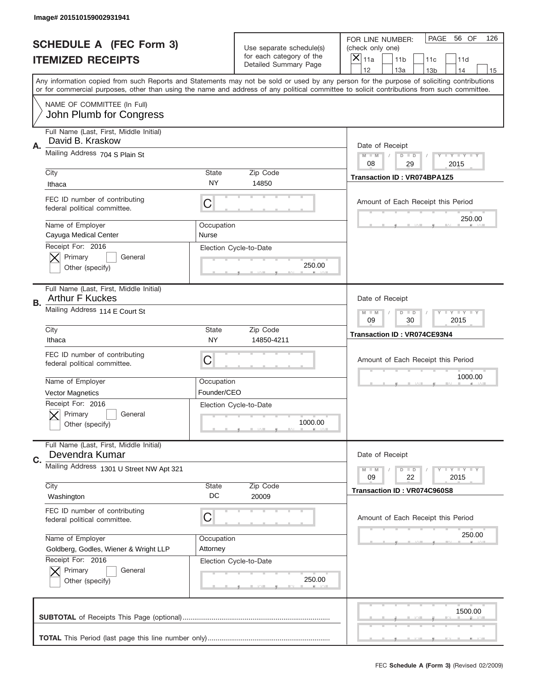|    | Image# 201510159002931941                                                                           |                     |                                                   |                                                                                                                                                                                                                                                                                                                                     |
|----|-----------------------------------------------------------------------------------------------------|---------------------|---------------------------------------------------|-------------------------------------------------------------------------------------------------------------------------------------------------------------------------------------------------------------------------------------------------------------------------------------------------------------------------------------|
|    | <b>SCHEDULE A (FEC Form 3)</b>                                                                      |                     | Use separate schedule(s)                          | PAGE<br>56 OF<br>126<br>FOR LINE NUMBER:<br>(check only one)                                                                                                                                                                                                                                                                        |
|    | <b>ITEMIZED RECEIPTS</b>                                                                            |                     | for each category of the<br>Detailed Summary Page | ×<br>11a<br>11 <sub>b</sub><br>11c<br>11d                                                                                                                                                                                                                                                                                           |
|    |                                                                                                     |                     |                                                   | 12<br>13a<br>14<br>13 <sub>b</sub><br>15<br>Any information copied from such Reports and Statements may not be sold or used by any person for the purpose of soliciting contributions<br>or for commercial purposes, other than using the name and address of any political committee to solicit contributions from such committee. |
|    | NAME OF COMMITTEE (In Full)<br>John Plumb for Congress                                              |                     |                                                   |                                                                                                                                                                                                                                                                                                                                     |
| Α. | Full Name (Last, First, Middle Initial)<br>David B. Kraskow                                         |                     |                                                   | Date of Receipt                                                                                                                                                                                                                                                                                                                     |
|    | Mailing Address 704 S Plain St                                                                      |                     |                                                   | $M - M$<br><b>LYLYLY</b><br>$D$ $D$<br>08<br>29<br>2015                                                                                                                                                                                                                                                                             |
|    | City<br>Ithaca                                                                                      | State<br><b>NY</b>  | Zip Code<br>14850                                 | <b>Transaction ID: VR074BPA1Z5</b>                                                                                                                                                                                                                                                                                                  |
|    | FEC ID number of contributing<br>federal political committee.                                       | C                   |                                                   | Amount of Each Receipt this Period<br>250.00                                                                                                                                                                                                                                                                                        |
|    | Name of Employer<br>Cayuga Medical Center<br>Receipt For: 2016                                      | Occupation<br>Nurse |                                                   |                                                                                                                                                                                                                                                                                                                                     |
|    | Primary<br>General<br>Other (specify)                                                               |                     | Election Cycle-to-Date<br>250.00                  |                                                                                                                                                                                                                                                                                                                                     |
| В. | Full Name (Last, First, Middle Initial)<br><b>Arthur F Kuckes</b>                                   |                     |                                                   | Date of Receipt                                                                                                                                                                                                                                                                                                                     |
|    | Mailing Address 114 E Court St                                                                      |                     |                                                   | <b>LY LY LY</b><br>$M$ M<br>$D$ $D$<br>09<br>30<br>2015                                                                                                                                                                                                                                                                             |
|    | City<br>Ithaca                                                                                      | State<br><b>NY</b>  | Zip Code<br>14850-4211                            | Transaction ID: VR074CE93N4                                                                                                                                                                                                                                                                                                         |
|    | FEC ID number of contributing<br>federal political committee.                                       | C                   |                                                   | Amount of Each Receipt this Period                                                                                                                                                                                                                                                                                                  |
|    |                                                                                                     |                     |                                                   | 1000.00                                                                                                                                                                                                                                                                                                                             |
|    | Name of Employer                                                                                    | Occupation          |                                                   |                                                                                                                                                                                                                                                                                                                                     |
|    | <b>Vector Magnetics</b><br>Receipt For: 2016<br>General<br>Primary<br>Other (specify)               | Founder/CEO         | Election Cycle-to-Date<br>1000.00                 |                                                                                                                                                                                                                                                                                                                                     |
| C. | Full Name (Last, First, Middle Initial)<br>Devendra Kumar                                           |                     |                                                   | Date of Receipt                                                                                                                                                                                                                                                                                                                     |
|    | Mailing Address 1301 U Street NW Apt 321                                                            |                     |                                                   | <b>LEY LEY LEY</b><br>$M - M$<br>$D$ $D$<br>09<br>22<br>2015                                                                                                                                                                                                                                                                        |
|    | City<br>Washington                                                                                  | State<br>DC         | Zip Code<br>20009                                 | Transaction ID: VR074C960S8                                                                                                                                                                                                                                                                                                         |
|    | FEC ID number of contributing<br>federal political committee.                                       | C                   |                                                   | Amount of Each Receipt this Period                                                                                                                                                                                                                                                                                                  |
|    | Name of Employer                                                                                    | Occupation          |                                                   | 250.00                                                                                                                                                                                                                                                                                                                              |
|    | Goldberg, Godles, Wiener & Wright LLP<br>Receipt For: 2016<br>Primary<br>General<br>Other (specify) | Attorney            | Election Cycle-to-Date<br>250.00                  |                                                                                                                                                                                                                                                                                                                                     |
|    |                                                                                                     |                     |                                                   | 1500.00                                                                                                                                                                                                                                                                                                                             |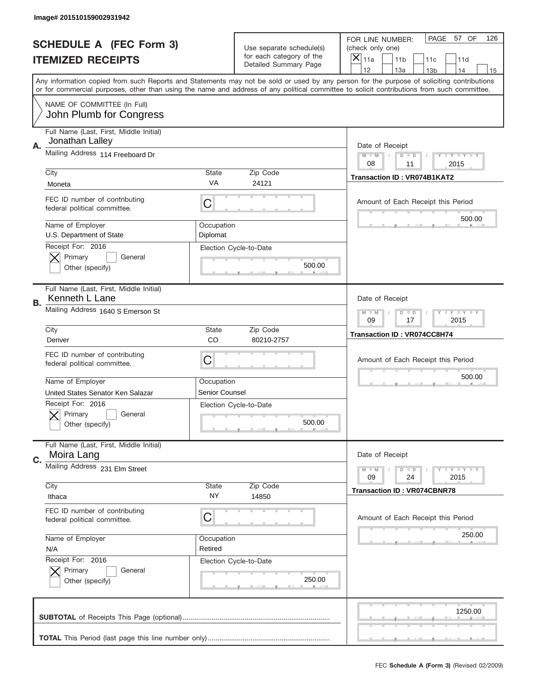|           | Image# 201510159002931942                                                                       |                        |                                                      |                                                                                                                                                                                                                                                                                                                         |
|-----------|-------------------------------------------------------------------------------------------------|------------------------|------------------------------------------------------|-------------------------------------------------------------------------------------------------------------------------------------------------------------------------------------------------------------------------------------------------------------------------------------------------------------------------|
|           | <b>SCHEDULE A (FEC Form 3)</b>                                                                  |                        | Use separate schedule(s)<br>for each category of the | PAGE 57 OF<br>126<br>FOR LINE NUMBER:<br>(check only one)                                                                                                                                                                                                                                                               |
|           | <b>ITEMIZED RECEIPTS</b>                                                                        |                        | Detailed Summary Page                                | ×<br>11a<br>11 <sub>b</sub><br>11c<br>11d<br>12<br>14                                                                                                                                                                                                                                                                   |
|           |                                                                                                 |                        |                                                      | 13a<br>13 <sub>b</sub><br>15<br>Any information copied from such Reports and Statements may not be sold or used by any person for the purpose of soliciting contributions<br>or for commercial purposes, other than using the name and address of any political committee to solicit contributions from such committee. |
|           | NAME OF COMMITTEE (In Full)<br>John Plumb for Congress                                          |                        |                                                      |                                                                                                                                                                                                                                                                                                                         |
| Α.        | Full Name (Last, First, Middle Initial)<br>Jonathan Lalley                                      |                        |                                                      | Date of Receipt                                                                                                                                                                                                                                                                                                         |
|           | Mailing Address 114 Freeboard Dr                                                                |                        |                                                      | $M - M$<br><b>THEY THEY</b><br>$D$ $D$<br>08<br>11<br>2015                                                                                                                                                                                                                                                              |
|           | City<br>Moneta                                                                                  | State<br>VA            | Zip Code<br>24121                                    | <b>Transaction ID: VR074B1KAT2</b>                                                                                                                                                                                                                                                                                      |
|           | FEC ID number of contributing<br>federal political committee.                                   | C                      |                                                      | Amount of Each Receipt this Period                                                                                                                                                                                                                                                                                      |
|           | Name of Employer<br>U.S. Department of State                                                    | Occupation<br>Diplomat |                                                      | 500.00                                                                                                                                                                                                                                                                                                                  |
|           | Receipt For: 2016<br>Primary<br>General<br>Other (specify)                                      |                        | Election Cycle-to-Date<br>500.00                     |                                                                                                                                                                                                                                                                                                                         |
| <b>B.</b> | Full Name (Last, First, Middle Initial)<br>Kenneth L Lane                                       |                        |                                                      | Date of Receipt                                                                                                                                                                                                                                                                                                         |
|           | Mailing Address 1640 S Emerson St                                                               |                        |                                                      | $T$ $Y$ $T$ $Y$ $T$ $Y$<br>$M - M$<br>$D$ $D$<br>09<br>17<br>2015                                                                                                                                                                                                                                                       |
|           | City<br>Denver                                                                                  | State<br>CO            | Zip Code<br>80210-2757                               | Transaction ID: VR074CC8H74                                                                                                                                                                                                                                                                                             |
|           |                                                                                                 |                        |                                                      |                                                                                                                                                                                                                                                                                                                         |
|           | FEC ID number of contributing<br>federal political committee.                                   | C                      |                                                      | Amount of Each Receipt this Period                                                                                                                                                                                                                                                                                      |
|           | Name of Employer                                                                                | Occupation             |                                                      | 500.00                                                                                                                                                                                                                                                                                                                  |
|           | United States Senator Ken Salazar<br>Receipt For: 2016<br>General<br>Primary<br>Other (specify) | <b>Senior Counsel</b>  | Election Cycle-to-Date<br>500.00                     |                                                                                                                                                                                                                                                                                                                         |
| C.        | Full Name (Last, First, Middle Initial)<br>Moira Lang                                           |                        |                                                      | Date of Receipt                                                                                                                                                                                                                                                                                                         |
|           | Mailing Address 231 Elm Street                                                                  |                        |                                                      | <b>LY LY LY</b><br>$M - M$<br>$D$ $D$<br>09<br>2015<br>24                                                                                                                                                                                                                                                               |
|           | City<br>Ithaca                                                                                  | State<br>ΝY            | Zip Code<br>14850                                    | <b>Transaction ID: VR074CBNR78</b>                                                                                                                                                                                                                                                                                      |
|           | FEC ID number of contributing<br>federal political committee.                                   | С                      |                                                      | Amount of Each Receipt this Period                                                                                                                                                                                                                                                                                      |
|           | Name of Employer<br>N/A                                                                         | Occupation<br>Retired  |                                                      | 250.00                                                                                                                                                                                                                                                                                                                  |
|           | Receipt For: 2016<br>Primary<br>General<br>Other (specify)                                      |                        | Election Cycle-to-Date<br>250.00                     |                                                                                                                                                                                                                                                                                                                         |
|           |                                                                                                 |                        |                                                      | 1250.00                                                                                                                                                                                                                                                                                                                 |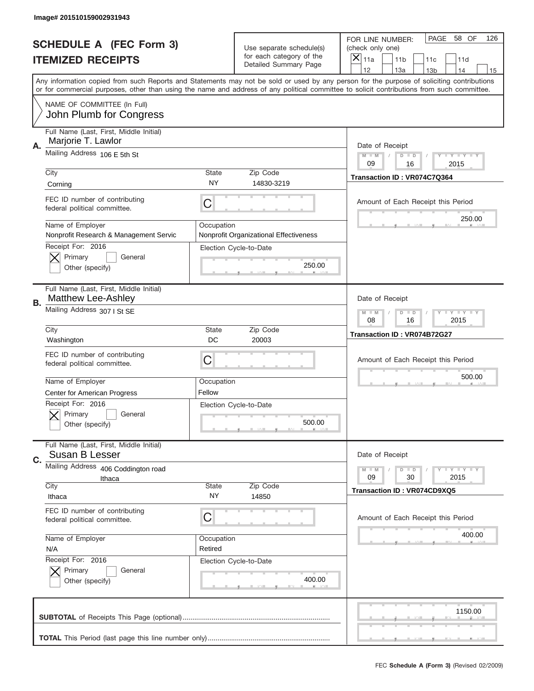|    | Image# 201510159002931943                                     |                       |                                                      |                                                                                                                                                                                                                                                                                         |
|----|---------------------------------------------------------------|-----------------------|------------------------------------------------------|-----------------------------------------------------------------------------------------------------------------------------------------------------------------------------------------------------------------------------------------------------------------------------------------|
|    | <b>SCHEDULE A (FEC Form 3)</b>                                |                       | Use separate schedule(s)<br>for each category of the | PAGE<br>58 OF<br>126<br>FOR LINE NUMBER:<br>(check only one)                                                                                                                                                                                                                            |
|    | <b>ITEMIZED RECEIPTS</b>                                      |                       | Detailed Summary Page                                | ×<br>11a<br>11 <sub>b</sub><br>11c<br>11d<br>12<br>13a<br>14<br>13 <sub>b</sub><br>15                                                                                                                                                                                                   |
|    |                                                               |                       |                                                      | Any information copied from such Reports and Statements may not be sold or used by any person for the purpose of soliciting contributions<br>or for commercial purposes, other than using the name and address of any political committee to solicit contributions from such committee. |
|    | NAME OF COMMITTEE (In Full)<br>John Plumb for Congress        |                       |                                                      |                                                                                                                                                                                                                                                                                         |
| Α. | Full Name (Last, First, Middle Initial)<br>Marjorie T. Lawlor |                       |                                                      | Date of Receipt                                                                                                                                                                                                                                                                         |
|    | Mailing Address 106 E 5th St                                  |                       |                                                      | $M - M$<br>Y I Y I Y I Y<br>$D$ $D$<br>09<br>16<br>2015                                                                                                                                                                                                                                 |
|    | City<br>Corning                                               | State<br><b>NY</b>    | Zip Code<br>14830-3219                               | Transaction ID: VR074C7Q364                                                                                                                                                                                                                                                             |
|    | FEC ID number of contributing<br>federal political committee. | C                     |                                                      | Amount of Each Receipt this Period<br>250.00                                                                                                                                                                                                                                            |
|    | Name of Employer<br>Nonprofit Research & Management Servic    | Occupation            | Nonprofit Organizational Effectiveness               |                                                                                                                                                                                                                                                                                         |
|    | Receipt For: 2016<br>Primary<br>General<br>Other (specify)    |                       | Election Cycle-to-Date<br>250.00                     |                                                                                                                                                                                                                                                                                         |
| В. | Full Name (Last, First, Middle Initial)<br>Matthew Lee-Ashley |                       |                                                      | Date of Receipt                                                                                                                                                                                                                                                                         |
|    | Mailing Address 307   St SE                                   |                       |                                                      | <b>LY LY LY</b><br>$M - M$<br>$D$ $D$<br>08<br>16<br>2015                                                                                                                                                                                                                               |
|    | City<br>Washington                                            | State<br>DC           | Zip Code<br>20003                                    | Transaction ID: VR074B72G27                                                                                                                                                                                                                                                             |
|    | FEC ID number of contributing<br>federal political committee. | C                     |                                                      | Amount of Each Receipt this Period                                                                                                                                                                                                                                                      |
|    | Name of Employer<br><b>Center for American Progress</b>       | Occupation<br>Fellow  |                                                      | 500.00                                                                                                                                                                                                                                                                                  |
|    | Receipt For: 2016<br>General<br>Primary<br>Other (specify)    |                       | Election Cycle-to-Date<br>500.00                     |                                                                                                                                                                                                                                                                                         |
| C. | Full Name (Last, First, Middle Initial)<br>Susan B Lesser     |                       |                                                      | Date of Receipt                                                                                                                                                                                                                                                                         |
|    | Mailing Address 406 Coddington road<br>Ithaca                 |                       |                                                      | <b>TEY TEY TEY</b><br>$M - M$<br>$D$ $D$<br>30<br>2015<br>09                                                                                                                                                                                                                            |
|    | City<br>Ithaca                                                | State<br>NY           | Zip Code<br>14850                                    | <b>Transaction ID: VR074CD9XQ5</b>                                                                                                                                                                                                                                                      |
|    | FEC ID number of contributing<br>federal political committee. | C                     |                                                      | Amount of Each Receipt this Period                                                                                                                                                                                                                                                      |
|    | Name of Employer<br>N/A                                       | Occupation<br>Retired |                                                      | 400.00                                                                                                                                                                                                                                                                                  |
|    | Receipt For: 2016<br>Primary<br>General<br>Other (specify)    |                       | Election Cycle-to-Date<br>400.00                     |                                                                                                                                                                                                                                                                                         |
|    |                                                               |                       |                                                      | 1150.00                                                                                                                                                                                                                                                                                 |
|    |                                                               |                       |                                                      |                                                                                                                                                                                                                                                                                         |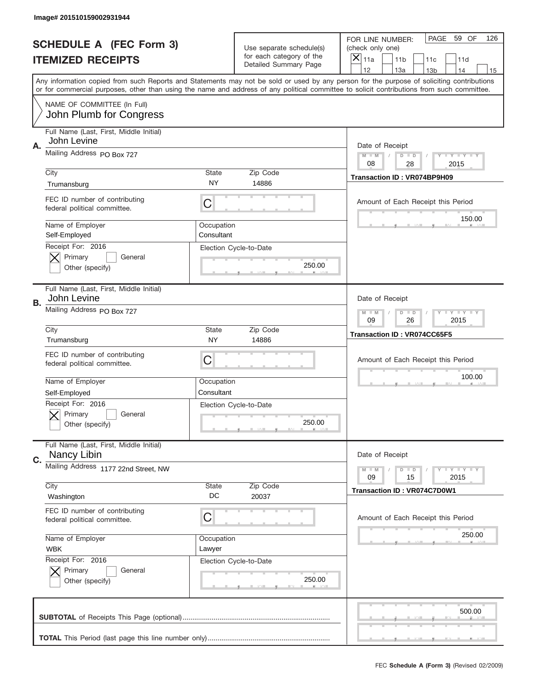|    | Image# 201510159002931944                                     |                           |                                                   |                                                                                                                                                                                                                                                                                                                                     |
|----|---------------------------------------------------------------|---------------------------|---------------------------------------------------|-------------------------------------------------------------------------------------------------------------------------------------------------------------------------------------------------------------------------------------------------------------------------------------------------------------------------------------|
|    | <b>SCHEDULE A (FEC Form 3)</b>                                |                           | Use separate schedule(s)                          | PAGE<br>59 OF<br>126<br>FOR LINE NUMBER:<br>(check only one)                                                                                                                                                                                                                                                                        |
|    | <b>ITEMIZED RECEIPTS</b>                                      |                           | for each category of the<br>Detailed Summary Page | $\overline{X} _{11a}$<br>11 <sub>b</sub><br>11c<br>11d                                                                                                                                                                                                                                                                              |
|    |                                                               |                           |                                                   | 12<br>13a<br>14<br>13 <sub>b</sub><br>15<br>Any information copied from such Reports and Statements may not be sold or used by any person for the purpose of soliciting contributions<br>or for commercial purposes, other than using the name and address of any political committee to solicit contributions from such committee. |
|    | NAME OF COMMITTEE (In Full)<br>John Plumb for Congress        |                           |                                                   |                                                                                                                                                                                                                                                                                                                                     |
| Α. | Full Name (Last, First, Middle Initial)<br>John Levine        |                           |                                                   | Date of Receipt                                                                                                                                                                                                                                                                                                                     |
|    | Mailing Address PO Box 727                                    |                           |                                                   | <b>LYLYLYLY</b><br>$M - M$<br>$D$ $D$<br>08<br>28<br>2015                                                                                                                                                                                                                                                                           |
|    | City<br>Trumansburg                                           | <b>State</b><br><b>NY</b> | Zip Code<br>14886                                 | Transaction ID: VR074BP9H09                                                                                                                                                                                                                                                                                                         |
|    | FEC ID number of contributing<br>federal political committee. | C                         |                                                   | Amount of Each Receipt this Period                                                                                                                                                                                                                                                                                                  |
|    | Name of Employer<br>Self-Employed                             | Occupation<br>Consultant  |                                                   | 150.00                                                                                                                                                                                                                                                                                                                              |
|    | Receipt For: 2016<br>Primary<br>General<br>Other (specify)    |                           | Election Cycle-to-Date<br>250.00                  |                                                                                                                                                                                                                                                                                                                                     |
| В. | Full Name (Last, First, Middle Initial)<br>John Levine        |                           |                                                   | Date of Receipt                                                                                                                                                                                                                                                                                                                     |
|    | Mailing Address PO Box 727                                    |                           |                                                   | <b>LY LY LY</b><br>$M - M$<br>$D$ $D$<br>09<br>26<br>2015                                                                                                                                                                                                                                                                           |
|    | City<br>Trumansburg                                           | <b>State</b><br><b>NY</b> | Zip Code<br>14886                                 | <b>Transaction ID: VR074CC65F5</b>                                                                                                                                                                                                                                                                                                  |
|    | FEC ID number of contributing<br>federal political committee. | С                         |                                                   | Amount of Each Receipt this Period                                                                                                                                                                                                                                                                                                  |
|    | Name of Employer<br>Self-Employed                             | Occupation<br>Consultant  |                                                   | 100.00                                                                                                                                                                                                                                                                                                                              |
|    | Receipt For: 2016<br>General<br>Primary                       |                           | Election Cycle-to-Date                            |                                                                                                                                                                                                                                                                                                                                     |
|    | Other (specify)                                               |                           | 250.00                                            |                                                                                                                                                                                                                                                                                                                                     |
| C. | Full Name (Last, First, Middle Initial)<br>Nancy Libin        |                           |                                                   | Date of Receipt                                                                                                                                                                                                                                                                                                                     |
|    | Mailing Address 1177 22nd Street, NW                          |                           |                                                   | <b>LYLYLY</b><br>$M \perp M$<br>$D$ $D$<br>2015<br>09<br>15                                                                                                                                                                                                                                                                         |
|    | City<br>Washington                                            | <b>State</b><br>DC        | Zip Code<br>20037                                 | Transaction ID: VR074C7D0W1                                                                                                                                                                                                                                                                                                         |
|    | FEC ID number of contributing<br>federal political committee. | С                         |                                                   | Amount of Each Receipt this Period                                                                                                                                                                                                                                                                                                  |
|    | Name of Employer<br><b>WBK</b>                                | Occupation<br>Lawyer      |                                                   | 250.00                                                                                                                                                                                                                                                                                                                              |
|    | Receipt For: 2016<br>Primary<br>General<br>Other (specify)    |                           | Election Cycle-to-Date<br>250.00                  |                                                                                                                                                                                                                                                                                                                                     |
|    |                                                               |                           |                                                   | 500.00                                                                                                                                                                                                                                                                                                                              |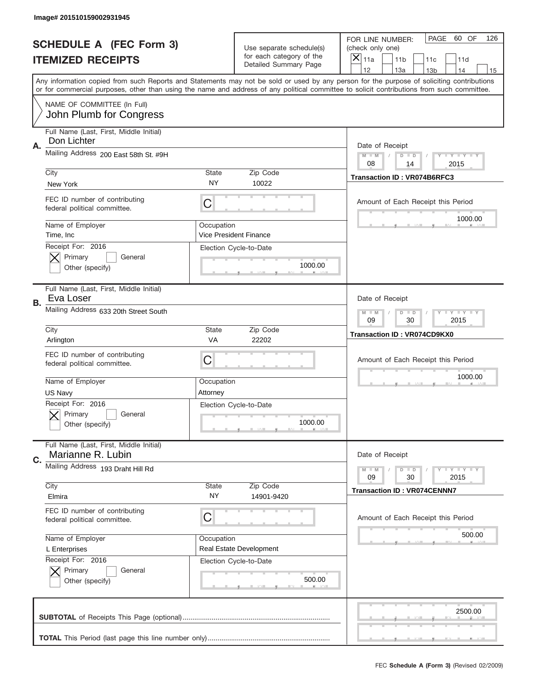|    | Image# 201510159002931945                                     |                        |                                                   |                                                                                                                                                                                                                                                                                                                                     |
|----|---------------------------------------------------------------|------------------------|---------------------------------------------------|-------------------------------------------------------------------------------------------------------------------------------------------------------------------------------------------------------------------------------------------------------------------------------------------------------------------------------------|
|    | <b>SCHEDULE A (FEC Form 3)</b>                                |                        | Use separate schedule(s)                          | PAGE<br>60 OF<br>126<br>FOR LINE NUMBER:<br>(check only one)                                                                                                                                                                                                                                                                        |
|    | <b>ITEMIZED RECEIPTS</b>                                      |                        | for each category of the<br>Detailed Summary Page | ×<br>11a<br>11 <sub>b</sub><br>11c<br>11d                                                                                                                                                                                                                                                                                           |
|    |                                                               |                        |                                                   | 12<br>13a<br>14<br>13 <sub>b</sub><br>15<br>Any information copied from such Reports and Statements may not be sold or used by any person for the purpose of soliciting contributions<br>or for commercial purposes, other than using the name and address of any political committee to solicit contributions from such committee. |
|    | NAME OF COMMITTEE (In Full)<br>John Plumb for Congress        |                        |                                                   |                                                                                                                                                                                                                                                                                                                                     |
| Α. | Full Name (Last, First, Middle Initial)<br>Don Lichter        |                        |                                                   | Date of Receipt                                                                                                                                                                                                                                                                                                                     |
|    | Mailing Address 200 East 58th St. #9H                         |                        |                                                   | $M - M$<br><b>LYLYLY</b><br>$D$ $D$<br>08<br>2015<br>14                                                                                                                                                                                                                                                                             |
|    | City<br>New York                                              | State<br><b>NY</b>     | Zip Code<br>10022                                 | <b>Transaction ID: VR074B6RFC3</b>                                                                                                                                                                                                                                                                                                  |
|    | FEC ID number of contributing<br>federal political committee. | C                      |                                                   | Amount of Each Receipt this Period<br>1000.00                                                                                                                                                                                                                                                                                       |
|    | Name of Employer<br>Time, Inc.                                | Occupation             | Vice President Finance                            |                                                                                                                                                                                                                                                                                                                                     |
|    | Receipt For: 2016<br>Primary<br>General<br>Other (specify)    |                        | Election Cycle-to-Date<br>1000.00                 |                                                                                                                                                                                                                                                                                                                                     |
| В. | Full Name (Last, First, Middle Initial)<br>Eva Loser          |                        |                                                   | Date of Receipt                                                                                                                                                                                                                                                                                                                     |
|    | Mailing Address 633 20th Street South                         |                        |                                                   | $M$ M<br><b>LYLYLY</b><br>$D$ $D$<br>09<br>30<br>2015                                                                                                                                                                                                                                                                               |
|    | City<br>Arlington                                             | State<br>VA            | Zip Code<br>22202                                 | <b>Transaction ID: VR074CD9KX0</b>                                                                                                                                                                                                                                                                                                  |
|    |                                                               |                        |                                                   |                                                                                                                                                                                                                                                                                                                                     |
|    | FEC ID number of contributing<br>federal political committee. | C                      |                                                   | Amount of Each Receipt this Period                                                                                                                                                                                                                                                                                                  |
|    | Name of Employer<br>US Navy                                   | Occupation<br>Attorney |                                                   | 1000.00                                                                                                                                                                                                                                                                                                                             |
|    | Receipt For: 2016<br>General<br>Primary<br>Other (specify)    |                        | Election Cycle-to-Date<br>1000.00                 |                                                                                                                                                                                                                                                                                                                                     |
| C. | Full Name (Last, First, Middle Initial)<br>Marianne R. Lubin  |                        |                                                   | Date of Receipt                                                                                                                                                                                                                                                                                                                     |
|    | Mailing Address 193 Draht Hill Rd                             |                        |                                                   | <b>LEY LEY LEY</b><br>$M - M$<br>$D$ $D$<br>09<br>2015<br>30                                                                                                                                                                                                                                                                        |
|    | City<br>Elmira                                                | <b>State</b><br>NY.    | Zip Code<br>14901-9420                            | <b>Transaction ID: VR074CENNN7</b>                                                                                                                                                                                                                                                                                                  |
|    | FEC ID number of contributing<br>federal political committee. | C                      |                                                   | Amount of Each Receipt this Period                                                                                                                                                                                                                                                                                                  |
|    | Name of Employer<br>L Enterprises                             | Occupation             | Real Estate Development                           | 500.00                                                                                                                                                                                                                                                                                                                              |
|    | Receipt For: 2016<br>Primary<br>General<br>Other (specify)    |                        | Election Cycle-to-Date<br>500.00                  |                                                                                                                                                                                                                                                                                                                                     |
|    |                                                               |                        |                                                   | 2500.00                                                                                                                                                                                                                                                                                                                             |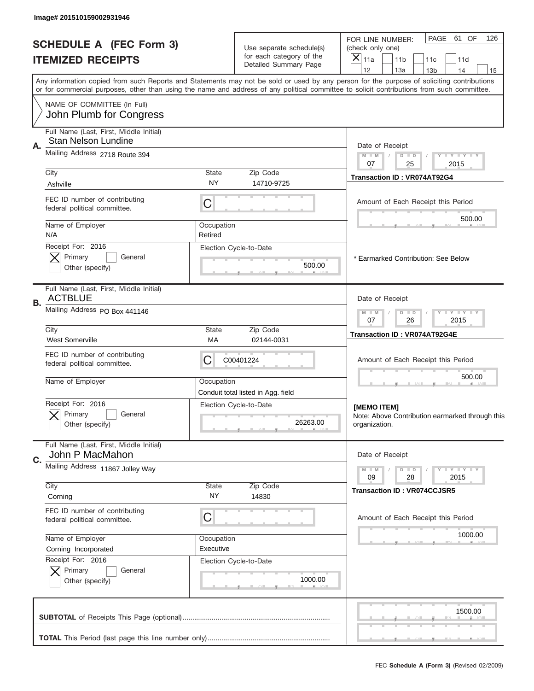|    | Image# 201510159002931946                                             |                                                            |                                                      |                                                                                                                                                                                                                                                                                         |
|----|-----------------------------------------------------------------------|------------------------------------------------------------|------------------------------------------------------|-----------------------------------------------------------------------------------------------------------------------------------------------------------------------------------------------------------------------------------------------------------------------------------------|
|    | <b>SCHEDULE A (FEC Form 3)</b><br><b>ITEMIZED RECEIPTS</b>            |                                                            | Use separate schedule(s)<br>for each category of the | PAGE<br>61 OF<br>126<br>FOR LINE NUMBER:<br>(check only one)<br>$\times$<br>11a<br>11 <sub>b</sub><br>11c<br>11d                                                                                                                                                                        |
|    |                                                                       |                                                            | Detailed Summary Page                                | 12<br>13a<br>14<br>13 <sub>b</sub><br>15                                                                                                                                                                                                                                                |
|    |                                                                       |                                                            |                                                      | Any information copied from such Reports and Statements may not be sold or used by any person for the purpose of soliciting contributions<br>or for commercial purposes, other than using the name and address of any political committee to solicit contributions from such committee. |
|    | NAME OF COMMITTEE (In Full)<br>John Plumb for Congress                |                                                            |                                                      |                                                                                                                                                                                                                                                                                         |
|    | Full Name (Last, First, Middle Initial)<br><b>Stan Nelson Lundine</b> |                                                            |                                                      |                                                                                                                                                                                                                                                                                         |
| Α. | Mailing Address 2718 Route 394                                        |                                                            |                                                      | Date of Receipt<br>$M - M$<br>Y FY FY FY<br>$D$ $D$                                                                                                                                                                                                                                     |
|    | City                                                                  | State                                                      | Zip Code                                             | 07<br>25<br>2015                                                                                                                                                                                                                                                                        |
|    | Ashville                                                              | NY                                                         | 14710-9725                                           | Transaction ID: VR074AT92G4                                                                                                                                                                                                                                                             |
|    | FEC ID number of contributing<br>federal political committee.         | C                                                          |                                                      | Amount of Each Receipt this Period                                                                                                                                                                                                                                                      |
|    | Name of Employer                                                      | Occupation                                                 |                                                      | 500.00                                                                                                                                                                                                                                                                                  |
|    | N/A<br>Receipt For: 2016                                              | Retired                                                    | Election Cycle-to-Date                               |                                                                                                                                                                                                                                                                                         |
|    | Primary<br>General<br>Other (specify)                                 |                                                            | 500.00                                               | * Earmarked Contribution: See Below                                                                                                                                                                                                                                                     |
| В. | Full Name (Last, First, Middle Initial)<br><b>ACTBLUE</b>             |                                                            |                                                      | Date of Receipt                                                                                                                                                                                                                                                                         |
|    | Mailing Address PO Box 441146                                         | <b>THEY THEY</b><br>$M - M$<br>$D$ $D$<br>07<br>26<br>2015 |                                                      |                                                                                                                                                                                                                                                                                         |
|    | City<br><b>West Somerville</b>                                        | <b>State</b><br>МA                                         | Zip Code<br>02144-0031                               | <b>Transaction ID: VR074AT92G4E</b>                                                                                                                                                                                                                                                     |
|    | FEC ID number of contributing<br>federal political committee.         | C                                                          | C00401224                                            | Amount of Each Receipt this Period                                                                                                                                                                                                                                                      |
|    | Name of Employer                                                      | Occupation                                                 | Conduit total listed in Agg. field                   | 500.00                                                                                                                                                                                                                                                                                  |
|    | Receipt For: 2016<br>General<br>Primary<br>Other (specify)            |                                                            | Election Cycle-to-Date<br>26263.00                   | [MEMO ITEM]<br>Note: Above Contribution earmarked through this<br>organization.                                                                                                                                                                                                         |
|    | Full Name (Last, First, Middle Initial)                               |                                                            |                                                      |                                                                                                                                                                                                                                                                                         |
| C. | John P MacMahon<br>Mailing Address 11867 Jolley Way                   |                                                            |                                                      | Date of Receipt                                                                                                                                                                                                                                                                         |
|    |                                                                       |                                                            |                                                      | <b>LYLYLY</b><br>$M - M$<br>$D$ $D$<br>09<br>28<br>2015                                                                                                                                                                                                                                 |
|    | City<br>Corning                                                       | State<br>NY.                                               | Zip Code<br>14830                                    | <b>Transaction ID: VR074CCJSR5</b>                                                                                                                                                                                                                                                      |
|    | FEC ID number of contributing<br>federal political committee.         | C                                                          |                                                      | Amount of Each Receipt this Period                                                                                                                                                                                                                                                      |
|    | Name of Employer                                                      | Occupation                                                 |                                                      | 1000.00                                                                                                                                                                                                                                                                                 |
|    | Corning Incorporated<br>Receipt For: 2016                             | Executive                                                  | Election Cycle-to-Date                               |                                                                                                                                                                                                                                                                                         |
|    | Primary<br>General<br>Other (specify)                                 |                                                            | 1000.00                                              |                                                                                                                                                                                                                                                                                         |
|    |                                                                       |                                                            |                                                      | 1500.00                                                                                                                                                                                                                                                                                 |
|    |                                                                       |                                                            |                                                      |                                                                                                                                                                                                                                                                                         |
|    |                                                                       |                                                            |                                                      | FEC Schedule A (Form 3) (Revised 02/2009)                                                                                                                                                                                                                                               |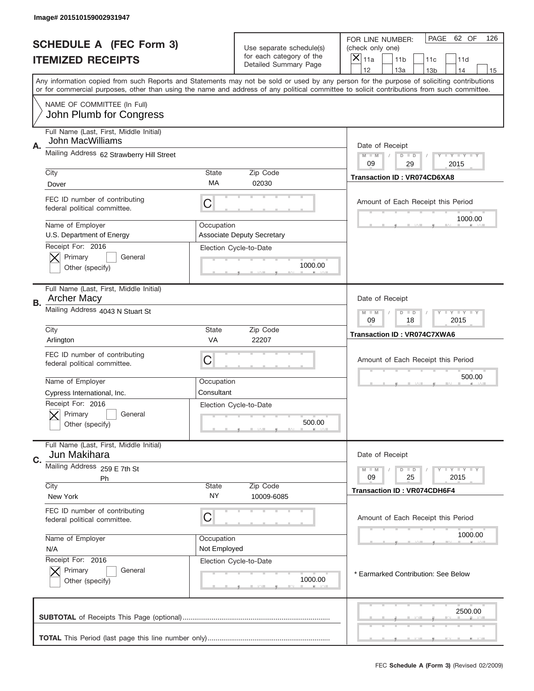|    | Image# 201510159002931947                                     |                                                                                                                                                                                       |                                                                               |                                                                                                                                            |
|----|---------------------------------------------------------------|---------------------------------------------------------------------------------------------------------------------------------------------------------------------------------------|-------------------------------------------------------------------------------|--------------------------------------------------------------------------------------------------------------------------------------------|
|    | <b>SCHEDULE A (FEC Form 3)</b><br><b>ITEMIZED RECEIPTS</b>    |                                                                                                                                                                                       | Use separate schedule(s)<br>for each category of the<br>Detailed Summary Page | PAGE<br>62 OF<br>126<br>FOR LINE NUMBER:<br>(check only one)<br>×<br>11a<br>11 <sub>b</sub><br>11c<br>11d                                  |
|    |                                                               | 12<br>13a<br>14<br>13 <sub>b</sub><br>15<br>Any information copied from such Reports and Statements may not be sold or used by any person for the purpose of soliciting contributions |                                                                               |                                                                                                                                            |
|    | NAME OF COMMITTEE (In Full)<br>John Plumb for Congress        |                                                                                                                                                                                       |                                                                               | or for commercial purposes, other than using the name and address of any political committee to solicit contributions from such committee. |
|    | Full Name (Last, First, Middle Initial)                       |                                                                                                                                                                                       |                                                                               |                                                                                                                                            |
| Α. | John MacWilliams<br>Mailing Address 62 Strawberry Hill Street |                                                                                                                                                                                       |                                                                               | Date of Receipt<br>$M - M$<br><b>LEY LEY LEY</b><br>$D$ $D$<br>09                                                                          |
|    | City                                                          | State                                                                                                                                                                                 | Zip Code                                                                      | 29<br>2015<br><b>Transaction ID: VR074CD6XA8</b>                                                                                           |
|    | Dover                                                         | МA                                                                                                                                                                                    | 02030                                                                         |                                                                                                                                            |
|    | FEC ID number of contributing<br>federal political committee. | C                                                                                                                                                                                     |                                                                               | Amount of Each Receipt this Period<br>1000.00                                                                                              |
|    | Name of Employer                                              | Occupation                                                                                                                                                                            |                                                                               |                                                                                                                                            |
|    | U.S. Department of Energy<br>Receipt For: 2016                |                                                                                                                                                                                       | <b>Associate Deputy Secretary</b><br>Election Cycle-to-Date                   |                                                                                                                                            |
|    | Primary<br>General                                            |                                                                                                                                                                                       |                                                                               |                                                                                                                                            |
|    | Other (specify)                                               |                                                                                                                                                                                       | 1000.00                                                                       |                                                                                                                                            |
| В. | Full Name (Last, First, Middle Initial)<br><b>Archer Macy</b> |                                                                                                                                                                                       |                                                                               | Date of Receipt                                                                                                                            |
|    | Mailing Address 4043 N Stuart St                              |                                                                                                                                                                                       | $M$ M<br><b>LEYTEY LEY</b><br>$D$ $D$<br>09<br>18<br>2015                     |                                                                                                                                            |
|    | City<br>Arlington                                             | State<br>VA                                                                                                                                                                           | Zip Code<br>22207                                                             | Transaction ID: VR074C7XWA6                                                                                                                |
|    | FEC ID number of contributing<br>federal political committee. | C                                                                                                                                                                                     |                                                                               | Amount of Each Receipt this Period                                                                                                         |
|    | Name of Employer                                              | Occupation                                                                                                                                                                            |                                                                               | 500.00                                                                                                                                     |
|    | Cypress International, Inc.                                   | Consultant                                                                                                                                                                            |                                                                               |                                                                                                                                            |
|    | Receipt For: 2016<br>General<br>Primary<br>Other (specify)    |                                                                                                                                                                                       | Election Cycle-to-Date<br>500.00                                              |                                                                                                                                            |
|    | Full Name (Last, First, Middle Initial)                       |                                                                                                                                                                                       |                                                                               |                                                                                                                                            |
| C. | Jun Makihara<br>Mailing Address 259 E 7th St                  |                                                                                                                                                                                       |                                                                               | Date of Receipt                                                                                                                            |
|    | Ph                                                            |                                                                                                                                                                                       |                                                                               | <b>LYLYLY</b><br>$M - M$<br>$D$ $D$<br>09<br>25<br>2015                                                                                    |
|    | City<br>New York                                              | State<br>NY.                                                                                                                                                                          | Zip Code<br>10009-6085                                                        | <b>Transaction ID: VR074CDH6F4</b>                                                                                                         |
|    | FEC ID number of contributing<br>federal political committee. | C                                                                                                                                                                                     |                                                                               | Amount of Each Receipt this Period                                                                                                         |
|    | Name of Employer                                              | Occupation                                                                                                                                                                            |                                                                               | 1000.00                                                                                                                                    |
|    | N/A                                                           | Not Employed                                                                                                                                                                          |                                                                               |                                                                                                                                            |
|    | Receipt For: 2016<br>Primary<br>General                       |                                                                                                                                                                                       | Election Cycle-to-Date                                                        |                                                                                                                                            |
|    | Other (specify)                                               |                                                                                                                                                                                       | 1000.00                                                                       | * Earmarked Contribution: See Below                                                                                                        |
|    |                                                               |                                                                                                                                                                                       |                                                                               | 2500.00                                                                                                                                    |
|    |                                                               |                                                                                                                                                                                       |                                                                               | FEC Schedule A (Form 3) (Revised 02/2009)                                                                                                  |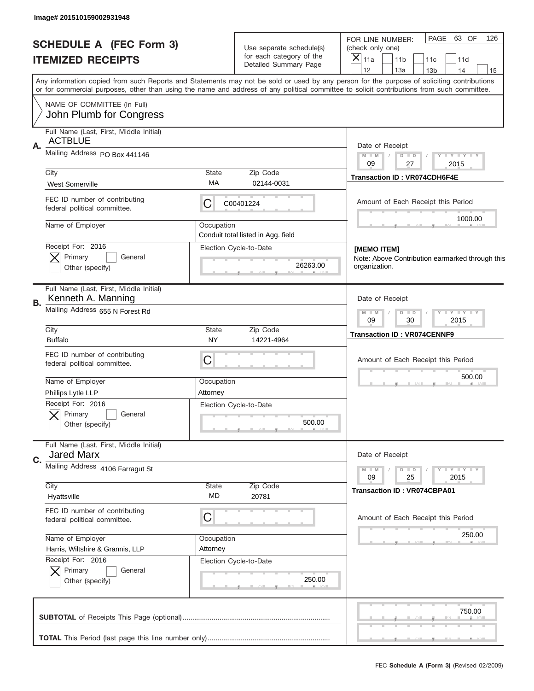|    | Image# 201510159002931948                                     |                                                              |                                                              |                                                                                                                                                                                                                                                                                         |
|----|---------------------------------------------------------------|--------------------------------------------------------------|--------------------------------------------------------------|-----------------------------------------------------------------------------------------------------------------------------------------------------------------------------------------------------------------------------------------------------------------------------------------|
|    | <b>SCHEDULE A (FEC Form 3)</b><br><b>ITEMIZED RECEIPTS</b>    |                                                              | Use separate schedule(s)<br>for each category of the         | PAGE<br>63 OF<br>126<br>FOR LINE NUMBER:<br>(check only one)<br>$\times$<br>11a<br>11 <sub>b</sub><br>11c<br>11d                                                                                                                                                                        |
|    |                                                               |                                                              | Detailed Summary Page                                        | 12<br>13a<br>14<br>13 <sub>b</sub><br>15                                                                                                                                                                                                                                                |
|    |                                                               |                                                              |                                                              | Any information copied from such Reports and Statements may not be sold or used by any person for the purpose of soliciting contributions<br>or for commercial purposes, other than using the name and address of any political committee to solicit contributions from such committee. |
|    | NAME OF COMMITTEE (In Full)<br>John Plumb for Congress        |                                                              |                                                              |                                                                                                                                                                                                                                                                                         |
|    | Full Name (Last, First, Middle Initial)                       |                                                              |                                                              |                                                                                                                                                                                                                                                                                         |
| Α. | <b>ACTBLUE</b>                                                |                                                              |                                                              | Date of Receipt                                                                                                                                                                                                                                                                         |
|    | Mailing Address PO Box 441146                                 |                                                              |                                                              | Y LY LY LY<br>$M - M$<br>$D$ $D$<br>09<br>27<br>2015                                                                                                                                                                                                                                    |
|    | City                                                          | State                                                        | Zip Code                                                     | <b>Transaction ID: VR074CDH6F4E</b>                                                                                                                                                                                                                                                     |
|    | <b>West Somerville</b>                                        | МA                                                           | 02144-0031                                                   |                                                                                                                                                                                                                                                                                         |
|    | FEC ID number of contributing<br>federal political committee. | С                                                            | C00401224                                                    | Amount of Each Receipt this Period<br>1000.00                                                                                                                                                                                                                                           |
|    | Name of Employer                                              | Occupation                                                   |                                                              |                                                                                                                                                                                                                                                                                         |
|    | Receipt For: 2016                                             |                                                              | Conduit total listed in Agg. field<br>Election Cycle-to-Date |                                                                                                                                                                                                                                                                                         |
|    | Primary<br>General                                            |                                                              |                                                              | [MEMO ITEM]<br>Note: Above Contribution earmarked through this                                                                                                                                                                                                                          |
|    | Other (specify)                                               |                                                              | 26263.00                                                     | organization.                                                                                                                                                                                                                                                                           |
| В. | Full Name (Last, First, Middle Initial)<br>Kenneth A. Manning |                                                              |                                                              | Date of Receipt                                                                                                                                                                                                                                                                         |
|    | Mailing Address 655 N Forest Rd                               | $D$ $D$<br><b>TEY TEY TEY</b><br>$M - M$<br>09<br>30<br>2015 |                                                              |                                                                                                                                                                                                                                                                                         |
|    | City<br><b>Buffalo</b>                                        | State<br>NY                                                  | Zip Code<br>14221-4964                                       | <b>Transaction ID: VR074CENNF9</b>                                                                                                                                                                                                                                                      |
|    | FEC ID number of contributing<br>federal political committee. | C                                                            |                                                              | Amount of Each Receipt this Period                                                                                                                                                                                                                                                      |
|    | Name of Employer                                              | Occupation                                                   |                                                              | 500.00                                                                                                                                                                                                                                                                                  |
|    | Phillips Lytle LLP                                            | Attorney                                                     |                                                              |                                                                                                                                                                                                                                                                                         |
|    | Receipt For: 2016                                             |                                                              | Election Cycle-to-Date                                       |                                                                                                                                                                                                                                                                                         |
|    | General<br>Primary<br>Other (specify)                         |                                                              | 500.00                                                       |                                                                                                                                                                                                                                                                                         |
|    | Full Name (Last, First, Middle Initial)                       |                                                              |                                                              |                                                                                                                                                                                                                                                                                         |
| C. | <b>Jared Marx</b>                                             |                                                              |                                                              | Date of Receipt                                                                                                                                                                                                                                                                         |
|    | Mailing Address 4106 Farragut St                              |                                                              |                                                              | $D$ $D$<br>$Y - Y - Y - Y - Y$<br>$M - M$<br>25<br>2015<br>09                                                                                                                                                                                                                           |
|    | City                                                          | State                                                        | Zip Code                                                     | <b>Transaction ID: VR074CBPA01</b>                                                                                                                                                                                                                                                      |
|    | Hyattsville                                                   | MD                                                           | 20781                                                        |                                                                                                                                                                                                                                                                                         |
|    | FEC ID number of contributing<br>federal political committee. | С                                                            |                                                              | Amount of Each Receipt this Period                                                                                                                                                                                                                                                      |
|    | Name of Employer                                              | Occupation                                                   |                                                              | 250.00                                                                                                                                                                                                                                                                                  |
|    | Harris, Wiltshire & Grannis, LLP<br>Receipt For: 2016         | Attorney                                                     | Election Cycle-to-Date                                       |                                                                                                                                                                                                                                                                                         |
|    | Primary<br>General                                            |                                                              |                                                              |                                                                                                                                                                                                                                                                                         |
|    | Other (specify)                                               |                                                              | 250.00                                                       |                                                                                                                                                                                                                                                                                         |
|    |                                                               |                                                              |                                                              | 750.00                                                                                                                                                                                                                                                                                  |
|    |                                                               |                                                              |                                                              |                                                                                                                                                                                                                                                                                         |
|    |                                                               |                                                              |                                                              |                                                                                                                                                                                                                                                                                         |
|    |                                                               |                                                              |                                                              | FEC Schedule A (Form 3) (Revised 02/2009)                                                                                                                                                                                                                                               |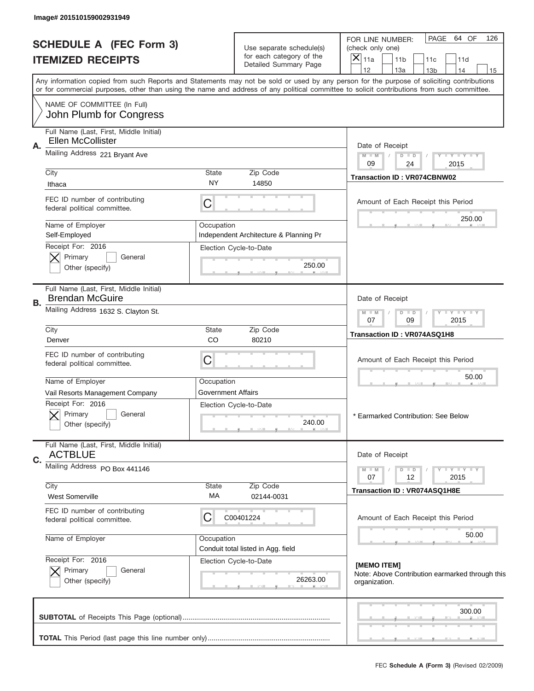|                          | Image# 201510159002931949                                         |                                                                                                                                                                                                                                                                                                                               |                                                   |                                                                                 |
|--------------------------|-------------------------------------------------------------------|-------------------------------------------------------------------------------------------------------------------------------------------------------------------------------------------------------------------------------------------------------------------------------------------------------------------------------|---------------------------------------------------|---------------------------------------------------------------------------------|
|                          | <b>SCHEDULE A (FEC Form 3)</b>                                    |                                                                                                                                                                                                                                                                                                                               | Use separate schedule(s)                          | PAGE<br>64 OF<br>126<br>FOR LINE NUMBER:<br>(check only one)                    |
| <b>ITEMIZED RECEIPTS</b> |                                                                   |                                                                                                                                                                                                                                                                                                                               | for each category of the<br>Detailed Summary Page | $\times$<br>11a<br>11 <sub>b</sub><br>11d<br>11c<br>12                          |
|                          |                                                                   | 13a<br>14<br>13 <sub>b</sub><br>15<br>Any information copied from such Reports and Statements may not be sold or used by any person for the purpose of soliciting contributions<br>or for commercial purposes, other than using the name and address of any political committee to solicit contributions from such committee. |                                                   |                                                                                 |
|                          | NAME OF COMMITTEE (In Full)<br>John Plumb for Congress            |                                                                                                                                                                                                                                                                                                                               |                                                   |                                                                                 |
|                          | Full Name (Last, First, Middle Initial)                           |                                                                                                                                                                                                                                                                                                                               |                                                   |                                                                                 |
| Α.                       | <b>Ellen McCollister</b>                                          |                                                                                                                                                                                                                                                                                                                               |                                                   | Date of Receipt                                                                 |
|                          | Mailing Address 221 Bryant Ave                                    |                                                                                                                                                                                                                                                                                                                               |                                                   | Y TY TY TY<br>$M - M$<br>$D$ $D$                                                |
|                          | City                                                              | <b>State</b>                                                                                                                                                                                                                                                                                                                  | Zip Code                                          | 09<br>24<br>2015                                                                |
|                          | Ithaca                                                            | NY.                                                                                                                                                                                                                                                                                                                           | 14850                                             | <b>Transaction ID: VR074CBNW02</b>                                              |
|                          | FEC ID number of contributing<br>federal political committee.     | C                                                                                                                                                                                                                                                                                                                             |                                                   | Amount of Each Receipt this Period                                              |
|                          | Name of Employer                                                  | Occupation                                                                                                                                                                                                                                                                                                                    |                                                   | 250.00                                                                          |
|                          | Self-Employed<br>Receipt For: 2016                                |                                                                                                                                                                                                                                                                                                                               | Independent Architecture & Planning Pr            |                                                                                 |
|                          | Primary<br>General                                                |                                                                                                                                                                                                                                                                                                                               | Election Cycle-to-Date                            |                                                                                 |
|                          | Other (specify)                                                   |                                                                                                                                                                                                                                                                                                                               | 250.00                                            |                                                                                 |
| В.                       | Full Name (Last, First, Middle Initial)<br><b>Brendan McGuire</b> |                                                                                                                                                                                                                                                                                                                               |                                                   | Date of Receipt                                                                 |
|                          | Mailing Address 1632 S. Clayton St.                               |                                                                                                                                                                                                                                                                                                                               |                                                   | Y LY LY LY<br>$D$ $D$<br>$M - M$<br>07<br>09<br>2015                            |
|                          | City<br>Denver                                                    | <b>State</b><br>CO                                                                                                                                                                                                                                                                                                            | Zip Code<br>80210                                 | Transaction ID: VR074ASQ1H8                                                     |
|                          | FEC ID number of contributing<br>federal political committee.     | C                                                                                                                                                                                                                                                                                                                             |                                                   | Amount of Each Receipt this Period                                              |
|                          | Name of Employer                                                  | Occupation                                                                                                                                                                                                                                                                                                                    |                                                   | 50.00                                                                           |
|                          | Vail Resorts Management Company                                   | Government Affairs                                                                                                                                                                                                                                                                                                            |                                                   |                                                                                 |
|                          | Receipt For: 2016<br>General<br>Primary<br>Other (specify)        |                                                                                                                                                                                                                                                                                                                               | Election Cycle-to-Date<br>240.00                  | * Earmarked Contribution: See Below                                             |
|                          | Full Name (Last, First, Middle Initial)<br><b>ACTBLUE</b>         |                                                                                                                                                                                                                                                                                                                               |                                                   | Date of Receipt                                                                 |
| C.                       | Mailing Address PO Box 441146                                     |                                                                                                                                                                                                                                                                                                                               |                                                   | $T - Y = Y - T Y$                                                               |
|                          |                                                                   |                                                                                                                                                                                                                                                                                                                               |                                                   | $D$ $D$<br>$M - M$<br>12<br>2015<br>07                                          |
|                          | City<br><b>West Somerville</b>                                    | State<br>МA                                                                                                                                                                                                                                                                                                                   | Zip Code<br>02144-0031                            | Transaction ID: VR074ASQ1H8E                                                    |
|                          | FEC ID number of contributing<br>federal political committee.     | C                                                                                                                                                                                                                                                                                                                             | C00401224                                         | Amount of Each Receipt this Period                                              |
|                          | Name of Employer                                                  | Occupation                                                                                                                                                                                                                                                                                                                    | Conduit total listed in Agg. field                | 50.00                                                                           |
|                          | Receipt For: 2016<br>Primary<br>General<br>Other (specify)        |                                                                                                                                                                                                                                                                                                                               | Election Cycle-to-Date<br>26263.00                | [MEMO ITEM]<br>Note: Above Contribution earmarked through this<br>organization. |
|                          |                                                                   |                                                                                                                                                                                                                                                                                                                               |                                                   | 300.00                                                                          |
|                          |                                                                   |                                                                                                                                                                                                                                                                                                                               |                                                   |                                                                                 |
|                          |                                                                   |                                                                                                                                                                                                                                                                                                                               |                                                   | FEC Schedule A (Form 3) (Revised 02/2009)                                       |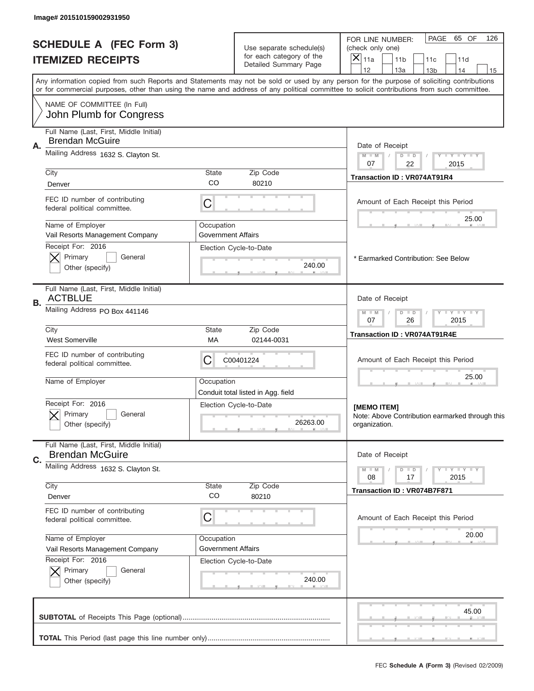|    | Image# 201510159002931950                                     |                                                                                                                                                                                                                                                                                         |                                                      |                                                                                  |  |
|----|---------------------------------------------------------------|-----------------------------------------------------------------------------------------------------------------------------------------------------------------------------------------------------------------------------------------------------------------------------------------|------------------------------------------------------|----------------------------------------------------------------------------------|--|
|    | <b>SCHEDULE A (FEC Form 3)</b>                                |                                                                                                                                                                                                                                                                                         | Use separate schedule(s)<br>for each category of the | PAGE<br>65 OF<br>126<br>FOR LINE NUMBER:<br>(check only one)<br>$\times$         |  |
|    | <b>ITEMIZED RECEIPTS</b>                                      |                                                                                                                                                                                                                                                                                         | Detailed Summary Page                                | 11a<br>11 <sub>b</sub><br>11c<br>11d<br>12<br>13a<br>14<br>13 <sub>b</sub><br>15 |  |
|    |                                                               | Any information copied from such Reports and Statements may not be sold or used by any person for the purpose of soliciting contributions<br>or for commercial purposes, other than using the name and address of any political committee to solicit contributions from such committee. |                                                      |                                                                                  |  |
|    | NAME OF COMMITTEE (In Full)<br>John Plumb for Congress        |                                                                                                                                                                                                                                                                                         |                                                      |                                                                                  |  |
|    | Full Name (Last, First, Middle Initial)                       |                                                                                                                                                                                                                                                                                         |                                                      |                                                                                  |  |
| Α. | <b>Brendan McGuire</b>                                        |                                                                                                                                                                                                                                                                                         |                                                      | Date of Receipt                                                                  |  |
|    | Mailing Address 1632 S. Clayton St.                           |                                                                                                                                                                                                                                                                                         |                                                      | $M$ $M$<br>Y FY FY FY<br>$D$ $D$<br>07<br>22<br>2015                             |  |
|    | City                                                          | State                                                                                                                                                                                                                                                                                   | Zip Code                                             | <b>Transaction ID: VR074AT91R4</b>                                               |  |
|    | Denver                                                        | CO                                                                                                                                                                                                                                                                                      | 80210                                                |                                                                                  |  |
|    | FEC ID number of contributing<br>federal political committee. | C                                                                                                                                                                                                                                                                                       |                                                      | Amount of Each Receipt this Period                                               |  |
|    | Name of Employer                                              | Occupation                                                                                                                                                                                                                                                                              |                                                      | 25.00                                                                            |  |
|    | Vail Resorts Management Company<br>Receipt For: 2016          | <b>Government Affairs</b>                                                                                                                                                                                                                                                               |                                                      |                                                                                  |  |
|    | Primary<br>General                                            |                                                                                                                                                                                                                                                                                         | Election Cycle-to-Date                               | * Earmarked Contribution: See Below                                              |  |
|    | Other (specify)                                               |                                                                                                                                                                                                                                                                                         | 240.00                                               |                                                                                  |  |
|    | Full Name (Last, First, Middle Initial)<br><b>ACTBLUE</b>     |                                                                                                                                                                                                                                                                                         |                                                      | Date of Receipt                                                                  |  |
| В. | Mailing Address PO Box 441146                                 | <b>LY LY LY</b><br>$M - M$<br>$D$ $D$<br>07<br>26<br>2015                                                                                                                                                                                                                               |                                                      |                                                                                  |  |
|    | City<br><b>West Somerville</b>                                | <b>State</b><br>МA                                                                                                                                                                                                                                                                      | Zip Code<br>02144-0031                               | <b>Transaction ID: VR074AT91R4E</b>                                              |  |
|    | FEC ID number of contributing<br>federal political committee. | C<br>C00401224                                                                                                                                                                                                                                                                          |                                                      |                                                                                  |  |
|    | Name of Employer                                              | Occupation                                                                                                                                                                                                                                                                              | Conduit total listed in Agg. field                   | 25.00                                                                            |  |
|    | Receipt For: 2016                                             |                                                                                                                                                                                                                                                                                         | Election Cycle-to-Date                               | [MEMO ITEM]                                                                      |  |
|    | General<br>Primary<br>Other (specify)                         |                                                                                                                                                                                                                                                                                         | 26263.00                                             | Note: Above Contribution earmarked through this<br>organization.                 |  |
|    | Full Name (Last, First, Middle Initial)                       |                                                                                                                                                                                                                                                                                         |                                                      |                                                                                  |  |
| C. | <b>Brendan McGuire</b>                                        |                                                                                                                                                                                                                                                                                         |                                                      | Date of Receipt                                                                  |  |
|    | Mailing Address 1632 S. Clayton St.                           |                                                                                                                                                                                                                                                                                         |                                                      | <b>LYLYLY</b><br>$M - M$<br>$D$ $D$<br>08<br>17<br>2015                          |  |
|    | City                                                          | <b>State</b>                                                                                                                                                                                                                                                                            | Zip Code                                             | Transaction ID: VR074B7F871                                                      |  |
|    | Denver                                                        | CO                                                                                                                                                                                                                                                                                      | 80210                                                |                                                                                  |  |
|    | FEC ID number of contributing<br>federal political committee. | C                                                                                                                                                                                                                                                                                       |                                                      | Amount of Each Receipt this Period                                               |  |
|    | Name of Employer                                              | Occupation                                                                                                                                                                                                                                                                              |                                                      | 20.00                                                                            |  |
|    | Vail Resorts Management Company<br>Receipt For: 2016          | <b>Government Affairs</b>                                                                                                                                                                                                                                                               |                                                      |                                                                                  |  |
|    | Primary<br>General                                            |                                                                                                                                                                                                                                                                                         | Election Cycle-to-Date                               |                                                                                  |  |
|    | Other (specify)                                               |                                                                                                                                                                                                                                                                                         | 240.00                                               |                                                                                  |  |
|    |                                                               |                                                                                                                                                                                                                                                                                         |                                                      | 45.00                                                                            |  |
|    |                                                               |                                                                                                                                                                                                                                                                                         |                                                      |                                                                                  |  |
|    |                                                               |                                                                                                                                                                                                                                                                                         |                                                      |                                                                                  |  |
|    |                                                               |                                                                                                                                                                                                                                                                                         |                                                      | FEC Schedule A (Form 3) (Revised 02/2009)                                        |  |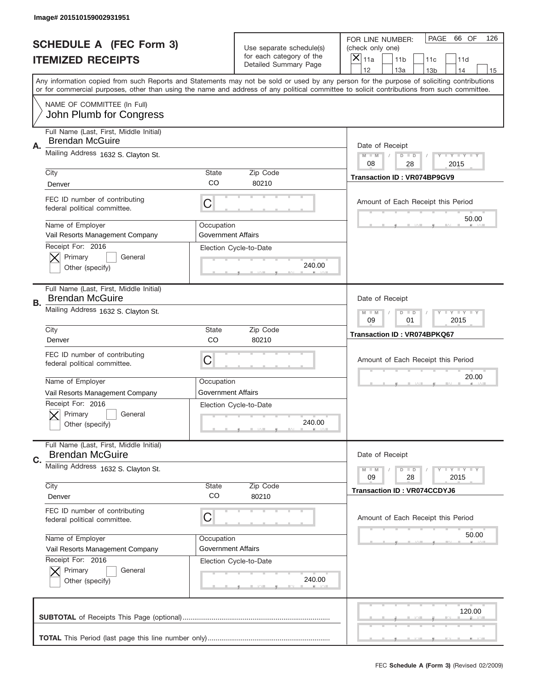|    | Image# 201510159002931951                                                |                                                             |                                                      |                                                                                                                                                                                                                                                                                                                                     |
|----|--------------------------------------------------------------------------|-------------------------------------------------------------|------------------------------------------------------|-------------------------------------------------------------------------------------------------------------------------------------------------------------------------------------------------------------------------------------------------------------------------------------------------------------------------------------|
|    | <b>SCHEDULE A (FEC Form 3)</b>                                           |                                                             | Use separate schedule(s)<br>for each category of the | PAGE<br>66 OF<br>126<br>FOR LINE NUMBER:<br>(check only one)                                                                                                                                                                                                                                                                        |
|    | <b>ITEMIZED RECEIPTS</b>                                                 |                                                             | Detailed Summary Page                                | ×<br>11a<br>11 <sub>b</sub><br>11c<br>11d                                                                                                                                                                                                                                                                                           |
|    |                                                                          |                                                             |                                                      | 12<br>13a<br>14<br>13 <sub>b</sub><br>15<br>Any information copied from such Reports and Statements may not be sold or used by any person for the purpose of soliciting contributions<br>or for commercial purposes, other than using the name and address of any political committee to solicit contributions from such committee. |
|    | NAME OF COMMITTEE (In Full)<br>John Plumb for Congress                   |                                                             |                                                      |                                                                                                                                                                                                                                                                                                                                     |
| Α. | Full Name (Last, First, Middle Initial)<br><b>Brendan McGuire</b>        |                                                             |                                                      | Date of Receipt                                                                                                                                                                                                                                                                                                                     |
|    | Mailing Address 1632 S. Clayton St.                                      |                                                             |                                                      | $M - M$<br><b>LEY LEY LEY</b><br>$D$ $D$<br>08<br>28<br>2015                                                                                                                                                                                                                                                                        |
|    | City<br>Denver                                                           | State<br>CO                                                 | Zip Code<br>80210                                    | <b>Transaction ID: VR074BP9GV9</b>                                                                                                                                                                                                                                                                                                  |
|    | FEC ID number of contributing<br>federal political committee.            | C                                                           |                                                      | Amount of Each Receipt this Period<br>50.00                                                                                                                                                                                                                                                                                         |
|    | Name of Employer<br>Vail Resorts Management Company<br>Receipt For: 2016 | Occupation<br><b>Government Affairs</b>                     |                                                      |                                                                                                                                                                                                                                                                                                                                     |
|    | Primary<br>General<br>Other (specify)                                    |                                                             | Election Cycle-to-Date<br>240.00                     |                                                                                                                                                                                                                                                                                                                                     |
| В. | Full Name (Last, First, Middle Initial)<br><b>Brendan McGuire</b>        |                                                             |                                                      | Date of Receipt                                                                                                                                                                                                                                                                                                                     |
|    | Mailing Address 1632 S. Clayton St.                                      | $M - M$<br><b>LEYTEY LEY</b><br>$D$ $D$<br>09<br>01<br>2015 |                                                      |                                                                                                                                                                                                                                                                                                                                     |
|    | City<br>Denver                                                           | State<br>CO                                                 | Zip Code<br>80210                                    | <b>Transaction ID: VR074BPKQ67</b>                                                                                                                                                                                                                                                                                                  |
|    | FEC ID number of contributing                                            | C                                                           |                                                      | Amount of Each Receipt this Period                                                                                                                                                                                                                                                                                                  |
|    | federal political committee.                                             |                                                             |                                                      |                                                                                                                                                                                                                                                                                                                                     |
|    | Name of Employer<br>Vail Resorts Management Company                      | Occupation<br><b>Government Affairs</b>                     |                                                      | 20.00                                                                                                                                                                                                                                                                                                                               |
|    | Receipt For: 2016<br>General<br>Primary<br>Other (specify)               |                                                             | Election Cycle-to-Date<br>240.00                     |                                                                                                                                                                                                                                                                                                                                     |
| C. | Full Name (Last, First, Middle Initial)<br><b>Brendan McGuire</b>        |                                                             |                                                      | Date of Receipt                                                                                                                                                                                                                                                                                                                     |
|    | Mailing Address 1632 S. Clayton St.                                      |                                                             |                                                      | <b>LEY LEY LEY</b><br>$M - M$<br>$D$ $D$<br>09<br>2015<br>28                                                                                                                                                                                                                                                                        |
|    | City<br>Denver                                                           | State<br>CO                                                 | Zip Code<br>80210                                    | <b>Transaction ID: VR074CCDYJ6</b>                                                                                                                                                                                                                                                                                                  |
|    | FEC ID number of contributing<br>federal political committee.            | C                                                           |                                                      | Amount of Each Receipt this Period                                                                                                                                                                                                                                                                                                  |
|    | Name of Employer<br>Vail Resorts Management Company                      | Occupation<br><b>Government Affairs</b>                     |                                                      | 50.00                                                                                                                                                                                                                                                                                                                               |
|    | Receipt For: 2016<br>Primary<br>General<br>Other (specify)               |                                                             | Election Cycle-to-Date<br>240.00                     |                                                                                                                                                                                                                                                                                                                                     |
|    |                                                                          |                                                             |                                                      | 120.00                                                                                                                                                                                                                                                                                                                              |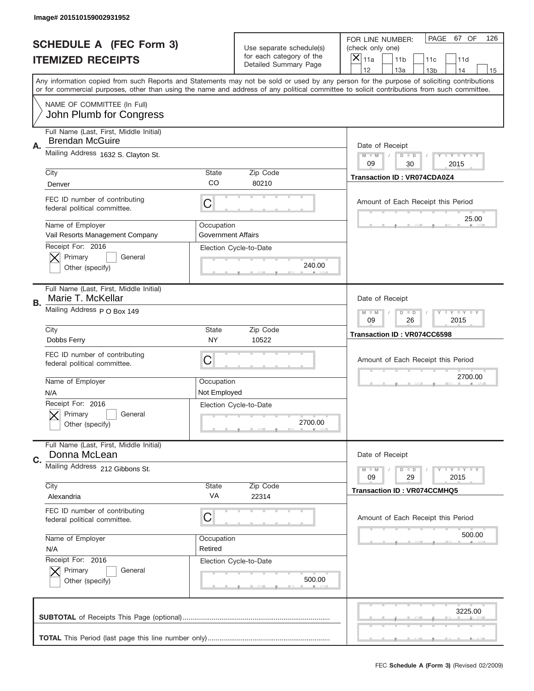|    | Image# 201510159002931952                                         |                                                           |                                                      |                                                                                                                                                                                                                                                                                                                  |
|----|-------------------------------------------------------------------|-----------------------------------------------------------|------------------------------------------------------|------------------------------------------------------------------------------------------------------------------------------------------------------------------------------------------------------------------------------------------------------------------------------------------------------------------|
|    | <b>SCHEDULE A (FEC Form 3)</b>                                    |                                                           | Use separate schedule(s)<br>for each category of the | PAGE 67 OF<br>126<br>FOR LINE NUMBER:<br>(check only one)                                                                                                                                                                                                                                                        |
|    | <b>ITEMIZED RECEIPTS</b>                                          |                                                           | Detailed Summary Page                                | ×<br>11a<br>11 <sub>b</sub><br>11c<br>11d<br>12<br>13a<br>14                                                                                                                                                                                                                                                     |
|    |                                                                   |                                                           |                                                      | 13 <sub>b</sub><br>15<br>Any information copied from such Reports and Statements may not be sold or used by any person for the purpose of soliciting contributions<br>or for commercial purposes, other than using the name and address of any political committee to solicit contributions from such committee. |
|    | NAME OF COMMITTEE (In Full)<br>John Plumb for Congress            |                                                           |                                                      |                                                                                                                                                                                                                                                                                                                  |
| Α. | Full Name (Last, First, Middle Initial)<br><b>Brendan McGuire</b> |                                                           |                                                      | Date of Receipt                                                                                                                                                                                                                                                                                                  |
|    | Mailing Address 1632 S. Clayton St.                               |                                                           |                                                      | $M - M$<br><b>LEY LEY LEY</b><br>$D$ $D$<br>09<br>30<br>2015                                                                                                                                                                                                                                                     |
|    | City<br>Denver                                                    | State<br>CO                                               | Zip Code<br>80210                                    | <b>Transaction ID: VR074CDA0Z4</b>                                                                                                                                                                                                                                                                               |
|    | FEC ID number of contributing<br>federal political committee.     | C                                                         |                                                      | Amount of Each Receipt this Period<br>25.00                                                                                                                                                                                                                                                                      |
|    | Name of Employer<br>Vail Resorts Management Company               | Occupation<br><b>Government Affairs</b>                   |                                                      |                                                                                                                                                                                                                                                                                                                  |
|    | Receipt For: 2016<br>Primary<br>General<br>Other (specify)        |                                                           | Election Cycle-to-Date<br>240.00                     |                                                                                                                                                                                                                                                                                                                  |
| В. | Full Name (Last, First, Middle Initial)<br>Marie T. McKellar      |                                                           |                                                      | Date of Receipt                                                                                                                                                                                                                                                                                                  |
|    | Mailing Address P O Box 149                                       | $M$ M<br><b>LEYTEY LEY</b><br>$D$ $D$<br>09<br>26<br>2015 |                                                      |                                                                                                                                                                                                                                                                                                                  |
|    | City<br>Dobbs Ferry                                               | State<br><b>NY</b>                                        | Zip Code<br>10522                                    | Transaction ID: VR074CC6598                                                                                                                                                                                                                                                                                      |
|    |                                                                   |                                                           |                                                      |                                                                                                                                                                                                                                                                                                                  |
|    | FEC ID number of contributing<br>federal political committee.     | C                                                         |                                                      | Amount of Each Receipt this Period                                                                                                                                                                                                                                                                               |
|    | Name of Employer<br>N/A                                           | Occupation<br>Not Employed                                |                                                      | 2700.00                                                                                                                                                                                                                                                                                                          |
|    | Receipt For: 2016<br>General<br>Primary<br>Other (specify)        |                                                           | Election Cycle-to-Date<br>2700.00                    |                                                                                                                                                                                                                                                                                                                  |
| C. | Full Name (Last, First, Middle Initial)<br>Donna McLean           |                                                           |                                                      | Date of Receipt                                                                                                                                                                                                                                                                                                  |
|    | Mailing Address 212 Gibbons St.                                   |                                                           |                                                      | <b>LYLYLY</b><br>$M - M$<br>$D$ $D$<br>09<br>2015<br>29                                                                                                                                                                                                                                                          |
|    | City<br>Alexandria                                                | <b>State</b><br>VA                                        | Zip Code<br>22314                                    | <b>Transaction ID: VR074CCMHQ5</b>                                                                                                                                                                                                                                                                               |
|    | FEC ID number of contributing<br>federal political committee.     | C                                                         |                                                      | Amount of Each Receipt this Period                                                                                                                                                                                                                                                                               |
|    | Name of Employer<br>N/A                                           | Occupation<br>Retired                                     |                                                      | 500.00                                                                                                                                                                                                                                                                                                           |
|    | Receipt For: 2016<br>Primary<br>General<br>Other (specify)        |                                                           | Election Cycle-to-Date<br>500.00                     |                                                                                                                                                                                                                                                                                                                  |
|    |                                                                   |                                                           |                                                      | 3225.00                                                                                                                                                                                                                                                                                                          |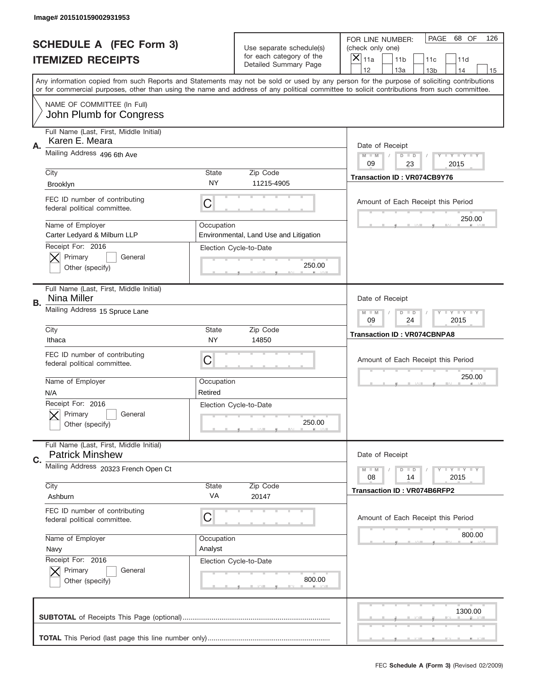|    | Image# 201510159002931953                                             |                                                              |                                                      |                                                                                                                                                                                                                                                                                         |
|----|-----------------------------------------------------------------------|--------------------------------------------------------------|------------------------------------------------------|-----------------------------------------------------------------------------------------------------------------------------------------------------------------------------------------------------------------------------------------------------------------------------------------|
|    | <b>SCHEDULE A (FEC Form 3)</b>                                        |                                                              | Use separate schedule(s)<br>for each category of the | PAGE<br>68 OF<br>126<br>FOR LINE NUMBER:<br>(check only one)<br>$\overline{\mathsf{x}}$                                                                                                                                                                                                 |
|    | <b>ITEMIZED RECEIPTS</b>                                              |                                                              | Detailed Summary Page                                | 11a<br>11 <sub>b</sub><br>11c<br>11d<br>12<br>13a<br>14<br>13 <sub>b</sub><br>15                                                                                                                                                                                                        |
|    |                                                                       |                                                              |                                                      | Any information copied from such Reports and Statements may not be sold or used by any person for the purpose of soliciting contributions<br>or for commercial purposes, other than using the name and address of any political committee to solicit contributions from such committee. |
|    | NAME OF COMMITTEE (In Full)<br>John Plumb for Congress                |                                                              |                                                      |                                                                                                                                                                                                                                                                                         |
| Α. | Full Name (Last, First, Middle Initial)<br>Karen E. Meara             |                                                              |                                                      | Date of Receipt                                                                                                                                                                                                                                                                         |
|    | Mailing Address 496 6th Ave                                           | Y TY TY TY<br>$M - M$<br>$D$ $D$<br>09<br>23<br>2015         |                                                      |                                                                                                                                                                                                                                                                                         |
|    | City<br>Brooklyn                                                      | State<br><b>NY</b>                                           | Zip Code<br>11215-4905                               | Transaction ID: VR074CB9Y76                                                                                                                                                                                                                                                             |
|    | FEC ID number of contributing<br>federal political committee.         | C                                                            |                                                      | Amount of Each Receipt this Period<br>250.00                                                                                                                                                                                                                                            |
|    | Name of Employer<br>Carter Ledyard & Milburn LLP<br>Receipt For: 2016 | Occupation                                                   | Environmental, Land Use and Litigation               |                                                                                                                                                                                                                                                                                         |
|    | Primary<br>General<br>Other (specify)                                 |                                                              | Election Cycle-to-Date<br>250.00                     |                                                                                                                                                                                                                                                                                         |
| В. | Full Name (Last, First, Middle Initial)<br>Nina Miller                |                                                              |                                                      | Date of Receipt                                                                                                                                                                                                                                                                         |
|    | Mailing Address 15 Spruce Lane                                        | <b>LY LY LY</b><br>$M - M$<br>$D$ $D$<br>09<br>24<br>2015    |                                                      |                                                                                                                                                                                                                                                                                         |
|    | City<br>Ithaca                                                        | State<br>NY                                                  | Zip Code<br>14850                                    | <b>Transaction ID: VR074CBNPA8</b>                                                                                                                                                                                                                                                      |
|    | FEC ID number of contributing<br>federal political committee.         | C                                                            |                                                      | Amount of Each Receipt this Period                                                                                                                                                                                                                                                      |
|    | Name of Employer<br>N/A                                               | Occupation<br>Retired                                        |                                                      | 250.00                                                                                                                                                                                                                                                                                  |
|    | Receipt For: 2016<br>General<br>Primary<br>Other (specify)            |                                                              | Election Cycle-to-Date<br>250.00                     |                                                                                                                                                                                                                                                                                         |
| C. | Full Name (Last, First, Middle Initial)<br><b>Patrick Minshew</b>     |                                                              |                                                      | Date of Receipt                                                                                                                                                                                                                                                                         |
|    | Mailing Address 20323 French Open Ct                                  | <b>TEY TEY TEY</b><br>$M - M$<br>$D$ $D$<br>2015<br>08<br>14 |                                                      |                                                                                                                                                                                                                                                                                         |
|    | City<br>Ashburn                                                       | State<br>VA                                                  | Zip Code<br>20147                                    | <b>Transaction ID: VR074B6RFP2</b>                                                                                                                                                                                                                                                      |
|    | FEC ID number of contributing<br>federal political committee.         | C                                                            |                                                      | Amount of Each Receipt this Period                                                                                                                                                                                                                                                      |
|    | Name of Employer<br>Navy                                              | Occupation<br>Analyst                                        |                                                      | 800.00                                                                                                                                                                                                                                                                                  |
|    | Receipt For: 2016<br>Primary<br>General<br>Other (specify)            |                                                              | Election Cycle-to-Date<br>800.00                     |                                                                                                                                                                                                                                                                                         |
|    |                                                                       |                                                              |                                                      | 1300.00                                                                                                                                                                                                                                                                                 |
|    |                                                                       |                                                              |                                                      |                                                                                                                                                                                                                                                                                         |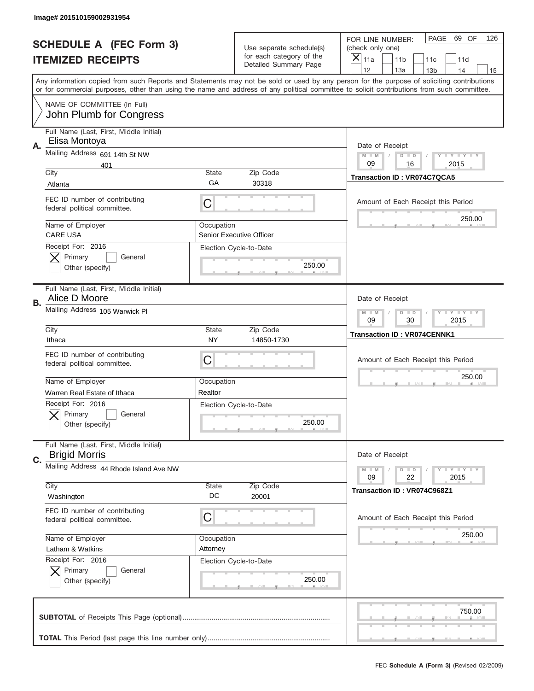|    | Image# 201510159002931954                                       |                                                         |                                                   |                                                                                                                                                                                                                                                                                                                                     |
|----|-----------------------------------------------------------------|---------------------------------------------------------|---------------------------------------------------|-------------------------------------------------------------------------------------------------------------------------------------------------------------------------------------------------------------------------------------------------------------------------------------------------------------------------------------|
|    | <b>SCHEDULE A (FEC Form 3)</b>                                  |                                                         | Use separate schedule(s)                          | PAGE 69 OF<br>126<br>FOR LINE NUMBER:<br>(check only one)                                                                                                                                                                                                                                                                           |
|    | <b>ITEMIZED RECEIPTS</b>                                        |                                                         | for each category of the<br>Detailed Summary Page | ×<br>11a<br>11 <sub>b</sub><br>11c<br>11d                                                                                                                                                                                                                                                                                           |
|    |                                                                 |                                                         |                                                   | 12<br>13a<br>14<br>13 <sub>b</sub><br>15<br>Any information copied from such Reports and Statements may not be sold or used by any person for the purpose of soliciting contributions<br>or for commercial purposes, other than using the name and address of any political committee to solicit contributions from such committee. |
|    | NAME OF COMMITTEE (In Full)<br>John Plumb for Congress          |                                                         |                                                   |                                                                                                                                                                                                                                                                                                                                     |
| Α. | Full Name (Last, First, Middle Initial)<br>Elisa Montoya        |                                                         |                                                   | Date of Receipt                                                                                                                                                                                                                                                                                                                     |
|    | Mailing Address 691 14th St NW<br>401                           |                                                         |                                                   | $M - M$<br><b>LYLYLY</b><br>$D$ $D$<br>09<br>16<br>2015                                                                                                                                                                                                                                                                             |
|    | City<br>Atlanta                                                 | State<br>GА                                             | Zip Code<br>30318                                 | Transaction ID: VR074C7QCA5                                                                                                                                                                                                                                                                                                         |
|    | FEC ID number of contributing<br>federal political committee.   | C                                                       |                                                   | Amount of Each Receipt this Period                                                                                                                                                                                                                                                                                                  |
|    | Name of Employer<br><b>CARE USA</b>                             | Occupation                                              | Senior Executive Officer                          | 250.00                                                                                                                                                                                                                                                                                                                              |
|    | Receipt For: 2016<br>Primary<br>General<br>Other (specify)      |                                                         | Election Cycle-to-Date<br>250.00                  |                                                                                                                                                                                                                                                                                                                                     |
| В. | Full Name (Last, First, Middle Initial)<br>Alice D Moore        |                                                         |                                                   | Date of Receipt                                                                                                                                                                                                                                                                                                                     |
|    | Mailing Address 105 Warwick Pl                                  | <b>LY LY LY</b><br>$M$ M<br>$D$ $D$<br>09<br>30<br>2015 |                                                   |                                                                                                                                                                                                                                                                                                                                     |
|    | City<br>Ithaca                                                  | State<br><b>NY</b>                                      | Zip Code<br>14850-1730                            | <b>Transaction ID: VR074CENNK1</b>                                                                                                                                                                                                                                                                                                  |
|    | FEC ID number of contributing<br>federal political committee.   | C                                                       |                                                   | Amount of Each Receipt this Period                                                                                                                                                                                                                                                                                                  |
|    | Name of Employer                                                |                                                         |                                                   | 250.00                                                                                                                                                                                                                                                                                                                              |
|    | Warren Real Estate of Ithaca                                    | Occupation<br>Realtor                                   |                                                   |                                                                                                                                                                                                                                                                                                                                     |
|    | Receipt For: 2016<br>General<br>Primary<br>Other (specify)      |                                                         | Election Cycle-to-Date<br>250.00                  |                                                                                                                                                                                                                                                                                                                                     |
| C. | Full Name (Last, First, Middle Initial)<br><b>Brigid Morris</b> |                                                         |                                                   | Date of Receipt                                                                                                                                                                                                                                                                                                                     |
|    | Mailing Address 44 Rhode Island Ave NW                          |                                                         |                                                   | <b>LYLYLY</b><br>$M - M$<br>$D$ $D$<br>09<br>22<br>2015                                                                                                                                                                                                                                                                             |
|    | City<br>Washington                                              | State<br>DC                                             | Zip Code<br>20001                                 | Transaction ID: VR074C968Z1                                                                                                                                                                                                                                                                                                         |
|    | FEC ID number of contributing<br>federal political committee.   | C                                                       |                                                   | Amount of Each Receipt this Period                                                                                                                                                                                                                                                                                                  |
|    | Name of Employer                                                | Occupation                                              |                                                   | 250.00                                                                                                                                                                                                                                                                                                                              |
|    | Latham & Watkins<br>Receipt For: 2016                           | Attorney                                                |                                                   |                                                                                                                                                                                                                                                                                                                                     |
|    | Primary<br>General<br>Other (specify)                           |                                                         | Election Cycle-to-Date<br>250.00                  |                                                                                                                                                                                                                                                                                                                                     |
|    |                                                                 |                                                         |                                                   | 750.00                                                                                                                                                                                                                                                                                                                              |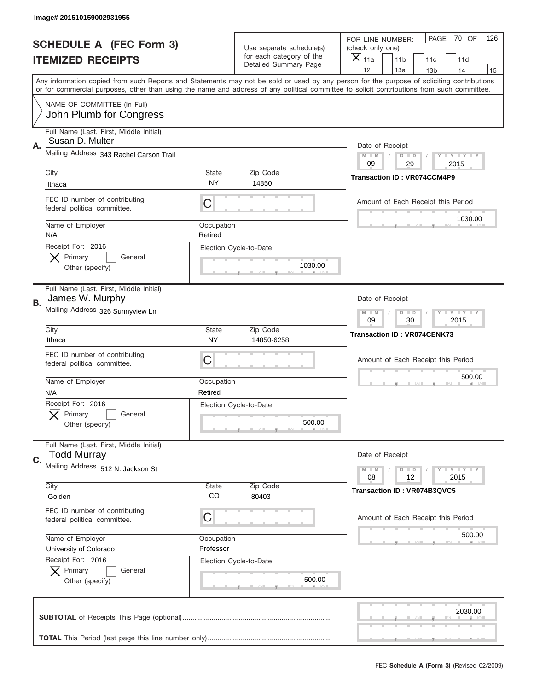|    | Image# 201510159002931955                                       |                                                           |                                                   |                                                                                                                                                                                                                                                                                                                                     |
|----|-----------------------------------------------------------------|-----------------------------------------------------------|---------------------------------------------------|-------------------------------------------------------------------------------------------------------------------------------------------------------------------------------------------------------------------------------------------------------------------------------------------------------------------------------------|
|    | <b>SCHEDULE A (FEC Form 3)</b>                                  |                                                           | Use separate schedule(s)                          | PAGE<br>70 OF<br>126<br>FOR LINE NUMBER:<br>(check only one)                                                                                                                                                                                                                                                                        |
|    | <b>ITEMIZED RECEIPTS</b>                                        |                                                           | for each category of the<br>Detailed Summary Page | $\overline{X} _{11a}$<br>11 <sub>b</sub><br>11c<br>11d                                                                                                                                                                                                                                                                              |
|    |                                                                 |                                                           |                                                   | 12<br>13a<br>14<br>13 <sub>b</sub><br>15<br>Any information copied from such Reports and Statements may not be sold or used by any person for the purpose of soliciting contributions<br>or for commercial purposes, other than using the name and address of any political committee to solicit contributions from such committee. |
|    | NAME OF COMMITTEE (In Full)<br>John Plumb for Congress          |                                                           |                                                   |                                                                                                                                                                                                                                                                                                                                     |
| Α. | Full Name (Last, First, Middle Initial)<br>Susan D. Multer      |                                                           |                                                   | Date of Receipt                                                                                                                                                                                                                                                                                                                     |
|    | Mailing Address 343 Rachel Carson Trail                         | <b>LYLYLY</b><br>$M - M$<br>$D$ $D$<br>09<br>29<br>2015   |                                                   |                                                                                                                                                                                                                                                                                                                                     |
|    | City<br>Ithaca                                                  | <b>State</b><br>NY                                        | Zip Code<br>14850                                 | <b>Transaction ID: VR074CCM4P9</b>                                                                                                                                                                                                                                                                                                  |
|    | FEC ID number of contributing<br>federal political committee.   | C                                                         |                                                   | Amount of Each Receipt this Period<br>1030.00                                                                                                                                                                                                                                                                                       |
|    | Name of Employer<br>N/A                                         | Occupation<br>Retired                                     |                                                   |                                                                                                                                                                                                                                                                                                                                     |
|    | Receipt For: 2016<br>Primary<br>General<br>Other (specify)      |                                                           | Election Cycle-to-Date<br>1030.00                 |                                                                                                                                                                                                                                                                                                                                     |
| В. | Full Name (Last, First, Middle Initial)<br>James W. Murphy      |                                                           |                                                   | Date of Receipt                                                                                                                                                                                                                                                                                                                     |
|    | Mailing Address 326 Sunnyview Ln                                | <b>LY LY LY</b><br>$M - M$<br>$D$ $D$<br>09<br>30<br>2015 |                                                   |                                                                                                                                                                                                                                                                                                                                     |
|    | City<br>Ithaca                                                  | <b>State</b><br>NY.                                       | Zip Code<br>14850-6258                            | <b>Transaction ID: VR074CENK73</b>                                                                                                                                                                                                                                                                                                  |
|    | FEC ID number of contributing<br>federal political committee.   | С                                                         |                                                   | Amount of Each Receipt this Period                                                                                                                                                                                                                                                                                                  |
|    | Name of Employer<br>N/A                                         | Occupation<br>Retired                                     |                                                   | 500.00                                                                                                                                                                                                                                                                                                                              |
|    | Receipt For: 2016<br>General<br>Primary<br>Other (specify)      |                                                           | Election Cycle-to-Date<br>500.00                  |                                                                                                                                                                                                                                                                                                                                     |
| C. | Full Name (Last, First, Middle Initial)<br><b>Todd Murray</b>   |                                                           |                                                   | Date of Receipt                                                                                                                                                                                                                                                                                                                     |
|    | Mailing Address 512 N. Jackson St<br>City                       | <b>State</b>                                              | Zip Code                                          | <b>LYLYLY</b><br>$M - M$<br>$D$ $D$<br>12<br>2015<br>08                                                                                                                                                                                                                                                                             |
|    | Golden                                                          | CO                                                        | 80403                                             | Transaction ID: VR074B3QVC5                                                                                                                                                                                                                                                                                                         |
|    | FEC ID number of contributing<br>federal political committee.   | С                                                         |                                                   | Amount of Each Receipt this Period                                                                                                                                                                                                                                                                                                  |
|    | Name of Employer<br>University of Colorado<br>Receipt For: 2016 | Occupation<br>Professor                                   |                                                   | 500.00                                                                                                                                                                                                                                                                                                                              |
|    | Primary<br>General<br>Other (specify)                           |                                                           | Election Cycle-to-Date<br>500.00                  |                                                                                                                                                                                                                                                                                                                                     |
|    |                                                                 |                                                           |                                                   | 2030.00                                                                                                                                                                                                                                                                                                                             |
|    |                                                                 |                                                           |                                                   |                                                                                                                                                                                                                                                                                                                                     |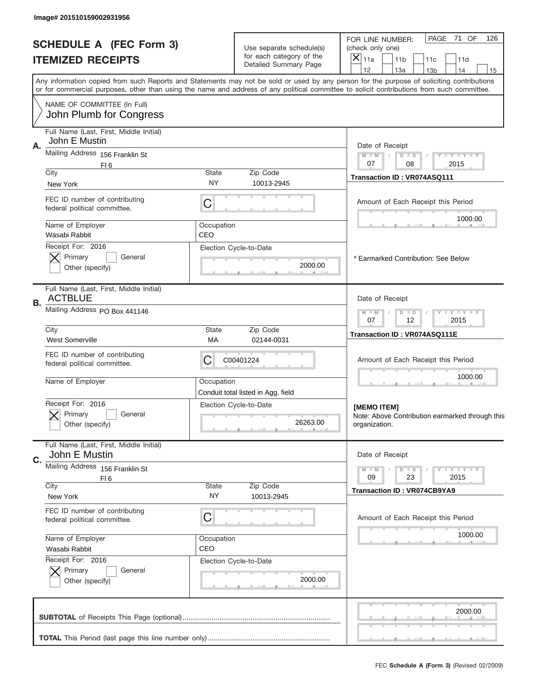|    | Image# 201510159002931956                                     |                                                      |                                                      |                                                                                                                                                                                                                                                                                         |  |
|----|---------------------------------------------------------------|------------------------------------------------------|------------------------------------------------------|-----------------------------------------------------------------------------------------------------------------------------------------------------------------------------------------------------------------------------------------------------------------------------------------|--|
|    | <b>SCHEDULE A (FEC Form 3)</b><br><b>ITEMIZED RECEIPTS</b>    |                                                      | Use separate schedule(s)<br>for each category of the | PAGE<br>71 OF<br>126<br>FOR LINE NUMBER:<br>(check only one)<br>$\boldsymbol{\times}$<br>11a<br>11 <sub>b</sub><br>11c<br>11d                                                                                                                                                           |  |
|    |                                                               |                                                      | Detailed Summary Page                                | 12<br>13a<br>14<br>13 <sub>b</sub><br>15                                                                                                                                                                                                                                                |  |
|    |                                                               |                                                      |                                                      | Any information copied from such Reports and Statements may not be sold or used by any person for the purpose of soliciting contributions<br>or for commercial purposes, other than using the name and address of any political committee to solicit contributions from such committee. |  |
|    | NAME OF COMMITTEE (In Full)<br>John Plumb for Congress        |                                                      |                                                      |                                                                                                                                                                                                                                                                                         |  |
|    | Full Name (Last, First, Middle Initial)                       |                                                      |                                                      |                                                                                                                                                                                                                                                                                         |  |
| Α. | John E Mustin                                                 |                                                      |                                                      | Date of Receipt                                                                                                                                                                                                                                                                         |  |
|    | Mailing Address 156 Franklin St                               |                                                      |                                                      | $M$ $M$<br>Y FY FY FY<br>$D$ $D$<br>07<br>08<br>2015                                                                                                                                                                                                                                    |  |
|    | FI <sub>6</sub><br>City                                       | State                                                | Zip Code                                             | Transaction ID: VR074ASQ111                                                                                                                                                                                                                                                             |  |
|    | New York                                                      | NY                                                   | 10013-2945                                           |                                                                                                                                                                                                                                                                                         |  |
|    | FEC ID number of contributing<br>federal political committee. | C                                                    |                                                      | Amount of Each Receipt this Period                                                                                                                                                                                                                                                      |  |
|    | Name of Employer<br>Wasabi Rabbit                             | Occupation<br>CEO                                    |                                                      | 1000.00                                                                                                                                                                                                                                                                                 |  |
|    | Receipt For: 2016                                             |                                                      | Election Cycle-to-Date                               |                                                                                                                                                                                                                                                                                         |  |
|    | Primary<br>General<br>Other (specify)                         |                                                      | 2000.00                                              | * Earmarked Contribution: See Below                                                                                                                                                                                                                                                     |  |
|    | Full Name (Last, First, Middle Initial)<br><b>ACTBLUE</b>     |                                                      |                                                      | Date of Receipt                                                                                                                                                                                                                                                                         |  |
| В. | Mailing Address PO Box 441146                                 | Y TY TY TY<br>$M - M$<br>$D$ $D$<br>07<br>12<br>2015 |                                                      |                                                                                                                                                                                                                                                                                         |  |
|    | City<br><b>West Somerville</b>                                | <b>State</b><br>МA                                   | Zip Code<br>02144-0031                               | Transaction ID: VR074ASQ111E                                                                                                                                                                                                                                                            |  |
|    | FEC ID number of contributing<br>federal political committee. | C<br>C00401224                                       |                                                      |                                                                                                                                                                                                                                                                                         |  |
|    | Name of Employer                                              | Occupation                                           | Conduit total listed in Agg. field                   | 1000.00                                                                                                                                                                                                                                                                                 |  |
|    | Receipt For: 2016<br>General<br>Primary<br>Other (specify)    |                                                      | Election Cycle-to-Date<br>26263.00                   | [MEMO ITEM]<br>Note: Above Contribution earmarked through this<br>organization.                                                                                                                                                                                                         |  |
|    | Full Name (Last, First, Middle Initial)<br>John E Mustin      |                                                      |                                                      | Date of Receipt                                                                                                                                                                                                                                                                         |  |
| C. | Mailing Address 156 Franklin St                               |                                                      |                                                      |                                                                                                                                                                                                                                                                                         |  |
|    | FI <sub>6</sub>                                               |                                                      |                                                      | <b>LYLYLY</b><br>$M - M$<br>$D$ $D$<br>09<br>23<br>2015                                                                                                                                                                                                                                 |  |
|    | City<br>New York                                              | State<br>NY                                          | Zip Code<br>10013-2945                               | <b>Transaction ID: VR074CB9YA9</b>                                                                                                                                                                                                                                                      |  |
|    | FEC ID number of contributing<br>federal political committee. | C                                                    |                                                      | Amount of Each Receipt this Period                                                                                                                                                                                                                                                      |  |
|    | Name of Employer                                              | Occupation                                           |                                                      | 1000.00                                                                                                                                                                                                                                                                                 |  |
|    | Wasabi Rabbit                                                 | CEO                                                  |                                                      |                                                                                                                                                                                                                                                                                         |  |
|    | Receipt For: 2016<br>Primary<br>General                       |                                                      | Election Cycle-to-Date                               |                                                                                                                                                                                                                                                                                         |  |
|    | Other (specify)                                               |                                                      | 2000.00                                              |                                                                                                                                                                                                                                                                                         |  |
|    |                                                               |                                                      |                                                      | 2000.00                                                                                                                                                                                                                                                                                 |  |
|    |                                                               |                                                      |                                                      |                                                                                                                                                                                                                                                                                         |  |
|    |                                                               |                                                      |                                                      | FEC Schedule A (Form 3) (Revised 02/2009)                                                                                                                                                                                                                                               |  |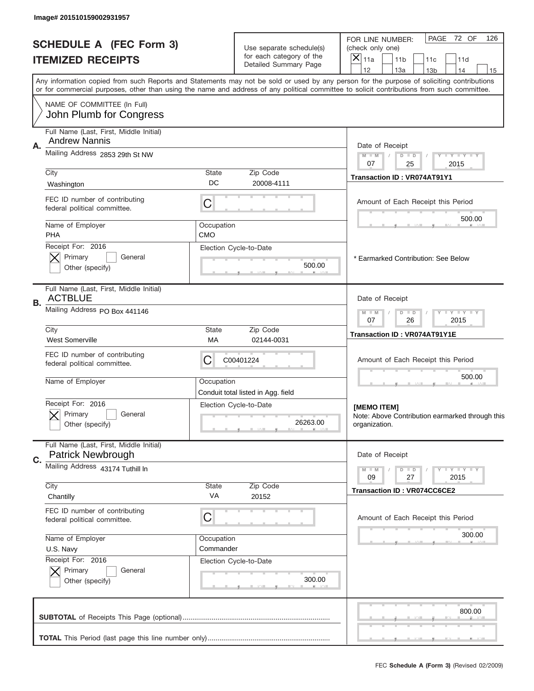|    | Image# 201510159002931957                                     |                         |                                                           |                                                                                                                                                                                                                                                                                         |  |
|----|---------------------------------------------------------------|-------------------------|-----------------------------------------------------------|-----------------------------------------------------------------------------------------------------------------------------------------------------------------------------------------------------------------------------------------------------------------------------------------|--|
|    | <b>SCHEDULE A (FEC Form 3)</b><br><b>ITEMIZED RECEIPTS</b>    |                         | Use separate schedule(s)<br>for each category of the      | PAGE<br>72 OF<br>126<br>FOR LINE NUMBER:<br>(check only one)<br>×<br>11a<br>11 <sub>b</sub><br>11c<br>11d                                                                                                                                                                               |  |
|    |                                                               |                         | Detailed Summary Page                                     | 12<br>13a<br>13 <sub>b</sub><br>14<br>15                                                                                                                                                                                                                                                |  |
|    |                                                               |                         |                                                           | Any information copied from such Reports and Statements may not be sold or used by any person for the purpose of soliciting contributions<br>or for commercial purposes, other than using the name and address of any political committee to solicit contributions from such committee. |  |
|    | NAME OF COMMITTEE (In Full)<br>John Plumb for Congress        |                         |                                                           |                                                                                                                                                                                                                                                                                         |  |
|    | Full Name (Last, First, Middle Initial)                       |                         |                                                           |                                                                                                                                                                                                                                                                                         |  |
| А. | <b>Andrew Nannis</b><br>Mailing Address 2853 29th St NW       |                         |                                                           | Date of Receipt                                                                                                                                                                                                                                                                         |  |
|    |                                                               |                         |                                                           | $M - M$<br><b>LY LY LY</b><br>$D$ $D$<br>07<br>25<br>2015                                                                                                                                                                                                                               |  |
|    | City<br>Washington                                            | State<br>DC             | Zip Code<br>20008-4111                                    | <b>Transaction ID: VR074AT91Y1</b>                                                                                                                                                                                                                                                      |  |
|    | FEC ID number of contributing                                 |                         |                                                           |                                                                                                                                                                                                                                                                                         |  |
|    | federal political committee.                                  | C                       |                                                           | Amount of Each Receipt this Period                                                                                                                                                                                                                                                      |  |
|    | Name of Employer                                              | Occupation              |                                                           | 500.00                                                                                                                                                                                                                                                                                  |  |
|    | <b>PHA</b>                                                    | <b>CMO</b>              |                                                           |                                                                                                                                                                                                                                                                                         |  |
|    | Receipt For: 2016<br>Primary<br>General                       |                         | Election Cycle-to-Date                                    | * Earmarked Contribution: See Below                                                                                                                                                                                                                                                     |  |
|    | Other (specify)                                               |                         | 500.00                                                    |                                                                                                                                                                                                                                                                                         |  |
| В. | Full Name (Last, First, Middle Initial)<br><b>ACTBLUE</b>     |                         |                                                           | Date of Receipt                                                                                                                                                                                                                                                                         |  |
|    | Mailing Address PO Box 441146                                 |                         | $D$ $D$<br><b>LY LY LY</b><br>$M - M$<br>07<br>26<br>2015 |                                                                                                                                                                                                                                                                                         |  |
|    | City<br><b>West Somerville</b>                                | State<br>МA             | Zip Code<br>02144-0031                                    | Transaction ID: VR074AT91Y1E                                                                                                                                                                                                                                                            |  |
|    | FEC ID number of contributing<br>federal political committee. | C<br>C00401224          |                                                           |                                                                                                                                                                                                                                                                                         |  |
|    | Name of Employer                                              | Occupation              | Conduit total listed in Agg. field                        | 500.00                                                                                                                                                                                                                                                                                  |  |
|    | Receipt For: 2016                                             |                         | Election Cycle-to-Date                                    | [MEMO ITEM]                                                                                                                                                                                                                                                                             |  |
|    | General<br>Primary<br>Other (specify)                         |                         | 26263.00                                                  | Note: Above Contribution earmarked through this<br>organization.                                                                                                                                                                                                                        |  |
|    | Full Name (Last, First, Middle Initial)                       |                         |                                                           |                                                                                                                                                                                                                                                                                         |  |
| C. | <b>Patrick Newbrough</b><br>Mailing Address 43174 Tuthill In  |                         |                                                           | Date of Receipt                                                                                                                                                                                                                                                                         |  |
|    |                                                               |                         |                                                           | <b>LY LY LY</b><br>$M - M$<br>$D$ $D$<br>2015<br>09<br>27                                                                                                                                                                                                                               |  |
|    | City<br>Chantilly                                             | <b>State</b><br>VA      | Zip Code<br>20152                                         | <b>Transaction ID: VR074CC6CE2</b>                                                                                                                                                                                                                                                      |  |
|    | FEC ID number of contributing                                 |                         |                                                           |                                                                                                                                                                                                                                                                                         |  |
|    | federal political committee.                                  | C                       |                                                           | Amount of Each Receipt this Period<br>300.00                                                                                                                                                                                                                                            |  |
|    | Name of Employer<br>U.S. Navy                                 | Occupation<br>Commander |                                                           |                                                                                                                                                                                                                                                                                         |  |
|    | Receipt For: 2016                                             |                         | Election Cycle-to-Date                                    |                                                                                                                                                                                                                                                                                         |  |
|    | Primary<br>General                                            |                         |                                                           |                                                                                                                                                                                                                                                                                         |  |
|    | Other (specify)                                               |                         | 300.00                                                    |                                                                                                                                                                                                                                                                                         |  |
|    |                                                               |                         |                                                           | 800.00                                                                                                                                                                                                                                                                                  |  |
|    |                                                               |                         |                                                           |                                                                                                                                                                                                                                                                                         |  |
|    |                                                               |                         |                                                           | FEC Schedule A (Form 3) (Revised 02/2009)                                                                                                                                                                                                                                               |  |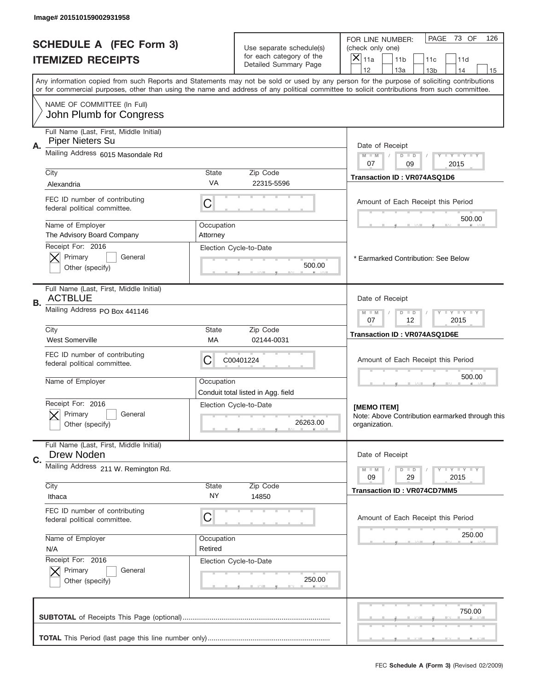|    | Image# 201510159002931958                                     |                    |                                                      |                                                                                                                                                                                                                                                                                         |
|----|---------------------------------------------------------------|--------------------|------------------------------------------------------|-----------------------------------------------------------------------------------------------------------------------------------------------------------------------------------------------------------------------------------------------------------------------------------------|
|    | <b>SCHEDULE A (FEC Form 3)</b><br><b>ITEMIZED RECEIPTS</b>    |                    | Use separate schedule(s)<br>for each category of the | PAGE<br>73 OF<br>126<br>FOR LINE NUMBER:<br>(check only one)<br>$\boldsymbol{\times}$<br>11a<br>11 <sub>b</sub><br>11c<br>11d                                                                                                                                                           |
|    |                                                               |                    | Detailed Summary Page                                | 12<br>13a<br>14<br>13 <sub>b</sub><br>15                                                                                                                                                                                                                                                |
|    |                                                               |                    |                                                      | Any information copied from such Reports and Statements may not be sold or used by any person for the purpose of soliciting contributions<br>or for commercial purposes, other than using the name and address of any political committee to solicit contributions from such committee. |
|    | NAME OF COMMITTEE (In Full)<br>John Plumb for Congress        |                    |                                                      |                                                                                                                                                                                                                                                                                         |
|    | Full Name (Last, First, Middle Initial)                       |                    |                                                      |                                                                                                                                                                                                                                                                                         |
| Α. | <b>Piper Nieters Su</b>                                       |                    |                                                      | Date of Receipt                                                                                                                                                                                                                                                                         |
|    | Mailing Address 6015 Masondale Rd                             |                    |                                                      | $M$ $M$<br>Y FY FY FY<br>$D$ $D$<br>07<br>09<br>2015                                                                                                                                                                                                                                    |
|    | City<br>Alexandria                                            | State<br>VA        | Zip Code<br>22315-5596                               | Transaction ID: VR074ASQ1D6                                                                                                                                                                                                                                                             |
|    |                                                               |                    |                                                      |                                                                                                                                                                                                                                                                                         |
|    | FEC ID number of contributing<br>federal political committee. | C                  |                                                      | Amount of Each Receipt this Period                                                                                                                                                                                                                                                      |
|    | Name of Employer                                              | Occupation         |                                                      | 500.00                                                                                                                                                                                                                                                                                  |
|    | The Advisory Board Company<br>Receipt For: 2016               | Attorney           |                                                      |                                                                                                                                                                                                                                                                                         |
|    | Primary<br>General                                            |                    | Election Cycle-to-Date                               | * Earmarked Contribution: See Below                                                                                                                                                                                                                                                     |
|    | Other (specify)                                               |                    | 500.00                                               |                                                                                                                                                                                                                                                                                         |
| В. | Full Name (Last, First, Middle Initial)<br><b>ACTBLUE</b>     |                    |                                                      | Date of Receipt                                                                                                                                                                                                                                                                         |
|    | Mailing Address PO Box 441146                                 |                    |                                                      | $D$ $D$<br><b>THEY THEY</b><br>$M - M$<br>07<br>12<br>2015                                                                                                                                                                                                                              |
|    | City<br><b>West Somerville</b>                                | <b>State</b><br>МA | Zip Code<br>02144-0031                               | Transaction ID: VR074ASQ1D6E                                                                                                                                                                                                                                                            |
|    | FEC ID number of contributing<br>federal political committee. | C                  | C00401224                                            | Amount of Each Receipt this Period                                                                                                                                                                                                                                                      |
|    | Name of Employer                                              | Occupation         | Conduit total listed in Agg. field                   | 500.00                                                                                                                                                                                                                                                                                  |
|    | Receipt For: 2016                                             |                    | Election Cycle-to-Date                               | [MEMO ITEM]                                                                                                                                                                                                                                                                             |
|    | General<br>Primary<br>Other (specify)                         |                    | 26263.00                                             | Note: Above Contribution earmarked through this<br>organization.                                                                                                                                                                                                                        |
|    | Full Name (Last, First, Middle Initial)                       |                    |                                                      |                                                                                                                                                                                                                                                                                         |
| C. | Drew Noden                                                    |                    |                                                      | Date of Receipt                                                                                                                                                                                                                                                                         |
|    | Mailing Address 211 W. Remington Rd.                          |                    |                                                      | <b>LYLYLY</b><br>$M - M$<br>$D$ $D$<br>09<br>29<br>2015                                                                                                                                                                                                                                 |
|    | City<br>Ithaca                                                | <b>State</b><br>ΝY | Zip Code<br>14850                                    | <b>Transaction ID: VR074CD7MM5</b>                                                                                                                                                                                                                                                      |
|    | FEC ID number of contributing<br>federal political committee. | C                  |                                                      | Amount of Each Receipt this Period                                                                                                                                                                                                                                                      |
|    | Name of Employer                                              | Occupation         |                                                      | 250.00                                                                                                                                                                                                                                                                                  |
|    | N/A                                                           | Retired            |                                                      |                                                                                                                                                                                                                                                                                         |
|    | Receipt For: 2016<br>Primary<br>General                       |                    | Election Cycle-to-Date                               |                                                                                                                                                                                                                                                                                         |
|    | Other (specify)                                               |                    | 250.00                                               |                                                                                                                                                                                                                                                                                         |
|    |                                                               |                    |                                                      | 750.00                                                                                                                                                                                                                                                                                  |
|    |                                                               |                    |                                                      |                                                                                                                                                                                                                                                                                         |
|    |                                                               |                    |                                                      |                                                                                                                                                                                                                                                                                         |
|    |                                                               |                    |                                                      | FEC Schedule A (Form 3) (Revised 02/2009)                                                                                                                                                                                                                                               |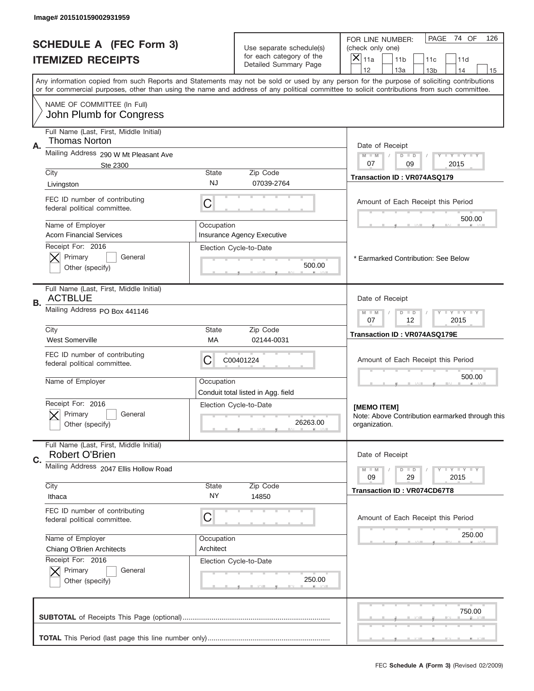|    | Image# 201510159002931959                                     |                           |                                                      |                                                                                                                                                                                                                                                                                         |
|----|---------------------------------------------------------------|---------------------------|------------------------------------------------------|-----------------------------------------------------------------------------------------------------------------------------------------------------------------------------------------------------------------------------------------------------------------------------------------|
|    | <b>SCHEDULE A (FEC Form 3)</b><br><b>ITEMIZED RECEIPTS</b>    |                           | Use separate schedule(s)<br>for each category of the | PAGE<br>74 OF<br>126<br>FOR LINE NUMBER:<br>(check only one)<br>X<br>11a<br>11 <sub>b</sub><br>11c<br>11d                                                                                                                                                                               |
|    |                                                               |                           | Detailed Summary Page                                | 12<br>13a<br>14<br>13 <sub>b</sub><br>15                                                                                                                                                                                                                                                |
|    |                                                               |                           |                                                      | Any information copied from such Reports and Statements may not be sold or used by any person for the purpose of soliciting contributions<br>or for commercial purposes, other than using the name and address of any political committee to solicit contributions from such committee. |
|    | NAME OF COMMITTEE (In Full)<br>John Plumb for Congress        |                           |                                                      |                                                                                                                                                                                                                                                                                         |
|    | Full Name (Last, First, Middle Initial)                       |                           |                                                      |                                                                                                                                                                                                                                                                                         |
| Α. | <b>Thomas Norton</b>                                          |                           |                                                      | Date of Receipt                                                                                                                                                                                                                                                                         |
|    | Mailing Address 290 W Mt Pleasant Ave<br>Ste 2300             |                           |                                                      | $M - M$<br>Y FY FY FY<br>$D$ $D$<br>07<br>09<br>2015                                                                                                                                                                                                                                    |
|    | City<br>Livingston                                            | <b>State</b><br><b>NJ</b> | Zip Code<br>07039-2764                               | Transaction ID: VR074ASQ179                                                                                                                                                                                                                                                             |
|    |                                                               |                           |                                                      |                                                                                                                                                                                                                                                                                         |
|    | FEC ID number of contributing<br>federal political committee. | C                         |                                                      | Amount of Each Receipt this Period<br>500.00                                                                                                                                                                                                                                            |
|    | Name of Employer<br><b>Acorn Financial Services</b>           | Occupation                | Insurance Agency Executive                           |                                                                                                                                                                                                                                                                                         |
|    | Receipt For: 2016                                             |                           | Election Cycle-to-Date                               |                                                                                                                                                                                                                                                                                         |
|    | Primary<br>General<br>Other (specify)                         |                           | 500.00                                               | * Earmarked Contribution: See Below                                                                                                                                                                                                                                                     |
|    | Full Name (Last, First, Middle Initial)<br><b>ACTBLUE</b>     |                           |                                                      | Date of Receipt                                                                                                                                                                                                                                                                         |
| В. | Mailing Address PO Box 441146                                 |                           |                                                      | <b>LY LY LY</b><br>$M - M$<br>$D$ $D$<br>07<br>12<br>2015                                                                                                                                                                                                                               |
|    | City<br><b>West Somerville</b>                                | <b>State</b><br>МA        | Zip Code<br>02144-0031                               | Transaction ID: VR074ASQ179E                                                                                                                                                                                                                                                            |
|    | FEC ID number of contributing<br>federal political committee. | C                         | C00401224                                            | Amount of Each Receipt this Period                                                                                                                                                                                                                                                      |
|    | Name of Employer                                              | Occupation                | Conduit total listed in Agg. field                   | 500.00                                                                                                                                                                                                                                                                                  |
|    | Receipt For: 2016<br>General<br>Primary<br>Other (specify)    |                           | Election Cycle-to-Date<br>26263.00                   | [MEMO ITEM]<br>Note: Above Contribution earmarked through this<br>organization.                                                                                                                                                                                                         |
|    | Full Name (Last, First, Middle Initial)                       |                           |                                                      |                                                                                                                                                                                                                                                                                         |
| C. | <b>Robert O'Brien</b>                                         |                           |                                                      | Date of Receipt                                                                                                                                                                                                                                                                         |
|    | Mailing Address 2047 Ellis Hollow Road                        |                           |                                                      | $I - Y - I - Y - I - Y$<br>$M - M$<br>$D$ $D$<br>29<br>2015<br>09                                                                                                                                                                                                                       |
|    | City<br>Ithaca                                                | <b>State</b><br>NY.       | Zip Code<br>14850                                    | <b>Transaction ID: VR074CD67T8</b>                                                                                                                                                                                                                                                      |
|    | FEC ID number of contributing<br>federal political committee. | С                         |                                                      | Amount of Each Receipt this Period                                                                                                                                                                                                                                                      |
|    | Name of Employer                                              | Occupation                |                                                      | 250.00                                                                                                                                                                                                                                                                                  |
|    | Chiang O'Brien Architects<br>Receipt For: 2016                | Architect                 | Election Cycle-to-Date                               |                                                                                                                                                                                                                                                                                         |
|    | Primary<br>General<br>Other (specify)                         |                           | 250.00                                               |                                                                                                                                                                                                                                                                                         |
|    |                                                               |                           |                                                      | 750.00                                                                                                                                                                                                                                                                                  |
|    |                                                               |                           |                                                      |                                                                                                                                                                                                                                                                                         |
|    |                                                               |                           |                                                      | FEC Schedule A (Form 3) (Revised 02/2009)                                                                                                                                                                                                                                               |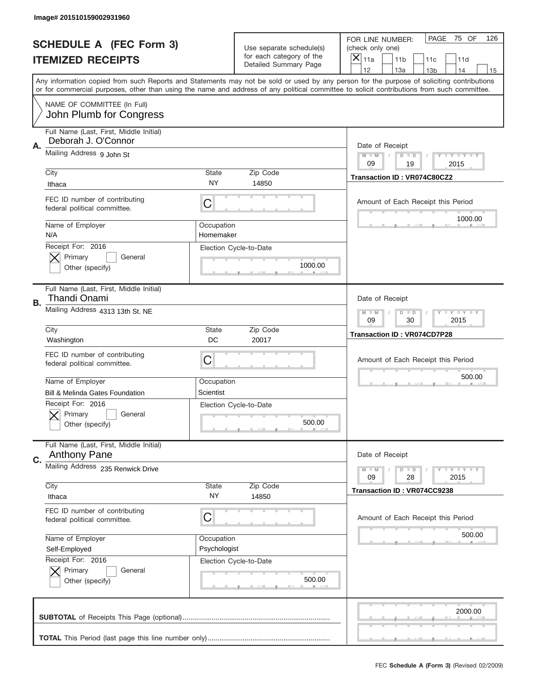|    | Image# 201510159002931960                                      |                         |                                                      |                                                                                                                                                                                                                                                                                                                                     |
|----|----------------------------------------------------------------|-------------------------|------------------------------------------------------|-------------------------------------------------------------------------------------------------------------------------------------------------------------------------------------------------------------------------------------------------------------------------------------------------------------------------------------|
|    | <b>SCHEDULE A (FEC Form 3)</b>                                 |                         | Use separate schedule(s)<br>for each category of the | 75 OF<br>PAGE<br>126<br>FOR LINE NUMBER:<br>(check only one)                                                                                                                                                                                                                                                                        |
|    | <b>ITEMIZED RECEIPTS</b>                                       |                         | <b>Detailed Summary Page</b>                         | ×<br>11a<br>11 <sub>b</sub><br>11c<br>11d                                                                                                                                                                                                                                                                                           |
|    |                                                                |                         |                                                      | 12<br>13a<br>14<br>13 <sub>b</sub><br>15<br>Any information copied from such Reports and Statements may not be sold or used by any person for the purpose of soliciting contributions<br>or for commercial purposes, other than using the name and address of any political committee to solicit contributions from such committee. |
|    | NAME OF COMMITTEE (In Full)<br>John Plumb for Congress         |                         |                                                      |                                                                                                                                                                                                                                                                                                                                     |
| Α. | Full Name (Last, First, Middle Initial)<br>Deborah J. O'Connor |                         |                                                      | Date of Receipt                                                                                                                                                                                                                                                                                                                     |
|    | Mailing Address 9 John St                                      |                         |                                                      | $M$ M<br><b>LYLYLY</b><br>$D$ $D$<br>09<br>19<br>2015                                                                                                                                                                                                                                                                               |
|    | City<br>Ithaca                                                 | State<br>NY             | Zip Code<br>14850                                    | Transaction ID: VR074C80CZ2                                                                                                                                                                                                                                                                                                         |
|    | FEC ID number of contributing<br>federal political committee.  | C                       |                                                      | Amount of Each Receipt this Period<br>1000.00                                                                                                                                                                                                                                                                                       |
|    | Name of Employer<br>N/A                                        | Occupation<br>Homemaker |                                                      |                                                                                                                                                                                                                                                                                                                                     |
|    | Receipt For: 2016<br>Primary<br>General<br>Other (specify)     |                         | Election Cycle-to-Date<br>1000.00                    |                                                                                                                                                                                                                                                                                                                                     |
| В. | Full Name (Last, First, Middle Initial)<br>Thandi Onami        |                         |                                                      | Date of Receipt                                                                                                                                                                                                                                                                                                                     |
|    | Mailing Address 4313 13th St. NE                               |                         |                                                      | $M - M$<br><b>LEYTEY LEY</b><br>$D$ $D$<br>09<br>30<br>2015                                                                                                                                                                                                                                                                         |
|    | City<br>Washington                                             | State<br>DC             | Zip Code<br>20017                                    | <b>Transaction ID: VR074CD7P28</b>                                                                                                                                                                                                                                                                                                  |
|    | FEC ID number of contributing                                  | C                       |                                                      | Amount of Each Receipt this Period                                                                                                                                                                                                                                                                                                  |
|    | federal political committee.                                   |                         |                                                      |                                                                                                                                                                                                                                                                                                                                     |
|    | Name of Employer                                               | Occupation              |                                                      | 500.00                                                                                                                                                                                                                                                                                                                              |
|    | <b>Bill &amp; Melinda Gates Foundation</b>                     | Scientist               |                                                      |                                                                                                                                                                                                                                                                                                                                     |
|    | Receipt For: 2016<br>General<br>Primary<br>Other (specify)     |                         | Election Cycle-to-Date<br>500.00                     |                                                                                                                                                                                                                                                                                                                                     |
| C. | Full Name (Last, First, Middle Initial)<br><b>Anthony Pane</b> |                         |                                                      | Date of Receipt                                                                                                                                                                                                                                                                                                                     |
|    | Mailing Address 235 Renwick Drive                              |                         |                                                      | <b>LEY LEY LEY</b><br>$M - M$<br>$D$ $D$<br>09<br>2015<br>28                                                                                                                                                                                                                                                                        |
|    | City<br>Ithaca                                                 | <b>State</b><br>NY.     | Zip Code<br>14850                                    | Transaction ID: VR074CC9238                                                                                                                                                                                                                                                                                                         |
|    | FEC ID number of contributing<br>federal political committee.  | C                       |                                                      | Amount of Each Receipt this Period                                                                                                                                                                                                                                                                                                  |
|    | Name of Employer                                               | Occupation              |                                                      | 500.00                                                                                                                                                                                                                                                                                                                              |
|    | Self-Employed                                                  | Psychologist            |                                                      |                                                                                                                                                                                                                                                                                                                                     |
|    | Receipt For: 2016<br>Primary<br>General<br>Other (specify)     |                         | Election Cycle-to-Date<br>500.00                     |                                                                                                                                                                                                                                                                                                                                     |
|    |                                                                |                         |                                                      | 2000.00                                                                                                                                                                                                                                                                                                                             |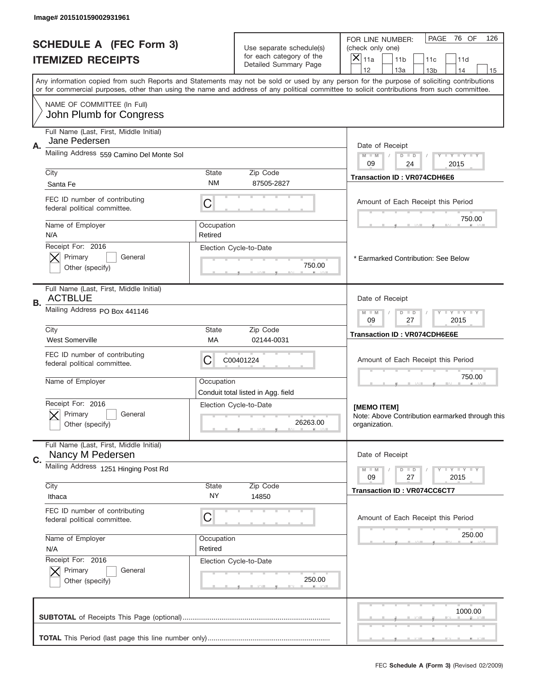|    | Image# 201510159002931961                                     |                       |                                                      |                                                                                                                                                                                                                                                                                         |
|----|---------------------------------------------------------------|-----------------------|------------------------------------------------------|-----------------------------------------------------------------------------------------------------------------------------------------------------------------------------------------------------------------------------------------------------------------------------------------|
|    | <b>SCHEDULE A (FEC Form 3)</b><br><b>ITEMIZED RECEIPTS</b>    |                       | Use separate schedule(s)<br>for each category of the | PAGE<br>76 OF<br>126<br>FOR LINE NUMBER:<br>(check only one)<br>×<br>11a<br>11 <sub>b</sub><br>11c<br>11d                                                                                                                                                                               |
|    |                                                               |                       | Detailed Summary Page                                | 12<br>13a<br>14<br>13 <sub>b</sub><br>15                                                                                                                                                                                                                                                |
|    |                                                               |                       |                                                      | Any information copied from such Reports and Statements may not be sold or used by any person for the purpose of soliciting contributions<br>or for commercial purposes, other than using the name and address of any political committee to solicit contributions from such committee. |
|    | NAME OF COMMITTEE (In Full)<br>John Plumb for Congress        |                       |                                                      |                                                                                                                                                                                                                                                                                         |
|    | Full Name (Last, First, Middle Initial)                       |                       |                                                      |                                                                                                                                                                                                                                                                                         |
| А. | Jane Pedersen<br>Mailing Address 559 Camino Del Monte Sol     |                       |                                                      | Date of Receipt                                                                                                                                                                                                                                                                         |
|    |                                                               |                       |                                                      | $M - M$<br><b>TEY LY LY</b><br>$D$ $D$<br>09<br>24<br>2015                                                                                                                                                                                                                              |
|    | City<br>Santa Fe                                              | State<br><b>NM</b>    | Zip Code<br>87505-2827                               | <b>Transaction ID: VR074CDH6E6</b>                                                                                                                                                                                                                                                      |
|    | FEC ID number of contributing                                 |                       |                                                      |                                                                                                                                                                                                                                                                                         |
|    | federal political committee.                                  | C                     |                                                      | Amount of Each Receipt this Period                                                                                                                                                                                                                                                      |
|    | Name of Employer                                              | Occupation            |                                                      | 750.00                                                                                                                                                                                                                                                                                  |
|    | N/A<br>Receipt For: 2016                                      | Retired               |                                                      |                                                                                                                                                                                                                                                                                         |
|    | Primary<br>General                                            |                       | Election Cycle-to-Date                               | * Earmarked Contribution: See Below                                                                                                                                                                                                                                                     |
|    | Other (specify)                                               |                       | 750.00                                               |                                                                                                                                                                                                                                                                                         |
| В. | Full Name (Last, First, Middle Initial)<br><b>ACTBLUE</b>     |                       |                                                      | Date of Receipt                                                                                                                                                                                                                                                                         |
|    | Mailing Address PO Box 441146                                 |                       |                                                      | <b>LY LY LY</b><br>$M - M$<br>$D$ $D$<br>09<br>27<br>2015                                                                                                                                                                                                                               |
|    | City<br><b>West Somerville</b>                                | State<br>МA           | Zip Code<br>02144-0031                               | <b>Transaction ID: VR074CDH6E6E</b>                                                                                                                                                                                                                                                     |
|    | FEC ID number of contributing<br>federal political committee. | C                     | C00401224                                            | Amount of Each Receipt this Period                                                                                                                                                                                                                                                      |
|    | Name of Employer                                              | Occupation            | Conduit total listed in Agg. field                   | 750.00                                                                                                                                                                                                                                                                                  |
|    | Receipt For: 2016<br>General<br>Primary<br>Other (specify)    |                       | Election Cycle-to-Date<br>26263.00                   | [MEMO ITEM]<br>Note: Above Contribution earmarked through this<br>organization.                                                                                                                                                                                                         |
|    | Full Name (Last, First, Middle Initial)                       |                       |                                                      |                                                                                                                                                                                                                                                                                         |
| C. | Nancy M Pedersen                                              |                       |                                                      | Date of Receipt                                                                                                                                                                                                                                                                         |
|    | Mailing Address 1251 Hinging Post Rd                          |                       |                                                      | <b>LY LY LY</b><br>$M - M$<br>$D$ $D$<br>2015<br>09<br>27                                                                                                                                                                                                                               |
|    | City                                                          | State                 | Zip Code                                             | <b>Transaction ID: VR074CC6CT7</b>                                                                                                                                                                                                                                                      |
|    | Ithaca                                                        | NY                    | 14850                                                |                                                                                                                                                                                                                                                                                         |
|    | FEC ID number of contributing<br>federal political committee. | C                     |                                                      | Amount of Each Receipt this Period                                                                                                                                                                                                                                                      |
|    | Name of Employer<br>N/A                                       | Occupation<br>Retired |                                                      | 250.00                                                                                                                                                                                                                                                                                  |
|    | Receipt For: 2016                                             |                       | Election Cycle-to-Date                               |                                                                                                                                                                                                                                                                                         |
|    | Primary<br>General<br>Other (specify)                         |                       | 250.00                                               |                                                                                                                                                                                                                                                                                         |
|    |                                                               |                       |                                                      | 1000.00                                                                                                                                                                                                                                                                                 |
|    |                                                               |                       |                                                      |                                                                                                                                                                                                                                                                                         |
|    |                                                               |                       |                                                      | FEC Schedule A (Form 3) (Revised 02/2009)                                                                                                                                                                                                                                               |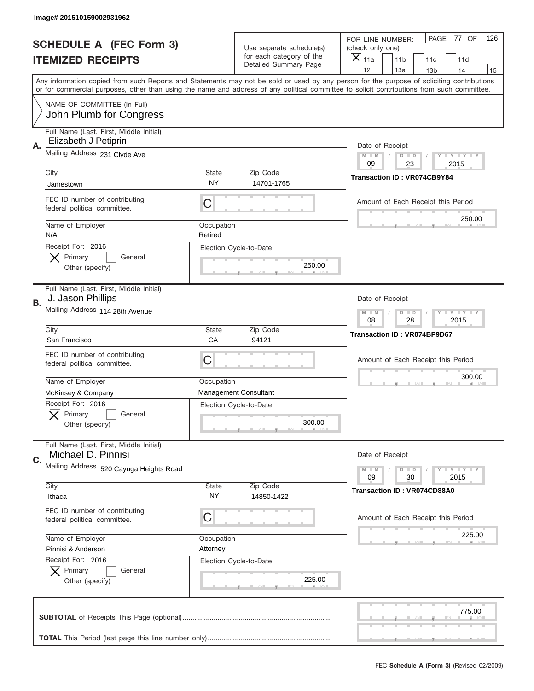|    | Image# 201510159002931962                                       |                       |                                                   |                                                                                                                                                                                                                                                                                                                                     |
|----|-----------------------------------------------------------------|-----------------------|---------------------------------------------------|-------------------------------------------------------------------------------------------------------------------------------------------------------------------------------------------------------------------------------------------------------------------------------------------------------------------------------------|
|    | <b>SCHEDULE A (FEC Form 3)</b>                                  |                       | Use separate schedule(s)                          | PAGE<br>77 OF<br>126<br>FOR LINE NUMBER:<br>(check only one)                                                                                                                                                                                                                                                                        |
|    | <b>ITEMIZED RECEIPTS</b>                                        |                       | for each category of the<br>Detailed Summary Page | ×<br>11a<br>11 <sub>b</sub><br>11c<br>11d                                                                                                                                                                                                                                                                                           |
|    |                                                                 |                       |                                                   | 12<br>13a<br>14<br>13 <sub>b</sub><br>15<br>Any information copied from such Reports and Statements may not be sold or used by any person for the purpose of soliciting contributions<br>or for commercial purposes, other than using the name and address of any political committee to solicit contributions from such committee. |
|    | NAME OF COMMITTEE (In Full)<br>John Plumb for Congress          |                       |                                                   |                                                                                                                                                                                                                                                                                                                                     |
| Α. | Full Name (Last, First, Middle Initial)<br>Elizabeth J Petiprin |                       |                                                   | Date of Receipt                                                                                                                                                                                                                                                                                                                     |
|    | Mailing Address 231 Clyde Ave                                   |                       |                                                   | $M - M$<br><b>LYLYLY</b><br>$D$ $D$<br>09<br>23<br>2015                                                                                                                                                                                                                                                                             |
|    | City<br>Jamestown                                               | State<br><b>NY</b>    | Zip Code<br>14701-1765                            | Transaction ID: VR074CB9Y84                                                                                                                                                                                                                                                                                                         |
|    | FEC ID number of contributing<br>federal political committee.   | C                     |                                                   | Amount of Each Receipt this Period                                                                                                                                                                                                                                                                                                  |
|    | Name of Employer<br>N/A                                         | Occupation<br>Retired |                                                   | 250.00                                                                                                                                                                                                                                                                                                                              |
|    | Receipt For: 2016<br>Primary<br>General<br>Other (specify)      |                       | Election Cycle-to-Date<br>250.00                  |                                                                                                                                                                                                                                                                                                                                     |
| В. | Full Name (Last, First, Middle Initial)<br>J. Jason Phillips    |                       |                                                   | Date of Receipt                                                                                                                                                                                                                                                                                                                     |
|    | Mailing Address 114 28th Avenue                                 |                       |                                                   | $M$ M<br>$D$ $D$<br><b>LYLYLY</b><br>08<br>28<br>2015                                                                                                                                                                                                                                                                               |
|    | City<br>San Francisco                                           | State<br>CA           | Zip Code<br>94121                                 | <b>Transaction ID: VR074BP9D67</b>                                                                                                                                                                                                                                                                                                  |
|    |                                                                 |                       |                                                   |                                                                                                                                                                                                                                                                                                                                     |
|    | FEC ID number of contributing<br>federal political committee.   | C                     |                                                   | Amount of Each Receipt this Period                                                                                                                                                                                                                                                                                                  |
|    | Name of Employer                                                | Occupation            |                                                   | 300.00                                                                                                                                                                                                                                                                                                                              |
|    | McKinsey & Company                                              |                       | <b>Management Consultant</b>                      |                                                                                                                                                                                                                                                                                                                                     |
|    | Receipt For: 2016<br>General<br>Primary<br>Other (specify)      |                       | Election Cycle-to-Date<br>300.00                  |                                                                                                                                                                                                                                                                                                                                     |
| C. | Full Name (Last, First, Middle Initial)<br>Michael D. Pinnisi   |                       |                                                   | Date of Receipt                                                                                                                                                                                                                                                                                                                     |
|    | Mailing Address 520 Cayuga Heights Road                         |                       |                                                   | <b>LEY LEY LEY</b><br>$M - M$<br>$D$ $D$<br>09<br>2015<br>30                                                                                                                                                                                                                                                                        |
|    | City<br>Ithaca                                                  | <b>State</b><br>NY.   | Zip Code<br>14850-1422                            | <b>Transaction ID: VR074CD88A0</b>                                                                                                                                                                                                                                                                                                  |
|    | FEC ID number of contributing<br>federal political committee.   | C                     |                                                   | Amount of Each Receipt this Period                                                                                                                                                                                                                                                                                                  |
|    | Name of Employer                                                | Occupation            |                                                   | 225.00                                                                                                                                                                                                                                                                                                                              |
|    | Pinnisi & Anderson                                              | Attorney              |                                                   |                                                                                                                                                                                                                                                                                                                                     |
|    | Receipt For: 2016<br>Primary<br>General<br>Other (specify)      |                       | Election Cycle-to-Date<br>225.00                  |                                                                                                                                                                                                                                                                                                                                     |
|    |                                                                 |                       |                                                   | 775.00                                                                                                                                                                                                                                                                                                                              |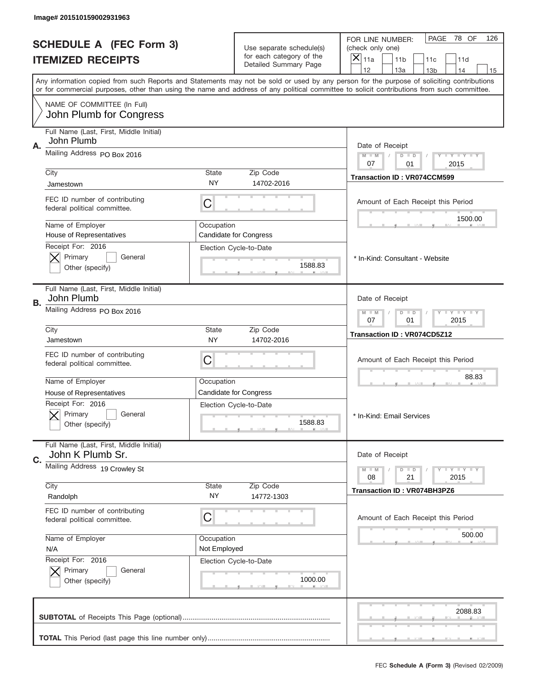|    | Image# 201510159002931963                                     |                    |                                                                               |                                                                                                                                                                                       |
|----|---------------------------------------------------------------|--------------------|-------------------------------------------------------------------------------|---------------------------------------------------------------------------------------------------------------------------------------------------------------------------------------|
|    | <b>SCHEDULE A (FEC Form 3)</b><br><b>ITEMIZED RECEIPTS</b>    |                    | Use separate schedule(s)<br>for each category of the<br>Detailed Summary Page | PAGE<br>78 OF<br>126<br>FOR LINE NUMBER:<br>(check only one)<br>×<br>11a<br>11 <sub>b</sub><br>11c<br>11d                                                                             |
|    |                                                               |                    |                                                                               | 12<br>13a<br>14<br>13 <sub>b</sub><br>15<br>Any information copied from such Reports and Statements may not be sold or used by any person for the purpose of soliciting contributions |
|    | NAME OF COMMITTEE (In Full)                                   |                    |                                                                               | or for commercial purposes, other than using the name and address of any political committee to solicit contributions from such committee.                                            |
|    | John Plumb for Congress                                       |                    |                                                                               |                                                                                                                                                                                       |
|    | Full Name (Last, First, Middle Initial)<br>John Plumb         |                    |                                                                               |                                                                                                                                                                                       |
| Α. | Mailing Address PO Box 2016                                   |                    |                                                                               | Date of Receipt<br>$M - M$<br><b>LEY LEY LEY</b><br>$D$ $D$<br>07<br>01<br>2015                                                                                                       |
|    | City                                                          | State              | Zip Code                                                                      | <b>Transaction ID: VR074CCM599</b>                                                                                                                                                    |
|    | Jamestown                                                     | <b>NY</b>          | 14702-2016                                                                    |                                                                                                                                                                                       |
|    | FEC ID number of contributing<br>federal political committee. | C                  |                                                                               | Amount of Each Receipt this Period                                                                                                                                                    |
|    | Name of Employer                                              | Occupation         |                                                                               | 1500.00                                                                                                                                                                               |
|    | House of Representatives<br>Receipt For: 2016                 |                    | <b>Candidate for Congress</b>                                                 |                                                                                                                                                                                       |
|    | Primary<br>General                                            |                    | Election Cycle-to-Date                                                        | * In-Kind: Consultant - Website                                                                                                                                                       |
|    | Other (specify)                                               |                    | 1588.83                                                                       |                                                                                                                                                                                       |
| В. | Full Name (Last, First, Middle Initial)<br>John Plumb         |                    |                                                                               | Date of Receipt                                                                                                                                                                       |
|    | Mailing Address PO Box 2016                                   |                    |                                                                               | $M$ M<br>$D$ $D$<br><b>LEYTEY LEY</b><br>07<br>01<br>2015                                                                                                                             |
|    | City<br>Jamestown                                             | State<br><b>NY</b> | Zip Code<br>14702-2016                                                        | Transaction ID: VR074CD5Z12                                                                                                                                                           |
|    | FEC ID number of contributing<br>federal political committee. | C                  |                                                                               | Amount of Each Receipt this Period                                                                                                                                                    |
|    | Name of Employer                                              | Occupation         |                                                                               | 88.83                                                                                                                                                                                 |
|    | House of Representatives                                      |                    | <b>Candidate for Congress</b>                                                 |                                                                                                                                                                                       |
|    | Receipt For: 2016<br>General<br>Primary<br>Other (specify)    |                    | Election Cycle-to-Date<br>1588.83                                             | * In-Kind: Email Services                                                                                                                                                             |
|    | Full Name (Last, First, Middle Initial)                       |                    |                                                                               |                                                                                                                                                                                       |
| C. | John K Plumb Sr.                                              |                    |                                                                               | Date of Receipt                                                                                                                                                                       |
|    | Mailing Address 19 Crowley St                                 |                    |                                                                               | <b>LYLYLY</b><br>$M - M$<br>$D$ $D$<br>08<br>21<br>2015                                                                                                                               |
|    | City<br>Randolph                                              | State<br>NY.       | Zip Code<br>14772-1303                                                        | <b>Transaction ID: VR074BH3PZ6</b>                                                                                                                                                    |
|    | FEC ID number of contributing<br>federal political committee. | C                  |                                                                               | Amount of Each Receipt this Period                                                                                                                                                    |
|    | Name of Employer                                              | Occupation         |                                                                               | 500.00                                                                                                                                                                                |
|    | N/A<br>Receipt For: 2016                                      | Not Employed       | Election Cycle-to-Date                                                        |                                                                                                                                                                                       |
|    | Primary<br>General                                            |                    |                                                                               |                                                                                                                                                                                       |
|    | Other (specify)                                               |                    | 1000.00                                                                       |                                                                                                                                                                                       |
|    |                                                               |                    |                                                                               | 2088.83                                                                                                                                                                               |
|    |                                                               |                    |                                                                               |                                                                                                                                                                                       |
|    |                                                               |                    |                                                                               | FEC Schedule A (Form 3) (Revised 02/2009)                                                                                                                                             |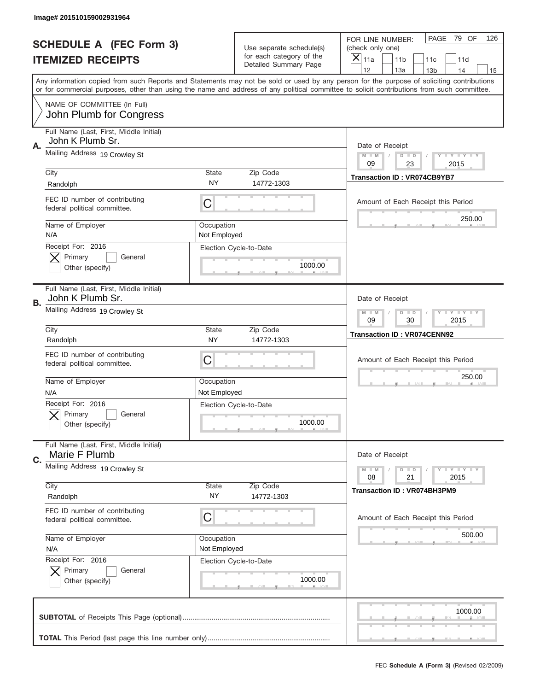|    | Image# 201510159002931964                                     |                            |                                                      |                                                                                                                                                                                                                                                                                         |
|----|---------------------------------------------------------------|----------------------------|------------------------------------------------------|-----------------------------------------------------------------------------------------------------------------------------------------------------------------------------------------------------------------------------------------------------------------------------------------|
|    | <b>SCHEDULE A (FEC Form 3)</b>                                |                            | Use separate schedule(s)<br>for each category of the | PAGE<br>79 OF<br>126<br>FOR LINE NUMBER:<br>(check only one)                                                                                                                                                                                                                            |
|    | <b>ITEMIZED RECEIPTS</b>                                      |                            | Detailed Summary Page                                | $\overline{\mathsf{x}}$<br>11a<br>11 <sub>b</sub><br>11c<br>11d<br>12<br>13a<br>14<br>13 <sub>b</sub><br>15                                                                                                                                                                             |
|    |                                                               |                            |                                                      | Any information copied from such Reports and Statements may not be sold or used by any person for the purpose of soliciting contributions<br>or for commercial purposes, other than using the name and address of any political committee to solicit contributions from such committee. |
|    | NAME OF COMMITTEE (In Full)<br>John Plumb for Congress        |                            |                                                      |                                                                                                                                                                                                                                                                                         |
| Α. | Full Name (Last, First, Middle Initial)<br>John K Plumb Sr.   |                            |                                                      | Date of Receipt                                                                                                                                                                                                                                                                         |
|    | Mailing Address 19 Crowley St                                 |                            |                                                      | Y TY TY TY<br>$M - M$<br>$D$ $D$<br>09<br>23<br>2015                                                                                                                                                                                                                                    |
|    | City<br>Randolph                                              | State<br><b>NY</b>         | Zip Code<br>14772-1303                               | <b>Transaction ID: VR074CB9YB7</b>                                                                                                                                                                                                                                                      |
|    | FEC ID number of contributing<br>federal political committee. | C                          |                                                      | Amount of Each Receipt this Period<br>250.00                                                                                                                                                                                                                                            |
|    | Name of Employer<br>N/A                                       | Occupation<br>Not Employed |                                                      |                                                                                                                                                                                                                                                                                         |
|    | Receipt For: 2016<br>Primary<br>General<br>Other (specify)    |                            | Election Cycle-to-Date<br>1000.00                    |                                                                                                                                                                                                                                                                                         |
| В. | Full Name (Last, First, Middle Initial)<br>John K Plumb Sr.   |                            |                                                      | Date of Receipt                                                                                                                                                                                                                                                                         |
|    | Mailing Address 19 Crowley St                                 |                            |                                                      | <b>LY LY LY</b><br>$M - M$<br>$D$ $D$<br>09<br>30<br>2015                                                                                                                                                                                                                               |
|    | City<br>Randolph                                              | State<br><b>NY</b>         | Zip Code<br>14772-1303                               | <b>Transaction ID: VR074CENN92</b>                                                                                                                                                                                                                                                      |
|    | FEC ID number of contributing<br>federal political committee. | C                          |                                                      | Amount of Each Receipt this Period                                                                                                                                                                                                                                                      |
|    | Name of Employer<br>N/A                                       | Occupation<br>Not Employed |                                                      | 250.00                                                                                                                                                                                                                                                                                  |
|    | Receipt For: 2016<br>General<br>Primary<br>Other (specify)    |                            | Election Cycle-to-Date<br>1000.00                    |                                                                                                                                                                                                                                                                                         |
| C. | Full Name (Last, First, Middle Initial)<br>Marie F Plumb      |                            |                                                      | Date of Receipt                                                                                                                                                                                                                                                                         |
|    | Mailing Address 19 Crowley St                                 |                            |                                                      | <b>TEY LY LY</b><br>$M - M$<br>$D$ $D$<br>21<br>2015<br>08                                                                                                                                                                                                                              |
|    | City<br>Randolph                                              | State<br>NY                | Zip Code<br>14772-1303                               | <b>Transaction ID: VR074BH3PM9</b>                                                                                                                                                                                                                                                      |
|    | FEC ID number of contributing<br>federal political committee. | C                          |                                                      | Amount of Each Receipt this Period                                                                                                                                                                                                                                                      |
|    | Name of Employer<br>N/A                                       | Occupation<br>Not Employed |                                                      | 500.00                                                                                                                                                                                                                                                                                  |
|    | Receipt For: 2016<br>Primary<br>General<br>Other (specify)    |                            | Election Cycle-to-Date<br>1000.00                    |                                                                                                                                                                                                                                                                                         |
|    |                                                               |                            |                                                      | 1000.00                                                                                                                                                                                                                                                                                 |
|    |                                                               |                            |                                                      |                                                                                                                                                                                                                                                                                         |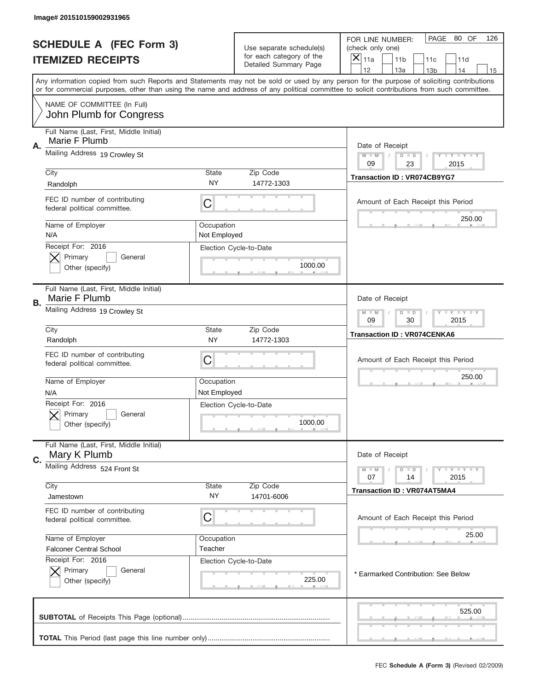|           | Image# 201510159002931965                                     |                    |                                                      |                                                                                                                                                                                                                                                                                         |
|-----------|---------------------------------------------------------------|--------------------|------------------------------------------------------|-----------------------------------------------------------------------------------------------------------------------------------------------------------------------------------------------------------------------------------------------------------------------------------------|
|           | <b>SCHEDULE A (FEC Form 3)</b><br><b>ITEMIZED RECEIPTS</b>    |                    | Use separate schedule(s)<br>for each category of the | PAGE 80 OF<br>126<br>FOR LINE NUMBER:<br>(check only one)<br>×<br>11a<br>11 <sub>b</sub><br>11c<br>11d                                                                                                                                                                                  |
|           |                                                               |                    | Detailed Summary Page                                | 12<br>13a<br>14<br>13 <sub>b</sub><br>15                                                                                                                                                                                                                                                |
|           |                                                               |                    |                                                      | Any information copied from such Reports and Statements may not be sold or used by any person for the purpose of soliciting contributions<br>or for commercial purposes, other than using the name and address of any political committee to solicit contributions from such committee. |
|           | NAME OF COMMITTEE (In Full)<br>John Plumb for Congress        |                    |                                                      |                                                                                                                                                                                                                                                                                         |
|           | Full Name (Last, First, Middle Initial)                       |                    |                                                      |                                                                                                                                                                                                                                                                                         |
| Α.        | Marie F Plumb<br>Mailing Address 19 Crowley St                |                    |                                                      | Date of Receipt                                                                                                                                                                                                                                                                         |
|           |                                                               |                    |                                                      | $M - M$<br><b>LYLYLY</b><br>$D$ $D$<br>09<br>23<br>2015                                                                                                                                                                                                                                 |
|           | City<br>Randolph                                              | State<br>NY        | Zip Code<br>14772-1303                               | <b>Transaction ID: VR074CB9YG7</b>                                                                                                                                                                                                                                                      |
|           | FEC ID number of contributing                                 |                    |                                                      |                                                                                                                                                                                                                                                                                         |
|           | federal political committee.                                  | C                  |                                                      | Amount of Each Receipt this Period                                                                                                                                                                                                                                                      |
|           | Name of Employer                                              | Occupation         |                                                      | 250.00                                                                                                                                                                                                                                                                                  |
|           | N/A<br>Receipt For: 2016                                      | Not Employed       | Election Cycle-to-Date                               |                                                                                                                                                                                                                                                                                         |
|           | Primary<br>General                                            |                    |                                                      |                                                                                                                                                                                                                                                                                         |
|           | Other (specify)                                               |                    | 1000.00                                              |                                                                                                                                                                                                                                                                                         |
| <b>B.</b> | Full Name (Last, First, Middle Initial)<br>Marie F Plumb      |                    |                                                      | Date of Receipt                                                                                                                                                                                                                                                                         |
|           | Mailing Address 19 Crowley St                                 |                    |                                                      | $M - M$<br><b>LEYTEY LEY</b><br>$D$ $D$<br>09<br>30<br>2015                                                                                                                                                                                                                             |
|           | City<br>Randolph                                              | State<br><b>NY</b> | Zip Code<br>14772-1303                               | <b>Transaction ID: VR074CENKA6</b>                                                                                                                                                                                                                                                      |
|           | FEC ID number of contributing<br>federal political committee. | C                  |                                                      | Amount of Each Receipt this Period                                                                                                                                                                                                                                                      |
|           | Name of Employer                                              | Occupation         |                                                      | 250.00                                                                                                                                                                                                                                                                                  |
|           | N/A                                                           | Not Employed       |                                                      |                                                                                                                                                                                                                                                                                         |
|           | Receipt For: 2016<br>General<br>Primary<br>Other (specify)    |                    | Election Cycle-to-Date<br>1000.00                    |                                                                                                                                                                                                                                                                                         |
|           | Full Name (Last, First, Middle Initial)                       |                    |                                                      |                                                                                                                                                                                                                                                                                         |
| C.        | Mary K Plumb<br>Mailing Address 524 Front St                  |                    |                                                      | Date of Receipt                                                                                                                                                                                                                                                                         |
|           |                                                               |                    |                                                      | <b>LY LY LY</b><br>$M - M$<br>$D$ $D$<br>07<br>2015<br>14                                                                                                                                                                                                                               |
|           | City<br>Jamestown                                             | State<br>NY.       | Zip Code<br>14701-6006                               | <b>Transaction ID: VR074AT5MA4</b>                                                                                                                                                                                                                                                      |
|           | FEC ID number of contributing<br>federal political committee. | С                  |                                                      | Amount of Each Receipt this Period                                                                                                                                                                                                                                                      |
|           | Name of Employer                                              | Occupation         |                                                      | 25.00                                                                                                                                                                                                                                                                                   |
|           | <b>Falconer Central School</b><br>Receipt For: 2016           | Teacher            |                                                      |                                                                                                                                                                                                                                                                                         |
|           | Primary<br>General<br>Other (specify)                         |                    | Election Cycle-to-Date<br>225.00                     | * Earmarked Contribution: See Below                                                                                                                                                                                                                                                     |
|           |                                                               |                    |                                                      | 525.00                                                                                                                                                                                                                                                                                  |
|           |                                                               |                    |                                                      |                                                                                                                                                                                                                                                                                         |
|           |                                                               |                    |                                                      | FEC Schedule A (Form 3) (Revised 02/2009)                                                                                                                                                                                                                                               |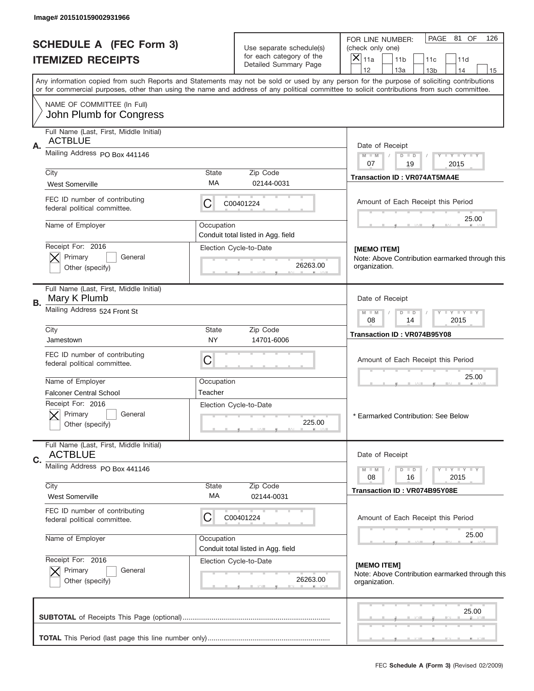| Image# 201510159002931966                                       |                           |                                                   |                                                                                                                                                                                                                                                                                                                                     |
|-----------------------------------------------------------------|---------------------------|---------------------------------------------------|-------------------------------------------------------------------------------------------------------------------------------------------------------------------------------------------------------------------------------------------------------------------------------------------------------------------------------------|
| <b>SCHEDULE A (FEC Form 3)</b>                                  |                           | Use separate schedule(s)                          | PAGE 81 OF<br>126<br>FOR LINE NUMBER:<br>(check only one)                                                                                                                                                                                                                                                                           |
| <b>ITEMIZED RECEIPTS</b>                                        |                           | for each category of the<br>Detailed Summary Page | $\boldsymbol{\times}$<br>11a<br>11 <sub>b</sub><br>11d<br>11c                                                                                                                                                                                                                                                                       |
|                                                                 |                           |                                                   | 12<br>13a<br>14<br>13 <sub>b</sub><br>15<br>Any information copied from such Reports and Statements may not be sold or used by any person for the purpose of soliciting contributions<br>or for commercial purposes, other than using the name and address of any political committee to solicit contributions from such committee. |
| NAME OF COMMITTEE (In Full)                                     |                           |                                                   |                                                                                                                                                                                                                                                                                                                                     |
| John Plumb for Congress                                         |                           |                                                   |                                                                                                                                                                                                                                                                                                                                     |
| Full Name (Last, First, Middle Initial)<br><b>ACTBLUE</b><br>Α. |                           |                                                   | Date of Receipt                                                                                                                                                                                                                                                                                                                     |
| Mailing Address PO Box 441146                                   |                           |                                                   | Y TY TY TY<br>$M$ $M$<br>$D$ $D$<br>07<br>19<br>2015                                                                                                                                                                                                                                                                                |
| City                                                            | <b>State</b>              | Zip Code                                          | <b>Transaction ID: VR074AT5MA4E</b>                                                                                                                                                                                                                                                                                                 |
| <b>West Somerville</b>                                          | МA                        | 02144-0031                                        |                                                                                                                                                                                                                                                                                                                                     |
| FEC ID number of contributing<br>federal political committee.   | С                         | C00401224                                         | Amount of Each Receipt this Period                                                                                                                                                                                                                                                                                                  |
| Name of Employer                                                | Occupation                | Conduit total listed in Agg. field                | 25.00                                                                                                                                                                                                                                                                                                                               |
| Receipt For: 2016                                               |                           | Election Cycle-to-Date                            | [MEMO ITEM]                                                                                                                                                                                                                                                                                                                         |
| Primary<br>General                                              |                           |                                                   | Note: Above Contribution earmarked through this                                                                                                                                                                                                                                                                                     |
| Other (specify)                                                 |                           | 26263.00                                          | organization.                                                                                                                                                                                                                                                                                                                       |
| Full Name (Last, First, Middle Initial)<br>Mary K Plumb<br>В.   |                           |                                                   | Date of Receipt                                                                                                                                                                                                                                                                                                                     |
| Mailing Address 524 Front St                                    |                           |                                                   | Y LY LY LY<br>$M$ M<br>$D$ $D$<br>08<br>2015<br>14                                                                                                                                                                                                                                                                                  |
| City<br>Jamestown                                               | <b>State</b><br><b>NY</b> | Zip Code<br>14701-6006                            | Transaction ID: VR074B95Y08                                                                                                                                                                                                                                                                                                         |
| FEC ID number of contributing<br>federal political committee.   | C                         |                                                   | Amount of Each Receipt this Period                                                                                                                                                                                                                                                                                                  |
| Name of Employer                                                | Occupation                |                                                   | 25.00                                                                                                                                                                                                                                                                                                                               |
| <b>Falconer Central School</b>                                  | Teacher                   |                                                   |                                                                                                                                                                                                                                                                                                                                     |
| Receipt For: 2016<br>Primary<br>General<br>Other (specify)      |                           | Election Cycle-to-Date<br>225.00                  | * Earmarked Contribution: See Below                                                                                                                                                                                                                                                                                                 |
| Full Name (Last, First, Middle Initial)<br><b>ACTBLUE</b>       |                           |                                                   | Date of Receipt                                                                                                                                                                                                                                                                                                                     |
| C.<br>Mailing Address PO Box 441146                             |                           |                                                   | $D$ $D$<br>$T + Y = Y + Y$                                                                                                                                                                                                                                                                                                          |
|                                                                 |                           |                                                   | $M - M$<br>2015<br>08<br>16                                                                                                                                                                                                                                                                                                         |
| City<br><b>West Somerville</b>                                  | <b>State</b><br>МA        | Zip Code<br>02144-0031                            | Transaction ID: VR074B95Y08E                                                                                                                                                                                                                                                                                                        |
| FEC ID number of contributing<br>federal political committee.   | С                         | C00401224                                         | Amount of Each Receipt this Period                                                                                                                                                                                                                                                                                                  |
| Name of Employer                                                | Occupation                | Conduit total listed in Agg. field                | 25.00                                                                                                                                                                                                                                                                                                                               |
| Receipt For: 2016                                               |                           | Election Cycle-to-Date                            | [MEMO ITEM]                                                                                                                                                                                                                                                                                                                         |
| Primary<br>General<br>Other (specify)                           |                           | 26263.00                                          | Note: Above Contribution earmarked through this<br>organization.                                                                                                                                                                                                                                                                    |
|                                                                 |                           |                                                   | 25.00                                                                                                                                                                                                                                                                                                                               |
|                                                                 |                           |                                                   |                                                                                                                                                                                                                                                                                                                                     |
|                                                                 |                           |                                                   |                                                                                                                                                                                                                                                                                                                                     |
|                                                                 |                           |                                                   | FEC Schedule A (Form 3) (Revised 02/2009)                                                                                                                                                                                                                                                                                           |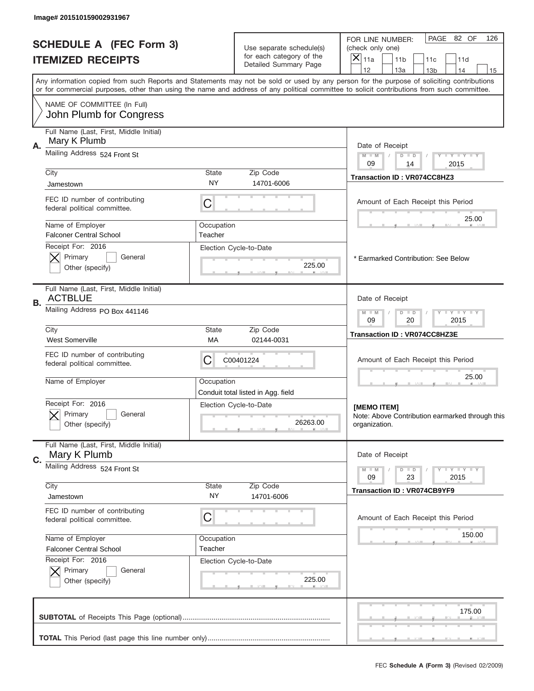| Image# 201510159002931967                                                                                                                  |                    |                                                      |                                                                                                                                           |
|--------------------------------------------------------------------------------------------------------------------------------------------|--------------------|------------------------------------------------------|-------------------------------------------------------------------------------------------------------------------------------------------|
| <b>SCHEDULE A (FEC Form 3)</b><br><b>ITEMIZED RECEIPTS</b>                                                                                 |                    | Use separate schedule(s)<br>for each category of the | PAGE 82 OF<br>126<br>FOR LINE NUMBER:<br>(check only one)<br>X<br>11a<br>11 <sub>b</sub><br>11c<br>11d                                    |
|                                                                                                                                            |                    | Detailed Summary Page                                | 12<br>13a<br>14<br>13 <sub>b</sub><br>15                                                                                                  |
| or for commercial purposes, other than using the name and address of any political committee to solicit contributions from such committee. |                    |                                                      | Any information copied from such Reports and Statements may not be sold or used by any person for the purpose of soliciting contributions |
| NAME OF COMMITTEE (In Full)<br>John Plumb for Congress                                                                                     |                    |                                                      |                                                                                                                                           |
| Full Name (Last, First, Middle Initial)                                                                                                    |                    |                                                      |                                                                                                                                           |
| Mary K Plumb<br>Α.<br>Mailing Address 524 Front St                                                                                         |                    |                                                      | Date of Receipt                                                                                                                           |
|                                                                                                                                            |                    |                                                      | $M - M$<br>Y FY FY FY<br>$D$ $D$<br>09<br>14<br>2015                                                                                      |
| City<br>Jamestown                                                                                                                          | <b>State</b><br>NY | Zip Code<br>14701-6006                               | Transaction ID: VR074CC8HZ3                                                                                                               |
| FEC ID number of contributing                                                                                                              |                    |                                                      |                                                                                                                                           |
| federal political committee.                                                                                                               | С                  |                                                      | Amount of Each Receipt this Period                                                                                                        |
| Name of Employer                                                                                                                           | Occupation         |                                                      | 25.00                                                                                                                                     |
| <b>Falconer Central School</b>                                                                                                             | Teacher            |                                                      |                                                                                                                                           |
| Receipt For: 2016<br>Primary<br>General                                                                                                    |                    | Election Cycle-to-Date                               | * Earmarked Contribution: See Below                                                                                                       |
| Other (specify)                                                                                                                            |                    | 225.00                                               |                                                                                                                                           |
| Full Name (Last, First, Middle Initial)<br><b>ACTBLUE</b><br>В.                                                                            |                    |                                                      | Date of Receipt                                                                                                                           |
| Mailing Address PO Box 441146                                                                                                              |                    |                                                      | <b>LY LY LY</b><br>$M - M$<br>$D$ $D$<br>09<br>20<br>2015                                                                                 |
| City<br><b>West Somerville</b>                                                                                                             | <b>State</b><br>МA | Zip Code<br>02144-0031                               | Transaction ID: VR074CC8HZ3E                                                                                                              |
| FEC ID number of contributing<br>federal political committee.                                                                              | C                  | C00401224                                            | Amount of Each Receipt this Period                                                                                                        |
| Name of Employer                                                                                                                           | Occupation         | Conduit total listed in Agg. field                   | 25.00                                                                                                                                     |
| Receipt For: 2016<br>General<br>Primary<br>Other (specify)                                                                                 |                    | Election Cycle-to-Date<br>26263.00                   | [MEMO ITEM]<br>Note: Above Contribution earmarked through this<br>organization.                                                           |
|                                                                                                                                            |                    |                                                      |                                                                                                                                           |
| Full Name (Last, First, Middle Initial)<br>Mary K Plumb                                                                                    |                    |                                                      | Date of Receipt                                                                                                                           |
| C.<br>Mailing Address 524 Front St                                                                                                         |                    |                                                      | <b>LY LY LY</b><br>$M - M$<br>$D$ $D$                                                                                                     |
| City                                                                                                                                       | State              | Zip Code                                             | 2015<br>09<br>23<br><b>Transaction ID: VR074CB9YF9</b>                                                                                    |
| Jamestown                                                                                                                                  | NY.                | 14701-6006                                           |                                                                                                                                           |
| FEC ID number of contributing<br>federal political committee.                                                                              | С                  |                                                      | Amount of Each Receipt this Period                                                                                                        |
| Name of Employer                                                                                                                           | Occupation         |                                                      | 150.00                                                                                                                                    |
| <b>Falconer Central School</b><br>Receipt For: 2016                                                                                        | Teacher            | Election Cycle-to-Date                               |                                                                                                                                           |
| Primary<br>General                                                                                                                         |                    |                                                      |                                                                                                                                           |
| Other (specify)                                                                                                                            |                    | 225.00                                               |                                                                                                                                           |
|                                                                                                                                            |                    |                                                      | 175.00                                                                                                                                    |
|                                                                                                                                            |                    |                                                      |                                                                                                                                           |
|                                                                                                                                            |                    |                                                      | FEC Schedule A (Form 3) (Revised 02/2009)                                                                                                 |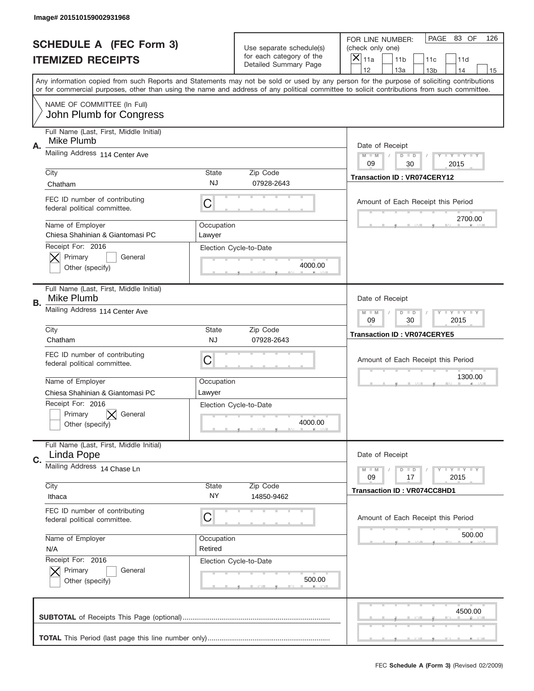|    | Image# 201510159002931968                                                 |                           |                                                   |                                                                                                                                                                                                                                                                                                                                     |  |
|----|---------------------------------------------------------------------------|---------------------------|---------------------------------------------------|-------------------------------------------------------------------------------------------------------------------------------------------------------------------------------------------------------------------------------------------------------------------------------------------------------------------------------------|--|
|    | <b>SCHEDULE A (FEC Form 3)</b>                                            |                           | Use separate schedule(s)                          | PAGE 83 OF<br>126<br>FOR LINE NUMBER:<br>(check only one)                                                                                                                                                                                                                                                                           |  |
|    | <b>ITEMIZED RECEIPTS</b>                                                  |                           | for each category of the<br>Detailed Summary Page | $\overline{X} _{11a}$<br>11 <sub>b</sub><br>11c<br>11d                                                                                                                                                                                                                                                                              |  |
|    |                                                                           |                           |                                                   | 12<br>13a<br>14<br>13 <sub>b</sub><br>15<br>Any information copied from such Reports and Statements may not be sold or used by any person for the purpose of soliciting contributions<br>or for commercial purposes, other than using the name and address of any political committee to solicit contributions from such committee. |  |
|    | NAME OF COMMITTEE (In Full)<br>John Plumb for Congress                    |                           |                                                   |                                                                                                                                                                                                                                                                                                                                     |  |
| Α. | Full Name (Last, First, Middle Initial)<br>Mike Plumb                     |                           |                                                   | Date of Receipt                                                                                                                                                                                                                                                                                                                     |  |
|    | Mailing Address 114 Center Ave                                            |                           |                                                   | <b>LYLYLY</b><br>$M - M$<br>$D$ $D$<br>09<br>30<br>2015                                                                                                                                                                                                                                                                             |  |
|    | City<br>Chatham                                                           | <b>State</b><br><b>NJ</b> | Zip Code<br>07928-2643                            | <b>Transaction ID: VR074CERY12</b>                                                                                                                                                                                                                                                                                                  |  |
|    | FEC ID number of contributing<br>federal political committee.             | C                         |                                                   | Amount of Each Receipt this Period<br>2700.00                                                                                                                                                                                                                                                                                       |  |
|    | Name of Employer<br>Chiesa Shahinian & Giantomasi PC<br>Receipt For: 2016 | Occupation<br>Lawyer      |                                                   |                                                                                                                                                                                                                                                                                                                                     |  |
|    | Primary<br>General<br>Other (specify)                                     |                           | Election Cycle-to-Date<br>4000.00                 |                                                                                                                                                                                                                                                                                                                                     |  |
| В. | Full Name (Last, First, Middle Initial)<br>Mike Plumb                     |                           |                                                   | Date of Receipt                                                                                                                                                                                                                                                                                                                     |  |
|    | Mailing Address 114 Center Ave                                            |                           |                                                   | <b>LY LY LY</b><br>$M - M$<br>$D$ $D$<br>09<br>30<br>2015                                                                                                                                                                                                                                                                           |  |
|    | City<br>Chatham                                                           | <b>State</b><br><b>NJ</b> | Zip Code<br>07928-2643                            | <b>Transaction ID: VR074CERYE5</b>                                                                                                                                                                                                                                                                                                  |  |
|    | FEC ID number of contributing<br>federal political committee.             | C                         |                                                   | Amount of Each Receipt this Period                                                                                                                                                                                                                                                                                                  |  |
|    | Name of Employer<br>Chiesa Shahinian & Giantomasi PC                      | Occupation<br>Lawyer      |                                                   | 1300.00                                                                                                                                                                                                                                                                                                                             |  |
|    | Receipt For: 2016<br>Primary<br>General<br>Other (specify)                |                           | Election Cycle-to-Date<br>4000.00                 |                                                                                                                                                                                                                                                                                                                                     |  |
| C. | Full Name (Last, First, Middle Initial)<br>Linda Pope                     |                           |                                                   | Date of Receipt                                                                                                                                                                                                                                                                                                                     |  |
|    | Mailing Address 14 Chase Ln                                               |                           |                                                   | $T - Y = Y - T Y$<br>$M \perp M$<br>$D$ $D$<br>2015<br>09<br>17                                                                                                                                                                                                                                                                     |  |
|    | City<br>Ithaca                                                            | State<br>NY.              | Zip Code<br>14850-9462                            | <b>Transaction ID: VR074CC8HD1</b>                                                                                                                                                                                                                                                                                                  |  |
|    | FEC ID number of contributing<br>federal political committee.             | С                         |                                                   | Amount of Each Receipt this Period                                                                                                                                                                                                                                                                                                  |  |
|    | Name of Employer<br>N/A                                                   | Occupation<br>Retired     |                                                   | 500.00                                                                                                                                                                                                                                                                                                                              |  |
|    | Receipt For: 2016<br>Primary<br>General<br>Other (specify)                |                           | Election Cycle-to-Date<br>500.00                  |                                                                                                                                                                                                                                                                                                                                     |  |
|    |                                                                           |                           |                                                   | 4500.00                                                                                                                                                                                                                                                                                                                             |  |
|    |                                                                           |                           |                                                   |                                                                                                                                                                                                                                                                                                                                     |  |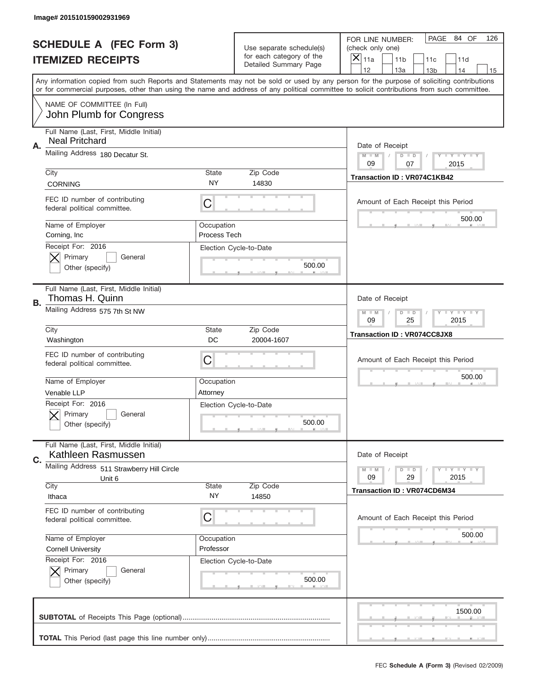|    | Image# 201510159002931969                                        |                            |                                                   |                                                                                                                                                                                                                                                                                                                                     |
|----|------------------------------------------------------------------|----------------------------|---------------------------------------------------|-------------------------------------------------------------------------------------------------------------------------------------------------------------------------------------------------------------------------------------------------------------------------------------------------------------------------------------|
|    | <b>SCHEDULE A (FEC Form 3)</b>                                   |                            | Use separate schedule(s)                          | PAGE 84 OF<br>126<br>FOR LINE NUMBER:<br>(check only one)                                                                                                                                                                                                                                                                           |
|    | <b>ITEMIZED RECEIPTS</b>                                         |                            | for each category of the<br>Detailed Summary Page | ×<br>11a<br>11 <sub>b</sub><br>11c<br>11d                                                                                                                                                                                                                                                                                           |
|    |                                                                  |                            |                                                   | 12<br>13a<br>14<br>13 <sub>b</sub><br>15<br>Any information copied from such Reports and Statements may not be sold or used by any person for the purpose of soliciting contributions<br>or for commercial purposes, other than using the name and address of any political committee to solicit contributions from such committee. |
|    | NAME OF COMMITTEE (In Full)<br>John Plumb for Congress           |                            |                                                   |                                                                                                                                                                                                                                                                                                                                     |
| Α. | Full Name (Last, First, Middle Initial)<br><b>Neal Pritchard</b> |                            |                                                   | Date of Receipt                                                                                                                                                                                                                                                                                                                     |
|    | Mailing Address 180 Decatur St.                                  |                            |                                                   | $M - M$<br><b>LYLYLY</b><br>$D$ $D$<br>09<br>07<br>2015                                                                                                                                                                                                                                                                             |
|    | City<br><b>CORNING</b>                                           | State<br><b>NY</b>         | Zip Code<br>14830                                 | Transaction ID: VR074C1KB42                                                                                                                                                                                                                                                                                                         |
|    | FEC ID number of contributing<br>federal political committee.    | C                          |                                                   | Amount of Each Receipt this Period<br>500.00                                                                                                                                                                                                                                                                                        |
|    | Name of Employer<br>Corning, Inc                                 | Occupation<br>Process Tech |                                                   |                                                                                                                                                                                                                                                                                                                                     |
|    | Receipt For: 2016<br>Primary<br>General<br>Other (specify)       |                            | Election Cycle-to-Date<br>500.00                  |                                                                                                                                                                                                                                                                                                                                     |
| В. | Full Name (Last, First, Middle Initial)<br>Thomas H. Quinn       |                            |                                                   | Date of Receipt                                                                                                                                                                                                                                                                                                                     |
|    | Mailing Address 575 7th St NW                                    |                            |                                                   | $M$ M<br><b>LYLYLY</b><br>$D$ $D$<br>09<br>25<br>2015                                                                                                                                                                                                                                                                               |
|    | City<br>Washington                                               | State<br>DC                | Zip Code<br>20004-1607                            | <b>Transaction ID: VR074CC8JX8</b>                                                                                                                                                                                                                                                                                                  |
|    | FEC ID number of contributing<br>federal political committee.    | C                          |                                                   | Amount of Each Receipt this Period                                                                                                                                                                                                                                                                                                  |
|    |                                                                  |                            |                                                   | 500.00                                                                                                                                                                                                                                                                                                                              |
|    | Name of Employer<br>Venable LLP                                  | Occupation<br>Attorney     |                                                   |                                                                                                                                                                                                                                                                                                                                     |
|    | Receipt For: 2016<br>General<br>Primary<br>Other (specify)       |                            | Election Cycle-to-Date<br>500.00                  |                                                                                                                                                                                                                                                                                                                                     |
| C. | Full Name (Last, First, Middle Initial)<br>Kathleen Rasmussen    |                            |                                                   | Date of Receipt                                                                                                                                                                                                                                                                                                                     |
|    | Mailing Address 511 Strawberry Hill Circle<br>Unit 6             |                            |                                                   | <b>LEY LEY LEY</b><br>$M - M$<br>$D$ $D$<br>09<br>29<br>2015                                                                                                                                                                                                                                                                        |
|    | City<br>Ithaca                                                   | <b>State</b><br>NY.        | Zip Code<br>14850                                 | <b>Transaction ID: VR074CD6M34</b>                                                                                                                                                                                                                                                                                                  |
|    | FEC ID number of contributing<br>federal political committee.    | C                          |                                                   | Amount of Each Receipt this Period                                                                                                                                                                                                                                                                                                  |
|    | Name of Employer<br><b>Cornell University</b>                    | Occupation<br>Professor    |                                                   | 500.00                                                                                                                                                                                                                                                                                                                              |
|    | Receipt For: 2016<br>Primary<br>General<br>Other (specify)       |                            | Election Cycle-to-Date<br>500.00                  |                                                                                                                                                                                                                                                                                                                                     |
|    |                                                                  |                            |                                                   | 1500.00                                                                                                                                                                                                                                                                                                                             |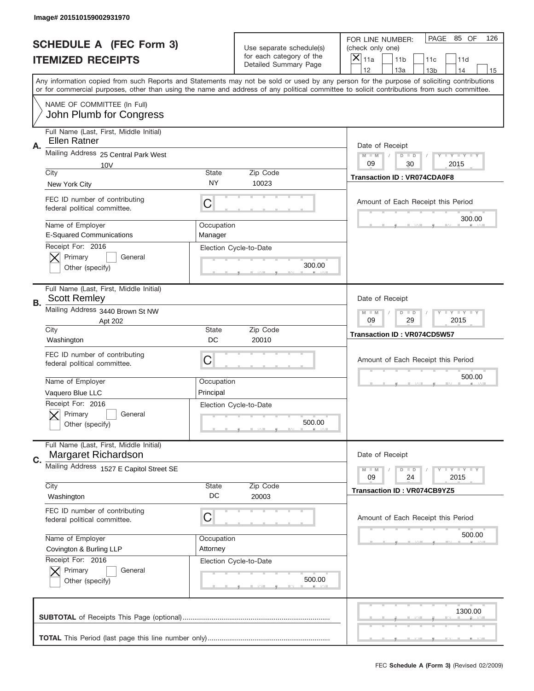|             | Image# 201510159002931970                                      |                       |                                                      |                                                                                                                                                                                                                                                                                         |
|-------------|----------------------------------------------------------------|-----------------------|------------------------------------------------------|-----------------------------------------------------------------------------------------------------------------------------------------------------------------------------------------------------------------------------------------------------------------------------------------|
|             | <b>SCHEDULE A (FEC Form 3)</b>                                 |                       | Use separate schedule(s)<br>for each category of the | PAGE 85 OF<br>126<br>FOR LINE NUMBER:<br>(check only one)                                                                                                                                                                                                                               |
|             | <b>ITEMIZED RECEIPTS</b>                                       |                       | Detailed Summary Page                                | ×<br>11a<br>11 <sub>b</sub><br>11c<br>11d<br>12<br>13a<br>14<br>13 <sub>b</sub><br>15                                                                                                                                                                                                   |
|             |                                                                |                       |                                                      | Any information copied from such Reports and Statements may not be sold or used by any person for the purpose of soliciting contributions<br>or for commercial purposes, other than using the name and address of any political committee to solicit contributions from such committee. |
|             | NAME OF COMMITTEE (In Full)<br>John Plumb for Congress         |                       |                                                      |                                                                                                                                                                                                                                                                                         |
| Α.          | Full Name (Last, First, Middle Initial)<br>Ellen Ratner        |                       |                                                      | Date of Receipt                                                                                                                                                                                                                                                                         |
|             | Mailing Address 25 Central Park West<br>10V                    |                       |                                                      | $M - M$<br><b>LYLYLY</b><br>$D$ $D$<br>09<br>30<br>2015                                                                                                                                                                                                                                 |
|             | City<br>New York City                                          | State<br>NY           | Zip Code<br>10023                                    | <b>Transaction ID: VR074CDA0F8</b>                                                                                                                                                                                                                                                      |
|             | FEC ID number of contributing<br>federal political committee.  | C                     |                                                      | Amount of Each Receipt this Period                                                                                                                                                                                                                                                      |
|             | Name of Employer<br><b>E-Squared Communications</b>            | Occupation<br>Manager |                                                      | 300.00                                                                                                                                                                                                                                                                                  |
|             | Receipt For: 2016<br>Primary<br>General<br>Other (specify)     |                       | Election Cycle-to-Date<br>300.00                     |                                                                                                                                                                                                                                                                                         |
| <b>B.</b>   | Full Name (Last, First, Middle Initial)<br><b>Scott Remley</b> |                       |                                                      | Date of Receipt                                                                                                                                                                                                                                                                         |
|             | Mailing Address 3440 Brown St NW<br>Apt 202                    |                       |                                                      | $M - M$<br><b>LEYTEY LEY</b><br>$D$ $D$<br>09<br>29<br>2015                                                                                                                                                                                                                             |
|             | City<br>Washington                                             | State<br>DC           | Zip Code<br>20010                                    | <b>Transaction ID: VR074CD5W57</b>                                                                                                                                                                                                                                                      |
|             | FEC ID number of contributing<br>federal political committee.  | C                     |                                                      | Amount of Each Receipt this Period                                                                                                                                                                                                                                                      |
|             |                                                                |                       |                                                      | 500.00                                                                                                                                                                                                                                                                                  |
|             | Name of Employer                                               | Occupation            |                                                      |                                                                                                                                                                                                                                                                                         |
|             | Vaquero Blue LLC                                               | Principal             |                                                      |                                                                                                                                                                                                                                                                                         |
|             | Receipt For: 2016<br>General<br>Primary<br>Other (specify)     |                       | Election Cycle-to-Date<br>500.00                     |                                                                                                                                                                                                                                                                                         |
| $C_{\cdot}$ | Full Name (Last, First, Middle Initial)<br>Margaret Richardson |                       |                                                      | Date of Receipt                                                                                                                                                                                                                                                                         |
|             | Mailing Address 1527 E Capitol Street SE                       |                       |                                                      | <b>LY LY LY</b><br>$M - M$<br>$\overline{D}$<br>$\blacksquare$<br>09<br>2015<br>24                                                                                                                                                                                                      |
|             | City<br>Washington                                             | State<br>DC           | Zip Code<br>20003                                    | <b>Transaction ID: VR074CB9YZ5</b>                                                                                                                                                                                                                                                      |
|             | FEC ID number of contributing<br>federal political committee.  | С                     |                                                      | Amount of Each Receipt this Period                                                                                                                                                                                                                                                      |
|             | Name of Employer                                               | Occupation            |                                                      | 500.00                                                                                                                                                                                                                                                                                  |
|             | Covington & Burling LLP                                        | Attorney              |                                                      |                                                                                                                                                                                                                                                                                         |
|             | Receipt For: 2016<br>Primary<br>General<br>Other (specify)     |                       | Election Cycle-to-Date<br>500.00                     |                                                                                                                                                                                                                                                                                         |
|             |                                                                |                       |                                                      | 1300.00                                                                                                                                                                                                                                                                                 |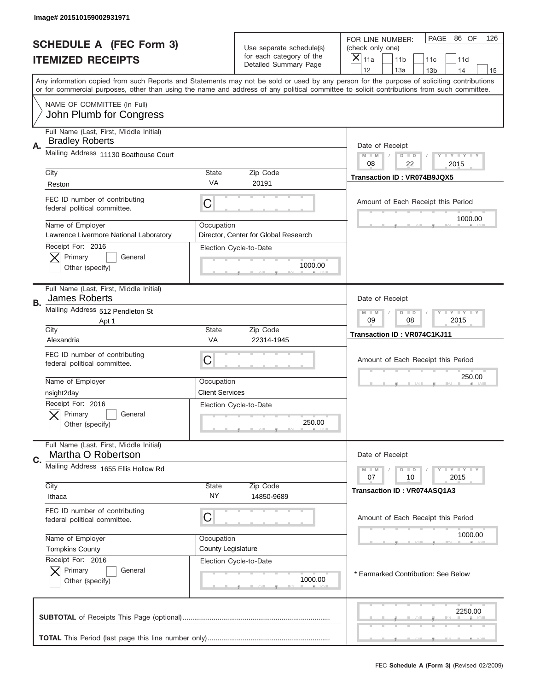|      | Image# 201510159002931971                                       |                        |                                                                |                                                                                                                                                                                                                                                                                         |
|------|-----------------------------------------------------------------|------------------------|----------------------------------------------------------------|-----------------------------------------------------------------------------------------------------------------------------------------------------------------------------------------------------------------------------------------------------------------------------------------|
|      | <b>SCHEDULE A (FEC Form 3)</b>                                  |                        | Use separate schedule(s)<br>for each category of the           | PAGE<br>86 OF<br>126<br>FOR LINE NUMBER:<br>(check only one)<br>$\times$                                                                                                                                                                                                                |
|      | <b>ITEMIZED RECEIPTS</b>                                        |                        | Detailed Summary Page                                          | 11a<br>11 <sub>b</sub><br>11c<br>11d<br>12<br>13a<br>14<br>13 <sub>b</sub><br>15                                                                                                                                                                                                        |
|      |                                                                 |                        |                                                                | Any information copied from such Reports and Statements may not be sold or used by any person for the purpose of soliciting contributions<br>or for commercial purposes, other than using the name and address of any political committee to solicit contributions from such committee. |
|      | NAME OF COMMITTEE (In Full)<br>John Plumb for Congress          |                        |                                                                |                                                                                                                                                                                                                                                                                         |
|      | Full Name (Last, First, Middle Initial)                         |                        |                                                                |                                                                                                                                                                                                                                                                                         |
| Α.   | <b>Bradley Roberts</b><br>Mailing Address 11130 Boathouse Court |                        |                                                                | Date of Receipt<br>$M$ $M$<br>$D$ $D$<br>Y FY FY FY                                                                                                                                                                                                                                     |
| City |                                                                 | State                  | Zip Code                                                       | 08<br>22<br>2015<br>Transaction ID: VR074B9JQX5                                                                                                                                                                                                                                         |
|      | Reston                                                          | VA                     | 20191                                                          |                                                                                                                                                                                                                                                                                         |
|      | FEC ID number of contributing<br>federal political committee.   | C                      |                                                                | Amount of Each Receipt this Period                                                                                                                                                                                                                                                      |
|      | Name of Employer<br>Lawrence Livermore National Laboratory      | Occupation             |                                                                | 1000.00                                                                                                                                                                                                                                                                                 |
|      | Receipt For: 2016                                               |                        | Director, Center for Global Research<br>Election Cycle-to-Date |                                                                                                                                                                                                                                                                                         |
|      | Primary<br>General                                              |                        |                                                                |                                                                                                                                                                                                                                                                                         |
|      | Other (specify)                                                 |                        | 1000.00                                                        |                                                                                                                                                                                                                                                                                         |
| В.   | Full Name (Last, First, Middle Initial)<br>James Roberts        |                        |                                                                | Date of Receipt                                                                                                                                                                                                                                                                         |
|      | Mailing Address 512 Pendleton St<br>Apt 1                       |                        |                                                                | <b>LY LY LY</b><br>$D$ $D$<br>$M - M$<br>09<br>08<br>2015                                                                                                                                                                                                                               |
| City | Alexandria                                                      | State<br>VA            | Zip Code<br>22314-1945                                         | Transaction ID: VR074C1KJ11                                                                                                                                                                                                                                                             |
|      | FEC ID number of contributing<br>federal political committee.   | C                      |                                                                | Amount of Each Receipt this Period                                                                                                                                                                                                                                                      |
|      | Name of Employer                                                | Occupation             |                                                                | 250.00                                                                                                                                                                                                                                                                                  |
|      | nsight2day                                                      | <b>Client Services</b> |                                                                |                                                                                                                                                                                                                                                                                         |
|      | Receipt For: 2016                                               |                        | Election Cycle-to-Date                                         |                                                                                                                                                                                                                                                                                         |
|      | General<br>Primary<br>Other (specify)                           |                        | 250.00                                                         |                                                                                                                                                                                                                                                                                         |
|      | Full Name (Last, First, Middle Initial)                         |                        |                                                                |                                                                                                                                                                                                                                                                                         |
| C.   | Martha O Robertson                                              |                        |                                                                | Date of Receipt                                                                                                                                                                                                                                                                         |
|      | Mailing Address 1655 Ellis Hollow Rd                            |                        |                                                                | $D$ $D$<br><b>LEY LEY LEY</b><br>$M - M$<br>07<br>10<br>2015                                                                                                                                                                                                                            |
| City | Ithaca                                                          | <b>State</b><br>ΝY     | Zip Code<br>14850-9689                                         | Transaction ID: VR074ASQ1A3                                                                                                                                                                                                                                                             |
|      | FEC ID number of contributing                                   |                        |                                                                |                                                                                                                                                                                                                                                                                         |
|      | federal political committee.                                    | C                      |                                                                | Amount of Each Receipt this Period                                                                                                                                                                                                                                                      |
|      | Name of Employer                                                | Occupation             |                                                                | 1000.00                                                                                                                                                                                                                                                                                 |
|      | <b>Tompkins County</b>                                          | County Legislature     |                                                                |                                                                                                                                                                                                                                                                                         |
|      | Receipt For: 2016<br>Primary<br>General                         |                        | Election Cycle-to-Date                                         |                                                                                                                                                                                                                                                                                         |
|      | Other (specify)                                                 |                        | 1000.00                                                        | * Earmarked Contribution: See Below                                                                                                                                                                                                                                                     |
|      |                                                                 |                        |                                                                | 2250.00                                                                                                                                                                                                                                                                                 |
|      |                                                                 |                        |                                                                |                                                                                                                                                                                                                                                                                         |
|      |                                                                 |                        |                                                                |                                                                                                                                                                                                                                                                                         |
|      |                                                                 |                        |                                                                | FEC Schedule A (Form 3) (Revised 02/2009)                                                                                                                                                                                                                                               |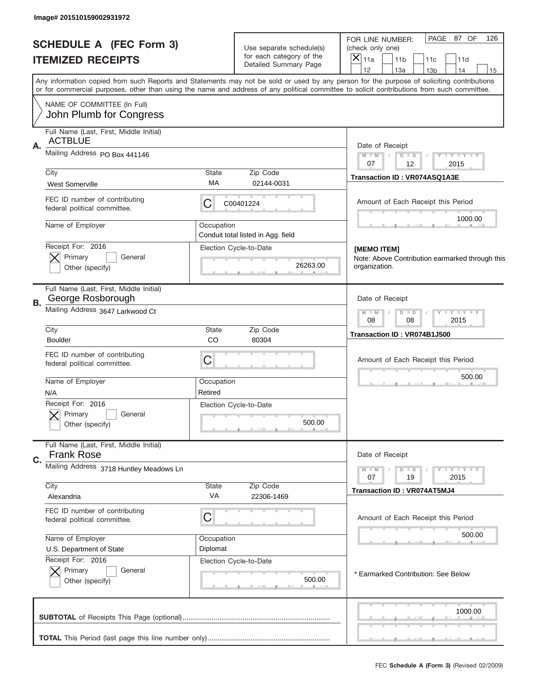|    | Image# 201510159002931972                                     |             |                                                              |                                                                                                                                                                                                                                                                                         |
|----|---------------------------------------------------------------|-------------|--------------------------------------------------------------|-----------------------------------------------------------------------------------------------------------------------------------------------------------------------------------------------------------------------------------------------------------------------------------------|
|    | <b>SCHEDULE A (FEC Form 3)</b>                                |             | Use separate schedule(s)<br>for each category of the         | PAGE 87 OF<br>126<br>FOR LINE NUMBER:<br>(check only one)                                                                                                                                                                                                                               |
|    | <b>ITEMIZED RECEIPTS</b>                                      |             | Detailed Summary Page                                        | $ \mathsf{\overline{X}} _{\mathsf{11a}}$<br>11 <sub>b</sub><br>11c<br>11d<br>12<br>13a<br>14<br>13 <sub>b</sub><br>15                                                                                                                                                                   |
|    |                                                               |             |                                                              | Any information copied from such Reports and Statements may not be sold or used by any person for the purpose of soliciting contributions<br>or for commercial purposes, other than using the name and address of any political committee to solicit contributions from such committee. |
|    | NAME OF COMMITTEE (In Full)<br>John Plumb for Congress        |             |                                                              |                                                                                                                                                                                                                                                                                         |
|    | Full Name (Last, First, Middle Initial)                       |             |                                                              |                                                                                                                                                                                                                                                                                         |
| Α. | <b>ACTBLUE</b>                                                |             |                                                              | Date of Receipt                                                                                                                                                                                                                                                                         |
|    | Mailing Address PO Box 441146                                 |             |                                                              | Y LY LY LY<br>$M$ $M$<br>$D$ $D$                                                                                                                                                                                                                                                        |
|    | City                                                          | State       | Zip Code                                                     | 07<br>12<br>2015                                                                                                                                                                                                                                                                        |
|    | <b>West Somerville</b>                                        | МA          | 02144-0031                                                   | Transaction ID: VR074ASQ1A3E                                                                                                                                                                                                                                                            |
|    | FEC ID number of contributing<br>federal political committee. | C           | C00401224                                                    | Amount of Each Receipt this Period                                                                                                                                                                                                                                                      |
|    | Name of Employer                                              | Occupation  |                                                              | 1000.00                                                                                                                                                                                                                                                                                 |
|    | Receipt For: 2016                                             |             | Conduit total listed in Agg. field<br>Election Cycle-to-Date |                                                                                                                                                                                                                                                                                         |
|    | Primary<br>General                                            |             |                                                              | [MEMO ITEM]<br>Note: Above Contribution earmarked through this                                                                                                                                                                                                                          |
|    | Other (specify)                                               |             | 26263.00                                                     | organization.                                                                                                                                                                                                                                                                           |
| В. | Full Name (Last, First, Middle Initial)<br>George Rosborough  |             |                                                              | Date of Receipt                                                                                                                                                                                                                                                                         |
|    | Mailing Address 3647 Larkwood Ct                              |             |                                                              | $T$ $Y$ $Y$ $Y$ $Y$<br>$M - M$<br>$D$ $D$<br>08<br>08<br>2015                                                                                                                                                                                                                           |
|    | City<br><b>Boulder</b>                                        | State<br>CO | Zip Code<br>80304                                            | Transaction ID: VR074B1J500                                                                                                                                                                                                                                                             |
|    | FEC ID number of contributing<br>federal political committee. | C           |                                                              | Amount of Each Receipt this Period                                                                                                                                                                                                                                                      |
|    | Name of Employer                                              | Occupation  |                                                              | 500.00                                                                                                                                                                                                                                                                                  |
|    | N/A                                                           | Retired     |                                                              |                                                                                                                                                                                                                                                                                         |
|    | Receipt For: 2016<br>General                                  |             | Election Cycle-to-Date                                       |                                                                                                                                                                                                                                                                                         |
|    | Primary<br>Other (specify)                                    |             | 500.00                                                       |                                                                                                                                                                                                                                                                                         |
|    | Full Name (Last, First, Middle Initial)                       |             |                                                              |                                                                                                                                                                                                                                                                                         |
| C. | <b>Frank Rose</b>                                             |             |                                                              | Date of Receipt                                                                                                                                                                                                                                                                         |
|    | Mailing Address 3718 Huntley Meadows Ln                       |             |                                                              | $D$ $D$<br>$Y - Y - Y - Y - Y$<br>$M - M$<br>19<br>2015<br>07                                                                                                                                                                                                                           |
|    | City<br>Alexandria                                            | State<br>VA | Zip Code<br>22306-1469                                       | Transaction ID: VR074AT5MJ4                                                                                                                                                                                                                                                             |
|    | FEC ID number of contributing                                 |             |                                                              |                                                                                                                                                                                                                                                                                         |
|    | federal political committee.                                  | C           |                                                              | Amount of Each Receipt this Period                                                                                                                                                                                                                                                      |
|    | Name of Employer                                              | Occupation  |                                                              | 500.00                                                                                                                                                                                                                                                                                  |
|    | U.S. Department of State                                      | Diplomat    |                                                              |                                                                                                                                                                                                                                                                                         |
|    | Receipt For: 2016                                             |             | Election Cycle-to-Date                                       |                                                                                                                                                                                                                                                                                         |
|    | Primary<br>General<br>Other (specify)                         |             | 500.00                                                       | * Earmarked Contribution: See Below                                                                                                                                                                                                                                                     |
|    |                                                               |             |                                                              | 1000.00                                                                                                                                                                                                                                                                                 |
|    |                                                               |             |                                                              |                                                                                                                                                                                                                                                                                         |
|    |                                                               |             |                                                              |                                                                                                                                                                                                                                                                                         |
|    |                                                               |             |                                                              | FEC Schedule A (Form 3) (Revised 02/2009)                                                                                                                                                                                                                                               |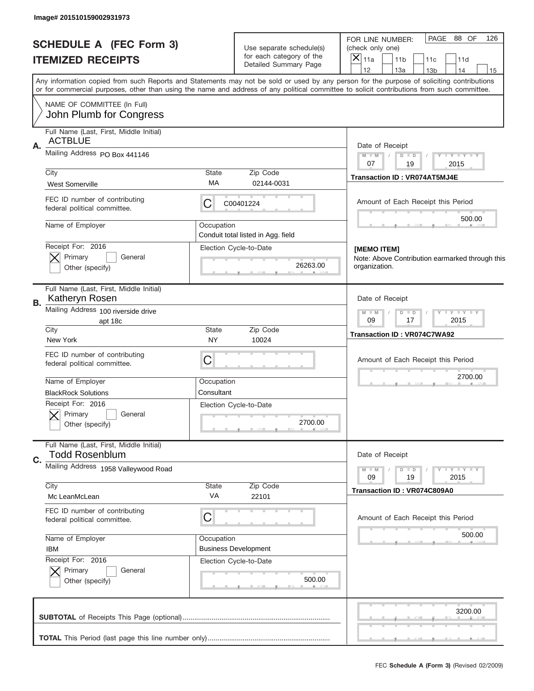| Image# 201510159002931973                                                                                                                                                                                                                                                               |                    |                                                              |                                                                       |                                           |
|-----------------------------------------------------------------------------------------------------------------------------------------------------------------------------------------------------------------------------------------------------------------------------------------|--------------------|--------------------------------------------------------------|-----------------------------------------------------------------------|-------------------------------------------|
| <b>SCHEDULE A (FEC Form 3)</b>                                                                                                                                                                                                                                                          |                    | Use separate schedule(s)<br>for each category of the         | FOR LINE NUMBER:<br>(check only one)                                  | PAGE 88 OF<br>126                         |
| <b>ITEMIZED RECEIPTS</b>                                                                                                                                                                                                                                                                |                    | Detailed Summary Page                                        | $\overline{X} _{11a}$<br>11 <sub>b</sub><br>12<br>13a                 | 11c<br>11d<br>14<br>13 <sub>b</sub><br>15 |
| Any information copied from such Reports and Statements may not be sold or used by any person for the purpose of soliciting contributions<br>or for commercial purposes, other than using the name and address of any political committee to solicit contributions from such committee. |                    |                                                              |                                                                       |                                           |
| NAME OF COMMITTEE (In Full)<br>John Plumb for Congress                                                                                                                                                                                                                                  |                    |                                                              |                                                                       |                                           |
| Full Name (Last, First, Middle Initial)                                                                                                                                                                                                                                                 |                    |                                                              |                                                                       |                                           |
| <b>ACTBLUE</b><br>Α.                                                                                                                                                                                                                                                                    |                    |                                                              | Date of Receipt                                                       |                                           |
| Mailing Address PO Box 441146                                                                                                                                                                                                                                                           |                    |                                                              | $M$ M<br>$D$ $D$<br>07<br>19                                          | Y FY FY FY<br>2015                        |
| City                                                                                                                                                                                                                                                                                    | State              | Zip Code                                                     | <b>Transaction ID: VR074AT5MJ4E</b>                                   |                                           |
| <b>West Somerville</b>                                                                                                                                                                                                                                                                  | МA                 | 02144-0031                                                   |                                                                       |                                           |
| FEC ID number of contributing<br>federal political committee.                                                                                                                                                                                                                           | С                  | C00401224                                                    | Amount of Each Receipt this Period                                    |                                           |
| Name of Employer                                                                                                                                                                                                                                                                        | Occupation         |                                                              |                                                                       | 500.00                                    |
| Receipt For: 2016                                                                                                                                                                                                                                                                       |                    | Conduit total listed in Agg. field<br>Election Cycle-to-Date |                                                                       |                                           |
| Primary<br>General                                                                                                                                                                                                                                                                      |                    |                                                              | <b>IMEMO ITEM1</b><br>Note: Above Contribution earmarked through this |                                           |
| Other (specify)                                                                                                                                                                                                                                                                         |                    | 26263.00                                                     | organization.                                                         |                                           |
| Full Name (Last, First, Middle Initial)<br>Katheryn Rosen<br>В.                                                                                                                                                                                                                         |                    |                                                              | Date of Receipt                                                       |                                           |
| Mailing Address 100 riverside drive                                                                                                                                                                                                                                                     |                    |                                                              | $D$ $D$<br>$M - M$                                                    | $Y - Y - Y - Y - Y$                       |
| apt 18c<br>City                                                                                                                                                                                                                                                                         | State              | Zip Code                                                     | 09<br>17                                                              | 2015                                      |
| New York                                                                                                                                                                                                                                                                                | NY                 | 10024                                                        | Transaction ID: VR074C7WA92                                           |                                           |
| FEC ID number of contributing<br>federal political committee.                                                                                                                                                                                                                           | C                  |                                                              | Amount of Each Receipt this Period                                    |                                           |
| Name of Employer                                                                                                                                                                                                                                                                        | Occupation         |                                                              |                                                                       | 2700.00                                   |
| <b>BlackRock Solutions</b>                                                                                                                                                                                                                                                              | Consultant         |                                                              |                                                                       |                                           |
| Receipt For: 2016<br>General<br>Primary                                                                                                                                                                                                                                                 |                    | Election Cycle-to-Date                                       |                                                                       |                                           |
| Other (specify)                                                                                                                                                                                                                                                                         |                    | 2700.00                                                      |                                                                       |                                           |
| Full Name (Last, First, Middle Initial)                                                                                                                                                                                                                                                 |                    |                                                              |                                                                       |                                           |
| <b>Todd Rosenblum</b><br>C.                                                                                                                                                                                                                                                             |                    |                                                              | Date of Receipt                                                       |                                           |
| Mailing Address 1958 Valleywood Road                                                                                                                                                                                                                                                    |                    |                                                              | $D$ $D$<br>$M - M$<br>19<br>09                                        | <b>LYLYLY</b><br>2015                     |
| City<br>Mc LeanMcLean                                                                                                                                                                                                                                                                   | <b>State</b><br>VA | Zip Code<br>22101                                            | Transaction ID: VR074C809A0                                           |                                           |
| FEC ID number of contributing                                                                                                                                                                                                                                                           |                    |                                                              |                                                                       |                                           |
| federal political committee.                                                                                                                                                                                                                                                            | C                  |                                                              | Amount of Each Receipt this Period                                    |                                           |
| Name of Employer                                                                                                                                                                                                                                                                        | Occupation         |                                                              |                                                                       | 500.00                                    |
| <b>IBM</b>                                                                                                                                                                                                                                                                              |                    | <b>Business Development</b>                                  |                                                                       |                                           |
| Receipt For: 2016<br>Primary<br>General                                                                                                                                                                                                                                                 |                    | Election Cycle-to-Date                                       |                                                                       |                                           |
| Other (specify)                                                                                                                                                                                                                                                                         |                    | 500.00                                                       |                                                                       |                                           |
|                                                                                                                                                                                                                                                                                         |                    |                                                              |                                                                       | 3200.00                                   |
|                                                                                                                                                                                                                                                                                         |                    |                                                              |                                                                       |                                           |
|                                                                                                                                                                                                                                                                                         |                    |                                                              |                                                                       |                                           |
|                                                                                                                                                                                                                                                                                         |                    |                                                              |                                                                       | FEC Schedule A (Form 3) (Revised 02/2009) |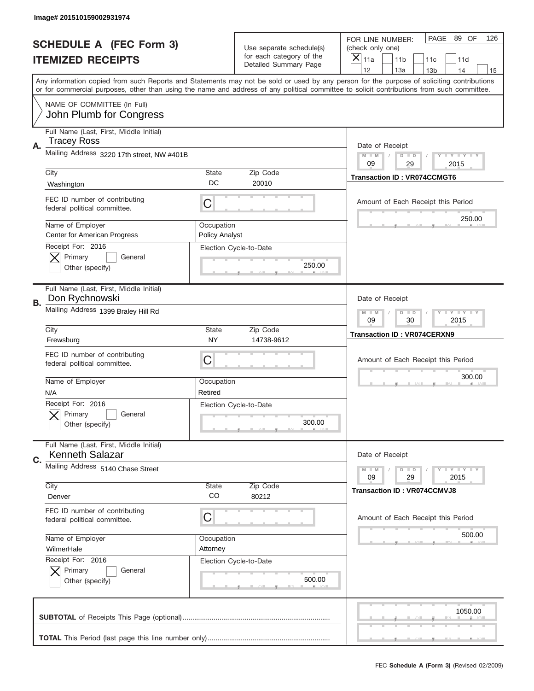|    | Image# 201510159002931974                                         |                                                           |                                                   |                                                                                                                                                                                                                                                                                                                                     |
|----|-------------------------------------------------------------------|-----------------------------------------------------------|---------------------------------------------------|-------------------------------------------------------------------------------------------------------------------------------------------------------------------------------------------------------------------------------------------------------------------------------------------------------------------------------------|
|    | <b>SCHEDULE A (FEC Form 3)</b>                                    |                                                           | Use separate schedule(s)                          | PAGE<br>89 OF<br>126<br>FOR LINE NUMBER:<br>(check only one)                                                                                                                                                                                                                                                                        |
|    | <b>ITEMIZED RECEIPTS</b>                                          |                                                           | for each category of the<br>Detailed Summary Page | $\overline{X} _{11a}$<br>11 <sub>b</sub><br>11c<br>11d                                                                                                                                                                                                                                                                              |
|    |                                                                   |                                                           |                                                   | 12<br>13a<br>14<br>13 <sub>b</sub><br>15<br>Any information copied from such Reports and Statements may not be sold or used by any person for the purpose of soliciting contributions<br>or for commercial purposes, other than using the name and address of any political committee to solicit contributions from such committee. |
|    | NAME OF COMMITTEE (In Full)<br>John Plumb for Congress            |                                                           |                                                   |                                                                                                                                                                                                                                                                                                                                     |
| Α. | Full Name (Last, First, Middle Initial)<br><b>Tracey Ross</b>     |                                                           |                                                   | Date of Receipt                                                                                                                                                                                                                                                                                                                     |
|    | Mailing Address 3220 17th street, NW #401B                        |                                                           |                                                   | <b>LEY LEY LEY</b><br>$M - M$<br>$D$ $D$<br>09<br>29<br>2015                                                                                                                                                                                                                                                                        |
|    | City<br>Washington                                                | <b>State</b><br>DC                                        | Zip Code<br>20010                                 | <b>Transaction ID: VR074CCMGT6</b>                                                                                                                                                                                                                                                                                                  |
|    | FEC ID number of contributing<br>federal political committee.     | C                                                         |                                                   | Amount of Each Receipt this Period                                                                                                                                                                                                                                                                                                  |
|    | Name of Employer<br><b>Center for American Progress</b>           | Occupation<br><b>Policy Analyst</b>                       |                                                   | 250.00                                                                                                                                                                                                                                                                                                                              |
|    | Receipt For: 2016<br>Primary<br>General<br>Other (specify)        |                                                           | Election Cycle-to-Date<br>250.00                  |                                                                                                                                                                                                                                                                                                                                     |
| В. | Full Name (Last, First, Middle Initial)<br>Don Rychnowski         |                                                           |                                                   | Date of Receipt                                                                                                                                                                                                                                                                                                                     |
|    | Mailing Address 1399 Braley Hill Rd                               | <b>LY LY LY</b><br>$M - M$<br>$D$ $D$<br>09<br>30<br>2015 |                                                   |                                                                                                                                                                                                                                                                                                                                     |
|    | City<br>Frewsburg                                                 | <b>State</b><br><b>NY</b>                                 | Zip Code<br>14738-9612                            | <b>Transaction ID: VR074CERXN9</b>                                                                                                                                                                                                                                                                                                  |
|    | FEC ID number of contributing<br>federal political committee.     | С                                                         |                                                   | Amount of Each Receipt this Period                                                                                                                                                                                                                                                                                                  |
|    | Name of Employer<br>N/A                                           | Occupation<br>Retired                                     |                                                   | 300.00                                                                                                                                                                                                                                                                                                                              |
|    | Receipt For: 2016<br>General<br>Primary<br>Other (specify)        |                                                           | Election Cycle-to-Date<br>300.00                  |                                                                                                                                                                                                                                                                                                                                     |
| C. | Full Name (Last, First, Middle Initial)<br><b>Kenneth Salazar</b> |                                                           |                                                   | Date of Receipt                                                                                                                                                                                                                                                                                                                     |
|    | Mailing Address 5140 Chase Street                                 |                                                           |                                                   | <b>LYLYLY</b><br>$M - M$<br>$D$ $D$<br>29<br>2015<br>09                                                                                                                                                                                                                                                                             |
|    | City<br>Denver                                                    | <b>State</b><br>CO                                        | Zip Code<br>80212                                 | <b>Transaction ID: VR074CCMVJ8</b>                                                                                                                                                                                                                                                                                                  |
|    | FEC ID number of contributing<br>federal political committee.     | С                                                         |                                                   | Amount of Each Receipt this Period                                                                                                                                                                                                                                                                                                  |
|    | Name of Employer<br>WilmerHale                                    | Occupation<br>Attorney                                    |                                                   | 500.00                                                                                                                                                                                                                                                                                                                              |
|    | Receipt For: 2016<br>Primary<br>General<br>Other (specify)        |                                                           | Election Cycle-to-Date<br>500.00                  |                                                                                                                                                                                                                                                                                                                                     |
|    |                                                                   |                                                           |                                                   |                                                                                                                                                                                                                                                                                                                                     |
|    |                                                                   |                                                           |                                                   | 1050.00                                                                                                                                                                                                                                                                                                                             |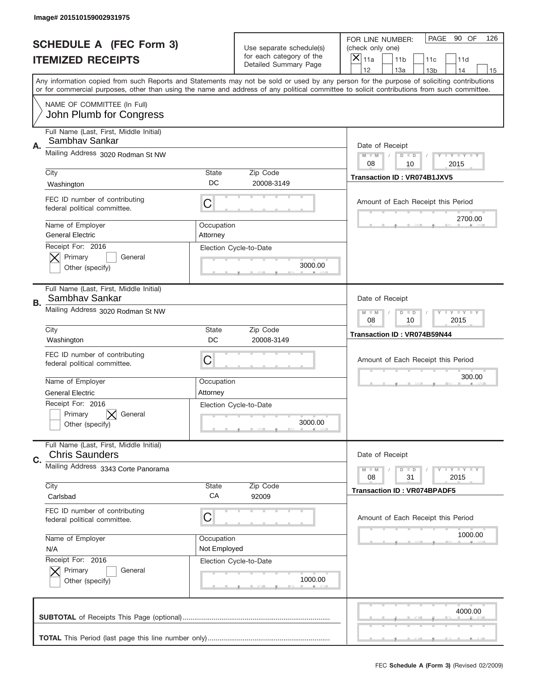|    | Image# 201510159002931975                                        |                                                           |                                                          |                                                                                                                                                                                                                                                                                                                                     |
|----|------------------------------------------------------------------|-----------------------------------------------------------|----------------------------------------------------------|-------------------------------------------------------------------------------------------------------------------------------------------------------------------------------------------------------------------------------------------------------------------------------------------------------------------------------------|
|    | <b>SCHEDULE A (FEC Form 3)</b>                                   |                                                           | Use separate schedule(s)                                 | PAGE<br>90 OF<br>126<br>FOR LINE NUMBER:<br>(check only one)                                                                                                                                                                                                                                                                        |
|    | <b>ITEMIZED RECEIPTS</b>                                         |                                                           | for each category of the<br><b>Detailed Summary Page</b> | $\boldsymbol{\times}$<br>11a<br>11 <sub>b</sub><br>11c<br>11d                                                                                                                                                                                                                                                                       |
|    |                                                                  |                                                           |                                                          | 12<br>13a<br>14<br>13 <sub>b</sub><br>15<br>Any information copied from such Reports and Statements may not be sold or used by any person for the purpose of soliciting contributions<br>or for commercial purposes, other than using the name and address of any political committee to solicit contributions from such committee. |
|    | NAME OF COMMITTEE (In Full)<br>John Plumb for Congress           |                                                           |                                                          |                                                                                                                                                                                                                                                                                                                                     |
| Α. | Full Name (Last, First, Middle Initial)<br>Sambhay Sankar        |                                                           |                                                          | Date of Receipt                                                                                                                                                                                                                                                                                                                     |
|    | Mailing Address 3020 Rodman St NW                                |                                                           |                                                          | $M - M$<br><b>LYLYLY</b><br>$D$ $D$<br>08<br>10<br>2015                                                                                                                                                                                                                                                                             |
|    | City<br>Washington                                               | State<br>DC                                               | Zip Code<br>20008-3149                                   | Transaction ID: VR074B1JXV5                                                                                                                                                                                                                                                                                                         |
|    | FEC ID number of contributing<br>federal political committee.    | C                                                         |                                                          | Amount of Each Receipt this Period                                                                                                                                                                                                                                                                                                  |
|    | Name of Employer<br><b>General Electric</b>                      | Occupation<br>Attorney                                    |                                                          | 2700.00                                                                                                                                                                                                                                                                                                                             |
|    | Receipt For: 2016<br>Primary<br>General<br>Other (specify)       |                                                           | Election Cycle-to-Date<br>3000.00                        |                                                                                                                                                                                                                                                                                                                                     |
| В. | Full Name (Last, First, Middle Initial)<br>Sambhav Sankar        |                                                           |                                                          | Date of Receipt                                                                                                                                                                                                                                                                                                                     |
|    | Mailing Address 3020 Rodman St NW                                | <b>LY LY LY</b><br>$M - M$<br>$D$ $D$<br>08<br>10<br>2015 |                                                          |                                                                                                                                                                                                                                                                                                                                     |
|    | City<br>Washington                                               | <b>State</b><br>DC                                        | Zip Code<br>20008-3149                                   | Transaction ID: VR074B59N44                                                                                                                                                                                                                                                                                                         |
|    | FEC ID number of contributing<br>federal political committee.    | C                                                         |                                                          | Amount of Each Receipt this Period                                                                                                                                                                                                                                                                                                  |
|    | Name of Employer<br><b>General Electric</b>                      | Occupation<br>Attorney                                    |                                                          | 300.00                                                                                                                                                                                                                                                                                                                              |
|    | Receipt For: 2016<br>Primary<br>General<br>Other (specify)       |                                                           | Election Cycle-to-Date<br>3000.00                        |                                                                                                                                                                                                                                                                                                                                     |
| C. | Full Name (Last, First, Middle Initial)<br><b>Chris Saunders</b> |                                                           |                                                          | Date of Receipt                                                                                                                                                                                                                                                                                                                     |
|    | Mailing Address 3343 Corte Panorama                              |                                                           |                                                          | <b>LYLYLY</b><br>$M - M$<br>$D$ $D$<br>31<br>2015<br>08                                                                                                                                                                                                                                                                             |
|    | City<br>Carlsbad                                                 | <b>State</b><br>CA                                        | Zip Code<br>92009                                        | <b>Transaction ID: VR074BPADF5</b>                                                                                                                                                                                                                                                                                                  |
|    | FEC ID number of contributing<br>federal political committee.    | С                                                         |                                                          | Amount of Each Receipt this Period                                                                                                                                                                                                                                                                                                  |
|    | Name of Employer<br>N/A                                          | Occupation<br>Not Employed                                |                                                          | 1000.00                                                                                                                                                                                                                                                                                                                             |
|    | Receipt For: 2016<br>Primary<br>General<br>Other (specify)       |                                                           | Election Cycle-to-Date<br>1000.00                        |                                                                                                                                                                                                                                                                                                                                     |
|    |                                                                  |                                                           |                                                          | 4000.00                                                                                                                                                                                                                                                                                                                             |
|    |                                                                  |                                                           |                                                          |                                                                                                                                                                                                                                                                                                                                     |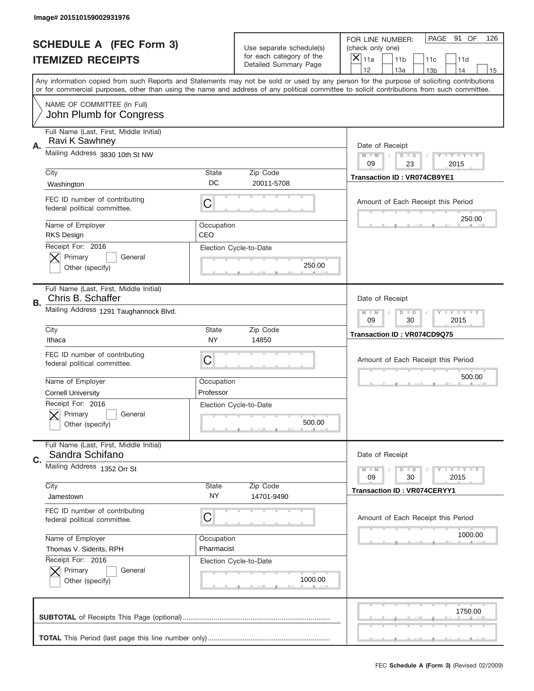|    | Image# 201510159002931976                                     |                                                           |                                                   |                                                                                                                                                                                                                                                                                                                                     |
|----|---------------------------------------------------------------|-----------------------------------------------------------|---------------------------------------------------|-------------------------------------------------------------------------------------------------------------------------------------------------------------------------------------------------------------------------------------------------------------------------------------------------------------------------------------|
|    | <b>SCHEDULE A (FEC Form 3)</b>                                |                                                           | Use separate schedule(s)                          | PAGE 91 OF<br>126<br>FOR LINE NUMBER:<br>(check only one)                                                                                                                                                                                                                                                                           |
|    | <b>ITEMIZED RECEIPTS</b>                                      |                                                           | for each category of the<br>Detailed Summary Page | $\overline{X} _{11a}$<br>11 <sub>b</sub><br>11c<br>11d                                                                                                                                                                                                                                                                              |
|    |                                                               |                                                           |                                                   | 12<br>13a<br>14<br>13 <sub>b</sub><br>15<br>Any information copied from such Reports and Statements may not be sold or used by any person for the purpose of soliciting contributions<br>or for commercial purposes, other than using the name and address of any political committee to solicit contributions from such committee. |
|    | NAME OF COMMITTEE (In Full)<br>John Plumb for Congress        |                                                           |                                                   |                                                                                                                                                                                                                                                                                                                                     |
| Α. | Full Name (Last, First, Middle Initial)<br>Ravi K Sawhney     |                                                           |                                                   | Date of Receipt                                                                                                                                                                                                                                                                                                                     |
|    | Mailing Address 3830 10th St NW                               |                                                           |                                                   | <b>LYLYLY</b><br>$M - M$<br>$D$ $D$<br>09<br>23<br>2015                                                                                                                                                                                                                                                                             |
|    | City<br>Washington                                            | State<br>DC                                               | Zip Code<br>20011-5708                            | <b>Transaction ID: VR074CB9YE1</b>                                                                                                                                                                                                                                                                                                  |
|    | FEC ID number of contributing<br>federal political committee. | С                                                         |                                                   | Amount of Each Receipt this Period<br>250.00                                                                                                                                                                                                                                                                                        |
|    | Name of Employer<br><b>RKS Design</b>                         | Occupation<br>CEO                                         |                                                   |                                                                                                                                                                                                                                                                                                                                     |
|    | Receipt For: 2016<br>Primary<br>General<br>Other (specify)    |                                                           | Election Cycle-to-Date<br>250.00                  |                                                                                                                                                                                                                                                                                                                                     |
| В. | Full Name (Last, First, Middle Initial)<br>Chris B. Schaffer  |                                                           |                                                   | Date of Receipt                                                                                                                                                                                                                                                                                                                     |
|    | Mailing Address 1291 Taughannock Blvd.                        | <b>LY LY LY</b><br>$M - M$<br>$D$ $D$<br>09<br>30<br>2015 |                                                   |                                                                                                                                                                                                                                                                                                                                     |
|    | City<br>Ithaca                                                | <b>State</b><br>NY                                        | Zip Code<br>14850                                 | Transaction ID: VR074CD9Q75                                                                                                                                                                                                                                                                                                         |
|    | FEC ID number of contributing<br>federal political committee. | С                                                         |                                                   | Amount of Each Receipt this Period                                                                                                                                                                                                                                                                                                  |
|    | Name of Employer<br><b>Cornell University</b>                 | Occupation<br>Professor                                   |                                                   | 500.00                                                                                                                                                                                                                                                                                                                              |
|    | Receipt For: 2016                                             |                                                           |                                                   |                                                                                                                                                                                                                                                                                                                                     |
|    | General<br>Primary<br>Other (specify)                         | Election Cycle-to-Date                                    | 500.00                                            |                                                                                                                                                                                                                                                                                                                                     |
| C. | Full Name (Last, First, Middle Initial)<br>Sandra Schifano    |                                                           |                                                   | Date of Receipt                                                                                                                                                                                                                                                                                                                     |
|    | Mailing Address 1352 Orr St                                   |                                                           |                                                   | <b>LYLYLY</b><br>$M - M$<br>$D$ $D$<br>09<br>2015<br>30                                                                                                                                                                                                                                                                             |
|    | City<br>Jamestown                                             | <b>State</b><br>NY.                                       | Zip Code<br>14701-9490                            | <b>Transaction ID: VR074CERYY1</b>                                                                                                                                                                                                                                                                                                  |
|    | FEC ID number of contributing<br>federal political committee. | С                                                         |                                                   | Amount of Each Receipt this Period                                                                                                                                                                                                                                                                                                  |
|    | Name of Employer<br>Thomas V. Siderits, RPH                   | Occupation<br>Pharmacist                                  |                                                   | 1000.00                                                                                                                                                                                                                                                                                                                             |
|    | Receipt For: 2016<br>Primary<br>General<br>Other (specify)    |                                                           | Election Cycle-to-Date<br>1000.00                 |                                                                                                                                                                                                                                                                                                                                     |
|    |                                                               |                                                           |                                                   | 1750.00                                                                                                                                                                                                                                                                                                                             |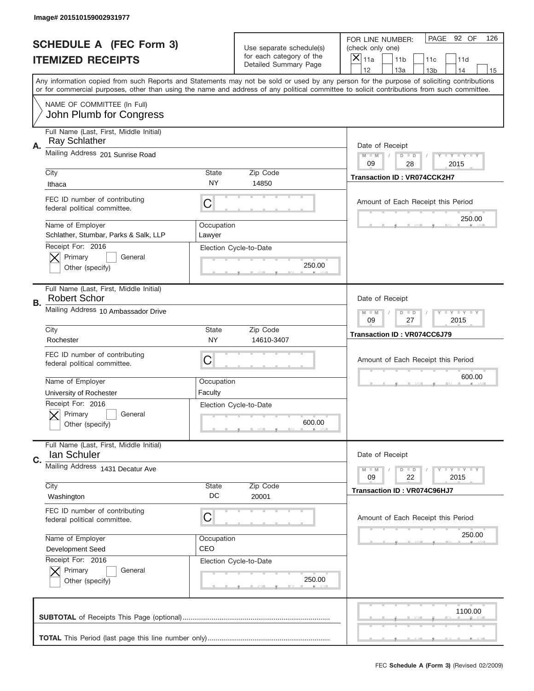|    | Image# 201510159002931977                                       |                      |                                                      |                                                                                                                                                                                       |
|----|-----------------------------------------------------------------|----------------------|------------------------------------------------------|---------------------------------------------------------------------------------------------------------------------------------------------------------------------------------------|
|    | <b>SCHEDULE A (FEC Form 3)</b>                                  |                      | Use separate schedule(s)<br>for each category of the | PAGE 92 OF<br>126<br>FOR LINE NUMBER:<br>(check only one)                                                                                                                             |
|    | <b>ITEMIZED RECEIPTS</b>                                        |                      | Detailed Summary Page                                | ×<br>11a<br>11 <sub>b</sub><br>11c<br>11d                                                                                                                                             |
|    |                                                                 |                      |                                                      | 12<br>13a<br>14<br>13 <sub>b</sub><br>15<br>Any information copied from such Reports and Statements may not be sold or used by any person for the purpose of soliciting contributions |
|    |                                                                 |                      |                                                      | or for commercial purposes, other than using the name and address of any political committee to solicit contributions from such committee.                                            |
|    | NAME OF COMMITTEE (In Full)<br>John Plumb for Congress          |                      |                                                      |                                                                                                                                                                                       |
| Α. | Full Name (Last, First, Middle Initial)<br><b>Ray Schlather</b> |                      |                                                      | Date of Receipt                                                                                                                                                                       |
|    | Mailing Address 201 Sunrise Road                                |                      |                                                      | $M - M$<br><b>LYLYLY</b><br>$D$ $D$<br>09<br>28<br>2015                                                                                                                               |
|    | City                                                            | State                | Zip Code                                             | Transaction ID: VR074CCK2H7                                                                                                                                                           |
|    | Ithaca                                                          | ΝY                   | 14850                                                |                                                                                                                                                                                       |
|    | FEC ID number of contributing<br>federal political committee.   | C                    |                                                      | Amount of Each Receipt this Period                                                                                                                                                    |
|    | Name of Employer<br>Schlather, Stumbar, Parks & Salk, LLP       | Occupation<br>Lawyer |                                                      | 250.00                                                                                                                                                                                |
|    | Receipt For: 2016<br>Primary<br>General<br>Other (specify)      |                      | Election Cycle-to-Date<br>250.00                     |                                                                                                                                                                                       |
| В. | Full Name (Last, First, Middle Initial)<br><b>Robert Schor</b>  |                      |                                                      | Date of Receipt                                                                                                                                                                       |
|    | Mailing Address 10 Ambassador Drive                             |                      |                                                      | $M$ M<br><b>LYLYLY</b><br>$D$ $D$<br>09<br>27<br>2015                                                                                                                                 |
|    | City<br>Rochester                                               | State<br><b>NY</b>   | Zip Code<br>14610-3407                               | Transaction ID: VR074CC6J79                                                                                                                                                           |
|    | FEC ID number of contributing<br>federal political committee.   | C                    |                                                      | Amount of Each Receipt this Period                                                                                                                                                    |
|    | Name of Employer                                                | Occupation           |                                                      | 600.00                                                                                                                                                                                |
|    | University of Rochester                                         | Faculty              |                                                      |                                                                                                                                                                                       |
|    |                                                                 |                      |                                                      |                                                                                                                                                                                       |
|    | Receipt For: 2016<br>General<br>Primary<br>Other (specify)      |                      | Election Cycle-to-Date<br>600.00                     |                                                                                                                                                                                       |
| C. | Full Name (Last, First, Middle Initial)<br>lan Schuler          |                      |                                                      | Date of Receipt                                                                                                                                                                       |
|    | Mailing Address 1431 Decatur Ave                                |                      |                                                      | <b>LY LY LY</b><br>$M - M$<br>$D$ $D$<br>09<br>22<br>2015                                                                                                                             |
|    | City                                                            | <b>State</b>         | Zip Code                                             |                                                                                                                                                                                       |
|    | Washington                                                      | DC                   | 20001                                                | Transaction ID: VR074C96HJ7                                                                                                                                                           |
|    | FEC ID number of contributing<br>federal political committee.   | C                    |                                                      | Amount of Each Receipt this Period                                                                                                                                                    |
|    | Name of Employer                                                | Occupation           |                                                      | 250.00                                                                                                                                                                                |
|    | Development Seed                                                | CEO                  |                                                      |                                                                                                                                                                                       |
|    | Receipt For: 2016<br>Primary<br>General<br>Other (specify)      |                      | Election Cycle-to-Date<br>250.00                     |                                                                                                                                                                                       |
|    |                                                                 |                      |                                                      | 1100.00                                                                                                                                                                               |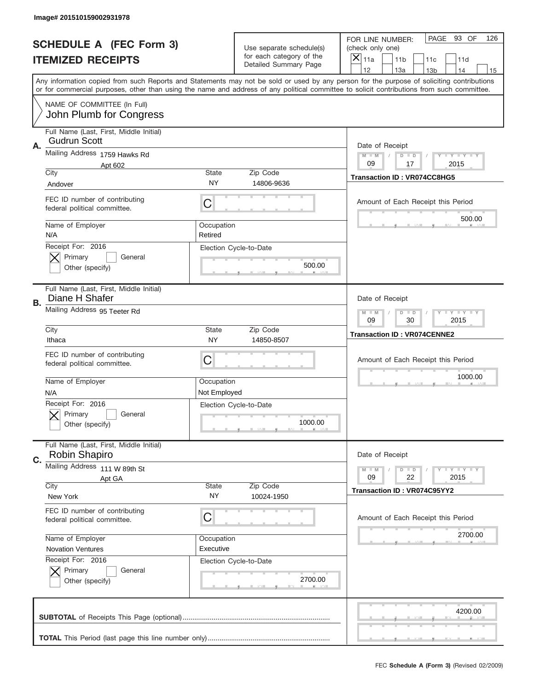|           | Image# 201510159002931978                                       |                                                         |                                                      |                                                                                                                                                                                                                                                                                                                               |
|-----------|-----------------------------------------------------------------|---------------------------------------------------------|------------------------------------------------------|-------------------------------------------------------------------------------------------------------------------------------------------------------------------------------------------------------------------------------------------------------------------------------------------------------------------------------|
|           | <b>SCHEDULE A (FEC Form 3)</b>                                  |                                                         | Use separate schedule(s)<br>for each category of the | PAGE 93 OF<br>126<br>FOR LINE NUMBER:<br>(check only one)                                                                                                                                                                                                                                                                     |
|           | <b>ITEMIZED RECEIPTS</b>                                        |                                                         | Detailed Summary Page                                | ×<br>11a<br>11 <sub>b</sub><br>11c<br>11d<br>12                                                                                                                                                                                                                                                                               |
|           |                                                                 |                                                         |                                                      | 13a<br>14<br>13 <sub>b</sub><br>15<br>Any information copied from such Reports and Statements may not be sold or used by any person for the purpose of soliciting contributions<br>or for commercial purposes, other than using the name and address of any political committee to solicit contributions from such committee. |
|           | NAME OF COMMITTEE (In Full)<br>John Plumb for Congress          |                                                         |                                                      |                                                                                                                                                                                                                                                                                                                               |
| Α.        | Full Name (Last, First, Middle Initial)<br><b>Gudrun Scott</b>  |                                                         |                                                      | Date of Receipt                                                                                                                                                                                                                                                                                                               |
|           | Mailing Address 1759 Hawks Rd<br>Apt 602                        |                                                         |                                                      | $M - M$<br><b>LYLYLY</b><br>$D$ $D$<br>09<br>17<br>2015                                                                                                                                                                                                                                                                       |
|           | City                                                            | State                                                   | Zip Code                                             | Transaction ID: VR074CC8HG5                                                                                                                                                                                                                                                                                                   |
|           | Andover                                                         | NY                                                      | 14806-9636                                           |                                                                                                                                                                                                                                                                                                                               |
|           | FEC ID number of contributing<br>federal political committee.   | C                                                       |                                                      | Amount of Each Receipt this Period                                                                                                                                                                                                                                                                                            |
|           | Name of Employer<br>N/A                                         | Occupation<br>Retired                                   |                                                      | 500.00                                                                                                                                                                                                                                                                                                                        |
|           | Receipt For: 2016<br>Primary<br>General<br>Other (specify)      |                                                         | Election Cycle-to-Date<br>500.00                     |                                                                                                                                                                                                                                                                                                                               |
| <b>B.</b> | Full Name (Last, First, Middle Initial)<br>Diane H Shafer       |                                                         |                                                      | Date of Receipt                                                                                                                                                                                                                                                                                                               |
|           | Mailing Address 95 Teeter Rd                                    | $M - M$<br><b>LYLYLY</b><br>$D$ $D$<br>09<br>30<br>2015 |                                                      |                                                                                                                                                                                                                                                                                                                               |
|           | City<br>Ithaca                                                  | State<br><b>NY</b>                                      | Zip Code<br>14850-8507                               | <b>Transaction ID: VR074CENNE2</b>                                                                                                                                                                                                                                                                                            |
|           | FEC ID number of contributing<br>federal political committee.   | C                                                       |                                                      | Amount of Each Receipt this Period                                                                                                                                                                                                                                                                                            |
|           |                                                                 |                                                         |                                                      |                                                                                                                                                                                                                                                                                                                               |
|           | Name of Employer<br>N/A                                         | Occupation<br>Not Employed                              |                                                      | 1000.00                                                                                                                                                                                                                                                                                                                       |
|           | Receipt For: 2016<br>General<br>Primary<br>Other (specify)      |                                                         | Election Cycle-to-Date<br>1000.00                    |                                                                                                                                                                                                                                                                                                                               |
|           | Full Name (Last, First, Middle Initial)<br><b>Robin Shapiro</b> |                                                         |                                                      | Date of Receipt                                                                                                                                                                                                                                                                                                               |
| C.        | Mailing Address 111 W 89th St                                   |                                                         |                                                      | <b>LEY LEY LEY</b><br>$M - M$<br>$D$ $D$                                                                                                                                                                                                                                                                                      |
|           | Apt GA                                                          | State                                                   |                                                      | 09<br>22<br>2015                                                                                                                                                                                                                                                                                                              |
|           | City<br>New York                                                | <b>NY</b>                                               | Zip Code<br>10024-1950                               | Transaction ID: VR074C95YY2                                                                                                                                                                                                                                                                                                   |
|           | FEC ID number of contributing<br>federal political committee.   | С                                                       |                                                      | Amount of Each Receipt this Period                                                                                                                                                                                                                                                                                            |
|           | Name of Employer                                                | Occupation                                              |                                                      | 2700.00                                                                                                                                                                                                                                                                                                                       |
|           | <b>Novation Ventures</b>                                        | Executive                                               |                                                      |                                                                                                                                                                                                                                                                                                                               |
|           | Receipt For: 2016<br>Primary<br>General<br>Other (specify)      |                                                         | Election Cycle-to-Date<br>2700.00                    |                                                                                                                                                                                                                                                                                                                               |
|           |                                                                 |                                                         |                                                      | 4200.00                                                                                                                                                                                                                                                                                                                       |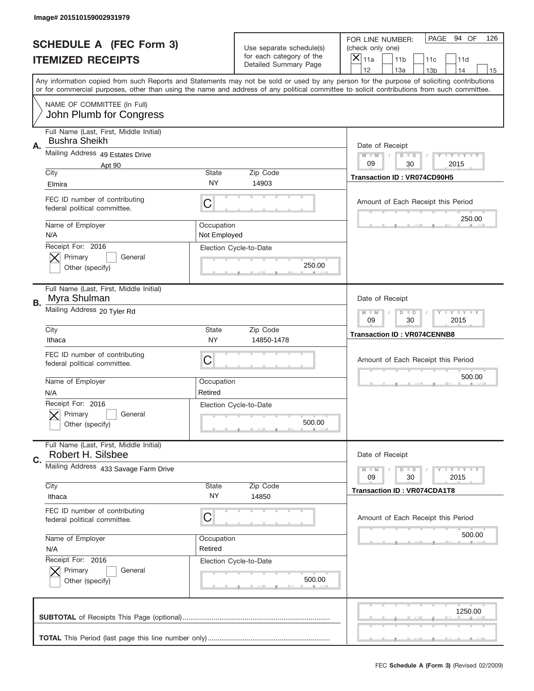|    | Image# 201510159002931979                                       |                            |                                                           |                                                                                                                                                                                                                                                                                         |
|----|-----------------------------------------------------------------|----------------------------|-----------------------------------------------------------|-----------------------------------------------------------------------------------------------------------------------------------------------------------------------------------------------------------------------------------------------------------------------------------------|
|    | <b>SCHEDULE A (FEC Form 3)</b>                                  |                            | Use separate schedule(s)<br>for each category of the      | PAGE<br>94 OF<br>126<br>FOR LINE NUMBER:<br>(check only one)                                                                                                                                                                                                                            |
|    | <b>ITEMIZED RECEIPTS</b>                                        |                            | Detailed Summary Page                                     | $\boldsymbol{\times}$<br>11a<br>11 <sub>b</sub><br>11c<br>11d<br>12<br>13a<br>14<br>13 <sub>b</sub><br>15                                                                                                                                                                               |
|    |                                                                 |                            |                                                           | Any information copied from such Reports and Statements may not be sold or used by any person for the purpose of soliciting contributions<br>or for commercial purposes, other than using the name and address of any political committee to solicit contributions from such committee. |
|    | NAME OF COMMITTEE (In Full)<br>John Plumb for Congress          |                            |                                                           |                                                                                                                                                                                                                                                                                         |
| Α. | Full Name (Last, First, Middle Initial)<br><b>Bushra Sheikh</b> |                            |                                                           | Date of Receipt                                                                                                                                                                                                                                                                         |
|    | Mailing Address 49 Estates Drive<br>Apt 90                      |                            |                                                           | <b>LYLYLY</b><br>$M - M$<br>$D$ $D$<br>09<br>30<br>2015                                                                                                                                                                                                                                 |
|    | City<br>Elmira                                                  | <b>State</b><br>NY         | Zip Code<br>14903                                         | Transaction ID: VR074CD90H5                                                                                                                                                                                                                                                             |
|    | FEC ID number of contributing<br>federal political committee.   | C                          |                                                           | Amount of Each Receipt this Period                                                                                                                                                                                                                                                      |
|    | Name of Employer<br>N/A                                         | Occupation<br>Not Employed |                                                           | 250.00                                                                                                                                                                                                                                                                                  |
|    | Receipt For: 2016<br>Primary<br>General<br>Other (specify)      |                            | Election Cycle-to-Date<br>250.00                          |                                                                                                                                                                                                                                                                                         |
| В. | Full Name (Last, First, Middle Initial)<br>Myra Shulman         |                            |                                                           | Date of Receipt                                                                                                                                                                                                                                                                         |
|    | Mailing Address 20 Tyler Rd                                     |                            | <b>LY LY LY</b><br>$M - M$<br>$D$ $D$<br>09<br>30<br>2015 |                                                                                                                                                                                                                                                                                         |
|    | City<br>Ithaca                                                  | <b>State</b><br><b>NY</b>  | Zip Code<br>14850-1478                                    | <b>Transaction ID: VR074CENNB8</b>                                                                                                                                                                                                                                                      |
|    | FEC ID number of contributing<br>federal political committee.   | C                          |                                                           | Amount of Each Receipt this Period                                                                                                                                                                                                                                                      |
|    | Name of Employer<br>N/A                                         | Occupation<br>Retired      |                                                           | 500.00                                                                                                                                                                                                                                                                                  |
|    | Receipt For: 2016<br>General<br>Primary<br>Other (specify)      |                            | Election Cycle-to-Date<br>500.00                          |                                                                                                                                                                                                                                                                                         |
| C. | Full Name (Last, First, Middle Initial)<br>Robert H. Silsbee    |                            |                                                           | Date of Receipt                                                                                                                                                                                                                                                                         |
|    | Mailing Address 433 Savage Farm Drive                           |                            |                                                           | <b>LY LY LY</b><br>$M - M$<br>$D$ $D$<br>09<br>2015<br>30                                                                                                                                                                                                                               |
|    | City<br>Ithaca                                                  | <b>State</b><br>NY.        | Zip Code<br>14850                                         | <b>Transaction ID: VR074CDA1T8</b>                                                                                                                                                                                                                                                      |
|    |                                                                 |                            |                                                           |                                                                                                                                                                                                                                                                                         |
|    | FEC ID number of contributing<br>federal political committee.   | С                          |                                                           | Amount of Each Receipt this Period                                                                                                                                                                                                                                                      |
|    | Name of Employer<br>N/A                                         | Occupation<br>Retired      |                                                           | 500.00                                                                                                                                                                                                                                                                                  |
|    | Receipt For: 2016<br>Primary<br>General<br>Other (specify)      |                            | Election Cycle-to-Date<br>500.00                          |                                                                                                                                                                                                                                                                                         |
|    |                                                                 |                            |                                                           | 1250.00                                                                                                                                                                                                                                                                                 |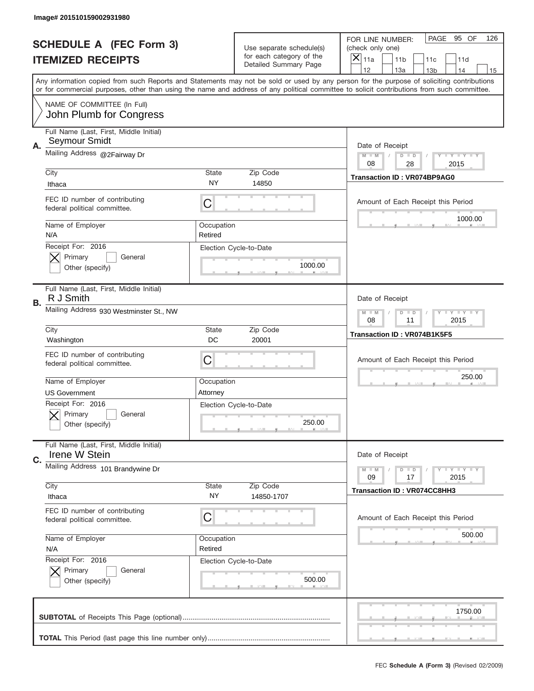|    | Image# 201510159002931980                                                          |                       |                                                      |                                                                                                                                                                                                                                                                                                                                     |
|----|------------------------------------------------------------------------------------|-----------------------|------------------------------------------------------|-------------------------------------------------------------------------------------------------------------------------------------------------------------------------------------------------------------------------------------------------------------------------------------------------------------------------------------|
|    | <b>SCHEDULE A (FEC Form 3)</b>                                                     |                       | Use separate schedule(s)<br>for each category of the | PAGE 95 OF<br>126<br>FOR LINE NUMBER:<br>(check only one)                                                                                                                                                                                                                                                                           |
|    | <b>ITEMIZED RECEIPTS</b>                                                           |                       | Detailed Summary Page                                | ×<br>11a<br>11 <sub>b</sub><br>11c<br>11d                                                                                                                                                                                                                                                                                           |
|    |                                                                                    |                       |                                                      | 12<br>13a<br>14<br>13 <sub>b</sub><br>15<br>Any information copied from such Reports and Statements may not be sold or used by any person for the purpose of soliciting contributions<br>or for commercial purposes, other than using the name and address of any political committee to solicit contributions from such committee. |
|    | NAME OF COMMITTEE (In Full)<br>John Plumb for Congress                             |                       |                                                      |                                                                                                                                                                                                                                                                                                                                     |
| Α. | Full Name (Last, First, Middle Initial)<br>Seymour Smidt                           |                       |                                                      | Date of Receipt                                                                                                                                                                                                                                                                                                                     |
|    | Mailing Address @2Fairway Dr                                                       |                       |                                                      | $M - M$<br><b>LYLYLY</b><br>$D$ $D$<br>08<br>28<br>2015                                                                                                                                                                                                                                                                             |
|    | City<br>Ithaca                                                                     | State<br><b>NY</b>    | Zip Code<br>14850                                    | <b>Transaction ID: VR074BP9AG0</b>                                                                                                                                                                                                                                                                                                  |
|    | FEC ID number of contributing<br>federal political committee.                      | C                     |                                                      | Amount of Each Receipt this Period<br>1000.00                                                                                                                                                                                                                                                                                       |
|    | Name of Employer<br>N/A                                                            | Occupation<br>Retired |                                                      |                                                                                                                                                                                                                                                                                                                                     |
|    | Receipt For: 2016<br>Primary<br>General<br>Other (specify)                         |                       | Election Cycle-to-Date<br>1000.00                    |                                                                                                                                                                                                                                                                                                                                     |
| В. | Full Name (Last, First, Middle Initial)<br>R J Smith                               |                       |                                                      | Date of Receipt                                                                                                                                                                                                                                                                                                                     |
|    | Mailing Address 930 Westminster St., NW                                            |                       |                                                      | $M$ M<br><b>LYLYLY</b><br>$D$ $D$<br>08<br>11<br>2015                                                                                                                                                                                                                                                                               |
|    | City<br>Washington                                                                 | State<br>DC           | Zip Code<br>20001                                    | Transaction ID: VR074B1K5F5                                                                                                                                                                                                                                                                                                         |
|    | FEC ID number of contributing<br>federal political committee.                      | C                     |                                                      | Amount of Each Receipt this Period                                                                                                                                                                                                                                                                                                  |
|    | Name of Employer                                                                   | Occupation            |                                                      | 250.00                                                                                                                                                                                                                                                                                                                              |
|    |                                                                                    |                       |                                                      |                                                                                                                                                                                                                                                                                                                                     |
|    | <b>US Government</b><br>Receipt For: 2016<br>General<br>Primary<br>Other (specify) | Attorney              | Election Cycle-to-Date<br>250.00                     |                                                                                                                                                                                                                                                                                                                                     |
| C. | Full Name (Last, First, Middle Initial)<br>Irene W Stein                           |                       |                                                      | Date of Receipt                                                                                                                                                                                                                                                                                                                     |
|    | Mailing Address 101 Brandywine Dr                                                  |                       |                                                      | <b>LY LY LY</b><br>$M - M$<br>$D$ $D$<br>09<br>2015<br>17                                                                                                                                                                                                                                                                           |
|    | City<br>Ithaca                                                                     | <b>State</b><br>NY.   | Zip Code<br>14850-1707                               | Transaction ID: VR074CC8HH3                                                                                                                                                                                                                                                                                                         |
|    | FEC ID number of contributing<br>federal political committee.                      | C                     |                                                      | Amount of Each Receipt this Period                                                                                                                                                                                                                                                                                                  |
|    | Name of Employer<br>N/A                                                            | Occupation<br>Retired |                                                      | 500.00                                                                                                                                                                                                                                                                                                                              |
|    | Receipt For: 2016<br>Primary<br>General<br>Other (specify)                         |                       | Election Cycle-to-Date<br>500.00                     |                                                                                                                                                                                                                                                                                                                                     |
|    |                                                                                    |                       |                                                      | 1750.00                                                                                                                                                                                                                                                                                                                             |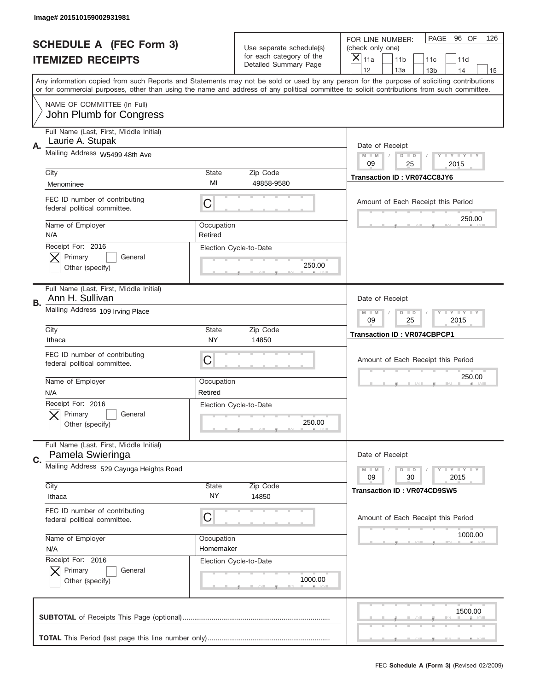|    | Image# 201510159002931981                                     |                         |                                                      |                                                                                                                                                                                                                                                                                                                                     |
|----|---------------------------------------------------------------|-------------------------|------------------------------------------------------|-------------------------------------------------------------------------------------------------------------------------------------------------------------------------------------------------------------------------------------------------------------------------------------------------------------------------------------|
|    | <b>SCHEDULE A (FEC Form 3)</b>                                |                         | Use separate schedule(s)<br>for each category of the | PAGE 96 OF<br>126<br>FOR LINE NUMBER:<br>(check only one)                                                                                                                                                                                                                                                                           |
|    | <b>ITEMIZED RECEIPTS</b>                                      |                         | Detailed Summary Page                                | ×<br>11a<br>11 <sub>b</sub><br>11c<br>11d                                                                                                                                                                                                                                                                                           |
|    |                                                               |                         |                                                      | 12<br>13a<br>14<br>13 <sub>b</sub><br>15<br>Any information copied from such Reports and Statements may not be sold or used by any person for the purpose of soliciting contributions<br>or for commercial purposes, other than using the name and address of any political committee to solicit contributions from such committee. |
|    | NAME OF COMMITTEE (In Full)<br>John Plumb for Congress        |                         |                                                      |                                                                                                                                                                                                                                                                                                                                     |
| Α. | Full Name (Last, First, Middle Initial)<br>Laurie A. Stupak   |                         |                                                      | Date of Receipt                                                                                                                                                                                                                                                                                                                     |
|    | Mailing Address W5499 48th Ave                                |                         |                                                      | $M - M$<br><b>LYLYLY</b><br>$D$ $D$<br>09<br>25<br>2015                                                                                                                                                                                                                                                                             |
|    | City<br>Menominee                                             | State<br>MI             | Zip Code<br>49858-9580                               | Transaction ID: VR074CC8JY6                                                                                                                                                                                                                                                                                                         |
|    | FEC ID number of contributing<br>federal political committee. | C                       |                                                      | Amount of Each Receipt this Period<br>250.00                                                                                                                                                                                                                                                                                        |
|    | Name of Employer<br>N/A                                       | Occupation<br>Retired   |                                                      |                                                                                                                                                                                                                                                                                                                                     |
|    | Receipt For: 2016<br>Primary<br>General<br>Other (specify)    |                         | Election Cycle-to-Date<br>250.00                     |                                                                                                                                                                                                                                                                                                                                     |
| В. | Full Name (Last, First, Middle Initial)<br>Ann H. Sullivan    |                         |                                                      | Date of Receipt                                                                                                                                                                                                                                                                                                                     |
|    | Mailing Address 109 Irving Place                              |                         |                                                      | <b>LY LY LY</b><br>$M$ M<br>$D$ $D$<br>09<br>25<br>2015                                                                                                                                                                                                                                                                             |
|    | City<br>Ithaca                                                | State<br>NY.            | Zip Code<br>14850                                    | <b>Transaction ID: VR074CBPCP1</b>                                                                                                                                                                                                                                                                                                  |
|    | FEC ID number of contributing<br>federal political committee. | C                       |                                                      | Amount of Each Receipt this Period                                                                                                                                                                                                                                                                                                  |
|    |                                                               |                         |                                                      |                                                                                                                                                                                                                                                                                                                                     |
|    | Name of Employer<br>N/A                                       | Occupation<br>Retired   |                                                      | 250.00                                                                                                                                                                                                                                                                                                                              |
|    | Receipt For: 2016<br>General<br>Primary<br>Other (specify)    |                         | Election Cycle-to-Date<br>250.00                     |                                                                                                                                                                                                                                                                                                                                     |
| C. | Full Name (Last, First, Middle Initial)<br>Pamela Swieringa   |                         |                                                      | Date of Receipt                                                                                                                                                                                                                                                                                                                     |
|    | Mailing Address 529 Cayuga Heights Road                       |                         |                                                      | <b>LEY LEY LEY</b><br>$M - M$<br>$D$ $D$<br>09<br>2015<br>30                                                                                                                                                                                                                                                                        |
|    | City<br>Ithaca                                                | State<br>NY.            | Zip Code<br>14850                                    | <b>Transaction ID: VR074CD9SW5</b>                                                                                                                                                                                                                                                                                                  |
|    | FEC ID number of contributing<br>federal political committee. | C                       |                                                      | Amount of Each Receipt this Period                                                                                                                                                                                                                                                                                                  |
|    | Name of Employer<br>N/A                                       | Occupation<br>Homemaker |                                                      | 1000.00                                                                                                                                                                                                                                                                                                                             |
|    | Receipt For: 2016<br>Primary<br>General<br>Other (specify)    |                         | Election Cycle-to-Date<br>1000.00                    |                                                                                                                                                                                                                                                                                                                                     |
|    |                                                               |                         |                                                      | 1500.00                                                                                                                                                                                                                                                                                                                             |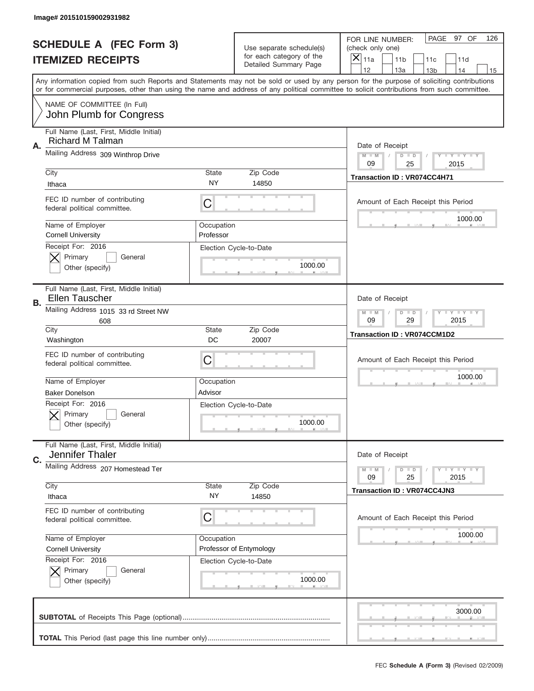|                                | Image# 201510159002931982                                          |                          |                                                   |                                                                                                                                                                                                                                                                                                                                     |
|--------------------------------|--------------------------------------------------------------------|--------------------------|---------------------------------------------------|-------------------------------------------------------------------------------------------------------------------------------------------------------------------------------------------------------------------------------------------------------------------------------------------------------------------------------------|
| <b>SCHEDULE A (FEC Form 3)</b> |                                                                    | Use separate schedule(s) |                                                   | PAGE 97 OF<br>126<br>FOR LINE NUMBER:<br>(check only one)                                                                                                                                                                                                                                                                           |
|                                | <b>ITEMIZED RECEIPTS</b>                                           |                          | for each category of the<br>Detailed Summary Page | ×<br>11a<br>11 <sub>b</sub><br>11c<br>11d                                                                                                                                                                                                                                                                                           |
|                                |                                                                    |                          |                                                   | 12<br>13a<br>14<br>13 <sub>b</sub><br>15<br>Any information copied from such Reports and Statements may not be sold or used by any person for the purpose of soliciting contributions<br>or for commercial purposes, other than using the name and address of any political committee to solicit contributions from such committee. |
|                                | NAME OF COMMITTEE (In Full)<br>John Plumb for Congress             |                          |                                                   |                                                                                                                                                                                                                                                                                                                                     |
| Α.                             | Full Name (Last, First, Middle Initial)<br><b>Richard M Talman</b> |                          |                                                   | Date of Receipt                                                                                                                                                                                                                                                                                                                     |
|                                | Mailing Address 309 Winthrop Drive                                 |                          |                                                   | $M - M$<br><b>LYLYLY</b><br>$D$ $D$<br>09<br>25<br>2015                                                                                                                                                                                                                                                                             |
|                                | City<br>Ithaca                                                     | State<br>NY              | Zip Code<br>14850                                 | Transaction ID: VR074CC4H71                                                                                                                                                                                                                                                                                                         |
|                                | FEC ID number of contributing<br>federal political committee.      | C                        |                                                   | Amount of Each Receipt this Period<br>1000.00                                                                                                                                                                                                                                                                                       |
|                                | Name of Employer<br><b>Cornell University</b>                      | Occupation<br>Professor  |                                                   |                                                                                                                                                                                                                                                                                                                                     |
|                                | Receipt For: 2016<br>Primary<br>General<br>Other (specify)         |                          | Election Cycle-to-Date<br>1000.00                 |                                                                                                                                                                                                                                                                                                                                     |
| <b>B.</b>                      | Full Name (Last, First, Middle Initial)<br><b>Ellen Tauscher</b>   |                          |                                                   | Date of Receipt                                                                                                                                                                                                                                                                                                                     |
|                                | Mailing Address 1015 33 rd Street NW<br>608                        |                          |                                                   | $M - M$<br><b>LEYTEY LEY</b><br>$D$ $D$<br>09<br>29<br>2015                                                                                                                                                                                                                                                                         |
|                                | City<br>Washington                                                 | State<br>DC              | Zip Code<br>20007                                 | Transaction ID: VR074CCM1D2                                                                                                                                                                                                                                                                                                         |
|                                | FEC ID number of contributing<br>federal political committee.      | C                        |                                                   | Amount of Each Receipt this Period                                                                                                                                                                                                                                                                                                  |
|                                | Name of Employer<br><b>Baker Donelson</b>                          | Occupation<br>Advisor    |                                                   | 1000.00                                                                                                                                                                                                                                                                                                                             |
|                                |                                                                    |                          | Election Cycle-to-Date                            |                                                                                                                                                                                                                                                                                                                                     |
|                                | Receipt For: 2016<br>General<br>Primary<br>Other (specify)         |                          | 1000.00                                           |                                                                                                                                                                                                                                                                                                                                     |
| C.                             | Full Name (Last, First, Middle Initial)<br>Jennifer Thaler         |                          |                                                   | Date of Receipt                                                                                                                                                                                                                                                                                                                     |
|                                | Mailing Address 207 Homestead Ter                                  |                          |                                                   | <b>LY LY LY</b><br>$M - M$<br>$D$ $D$<br>09<br>2015<br>25                                                                                                                                                                                                                                                                           |
|                                | City<br>Ithaca                                                     | State<br>ΝY              | Zip Code<br>14850                                 | <b>Transaction ID: VR074CC4JN3</b>                                                                                                                                                                                                                                                                                                  |
|                                | FEC ID number of contributing<br>federal political committee.      | С                        |                                                   | Amount of Each Receipt this Period                                                                                                                                                                                                                                                                                                  |
|                                | Name of Employer<br><b>Cornell University</b>                      | Occupation               | Professor of Entymology                           | 1000.00                                                                                                                                                                                                                                                                                                                             |
|                                | Receipt For: 2016<br>Primary<br>General<br>Other (specify)         |                          | Election Cycle-to-Date<br>1000.00                 |                                                                                                                                                                                                                                                                                                                                     |
|                                |                                                                    |                          |                                                   | 3000.00                                                                                                                                                                                                                                                                                                                             |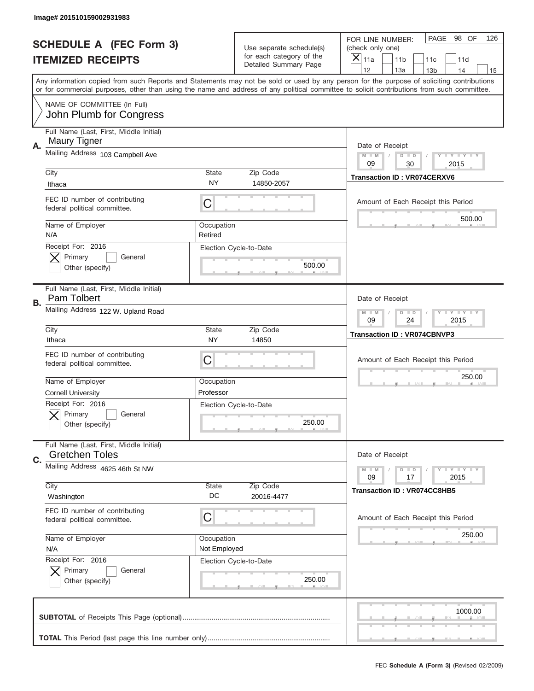|                                | Image# 201510159002931983                                                               |                            |                                                   |                                                                                                                                                                                                                                                                                                                                     |
|--------------------------------|-----------------------------------------------------------------------------------------|----------------------------|---------------------------------------------------|-------------------------------------------------------------------------------------------------------------------------------------------------------------------------------------------------------------------------------------------------------------------------------------------------------------------------------------|
| <b>SCHEDULE A (FEC Form 3)</b> |                                                                                         |                            | Use separate schedule(s)                          | PAGE<br>98 OF<br>126<br>FOR LINE NUMBER:<br>(check only one)                                                                                                                                                                                                                                                                        |
|                                | <b>ITEMIZED RECEIPTS</b>                                                                |                            | for each category of the<br>Detailed Summary Page | $\times$<br>11a<br>11 <sub>b</sub><br>11c<br>11d                                                                                                                                                                                                                                                                                    |
|                                |                                                                                         |                            |                                                   | 12<br>13a<br>14<br>13 <sub>b</sub><br>15<br>Any information copied from such Reports and Statements may not be sold or used by any person for the purpose of soliciting contributions<br>or for commercial purposes, other than using the name and address of any political committee to solicit contributions from such committee. |
|                                | NAME OF COMMITTEE (In Full)<br>John Plumb for Congress                                  |                            |                                                   |                                                                                                                                                                                                                                                                                                                                     |
| А.                             | Full Name (Last, First, Middle Initial)<br>Maury Tigner                                 |                            |                                                   | Date of Receipt                                                                                                                                                                                                                                                                                                                     |
|                                | Mailing Address 103 Campbell Ave                                                        |                            |                                                   | $M$ $M$<br>Y FY FY FY<br>$D$ $D$<br>09<br>30<br>2015                                                                                                                                                                                                                                                                                |
|                                | City<br>Ithaca                                                                          | State<br><b>NY</b>         | Zip Code<br>14850-2057                            | <b>Transaction ID: VR074CERXV6</b>                                                                                                                                                                                                                                                                                                  |
|                                | FEC ID number of contributing<br>federal political committee.                           | C                          |                                                   | Amount of Each Receipt this Period<br>500.00                                                                                                                                                                                                                                                                                        |
|                                | Name of Employer<br>N/A                                                                 | Occupation<br>Retired      |                                                   |                                                                                                                                                                                                                                                                                                                                     |
|                                | Receipt For: 2016<br>Primary<br>General<br>Other (specify)                              |                            | Election Cycle-to-Date<br>500.00                  |                                                                                                                                                                                                                                                                                                                                     |
| В.                             | Full Name (Last, First, Middle Initial)<br>Pam Tolbert                                  | Date of Receipt            |                                                   |                                                                                                                                                                                                                                                                                                                                     |
|                                | Mailing Address 122 W. Upland Road                                                      |                            |                                                   | $T$ $Y$ $Y$ $Y$ $Y$<br>$M - M$<br>$D$ $D$<br>09<br>24<br>2015                                                                                                                                                                                                                                                                       |
|                                | City<br>Ithaca                                                                          | State<br>NY                | Zip Code<br>14850                                 | <b>Transaction ID: VR074CBNVP3</b>                                                                                                                                                                                                                                                                                                  |
|                                | FEC ID number of contributing<br>federal political committee.                           | C                          |                                                   | Amount of Each Receipt this Period                                                                                                                                                                                                                                                                                                  |
|                                | Name of Employer                                                                        | Occupation                 |                                                   | 250.00                                                                                                                                                                                                                                                                                                                              |
|                                |                                                                                         |                            |                                                   |                                                                                                                                                                                                                                                                                                                                     |
|                                | <b>Cornell University</b><br>Receipt For: 2016<br>General<br>Primary<br>Other (specify) | Professor                  | Election Cycle-to-Date<br>250.00                  |                                                                                                                                                                                                                                                                                                                                     |
|                                | Full Name (Last, First, Middle Initial)<br><b>Gretchen Toles</b>                        |                            |                                                   | Date of Receipt                                                                                                                                                                                                                                                                                                                     |
| C.                             | Mailing Address 4625 46th St NW                                                         |                            |                                                   | Y I Y I Y I Y<br>$M - M$<br>$D$ $D$<br>09<br>2015<br>17                                                                                                                                                                                                                                                                             |
|                                | City<br>Washington                                                                      | State<br>DC                | Zip Code<br>20016-4477                            | Transaction ID: VR074CC8HB5                                                                                                                                                                                                                                                                                                         |
|                                | FEC ID number of contributing<br>federal political committee.                           | C                          |                                                   | Amount of Each Receipt this Period                                                                                                                                                                                                                                                                                                  |
|                                | Name of Employer<br>N/A                                                                 | Occupation<br>Not Employed |                                                   | 250.00                                                                                                                                                                                                                                                                                                                              |
|                                | Receipt For: 2016<br>Primary<br>General<br>Other (specify)                              |                            | Election Cycle-to-Date<br>250.00                  |                                                                                                                                                                                                                                                                                                                                     |
|                                |                                                                                         |                            |                                                   | 1000.00                                                                                                                                                                                                                                                                                                                             |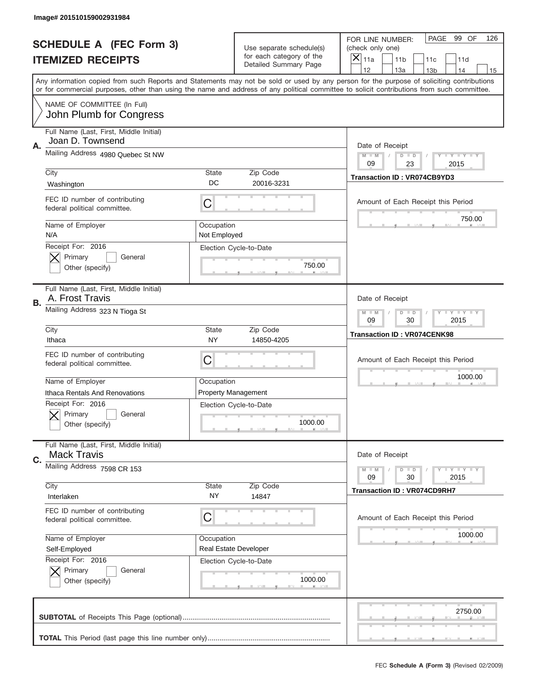|    | Image# 201510159002931984                                     |                            |                                                          |                                                                                                                                                                                                                                                                                                                                     |  |  |
|----|---------------------------------------------------------------|----------------------------|----------------------------------------------------------|-------------------------------------------------------------------------------------------------------------------------------------------------------------------------------------------------------------------------------------------------------------------------------------------------------------------------------------|--|--|
|    | <b>SCHEDULE A (FEC Form 3)</b>                                |                            | Use separate schedule(s)                                 | PAGE<br>99 OF<br>126<br>FOR LINE NUMBER:<br>(check only one)                                                                                                                                                                                                                                                                        |  |  |
|    | <b>ITEMIZED RECEIPTS</b>                                      |                            | for each category of the<br><b>Detailed Summary Page</b> | $\overline{X} _{11a}$<br>11 <sub>b</sub><br>11c<br>11d                                                                                                                                                                                                                                                                              |  |  |
|    |                                                               |                            |                                                          | 12<br>13a<br>14<br>13 <sub>b</sub><br>15<br>Any information copied from such Reports and Statements may not be sold or used by any person for the purpose of soliciting contributions<br>or for commercial purposes, other than using the name and address of any political committee to solicit contributions from such committee. |  |  |
|    | NAME OF COMMITTEE (In Full)<br>John Plumb for Congress        |                            |                                                          |                                                                                                                                                                                                                                                                                                                                     |  |  |
| Α. | Full Name (Last, First, Middle Initial)<br>Joan D. Townsend   |                            |                                                          | Date of Receipt                                                                                                                                                                                                                                                                                                                     |  |  |
|    | Mailing Address 4980 Quebec St NW                             |                            |                                                          | <b>LYLYLY</b><br>$M - M$<br>$D$ $D$<br>09<br>23<br>2015                                                                                                                                                                                                                                                                             |  |  |
|    | City<br>Washington                                            | State<br>DC                | Zip Code<br>20016-3231                                   | <b>Transaction ID: VR074CB9YD3</b>                                                                                                                                                                                                                                                                                                  |  |  |
|    | FEC ID number of contributing<br>federal political committee. | C                          |                                                          | Amount of Each Receipt this Period<br>750.00                                                                                                                                                                                                                                                                                        |  |  |
|    | Name of Employer<br>N/A                                       | Occupation<br>Not Employed |                                                          |                                                                                                                                                                                                                                                                                                                                     |  |  |
|    | Receipt For: 2016<br>Primary<br>General<br>Other (specify)    |                            | Election Cycle-to-Date<br>750.00                         |                                                                                                                                                                                                                                                                                                                                     |  |  |
| В. | Full Name (Last, First, Middle Initial)<br>A. Frost Travis    | Date of Receipt            |                                                          |                                                                                                                                                                                                                                                                                                                                     |  |  |
|    | Mailing Address 323 N Tioga St                                |                            |                                                          | <b>LY LY LY</b><br>$M - M$<br>$D$ $D$<br>09<br>30<br>2015                                                                                                                                                                                                                                                                           |  |  |
|    | City<br>Ithaca                                                | <b>State</b><br>NY         | Zip Code<br>14850-4205                                   | <b>Transaction ID: VR074CENK98</b>                                                                                                                                                                                                                                                                                                  |  |  |
|    | FEC ID number of contributing<br>federal political committee. | C                          |                                                          | Amount of Each Receipt this Period                                                                                                                                                                                                                                                                                                  |  |  |
|    | Name of Employer<br>Ithaca Rentals And Renovations            | Occupation                 | <b>Property Management</b>                               | 1000.00                                                                                                                                                                                                                                                                                                                             |  |  |
|    | Receipt For: 2016<br>General<br>Primary<br>Other (specify)    |                            | Election Cycle-to-Date<br>1000.00                        |                                                                                                                                                                                                                                                                                                                                     |  |  |
| C. | Full Name (Last, First, Middle Initial)<br><b>Mack Travis</b> |                            |                                                          | Date of Receipt                                                                                                                                                                                                                                                                                                                     |  |  |
|    | Mailing Address 7598 CR 153                                   |                            |                                                          | <b>LY LY LY</b><br>$M - M$<br>$D$ $D$<br>09<br>2015<br>30                                                                                                                                                                                                                                                                           |  |  |
|    | City<br>Interlaken                                            | <b>State</b><br>NY.        | Zip Code<br>14847                                        | <b>Transaction ID: VR074CD9RH7</b>                                                                                                                                                                                                                                                                                                  |  |  |
|    | FEC ID number of contributing<br>federal political committee. | С                          |                                                          | Amount of Each Receipt this Period                                                                                                                                                                                                                                                                                                  |  |  |
|    |                                                               |                            |                                                          |                                                                                                                                                                                                                                                                                                                                     |  |  |
|    | Name of Employer<br>Self-Employed                             | Occupation                 | <b>Real Estate Developer</b>                             | 1000.00                                                                                                                                                                                                                                                                                                                             |  |  |
|    | Receipt For: 2016<br>Primary<br>General<br>Other (specify)    |                            | Election Cycle-to-Date<br>1000.00                        |                                                                                                                                                                                                                                                                                                                                     |  |  |
|    |                                                               |                            |                                                          | 2750.00                                                                                                                                                                                                                                                                                                                             |  |  |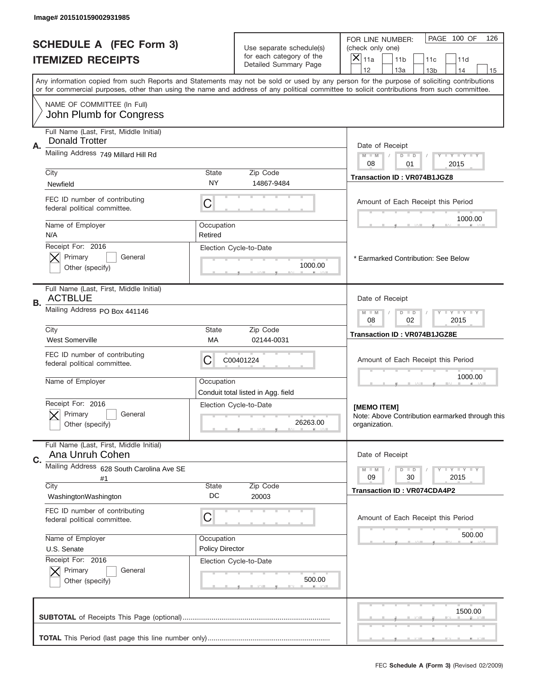| Image# 201510159002931985                                                                                                                  |                        |                                                      |                                                                                                                                           |
|--------------------------------------------------------------------------------------------------------------------------------------------|------------------------|------------------------------------------------------|-------------------------------------------------------------------------------------------------------------------------------------------|
| <b>SCHEDULE A (FEC Form 3)</b><br><b>ITEMIZED RECEIPTS</b>                                                                                 |                        | Use separate schedule(s)<br>for each category of the | PAGE 100 OF<br>126<br>FOR LINE NUMBER:<br>(check only one)<br>X                                                                           |
|                                                                                                                                            |                        | Detailed Summary Page                                | 11a<br>11 <sub>b</sub><br>11c<br>11d<br>12<br>13a<br>14<br>13 <sub>b</sub><br>15                                                          |
| or for commercial purposes, other than using the name and address of any political committee to solicit contributions from such committee. |                        |                                                      | Any information copied from such Reports and Statements may not be sold or used by any person for the purpose of soliciting contributions |
| NAME OF COMMITTEE (In Full)<br>John Plumb for Congress                                                                                     |                        |                                                      |                                                                                                                                           |
| Full Name (Last, First, Middle Initial)                                                                                                    |                        |                                                      |                                                                                                                                           |
| <b>Donald Trotter</b><br>Α.                                                                                                                |                        |                                                      | Date of Receipt                                                                                                                           |
| Mailing Address 749 Millard Hill Rd                                                                                                        |                        |                                                      | $M - M$<br>Y FY FY FY<br>$D$ $D$<br>08<br>01<br>2015                                                                                      |
| City<br>Newfield                                                                                                                           | <b>State</b><br>NY     | Zip Code<br>14867-9484                               | Transaction ID: VR074B1JGZ8                                                                                                               |
| FEC ID number of contributing                                                                                                              |                        |                                                      |                                                                                                                                           |
| federal political committee.                                                                                                               | С                      |                                                      | Amount of Each Receipt this Period                                                                                                        |
| Name of Employer                                                                                                                           | Occupation             |                                                      | 1000.00                                                                                                                                   |
| N/A<br>Receipt For: 2016                                                                                                                   | Retired                | Election Cycle-to-Date                               |                                                                                                                                           |
| Primary<br>General                                                                                                                         |                        |                                                      | * Earmarked Contribution: See Below                                                                                                       |
| Other (specify)                                                                                                                            |                        | 1000.00                                              |                                                                                                                                           |
| Full Name (Last, First, Middle Initial)<br><b>ACTBLUE</b><br>В.                                                                            |                        |                                                      | Date of Receipt                                                                                                                           |
| Mailing Address PO Box 441146                                                                                                              |                        |                                                      | <b>LY LY LY</b><br>$M - M$<br>$D$ $D$<br>08<br>02<br>2015                                                                                 |
| City<br><b>West Somerville</b>                                                                                                             | <b>State</b><br>МA     | Zip Code<br>02144-0031                               | <b>Transaction ID: VR074B1JGZ8E</b>                                                                                                       |
| FEC ID number of contributing<br>federal political committee.                                                                              | C                      | C00401224                                            | Amount of Each Receipt this Period                                                                                                        |
| Name of Employer                                                                                                                           | Occupation             | Conduit total listed in Agg. field                   | 1000.00                                                                                                                                   |
| Receipt For: 2016<br>Primary<br>General<br>Other (specify)                                                                                 |                        | Election Cycle-to-Date<br>26263.00                   | [MEMO ITEM]<br>Note: Above Contribution earmarked through this<br>organization.                                                           |
| Full Name (Last, First, Middle Initial)                                                                                                    |                        |                                                      |                                                                                                                                           |
| Ana Unruh Cohen<br>C.                                                                                                                      |                        |                                                      | Date of Receipt                                                                                                                           |
| Mailing Address 628 South Carolina Ave SE<br>#1                                                                                            |                        |                                                      | $I - Y - I - Y - I - Y$<br>$M - M$<br>$D$ $D$<br>2015<br>09<br>30                                                                         |
| City<br>WashingtonWashington                                                                                                               | State<br>DC            | Zip Code<br>20003                                    | <b>Transaction ID: VR074CDA4P2</b>                                                                                                        |
| FEC ID number of contributing<br>federal political committee.                                                                              | C                      |                                                      | Amount of Each Receipt this Period                                                                                                        |
| Name of Employer                                                                                                                           | Occupation             |                                                      | 500.00                                                                                                                                    |
| U.S. Senate<br>Receipt For: 2016                                                                                                           | <b>Policy Director</b> |                                                      |                                                                                                                                           |
| Primary<br>General                                                                                                                         |                        | Election Cycle-to-Date                               |                                                                                                                                           |
| Other (specify)                                                                                                                            |                        | 500.00                                               |                                                                                                                                           |
|                                                                                                                                            |                        |                                                      | 1500.00                                                                                                                                   |
|                                                                                                                                            |                        |                                                      |                                                                                                                                           |
|                                                                                                                                            |                        |                                                      | FEC Schedule A (Form 3) (Revised 02/2009)                                                                                                 |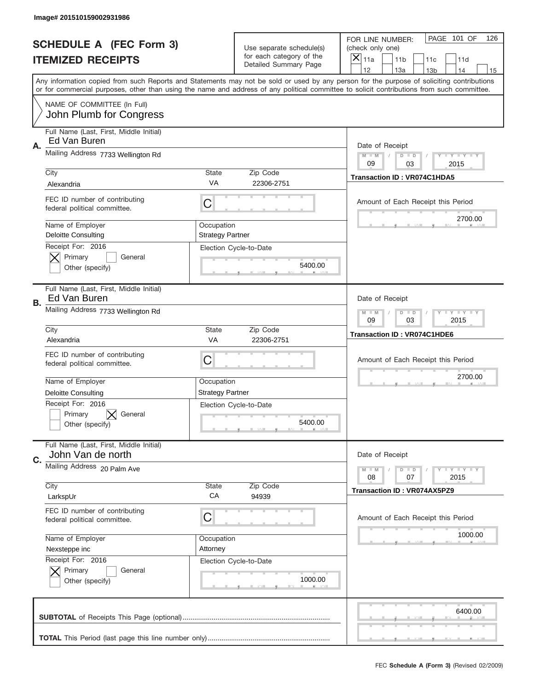|                                | Image# 201510159002931986                                     |                                       |                                                   |                                                                                                                                                                                                                                                                                                                                     |
|--------------------------------|---------------------------------------------------------------|---------------------------------------|---------------------------------------------------|-------------------------------------------------------------------------------------------------------------------------------------------------------------------------------------------------------------------------------------------------------------------------------------------------------------------------------------|
| <b>SCHEDULE A (FEC Form 3)</b> |                                                               |                                       | Use separate schedule(s)                          | PAGE 101 OF<br>126<br>FOR LINE NUMBER:<br>(check only one)                                                                                                                                                                                                                                                                          |
|                                | <b>ITEMIZED RECEIPTS</b>                                      |                                       | for each category of the<br>Detailed Summary Page | ×<br>11a<br>11 <sub>b</sub><br>11c<br>11d                                                                                                                                                                                                                                                                                           |
|                                |                                                               |                                       |                                                   | 12<br>13a<br>14<br>13 <sub>b</sub><br>15<br>Any information copied from such Reports and Statements may not be sold or used by any person for the purpose of soliciting contributions<br>or for commercial purposes, other than using the name and address of any political committee to solicit contributions from such committee. |
|                                | NAME OF COMMITTEE (In Full)<br>John Plumb for Congress        |                                       |                                                   |                                                                                                                                                                                                                                                                                                                                     |
| Α.                             | Full Name (Last, First, Middle Initial)<br>Ed Van Buren       |                                       |                                                   | Date of Receipt                                                                                                                                                                                                                                                                                                                     |
|                                | Mailing Address 7733 Wellington Rd                            |                                       |                                                   | $M - M$<br><b>LEY LEY LEY</b><br>$D$ $D$<br>09<br>03<br>2015                                                                                                                                                                                                                                                                        |
|                                | City<br>Alexandria                                            | State<br>VA                           | Zip Code<br>22306-2751                            | <b>Transaction ID: VR074C1HDA5</b>                                                                                                                                                                                                                                                                                                  |
|                                | FEC ID number of contributing<br>federal political committee. | C                                     |                                                   | Amount of Each Receipt this Period<br>2700.00                                                                                                                                                                                                                                                                                       |
|                                | Name of Employer<br><b>Deloitte Consulting</b>                | Occupation<br><b>Strategy Partner</b> |                                                   |                                                                                                                                                                                                                                                                                                                                     |
|                                | Receipt For: 2016<br>Primary<br>General<br>Other (specify)    |                                       | Election Cycle-to-Date<br>5400.00                 |                                                                                                                                                                                                                                                                                                                                     |
| В.                             | Full Name (Last, First, Middle Initial)<br>Ed Van Buren       |                                       |                                                   | Date of Receipt                                                                                                                                                                                                                                                                                                                     |
|                                | Mailing Address 7733 Wellington Rd                            |                                       |                                                   | $M$ M<br><b>LEYTEY LEY</b><br>$D$ $D$<br>09<br>03<br>2015                                                                                                                                                                                                                                                                           |
|                                | City<br>Alexandria                                            | State<br><b>VA</b>                    | Zip Code<br>22306-2751                            | <b>Transaction ID: VR074C1HDE6</b>                                                                                                                                                                                                                                                                                                  |
|                                | FEC ID number of contributing<br>federal political committee. | C                                     |                                                   | Amount of Each Receipt this Period                                                                                                                                                                                                                                                                                                  |
|                                |                                                               |                                       |                                                   | 2700.00                                                                                                                                                                                                                                                                                                                             |
|                                | Name of Employer                                              | Occupation                            |                                                   |                                                                                                                                                                                                                                                                                                                                     |
|                                | <b>Deloitte Consulting</b>                                    | <b>Strategy Partner</b>               |                                                   |                                                                                                                                                                                                                                                                                                                                     |
|                                | Receipt For: 2016<br>General<br>Primary<br>Other (specify)    |                                       | Election Cycle-to-Date<br>5400.00                 |                                                                                                                                                                                                                                                                                                                                     |
| C.                             | Full Name (Last, First, Middle Initial)<br>John Van de north  |                                       |                                                   | Date of Receipt                                                                                                                                                                                                                                                                                                                     |
|                                | Mailing Address 20 Palm Ave                                   |                                       |                                                   | <b>LYLYLY</b><br>$M - M$<br>$D$ $D$<br>08<br>07<br>2015                                                                                                                                                                                                                                                                             |
|                                | City<br>LarkspUr                                              | State<br>CA                           | Zip Code<br>94939                                 | <b>Transaction ID: VR074AX5PZ9</b>                                                                                                                                                                                                                                                                                                  |
|                                | FEC ID number of contributing<br>federal political committee. | C                                     |                                                   | Amount of Each Receipt this Period                                                                                                                                                                                                                                                                                                  |
|                                | Name of Employer                                              | Occupation                            |                                                   | 1000.00                                                                                                                                                                                                                                                                                                                             |
|                                | Nexsteppe inc                                                 | Attorney                              |                                                   |                                                                                                                                                                                                                                                                                                                                     |
|                                | Receipt For: 2016<br>Primary<br>General<br>Other (specify)    |                                       | Election Cycle-to-Date<br>1000.00                 |                                                                                                                                                                                                                                                                                                                                     |
|                                |                                                               |                                       |                                                   | 6400.00                                                                                                                                                                                                                                                                                                                             |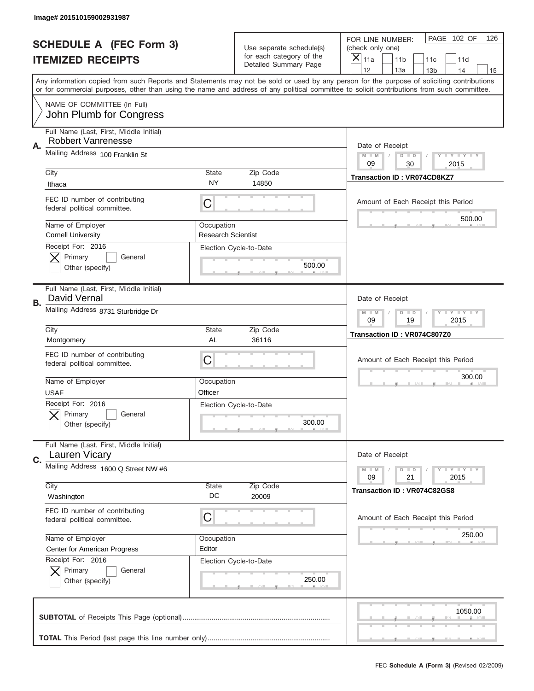|           | Image# 201510159002931987                                            |                                         |                                                   |                                                                                                                                                                                                                                                                                                                                     |
|-----------|----------------------------------------------------------------------|-----------------------------------------|---------------------------------------------------|-------------------------------------------------------------------------------------------------------------------------------------------------------------------------------------------------------------------------------------------------------------------------------------------------------------------------------------|
|           | <b>SCHEDULE A (FEC Form 3)</b>                                       |                                         | Use separate schedule(s)                          | PAGE 102 OF<br>126<br>FOR LINE NUMBER:<br>(check only one)                                                                                                                                                                                                                                                                          |
|           | <b>ITEMIZED RECEIPTS</b>                                             |                                         | for each category of the<br>Detailed Summary Page | ×<br>11a<br>11 <sub>b</sub><br>11c<br>11d                                                                                                                                                                                                                                                                                           |
|           |                                                                      |                                         |                                                   | 12<br>13a<br>14<br>13 <sub>b</sub><br>15<br>Any information copied from such Reports and Statements may not be sold or used by any person for the purpose of soliciting contributions<br>or for commercial purposes, other than using the name and address of any political committee to solicit contributions from such committee. |
|           | NAME OF COMMITTEE (In Full)<br>John Plumb for Congress               |                                         |                                                   |                                                                                                                                                                                                                                                                                                                                     |
| Α.        | Full Name (Last, First, Middle Initial)<br><b>Robbert Vanrenesse</b> |                                         |                                                   | Date of Receipt                                                                                                                                                                                                                                                                                                                     |
|           | Mailing Address 100 Franklin St                                      |                                         |                                                   | $M - M$<br><b>LYLYLY</b><br>$D$ $D$<br>09<br>30<br>2015                                                                                                                                                                                                                                                                             |
|           | City<br>Ithaca                                                       | State<br>NY                             | Zip Code<br>14850                                 | <b>Transaction ID: VR074CD8KZ7</b>                                                                                                                                                                                                                                                                                                  |
|           | FEC ID number of contributing<br>federal political committee.        | C                                       |                                                   | Amount of Each Receipt this Period<br>500.00                                                                                                                                                                                                                                                                                        |
|           | Name of Employer<br><b>Cornell University</b>                        | Occupation<br><b>Research Scientist</b> |                                                   |                                                                                                                                                                                                                                                                                                                                     |
|           | Receipt For: 2016<br>Primary<br>General<br>Other (specify)           |                                         | Election Cycle-to-Date<br>500.00                  |                                                                                                                                                                                                                                                                                                                                     |
| <b>B.</b> | Full Name (Last, First, Middle Initial)<br>David Vernal              | Date of Receipt                         |                                                   |                                                                                                                                                                                                                                                                                                                                     |
|           | Mailing Address 8731 Sturbridge Dr                                   |                                         |                                                   | $M - M$<br>$D$ $D$<br><b>LYLYLY</b><br>09<br>19<br>2015                                                                                                                                                                                                                                                                             |
|           | City<br>Montgomery                                                   | State<br>AL                             | Zip Code<br>36116                                 | Transaction ID: VR074C807Z0                                                                                                                                                                                                                                                                                                         |
|           |                                                                      |                                         |                                                   |                                                                                                                                                                                                                                                                                                                                     |
|           | FEC ID number of contributing<br>federal political committee.        | C                                       |                                                   | Amount of Each Receipt this Period                                                                                                                                                                                                                                                                                                  |
|           | Name of Employer<br><b>USAF</b>                                      | Occupation<br>Officer                   |                                                   | 300.00                                                                                                                                                                                                                                                                                                                              |
|           | Receipt For: 2016<br>General<br>Primary<br>Other (specify)           |                                         | Election Cycle-to-Date<br>300.00                  |                                                                                                                                                                                                                                                                                                                                     |
| C.        | Full Name (Last, First, Middle Initial)<br><b>Lauren Vicary</b>      |                                         |                                                   | Date of Receipt                                                                                                                                                                                                                                                                                                                     |
|           | Mailing Address 1600 Q Street NW #6                                  |                                         |                                                   | <b>LEY LEY LEY</b><br>$M - M$<br>$D$ $D$<br>09<br>2015<br>21                                                                                                                                                                                                                                                                        |
|           | City<br>Washington                                                   | State<br>DC                             | Zip Code<br>20009                                 | Transaction ID: VR074C82GS8                                                                                                                                                                                                                                                                                                         |
|           | FEC ID number of contributing<br>federal political committee.        | С                                       |                                                   | Amount of Each Receipt this Period                                                                                                                                                                                                                                                                                                  |
|           | Name of Employer<br><b>Center for American Progress</b>              | Occupation<br>Editor                    |                                                   | 250.00                                                                                                                                                                                                                                                                                                                              |
|           | Receipt For: 2016<br>Primary<br>General<br>Other (specify)           |                                         | Election Cycle-to-Date<br>250.00                  |                                                                                                                                                                                                                                                                                                                                     |
|           |                                                                      |                                         |                                                   | 1050.00                                                                                                                                                                                                                                                                                                                             |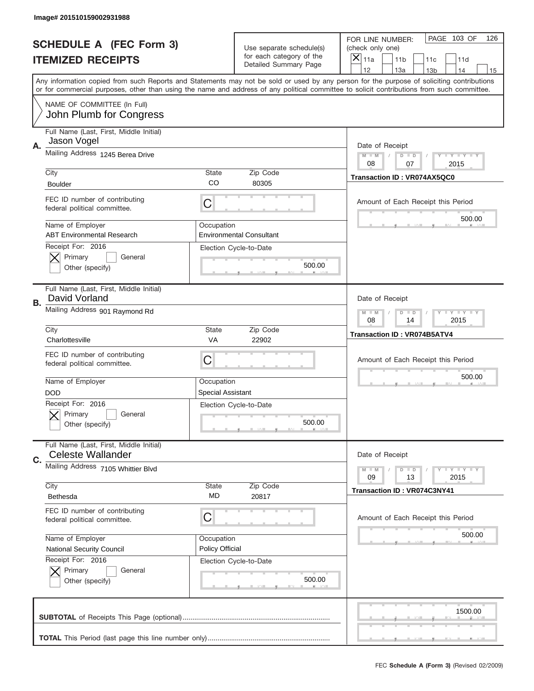|    | Image# 201510159002931988                                           |                                        |                                                      |                                                                                                                                                                                                                                                                                                                                     |
|----|---------------------------------------------------------------------|----------------------------------------|------------------------------------------------------|-------------------------------------------------------------------------------------------------------------------------------------------------------------------------------------------------------------------------------------------------------------------------------------------------------------------------------------|
|    | <b>SCHEDULE A (FEC Form 3)</b>                                      |                                        | Use separate schedule(s)<br>for each category of the | PAGE 103 OF<br>126<br>FOR LINE NUMBER:<br>(check only one)                                                                                                                                                                                                                                                                          |
|    | <b>ITEMIZED RECEIPTS</b>                                            |                                        | Detailed Summary Page                                | ×<br>11a<br>11 <sub>b</sub><br>11c<br>11d                                                                                                                                                                                                                                                                                           |
|    |                                                                     |                                        |                                                      | 12<br>13a<br>14<br>13 <sub>b</sub><br>15<br>Any information copied from such Reports and Statements may not be sold or used by any person for the purpose of soliciting contributions<br>or for commercial purposes, other than using the name and address of any political committee to solicit contributions from such committee. |
|    | NAME OF COMMITTEE (In Full)<br>John Plumb for Congress              |                                        |                                                      |                                                                                                                                                                                                                                                                                                                                     |
| Α. | Full Name (Last, First, Middle Initial)<br>Jason Vogel              |                                        |                                                      | Date of Receipt                                                                                                                                                                                                                                                                                                                     |
|    | Mailing Address 1245 Berea Drive                                    |                                        |                                                      | $M - M$<br><b>LYLYLY</b><br>$D$ $D$<br>08<br>07<br>2015                                                                                                                                                                                                                                                                             |
|    | City<br><b>Boulder</b>                                              | State<br>CO                            | Zip Code<br>80305                                    | Transaction ID: VR074AX5QC0                                                                                                                                                                                                                                                                                                         |
|    | FEC ID number of contributing<br>federal political committee.       | C                                      |                                                      | Amount of Each Receipt this Period                                                                                                                                                                                                                                                                                                  |
|    | Name of Employer<br><b>ABT Environmental Research</b>               | Occupation                             | <b>Environmental Consultant</b>                      | 500.00                                                                                                                                                                                                                                                                                                                              |
|    | Receipt For: 2016<br>Primary<br>General<br>Other (specify)          |                                        | Election Cycle-to-Date<br>500.00                     |                                                                                                                                                                                                                                                                                                                                     |
| В. | Full Name (Last, First, Middle Initial)<br>David Vorland            | Date of Receipt                        |                                                      |                                                                                                                                                                                                                                                                                                                                     |
|    | Mailing Address 901 Raymond Rd                                      |                                        |                                                      | $M$ M<br><b>LYLYLY</b><br>$D$ $D$<br>08<br>14<br>2015                                                                                                                                                                                                                                                                               |
|    | City<br>Charlottesville                                             | State<br>VA                            | Zip Code<br>22902                                    | <b>Transaction ID: VR074B5ATV4</b>                                                                                                                                                                                                                                                                                                  |
|    |                                                                     |                                        |                                                      |                                                                                                                                                                                                                                                                                                                                     |
|    | FEC ID number of contributing<br>federal political committee.       | C                                      |                                                      | Amount of Each Receipt this Period                                                                                                                                                                                                                                                                                                  |
|    | Name of Employer<br><b>DOD</b>                                      | Occupation<br><b>Special Assistant</b> |                                                      | 500.00                                                                                                                                                                                                                                                                                                                              |
|    | Receipt For: 2016<br>General<br>Primary<br>Other (specify)          |                                        | Election Cycle-to-Date<br>500.00                     |                                                                                                                                                                                                                                                                                                                                     |
| C. | Full Name (Last, First, Middle Initial)<br><b>Celeste Wallander</b> |                                        |                                                      | Date of Receipt                                                                                                                                                                                                                                                                                                                     |
|    | Mailing Address 7105 Whittier Blvd                                  |                                        |                                                      | <b>LEY LEY LEY</b><br>$M - M$<br>$D$ $D$<br>09<br>13<br>2015                                                                                                                                                                                                                                                                        |
|    | City<br>Bethesda                                                    | <b>State</b><br>MD                     | Zip Code<br>20817                                    | Transaction ID: VR074C3NY41                                                                                                                                                                                                                                                                                                         |
|    | FEC ID number of contributing<br>federal political committee.       | C                                      |                                                      | Amount of Each Receipt this Period                                                                                                                                                                                                                                                                                                  |
|    | Name of Employer<br><b>National Security Council</b>                | Occupation<br>Policy Official          |                                                      | 500.00                                                                                                                                                                                                                                                                                                                              |
|    | Receipt For: 2016<br>Primary<br>General<br>Other (specify)          |                                        | Election Cycle-to-Date<br>500.00                     |                                                                                                                                                                                                                                                                                                                                     |
|    |                                                                     |                                        |                                                      | 1500.00                                                                                                                                                                                                                                                                                                                             |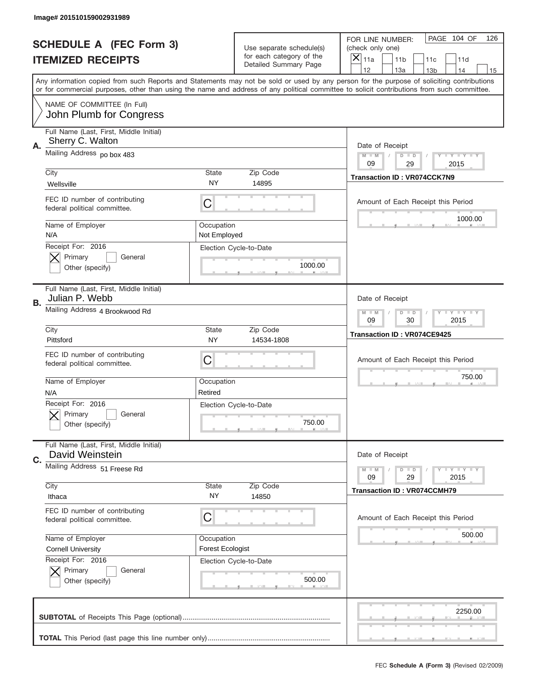|    | Image# 201510159002931989                                     |                                       |                                                   |                                                                                                                                                                                                                                                                                                                                     |
|----|---------------------------------------------------------------|---------------------------------------|---------------------------------------------------|-------------------------------------------------------------------------------------------------------------------------------------------------------------------------------------------------------------------------------------------------------------------------------------------------------------------------------------|
|    | <b>SCHEDULE A (FEC Form 3)</b>                                |                                       | Use separate schedule(s)                          | PAGE 104 OF<br>126<br>FOR LINE NUMBER:<br>(check only one)                                                                                                                                                                                                                                                                          |
|    | <b>ITEMIZED RECEIPTS</b>                                      |                                       | for each category of the<br>Detailed Summary Page | $\overline{X} _{11a}$<br>11 <sub>b</sub><br>11c<br>11d                                                                                                                                                                                                                                                                              |
|    |                                                               |                                       |                                                   | 12<br>13a<br>14<br>13 <sub>b</sub><br>15<br>Any information copied from such Reports and Statements may not be sold or used by any person for the purpose of soliciting contributions<br>or for commercial purposes, other than using the name and address of any political committee to solicit contributions from such committee. |
|    | NAME OF COMMITTEE (In Full)<br>John Plumb for Congress        |                                       |                                                   |                                                                                                                                                                                                                                                                                                                                     |
| Α. | Full Name (Last, First, Middle Initial)<br>Sherry C. Walton   |                                       |                                                   | Date of Receipt                                                                                                                                                                                                                                                                                                                     |
|    | Mailing Address po box 483                                    |                                       |                                                   | <b>LYLYLY</b><br>$M - M$<br>$D$ $D$<br>09<br>29<br>2015                                                                                                                                                                                                                                                                             |
|    | City<br>Wellsville                                            | <b>State</b><br>NY                    | Zip Code<br>14895                                 | <b>Transaction ID: VR074CCK7N9</b>                                                                                                                                                                                                                                                                                                  |
|    | FEC ID number of contributing<br>federal political committee. | C                                     |                                                   | Amount of Each Receipt this Period                                                                                                                                                                                                                                                                                                  |
|    | Name of Employer<br>N/A                                       | Occupation<br>Not Employed            |                                                   | 1000.00                                                                                                                                                                                                                                                                                                                             |
|    | Receipt For: 2016<br>Primary<br>General<br>Other (specify)    |                                       | Election Cycle-to-Date<br>1000.00                 |                                                                                                                                                                                                                                                                                                                                     |
| В. | Full Name (Last, First, Middle Initial)<br>Julian P. Webb     | Date of Receipt                       |                                                   |                                                                                                                                                                                                                                                                                                                                     |
|    | Mailing Address 4 Brookwood Rd                                |                                       |                                                   | <b>LY LY LY</b><br>$M - M$<br>$D$ $D$<br>09<br>30<br>2015                                                                                                                                                                                                                                                                           |
|    | City<br>Pittsford                                             | <b>State</b><br><b>NY</b>             | Zip Code<br>14534-1808                            | Transaction ID: VR074CE9425                                                                                                                                                                                                                                                                                                         |
|    | FEC ID number of contributing<br>federal political committee. | C                                     |                                                   | Amount of Each Receipt this Period                                                                                                                                                                                                                                                                                                  |
|    | Name of Employer<br>N/A                                       | Occupation<br>Retired                 |                                                   | 750.00                                                                                                                                                                                                                                                                                                                              |
|    | Receipt For: 2016<br>General<br>Primary<br>Other (specify)    |                                       | Election Cycle-to-Date<br>750.00                  |                                                                                                                                                                                                                                                                                                                                     |
| C. | Full Name (Last, First, Middle Initial)<br>David Weinstein    |                                       |                                                   | Date of Receipt                                                                                                                                                                                                                                                                                                                     |
|    | Mailing Address 51 Freese Rd                                  |                                       |                                                   | <b>LY LY LY</b><br>$M - M$<br>$D$ $D$<br>09<br>29<br>2015                                                                                                                                                                                                                                                                           |
|    | City<br>Ithaca                                                | <b>State</b><br>NY.                   | Zip Code<br>14850                                 | <b>Transaction ID: VR074CCMH79</b>                                                                                                                                                                                                                                                                                                  |
|    | FEC ID number of contributing<br>federal political committee. | С                                     |                                                   | Amount of Each Receipt this Period                                                                                                                                                                                                                                                                                                  |
|    | Name of Employer<br><b>Cornell University</b>                 | Occupation<br><b>Forest Ecologist</b> |                                                   | 500.00                                                                                                                                                                                                                                                                                                                              |
|    | Receipt For: 2016<br>Primary<br>General<br>Other (specify)    |                                       | Election Cycle-to-Date<br>500.00                  |                                                                                                                                                                                                                                                                                                                                     |
|    |                                                               |                                       |                                                   | 2250.00                                                                                                                                                                                                                                                                                                                             |
|    |                                                               |                                       |                                                   |                                                                                                                                                                                                                                                                                                                                     |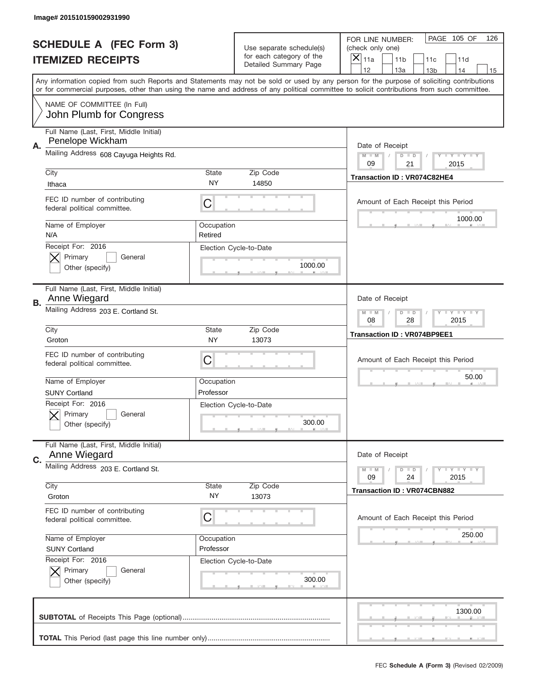|           | Image# 201510159002931990                                                                                                                                                                                                                                                               |                         |                                                   |                                                               |                                    |                         |                         |     |
|-----------|-----------------------------------------------------------------------------------------------------------------------------------------------------------------------------------------------------------------------------------------------------------------------------------------|-------------------------|---------------------------------------------------|---------------------------------------------------------------|------------------------------------|-------------------------|-------------------------|-----|
|           | <b>SCHEDULE A (FEC Form 3)</b>                                                                                                                                                                                                                                                          |                         | Use separate schedule(s)                          | FOR LINE NUMBER:<br>(check only one)<br>$\overline{X} _{11a}$ |                                    |                         | PAGE 105 OF             | 126 |
|           | <b>ITEMIZED RECEIPTS</b>                                                                                                                                                                                                                                                                |                         | for each category of the<br>Detailed Summary Page |                                                               | 11 <sub>b</sub>                    | 11c                     | 11d                     |     |
|           | Any information copied from such Reports and Statements may not be sold or used by any person for the purpose of soliciting contributions<br>or for commercial purposes, other than using the name and address of any political committee to solicit contributions from such committee. |                         |                                                   | 12                                                            | 13a                                | 13 <sub>b</sub>         | 14                      | 15  |
|           | NAME OF COMMITTEE (In Full)<br>John Plumb for Congress                                                                                                                                                                                                                                  |                         |                                                   |                                                               |                                    |                         |                         |     |
| Α.        | Full Name (Last, First, Middle Initial)<br>Penelope Wickham                                                                                                                                                                                                                             |                         |                                                   | Date of Receipt                                               |                                    |                         |                         |     |
|           | Mailing Address 608 Cayuga Heights Rd.                                                                                                                                                                                                                                                  | $M - M$<br>09           | $D$ $D$<br>21                                     |                                                               | <b>LEY LEY LEY</b><br>2015         |                         |                         |     |
|           | City<br>Ithaca                                                                                                                                                                                                                                                                          | <b>State</b><br>NY      | Zip Code<br>14850                                 | Transaction ID: VR074C82HE4                                   |                                    |                         |                         |     |
|           | FEC ID number of contributing<br>federal political committee.                                                                                                                                                                                                                           | С                       |                                                   |                                                               | Amount of Each Receipt this Period |                         | 1000.00                 |     |
|           | Name of Employer<br>N/A                                                                                                                                                                                                                                                                 | Occupation<br>Retired   |                                                   |                                                               |                                    |                         |                         |     |
|           | Receipt For: 2016<br>Primary<br>General<br>Other (specify)                                                                                                                                                                                                                              |                         | Election Cycle-to-Date<br>1000.00                 |                                                               |                                    |                         |                         |     |
| <b>B.</b> | Full Name (Last, First, Middle Initial)<br>Anne Wiegard                                                                                                                                                                                                                                 | Date of Receipt         |                                                   |                                                               |                                    |                         |                         |     |
|           | Mailing Address 203 E. Cortland St.                                                                                                                                                                                                                                                     |                         | $M - M$<br>08                                     | $D$ $D$<br>28                                                 |                                    | <b>LY LY LY</b><br>2015 |                         |     |
|           | City<br>Groton                                                                                                                                                                                                                                                                          | <b>State</b><br>NY      | Zip Code<br>13073                                 | <b>Transaction ID: VR074BP9EE1</b>                            |                                    |                         |                         |     |
|           | FEC ID number of contributing<br>federal political committee.                                                                                                                                                                                                                           | С                       |                                                   |                                                               | Amount of Each Receipt this Period |                         |                         |     |
|           | Name of Employer<br><b>SUNY Cortland</b>                                                                                                                                                                                                                                                | Occupation<br>Professor |                                                   |                                                               |                                    |                         | 50.00                   |     |
|           | Receipt For: 2016<br>General<br>Primary<br>Other (specify)                                                                                                                                                                                                                              |                         | Election Cycle-to-Date<br>300.00                  |                                                               |                                    |                         |                         |     |
| C.        | Full Name (Last, First, Middle Initial)<br>Anne Wiegard                                                                                                                                                                                                                                 |                         |                                                   | Date of Receipt                                               |                                    |                         |                         |     |
|           | Mailing Address 203 E. Cortland St.                                                                                                                                                                                                                                                     |                         |                                                   | $M - M$<br>09                                                 | $D$ $D$<br>24                      |                         | <b>LY LY LY</b><br>2015 |     |
|           | City<br>Groton                                                                                                                                                                                                                                                                          | <b>State</b><br>NY.     | Zip Code<br>13073                                 |                                                               | <b>Transaction ID: VR074CBN882</b> |                         |                         |     |
|           | FEC ID number of contributing<br>federal political committee.                                                                                                                                                                                                                           | С                       |                                                   |                                                               | Amount of Each Receipt this Period |                         |                         |     |
|           | Name of Employer<br><b>SUNY Cortland</b><br>Receipt For: 2016                                                                                                                                                                                                                           | Occupation<br>Professor |                                                   |                                                               |                                    |                         | 250.00                  |     |
|           | Primary<br>General<br>Other (specify)                                                                                                                                                                                                                                                   |                         | Election Cycle-to-Date<br>300.00                  |                                                               |                                    |                         |                         |     |
|           |                                                                                                                                                                                                                                                                                         |                         |                                                   |                                                               |                                    |                         | 1300.00                 |     |
|           |                                                                                                                                                                                                                                                                                         |                         |                                                   |                                                               |                                    |                         |                         |     |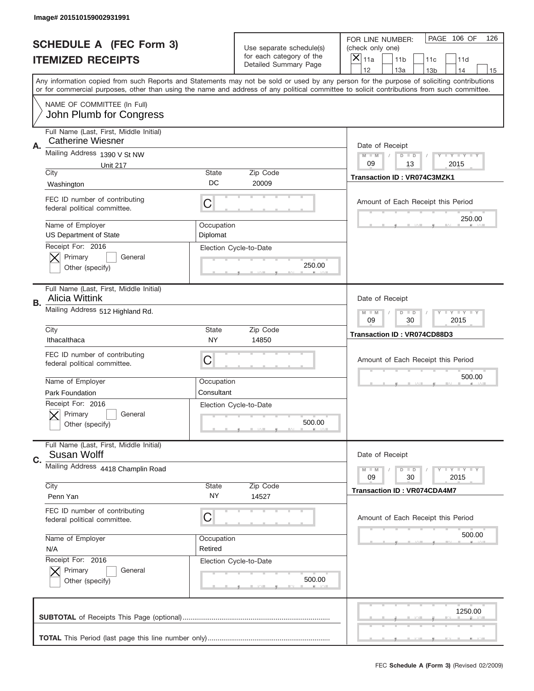|    | Image# 201510159002931991                                                            |                                                         |                                                      |                                                                                                                                                                                                                                                                                                                  |
|----|--------------------------------------------------------------------------------------|---------------------------------------------------------|------------------------------------------------------|------------------------------------------------------------------------------------------------------------------------------------------------------------------------------------------------------------------------------------------------------------------------------------------------------------------|
|    | <b>SCHEDULE A (FEC Form 3)</b>                                                       |                                                         | Use separate schedule(s)<br>for each category of the | PAGE 106 OF<br>126<br>FOR LINE NUMBER:<br>(check only one)                                                                                                                                                                                                                                                       |
|    | <b>ITEMIZED RECEIPTS</b>                                                             |                                                         | Detailed Summary Page                                | $\boldsymbol{\times}$<br>11a<br>11 <sub>b</sub><br>11c<br>11d<br>12<br>13a<br>14                                                                                                                                                                                                                                 |
|    |                                                                                      |                                                         |                                                      | 13 <sub>b</sub><br>15<br>Any information copied from such Reports and Statements may not be sold or used by any person for the purpose of soliciting contributions<br>or for commercial purposes, other than using the name and address of any political committee to solicit contributions from such committee. |
|    | NAME OF COMMITTEE (In Full)<br>John Plumb for Congress                               |                                                         |                                                      |                                                                                                                                                                                                                                                                                                                  |
| Α. | Full Name (Last, First, Middle Initial)<br>Catherine Wiesner                         |                                                         |                                                      | Date of Receipt                                                                                                                                                                                                                                                                                                  |
|    | Mailing Address 1390 V St NW<br><b>Unit 217</b>                                      | $M - M$<br><b>LYLYLY</b><br>$D$ $D$<br>09<br>13<br>2015 |                                                      |                                                                                                                                                                                                                                                                                                                  |
|    | City<br>Washington                                                                   | State<br>DC                                             | Zip Code<br>20009                                    | <b>Transaction ID: VR074C3MZK1</b>                                                                                                                                                                                                                                                                               |
|    | FEC ID number of contributing<br>federal political committee.                        | C                                                       |                                                      | Amount of Each Receipt this Period                                                                                                                                                                                                                                                                               |
|    | Name of Employer<br><b>US Department of State</b>                                    | Occupation<br>Diplomat                                  |                                                      | 250.00                                                                                                                                                                                                                                                                                                           |
|    | Receipt For: 2016<br>Primary<br>General<br>Other (specify)                           |                                                         | Election Cycle-to-Date<br>250.00                     |                                                                                                                                                                                                                                                                                                                  |
| В. | Full Name (Last, First, Middle Initial)<br><b>Alicia Wittink</b>                     | Date of Receipt                                         |                                                      |                                                                                                                                                                                                                                                                                                                  |
|    | Mailing Address 512 Highland Rd.                                                     |                                                         |                                                      | <b>LY LY LY</b><br>$M - M$<br>$D$ $D$<br>09<br>30<br>2015                                                                                                                                                                                                                                                        |
|    | City<br>Ithacalthaca                                                                 | <b>State</b><br>NY                                      | Zip Code<br>14850                                    | Transaction ID: VR074CD88D3                                                                                                                                                                                                                                                                                      |
|    |                                                                                      |                                                         |                                                      |                                                                                                                                                                                                                                                                                                                  |
|    | FEC ID number of contributing<br>federal political committee.                        | С                                                       |                                                      | Amount of Each Receipt this Period                                                                                                                                                                                                                                                                               |
|    | Name of Employer                                                                     | Occupation                                              |                                                      | 500.00                                                                                                                                                                                                                                                                                                           |
|    | <b>Park Foundation</b><br>Receipt For: 2016<br>General<br>Primary<br>Other (specify) | Consultant                                              | Election Cycle-to-Date<br>500.00                     |                                                                                                                                                                                                                                                                                                                  |
| C. | Full Name (Last, First, Middle Initial)<br>Susan Wolff                               |                                                         |                                                      | Date of Receipt                                                                                                                                                                                                                                                                                                  |
|    | Mailing Address 4418 Champlin Road                                                   |                                                         |                                                      | <b>LY LY LY</b><br>$M - M$<br>$D$ $D$<br>2015<br>09<br>30                                                                                                                                                                                                                                                        |
|    | City<br>Penn Yan                                                                     | <b>State</b><br>NY.                                     | Zip Code<br>14527                                    | <b>Transaction ID: VR074CDA4M7</b>                                                                                                                                                                                                                                                                               |
|    | FEC ID number of contributing<br>federal political committee.                        | С                                                       |                                                      | Amount of Each Receipt this Period                                                                                                                                                                                                                                                                               |
|    | Name of Employer<br>N/A                                                              | Occupation<br>Retired                                   |                                                      | 500.00                                                                                                                                                                                                                                                                                                           |
|    | Receipt For: 2016<br>Primary<br>General<br>Other (specify)                           |                                                         | Election Cycle-to-Date<br>500.00                     |                                                                                                                                                                                                                                                                                                                  |
|    |                                                                                      |                                                         |                                                      | 1250.00                                                                                                                                                                                                                                                                                                          |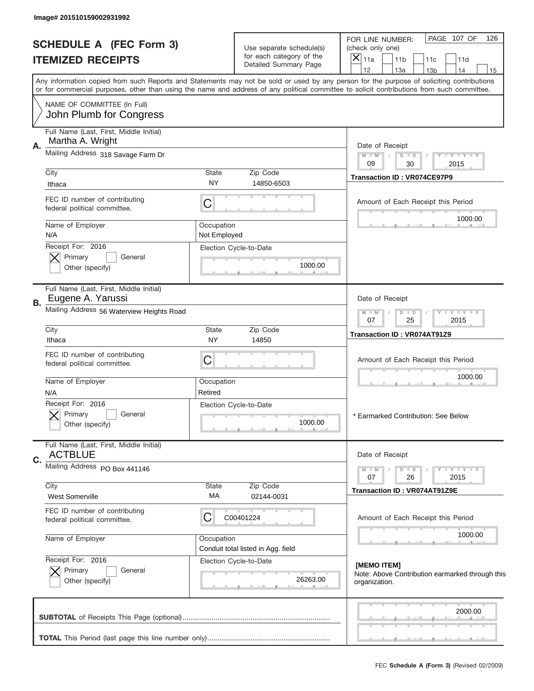| Image# 201510159002931992                                          |                            |                                                   |                                                                                                                                                                                                                                                                                                                                     |
|--------------------------------------------------------------------|----------------------------|---------------------------------------------------|-------------------------------------------------------------------------------------------------------------------------------------------------------------------------------------------------------------------------------------------------------------------------------------------------------------------------------------|
| <b>SCHEDULE A (FEC Form 3)</b>                                     |                            | Use separate schedule(s)                          | PAGE 107 OF<br>126<br>FOR LINE NUMBER:<br>(check only one)                                                                                                                                                                                                                                                                          |
| <b>ITEMIZED RECEIPTS</b>                                           |                            | for each category of the<br>Detailed Summary Page | $\times$<br>11a<br>11 <sub>b</sub><br>11d<br>11c                                                                                                                                                                                                                                                                                    |
|                                                                    |                            |                                                   | 12<br>13a<br>14<br>13 <sub>b</sub><br>15<br>Any information copied from such Reports and Statements may not be sold or used by any person for the purpose of soliciting contributions<br>or for commercial purposes, other than using the name and address of any political committee to solicit contributions from such committee. |
| NAME OF COMMITTEE (In Full)<br>John Plumb for Congress             |                            |                                                   |                                                                                                                                                                                                                                                                                                                                     |
|                                                                    |                            |                                                   |                                                                                                                                                                                                                                                                                                                                     |
| Full Name (Last, First, Middle Initial)<br>Martha A. Wright        |                            |                                                   |                                                                                                                                                                                                                                                                                                                                     |
| Α.<br>Mailing Address 318 Savage Farm Dr                           |                            |                                                   | Date of Receipt<br>Y TY TY TY<br>$M - M$<br>$D$ $D$<br>09<br>30<br>2015                                                                                                                                                                                                                                                             |
| City<br>Ithaca                                                     | <b>State</b><br>NY.        | Zip Code<br>14850-6503                            | Transaction ID: VR074CE97P9                                                                                                                                                                                                                                                                                                         |
| FEC ID number of contributing<br>federal political committee.      | C                          |                                                   | Amount of Each Receipt this Period                                                                                                                                                                                                                                                                                                  |
| Name of Employer<br>N/A                                            | Occupation<br>Not Employed |                                                   | 1000.00                                                                                                                                                                                                                                                                                                                             |
| Receipt For: 2016                                                  |                            | Election Cycle-to-Date                            |                                                                                                                                                                                                                                                                                                                                     |
| Primary<br>General<br>Other (specify)                              |                            | 1000.00                                           |                                                                                                                                                                                                                                                                                                                                     |
| Full Name (Last, First, Middle Initial)<br>Eugene A. Yarussi<br>В. |                            |                                                   | Date of Receipt                                                                                                                                                                                                                                                                                                                     |
| Mailing Address 56 Waterview Heights Road                          |                            |                                                   | Y LY LY LY<br>$D$ $D$<br>$M - M$<br>07<br>25<br>2015                                                                                                                                                                                                                                                                                |
| City<br>Ithaca                                                     | <b>State</b><br><b>NY</b>  | Zip Code<br>14850                                 | Transaction ID: VR074AT91Z9                                                                                                                                                                                                                                                                                                         |
| FEC ID number of contributing<br>federal political committee.      | C                          |                                                   | Amount of Each Receipt this Period                                                                                                                                                                                                                                                                                                  |
| Name of Employer<br>N/A                                            | Occupation<br>Retired      |                                                   | 1000.00                                                                                                                                                                                                                                                                                                                             |
| Receipt For: 2016<br>General<br>Primary<br>Other (specify)         |                            | Election Cycle-to-Date<br>1000.00                 | * Earmarked Contribution: See Below                                                                                                                                                                                                                                                                                                 |
| Full Name (Last, First, Middle Initial)<br><b>ACTBLUE</b>          |                            |                                                   | Date of Receipt                                                                                                                                                                                                                                                                                                                     |
| C.<br>Mailing Address PO Box 441146                                |                            |                                                   | $D$ $D$<br>$T + Y = Y + Y$<br>$M - M$<br>26<br>2015<br>07                                                                                                                                                                                                                                                                           |
| City<br><b>West Somerville</b>                                     | State<br>МA                | Zip Code<br>02144-0031                            | Transaction ID: VR074AT91Z9E                                                                                                                                                                                                                                                                                                        |
| FEC ID number of contributing<br>federal political committee.      | C                          | C00401224                                         | Amount of Each Receipt this Period                                                                                                                                                                                                                                                                                                  |
| Name of Employer                                                   | Occupation                 | Conduit total listed in Agg. field                | 1000.00                                                                                                                                                                                                                                                                                                                             |
| Receipt For: 2016<br>Primary<br>General<br>Other (specify)         |                            | Election Cycle-to-Date<br>26263.00                | [MEMO ITEM]<br>Note: Above Contribution earmarked through this<br>organization.                                                                                                                                                                                                                                                     |
|                                                                    |                            |                                                   | 2000.00                                                                                                                                                                                                                                                                                                                             |
|                                                                    |                            |                                                   |                                                                                                                                                                                                                                                                                                                                     |
|                                                                    |                            |                                                   | FEC Schedule A (Form 3) (Revised 02/2009)                                                                                                                                                                                                                                                                                           |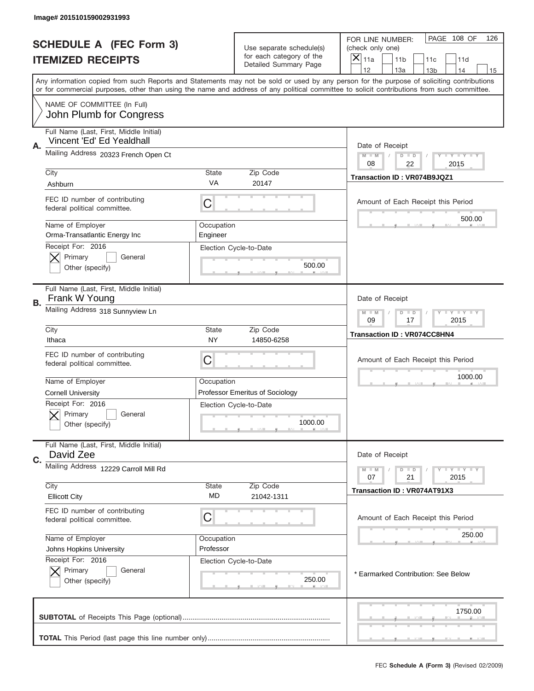|           | Image# 201510159002931993                                         |             |                                                                               |                                                                                                                                                                                       |
|-----------|-------------------------------------------------------------------|-------------|-------------------------------------------------------------------------------|---------------------------------------------------------------------------------------------------------------------------------------------------------------------------------------|
|           | <b>SCHEDULE A (FEC Form 3)</b><br><b>ITEMIZED RECEIPTS</b>        |             | Use separate schedule(s)<br>for each category of the<br>Detailed Summary Page | PAGE 108 OF<br>126<br>FOR LINE NUMBER:<br>(check only one)<br>×<br>11a<br>11 <sub>b</sub><br>11c<br>11d                                                                               |
|           |                                                                   |             |                                                                               | 12<br>13a<br>14<br>13 <sub>b</sub><br>15<br>Any information copied from such Reports and Statements may not be sold or used by any person for the purpose of soliciting contributions |
|           |                                                                   |             |                                                                               | or for commercial purposes, other than using the name and address of any political committee to solicit contributions from such committee.                                            |
|           | NAME OF COMMITTEE (In Full)<br>John Plumb for Congress            |             |                                                                               |                                                                                                                                                                                       |
|           | Full Name (Last, First, Middle Initial)                           |             |                                                                               |                                                                                                                                                                                       |
| Α.        | Vincent 'Ed' Ed Yealdhall<br>Mailing Address 20323 French Open Ct |             |                                                                               | Date of Receipt                                                                                                                                                                       |
|           |                                                                   |             |                                                                               | $M - M$<br><b>LYLYLY</b><br>$D$ $D$<br>08<br>22<br>2015                                                                                                                               |
|           | City<br>Ashburn                                                   | State<br>VA | Zip Code<br>20147                                                             | Transaction ID: VR074B9JQZ1                                                                                                                                                           |
|           | FEC ID number of contributing<br>federal political committee.     | C           |                                                                               | Amount of Each Receipt this Period                                                                                                                                                    |
|           | Name of Employer                                                  | Occupation  |                                                                               | 500.00                                                                                                                                                                                |
|           | Orma-Transatlantic Energy Inc<br>Receipt For: 2016                | Engineer    |                                                                               |                                                                                                                                                                                       |
|           | Primary<br>General                                                |             | Election Cycle-to-Date                                                        |                                                                                                                                                                                       |
|           | Other (specify)                                                   |             | 500.00                                                                        |                                                                                                                                                                                       |
| <b>B.</b> | Full Name (Last, First, Middle Initial)<br>Frank W Young          |             |                                                                               | Date of Receipt                                                                                                                                                                       |
|           | Mailing Address 318 Sunnyview Ln                                  |             | $M - M$<br>$D$ $D$<br><b>LYLYLY</b><br>09<br>17<br>2015                       |                                                                                                                                                                                       |
|           | City<br>Ithaca                                                    | State<br>NY | Zip Code<br>14850-6258                                                        | <b>Transaction ID: VR074CC8HN4</b>                                                                                                                                                    |
|           | FEC ID number of contributing<br>federal political committee.     | C           |                                                                               | Amount of Each Receipt this Period                                                                                                                                                    |
|           | Name of Employer                                                  | Occupation  |                                                                               | 1000.00                                                                                                                                                                               |
|           | <b>Cornell University</b>                                         |             | Professor Emeritus of Sociology                                               |                                                                                                                                                                                       |
|           | Receipt For: 2016<br>General<br>Primary<br>Other (specify)        |             | Election Cycle-to-Date<br>1000.00                                             |                                                                                                                                                                                       |
|           | Full Name (Last, First, Middle Initial)                           |             |                                                                               |                                                                                                                                                                                       |
| C.        | David Zee<br>Mailing Address 12229 Carroll Mill Rd                |             |                                                                               | Date of Receipt                                                                                                                                                                       |
|           |                                                                   |             |                                                                               | <b>LY LY LY</b><br>$M - M$<br>$D$ $D$<br>07<br>2015<br>21                                                                                                                             |
|           | City<br><b>Ellicott City</b>                                      | State<br>MD | Zip Code<br>21042-1311                                                        | Transaction ID: VR074AT91X3                                                                                                                                                           |
|           | FEC ID number of contributing<br>federal political committee.     | С           |                                                                               | Amount of Each Receipt this Period                                                                                                                                                    |
|           | Name of Employer                                                  | Occupation  |                                                                               | 250.00                                                                                                                                                                                |
|           | Johns Hopkins University<br>Receipt For: 2016                     | Professor   | Election Cycle-to-Date                                                        |                                                                                                                                                                                       |
|           | Primary<br>General<br>Other (specify)                             |             | 250.00                                                                        | * Earmarked Contribution: See Below                                                                                                                                                   |
|           |                                                                   |             |                                                                               | 1750.00                                                                                                                                                                               |
|           |                                                                   |             |                                                                               |                                                                                                                                                                                       |
|           |                                                                   |             |                                                                               | FEC Schedule A (Form 3) (Revised 02/2009)                                                                                                                                             |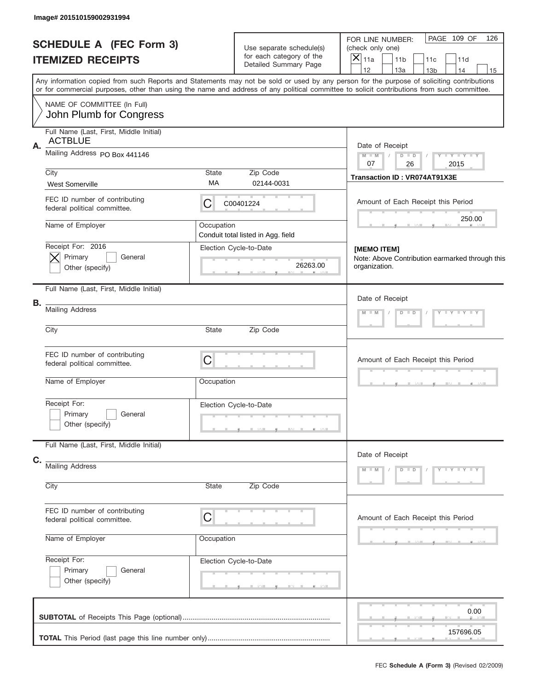|    | Image# 201510159002931994                                     |            |                                                              |                                                                                                                                                                                                                                                                                         |
|----|---------------------------------------------------------------|------------|--------------------------------------------------------------|-----------------------------------------------------------------------------------------------------------------------------------------------------------------------------------------------------------------------------------------------------------------------------------------|
|    | <b>SCHEDULE A (FEC Form 3)</b>                                |            | Use separate schedule(s)<br>for each category of the         | PAGE 109 OF<br>126<br>FOR LINE NUMBER:<br>(check only one)<br>$ \overline{\mathsf{x}} _{\text{11a}}$                                                                                                                                                                                    |
|    | <b>ITEMIZED RECEIPTS</b>                                      |            | Detailed Summary Page                                        | 11 <sub>b</sub><br>11c<br>11d<br>12<br>13a<br>14<br>13 <sub>b</sub><br>15                                                                                                                                                                                                               |
|    |                                                               |            |                                                              | Any information copied from such Reports and Statements may not be sold or used by any person for the purpose of soliciting contributions<br>or for commercial purposes, other than using the name and address of any political committee to solicit contributions from such committee. |
|    | NAME OF COMMITTEE (In Full)<br>John Plumb for Congress        |            |                                                              |                                                                                                                                                                                                                                                                                         |
|    | Full Name (Last, First, Middle Initial)                       |            |                                                              |                                                                                                                                                                                                                                                                                         |
| Α. | <b>ACTBLUE</b><br>Mailing Address PO Box 441146               |            |                                                              | Date of Receipt<br>$Y - Y - Y - Y - Y$<br>$M - M$<br>$D$ $D$                                                                                                                                                                                                                            |
|    | City                                                          | State      | Zip Code                                                     | 07<br>26<br>2015                                                                                                                                                                                                                                                                        |
|    | <b>West Somerville</b>                                        | МA         | 02144-0031                                                   | Transaction ID: VR074AT91X3E                                                                                                                                                                                                                                                            |
|    | FEC ID number of contributing<br>federal political committee. | C          | C00401224                                                    | Amount of Each Receipt this Period                                                                                                                                                                                                                                                      |
|    | Name of Employer                                              | Occupation |                                                              | 250.00                                                                                                                                                                                                                                                                                  |
|    | Receipt For: 2016                                             |            | Conduit total listed in Agg. field<br>Election Cycle-to-Date |                                                                                                                                                                                                                                                                                         |
|    | Primary<br>General<br>Other (specify)                         |            | 26263.00                                                     | [MEMO ITEM]<br>Note: Above Contribution earmarked through this<br>organization.                                                                                                                                                                                                         |
|    | Full Name (Last, First, Middle Initial)                       |            |                                                              | Date of Receipt                                                                                                                                                                                                                                                                         |
| В. | <b>Mailing Address</b>                                        |            |                                                              | Y LY LY LY<br>$M$ $M$<br>$D$ $D$                                                                                                                                                                                                                                                        |
|    | City                                                          | State      | Zip Code                                                     |                                                                                                                                                                                                                                                                                         |
|    | FEC ID number of contributing<br>federal political committee. | C          |                                                              | Amount of Each Receipt this Period                                                                                                                                                                                                                                                      |
|    | Name of Employer                                              | Occupation |                                                              |                                                                                                                                                                                                                                                                                         |
|    | Receipt For:<br>Primary<br>General<br>Other (specify)         |            | Election Cycle-to-Date                                       |                                                                                                                                                                                                                                                                                         |
|    | Full Name (Last, First, Middle Initial)                       |            |                                                              |                                                                                                                                                                                                                                                                                         |
| C. | <b>Mailing Address</b>                                        |            |                                                              | Date of Receipt                                                                                                                                                                                                                                                                         |
|    | City                                                          | State      | Zip Code                                                     | $D$ $D$<br>$Y - Y - Y - Y - Y$<br>$M - M$                                                                                                                                                                                                                                               |
|    |                                                               |            |                                                              |                                                                                                                                                                                                                                                                                         |
|    | FEC ID number of contributing<br>federal political committee. | C          |                                                              | Amount of Each Receipt this Period                                                                                                                                                                                                                                                      |
|    | Name of Employer                                              | Occupation |                                                              |                                                                                                                                                                                                                                                                                         |
|    | Receipt For:                                                  |            | Election Cycle-to-Date                                       |                                                                                                                                                                                                                                                                                         |
|    | Primary<br>General<br>Other (specify)                         |            |                                                              |                                                                                                                                                                                                                                                                                         |
|    |                                                               |            |                                                              | 0.00                                                                                                                                                                                                                                                                                    |
|    |                                                               |            |                                                              | 157696.05                                                                                                                                                                                                                                                                               |
|    |                                                               |            |                                                              | FEC Schedule A (Form 3) (Revised 02/2009)                                                                                                                                                                                                                                               |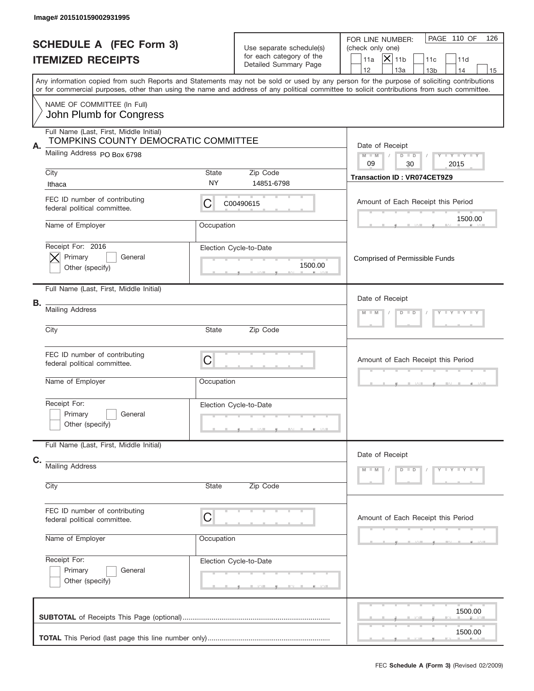|    | Image# 201510159002931995                                                                                      |             |                                                                               |                                                                                                                                                                                                                                                                                         |
|----|----------------------------------------------------------------------------------------------------------------|-------------|-------------------------------------------------------------------------------|-----------------------------------------------------------------------------------------------------------------------------------------------------------------------------------------------------------------------------------------------------------------------------------------|
|    | <b>SCHEDULE A (FEC Form 3)</b><br><b>ITEMIZED RECEIPTS</b>                                                     |             | Use separate schedule(s)<br>for each category of the<br>Detailed Summary Page | PAGE 110 OF<br>126<br>FOR LINE NUMBER:<br>(check only one)<br>$ \mathsf{X} _{\text{11b}}$<br>11a<br>11d<br>11c<br>12<br>13a<br>14<br>13 <sub>b</sub><br>15                                                                                                                              |
|    |                                                                                                                |             |                                                                               | Any information copied from such Reports and Statements may not be sold or used by any person for the purpose of soliciting contributions<br>or for commercial purposes, other than using the name and address of any political committee to solicit contributions from such committee. |
|    | NAME OF COMMITTEE (In Full)<br>John Plumb for Congress                                                         |             |                                                                               |                                                                                                                                                                                                                                                                                         |
| Α. | Full Name (Last, First, Middle Initial)<br>TOMPKINS COUNTY DEMOCRATIC COMMITTEE<br>Mailing Address PO Box 6798 |             |                                                                               | Date of Receipt<br>$M - M$<br>$Y - Y - Y - Y - Y$<br>$D$ $D$<br>09<br>30<br>2015                                                                                                                                                                                                        |
|    | City<br>Ithaca                                                                                                 | State<br>NY | Zip Code<br>14851-6798                                                        | <b>Transaction ID: VR074CET9Z9</b>                                                                                                                                                                                                                                                      |
|    | FEC ID number of contributing<br>federal political committee.                                                  | C           | C00490615                                                                     | Amount of Each Receipt this Period                                                                                                                                                                                                                                                      |
|    | Name of Employer                                                                                               | Occupation  |                                                                               | 1500.00                                                                                                                                                                                                                                                                                 |
|    | Receipt For: 2016<br>Primary<br>General<br>Other (specify)                                                     |             | Election Cycle-to-Date<br>1500.00                                             | <b>Comprised of Permissible Funds</b>                                                                                                                                                                                                                                                   |
| В. | Full Name (Last, First, Middle Initial)                                                                        |             |                                                                               | Date of Receipt                                                                                                                                                                                                                                                                         |
|    | <b>Mailing Address</b>                                                                                         |             |                                                                               | $Y = Y = Y + Y$<br>$M$ M<br>$D$ $D$                                                                                                                                                                                                                                                     |
|    | City                                                                                                           | State       | Zip Code                                                                      |                                                                                                                                                                                                                                                                                         |
|    | FEC ID number of contributing<br>federal political committee.                                                  | C           |                                                                               | Amount of Each Receipt this Period                                                                                                                                                                                                                                                      |
|    | Name of Employer                                                                                               | Occupation  |                                                                               |                                                                                                                                                                                                                                                                                         |
|    | Receipt For:<br>Primary<br>General<br>Other (specify)                                                          |             | Election Cycle-to-Date                                                        |                                                                                                                                                                                                                                                                                         |
|    | Full Name (Last, First, Middle Initial)                                                                        |             |                                                                               | Date of Receipt                                                                                                                                                                                                                                                                         |
| C. | <b>Mailing Address</b>                                                                                         |             |                                                                               | $D$ $D$<br>$Y - Y - Y - Y - Y$<br>$M - M$                                                                                                                                                                                                                                               |
|    | City                                                                                                           | State       | Zip Code                                                                      |                                                                                                                                                                                                                                                                                         |
|    | FEC ID number of contributing<br>federal political committee.                                                  | C           |                                                                               | Amount of Each Receipt this Period                                                                                                                                                                                                                                                      |
|    | Name of Employer                                                                                               | Occupation  |                                                                               |                                                                                                                                                                                                                                                                                         |
|    | Receipt For:<br>Primary<br>General<br>Other (specify)                                                          |             | Election Cycle-to-Date                                                        |                                                                                                                                                                                                                                                                                         |
|    |                                                                                                                |             |                                                                               | 1500.00<br>1500.00                                                                                                                                                                                                                                                                      |
|    |                                                                                                                |             |                                                                               |                                                                                                                                                                                                                                                                                         |
|    |                                                                                                                |             |                                                                               | FEC Schedule A (Form 3) (Revised 02/2009)                                                                                                                                                                                                                                               |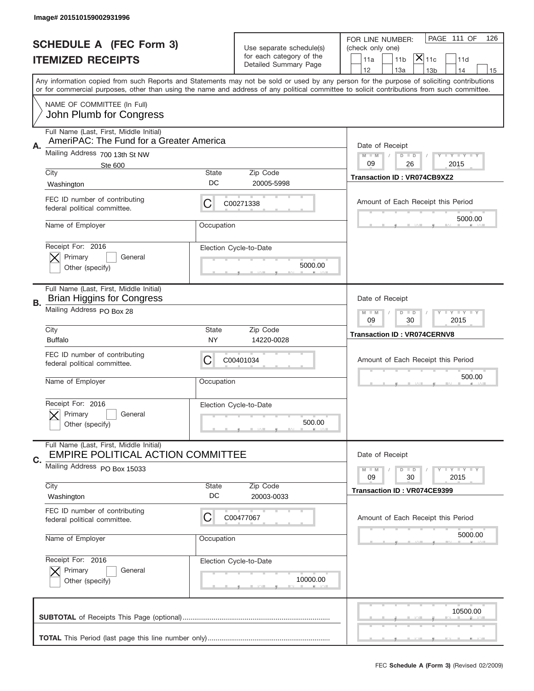|    | Image# 201510159002931996                                                           |                    |                                                      |                                                                                                                                                                                                                                                                                         |
|----|-------------------------------------------------------------------------------------|--------------------|------------------------------------------------------|-----------------------------------------------------------------------------------------------------------------------------------------------------------------------------------------------------------------------------------------------------------------------------------------|
|    |                                                                                     |                    |                                                      | PAGE 111 OF<br>126<br>FOR LINE NUMBER:                                                                                                                                                                                                                                                  |
|    | <b>SCHEDULE A (FEC Form 3)</b>                                                      |                    | Use separate schedule(s)<br>for each category of the | (check only one)<br>$ \mathsf{X} _{\mathsf{11c}}$                                                                                                                                                                                                                                       |
|    | <b>ITEMIZED RECEIPTS</b>                                                            |                    | Detailed Summary Page                                | 11 <sub>b</sub><br>11d<br>11a<br>12<br>13a<br>13 <sub>b</sub><br>14<br>15                                                                                                                                                                                                               |
|    |                                                                                     |                    |                                                      | Any information copied from such Reports and Statements may not be sold or used by any person for the purpose of soliciting contributions<br>or for commercial purposes, other than using the name and address of any political committee to solicit contributions from such committee. |
|    | NAME OF COMMITTEE (In Full)<br>John Plumb for Congress                              |                    |                                                      |                                                                                                                                                                                                                                                                                         |
| Α. | Full Name (Last, First, Middle Initial)<br>AmeriPAC: The Fund for a Greater America |                    |                                                      | Date of Receipt                                                                                                                                                                                                                                                                         |
|    | Mailing Address 700 13th St NW<br>Ste 600                                           |                    |                                                      | Y I Y I Y I Y<br>$M - M$<br>$D$ $D$<br>09<br>26<br>2015                                                                                                                                                                                                                                 |
|    | City<br>Washington                                                                  | State<br>DC        | Zip Code<br>20005-5998                               | <b>Transaction ID: VR074CB9XZ2</b>                                                                                                                                                                                                                                                      |
|    | FEC ID number of contributing<br>federal political committee.                       | С                  | C00271338                                            | Amount of Each Receipt this Period<br>5000.00                                                                                                                                                                                                                                           |
|    | Name of Employer                                                                    | Occupation         |                                                      |                                                                                                                                                                                                                                                                                         |
|    | Receipt For: 2016<br>Primary<br>General<br>Other (specify)                          |                    | Election Cycle-to-Date<br>5000.00                    |                                                                                                                                                                                                                                                                                         |
| В. | Full Name (Last, First, Middle Initial)<br><b>Brian Higgins for Congress</b>        |                    |                                                      | Date of Receipt                                                                                                                                                                                                                                                                         |
|    | Mailing Address PO Box 28                                                           |                    |                                                      | <b>LY LY LY</b><br>$M - M$<br>$D$ $D$<br>09<br>30<br>2015                                                                                                                                                                                                                               |
|    | City<br><b>Buffalo</b>                                                              | State<br>NY        | Zip Code<br>14220-0028                               | <b>Transaction ID: VR074CERNV8</b>                                                                                                                                                                                                                                                      |
|    | FEC ID number of contributing<br>federal political committee.                       | С                  | C00401034                                            | Amount of Each Receipt this Period                                                                                                                                                                                                                                                      |
|    | Name of Employer                                                                    | Occupation         |                                                      | 500.00                                                                                                                                                                                                                                                                                  |
|    | Receipt For: 2016                                                                   |                    | Election Cycle-to-Date                               |                                                                                                                                                                                                                                                                                         |
|    | Primary<br>General<br>Other (specify)                                               |                    | 500.00                                               |                                                                                                                                                                                                                                                                                         |
|    | Full Name (Last, First, Middle Initial)<br><b>EMPIRE POLITICAL ACTION COMMITTEE</b> |                    |                                                      | Date of Receipt                                                                                                                                                                                                                                                                         |
| C. | Mailing Address PO Box 15033                                                        |                    |                                                      | <b>LYLYLY</b><br>$M - M$<br>$D$ $D$<br>09<br>30<br>2015                                                                                                                                                                                                                                 |
|    | City<br>Washington                                                                  | <b>State</b><br>DC | Zip Code<br>20003-0033                               | Transaction ID: VR074CE9399                                                                                                                                                                                                                                                             |
|    | FEC ID number of contributing<br>federal political committee.                       | C                  | C00477067                                            | Amount of Each Receipt this Period                                                                                                                                                                                                                                                      |
|    | Name of Employer                                                                    | Occupation         |                                                      | 5000.00                                                                                                                                                                                                                                                                                 |
|    | Receipt For: 2016<br>Primary<br>General<br>Other (specify)                          |                    | Election Cycle-to-Date<br>10000.00                   |                                                                                                                                                                                                                                                                                         |
|    |                                                                                     |                    |                                                      | 10500.00                                                                                                                                                                                                                                                                                |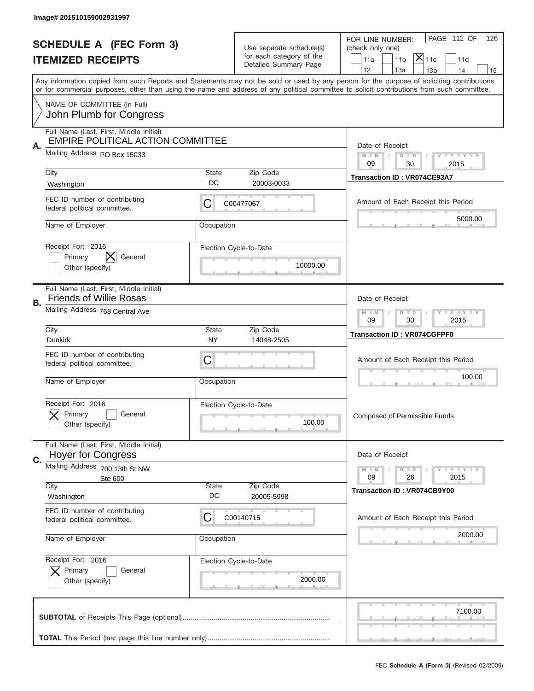|    | Image# 201510159002931997                                                   |            |                                                                               |                                                                                                                                                                                                                                                                                                                                     |
|----|-----------------------------------------------------------------------------|------------|-------------------------------------------------------------------------------|-------------------------------------------------------------------------------------------------------------------------------------------------------------------------------------------------------------------------------------------------------------------------------------------------------------------------------------|
|    | <b>SCHEDULE A (FEC Form 3)</b><br><b>ITEMIZED RECEIPTS</b>                  |            | Use separate schedule(s)<br>for each category of the<br>Detailed Summary Page | PAGE 112 OF<br>126<br>FOR LINE NUMBER:<br>(check only one)<br>$ \mathsf{\overline{X}} _{\mathsf{11c}}$<br>11 <sub>b</sub><br>11d<br>11a                                                                                                                                                                                             |
|    |                                                                             |            |                                                                               | 12<br>13a<br>13 <sub>b</sub><br>14<br>15<br>Any information copied from such Reports and Statements may not be sold or used by any person for the purpose of soliciting contributions<br>or for commercial purposes, other than using the name and address of any political committee to solicit contributions from such committee. |
|    | NAME OF COMMITTEE (In Full)<br>John Plumb for Congress                      |            |                                                                               |                                                                                                                                                                                                                                                                                                                                     |
|    | Full Name (Last, First, Middle Initial)                                     |            |                                                                               |                                                                                                                                                                                                                                                                                                                                     |
| А. | <b>EMPIRE POLITICAL ACTION COMMITTEE</b><br>Mailing Address PO Box 15033    |            |                                                                               | Date of Receipt<br>$M$ M<br>Y I Y I Y I Y<br>$D$ $D$<br>09<br>30<br>2015                                                                                                                                                                                                                                                            |
|    | City                                                                        | State      | Zip Code                                                                      | Transaction ID: VR074CE93A7                                                                                                                                                                                                                                                                                                         |
|    | Washington                                                                  | DC         | 20003-0033                                                                    |                                                                                                                                                                                                                                                                                                                                     |
|    | FEC ID number of contributing<br>federal political committee.               | C          | C00477067                                                                     | Amount of Each Receipt this Period<br>5000.00                                                                                                                                                                                                                                                                                       |
|    | Name of Employer                                                            | Occupation |                                                                               |                                                                                                                                                                                                                                                                                                                                     |
|    | Receipt For: 2016<br>$\bm{\times}$<br>Primary<br>General<br>Other (specify) |            | Election Cycle-to-Date<br>10000.00                                            |                                                                                                                                                                                                                                                                                                                                     |
| В. | Full Name (Last, First, Middle Initial)<br><b>Friends of Willie Rosas</b>   |            |                                                                               | Date of Receipt                                                                                                                                                                                                                                                                                                                     |
|    | Mailing Address 768 Central Ave<br>City                                     | State      | Zip Code                                                                      | $T$ $Y$ $T$ $Y$ $T$ $Y$<br>$M$ $M$<br>$D$ $D$<br>09<br>30<br>2015                                                                                                                                                                                                                                                                   |
|    | <b>Dunkirk</b>                                                              | <b>NY</b>  | 14048-2505                                                                    | <b>Transaction ID: VR074CGFPF0</b>                                                                                                                                                                                                                                                                                                  |
|    | FEC ID number of contributing<br>federal political committee.               | C          |                                                                               | Amount of Each Receipt this Period                                                                                                                                                                                                                                                                                                  |
|    | Name of Employer                                                            | Occupation |                                                                               | 100.00                                                                                                                                                                                                                                                                                                                              |
|    | Receipt For: 2016<br>General<br>Primary<br>Other (specify)                  |            | Election Cycle-to-Date<br>100.00                                              | <b>Comprised of Permissible Funds</b>                                                                                                                                                                                                                                                                                               |
|    | Full Name (Last, First, Middle Initial)<br><b>Hoyer for Congress</b>        |            |                                                                               | Date of Receipt                                                                                                                                                                                                                                                                                                                     |
| C. | Mailing Address 700 13th St NW                                              |            |                                                                               | Y TY TY TY<br>$M - M$<br>$D$ $D$                                                                                                                                                                                                                                                                                                    |
|    | Ste 600<br>City                                                             | State      | Zip Code                                                                      | 09<br>26<br>2015                                                                                                                                                                                                                                                                                                                    |
|    | Washington                                                                  | DC         | 20005-5998                                                                    | <b>Transaction ID: VR074CB9Y00</b>                                                                                                                                                                                                                                                                                                  |
|    | FEC ID number of contributing<br>federal political committee.               | C          | C00140715                                                                     | Amount of Each Receipt this Period                                                                                                                                                                                                                                                                                                  |
|    | Name of Employer                                                            | Occupation |                                                                               | 2000.00                                                                                                                                                                                                                                                                                                                             |
|    | Receipt For: 2016                                                           |            | Election Cycle-to-Date                                                        |                                                                                                                                                                                                                                                                                                                                     |
|    | Primary<br>General<br>Other (specify)                                       |            | 2000.00                                                                       |                                                                                                                                                                                                                                                                                                                                     |
|    |                                                                             |            |                                                                               | 7100.00                                                                                                                                                                                                                                                                                                                             |
|    |                                                                             |            |                                                                               |                                                                                                                                                                                                                                                                                                                                     |
|    |                                                                             |            |                                                                               | FEC Schedule A (Form 3) (Revised 02/2009)                                                                                                                                                                                                                                                                                           |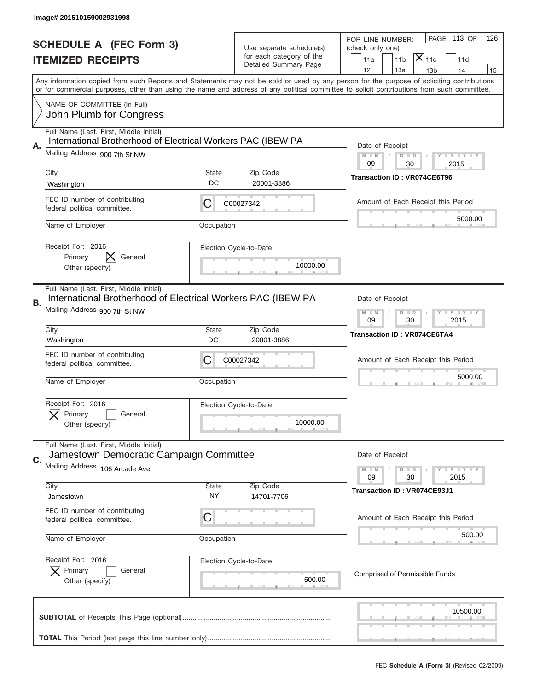|           | Image# 201510159002931998                                                                               |                    |                                                                               |                                                                                                                                                                                       |
|-----------|---------------------------------------------------------------------------------------------------------|--------------------|-------------------------------------------------------------------------------|---------------------------------------------------------------------------------------------------------------------------------------------------------------------------------------|
|           | <b>SCHEDULE A (FEC Form 3)</b><br><b>ITEMIZED RECEIPTS</b>                                              |                    | Use separate schedule(s)<br>for each category of the<br>Detailed Summary Page | PAGE 113 OF<br>126<br>FOR LINE NUMBER:<br>(check only one)<br>$ \mathsf{X} _{\mathsf{11c}}$<br>11 <sub>b</sub><br>11d<br>11a                                                          |
|           |                                                                                                         |                    |                                                                               | 12<br>13a<br>14<br>13 <sub>b</sub><br>15<br>Any information copied from such Reports and Statements may not be sold or used by any person for the purpose of soliciting contributions |
|           | NAME OF COMMITTEE (In Full)<br>John Plumb for Congress                                                  |                    |                                                                               | or for commercial purposes, other than using the name and address of any political committee to solicit contributions from such committee.                                            |
|           | Full Name (Last, First, Middle Initial)                                                                 |                    |                                                                               |                                                                                                                                                                                       |
| Α.        | International Brotherhood of Electrical Workers PAC (IBEW PA<br>Mailing Address 900 7th St NW           |                    |                                                                               | Date of Receipt<br>$M$ $M$<br><b>TEY LY LY</b><br>$D$ $D$<br>09<br>30<br>2015                                                                                                         |
|           | City                                                                                                    | State<br>DC        | Zip Code                                                                      | <b>Transaction ID: VR074CE6T96</b>                                                                                                                                                    |
|           | Washington                                                                                              |                    | 20001-3886                                                                    |                                                                                                                                                                                       |
|           | FEC ID number of contributing<br>federal political committee.                                           | С                  | C00027342                                                                     | Amount of Each Receipt this Period<br>5000.00                                                                                                                                         |
|           | Name of Employer                                                                                        | Occupation         |                                                                               |                                                                                                                                                                                       |
|           | Receipt For: 2016                                                                                       |                    | Election Cycle-to-Date                                                        |                                                                                                                                                                                       |
|           | X.<br>Primary<br>General<br>Other (specify)                                                             |                    | 10000.00                                                                      |                                                                                                                                                                                       |
|           |                                                                                                         |                    |                                                                               |                                                                                                                                                                                       |
| <b>B.</b> | Full Name (Last, First, Middle Initial)<br>International Brotherhood of Electrical Workers PAC (IBEW PA |                    |                                                                               | Date of Receipt                                                                                                                                                                       |
|           | Mailing Address 900 7th St NW                                                                           |                    |                                                                               | <b>LY LY LY</b><br>$M - M$<br>$D$ $D$<br>09<br>30<br>2015                                                                                                                             |
|           | City<br>Washington                                                                                      | <b>State</b><br>DC | Zip Code<br>20001-3886                                                        | <b>Transaction ID: VR074CE6TA4</b>                                                                                                                                                    |
|           | FEC ID number of contributing<br>federal political committee.                                           | C                  | C00027342                                                                     | Amount of Each Receipt this Period                                                                                                                                                    |
|           | Name of Employer                                                                                        | Occupation         |                                                                               | 5000.00                                                                                                                                                                               |
|           | Receipt For: 2016<br>General<br>Primary<br>Other (specify)                                              |                    | Election Cycle-to-Date<br>10000.00                                            |                                                                                                                                                                                       |
|           | Full Name (Last, First, Middle Initial)<br>Jamestown Democratic Campaign Committee                      |                    |                                                                               | Date of Receipt                                                                                                                                                                       |
| C.        | Mailing Address 106 Arcade Ave                                                                          |                    |                                                                               | <b>LEY LEY LEY</b><br>$M - M$<br>$D$ $D$                                                                                                                                              |
|           | City                                                                                                    | <b>State</b>       | Zip Code                                                                      | 09<br>30<br>2015                                                                                                                                                                      |
|           | Jamestown                                                                                               | ΝY                 | 14701-7706                                                                    | Transaction ID: VR074CE93J1                                                                                                                                                           |
|           | FEC ID number of contributing<br>federal political committee.                                           | C                  |                                                                               | Amount of Each Receipt this Period                                                                                                                                                    |
|           | Name of Employer                                                                                        | Occupation         |                                                                               | 500.00                                                                                                                                                                                |
|           | Receipt For: 2016                                                                                       |                    | Election Cycle-to-Date                                                        |                                                                                                                                                                                       |
|           | Primary<br>General<br>Other (specify)                                                                   |                    | 500.00                                                                        | Comprised of Permissible Funds                                                                                                                                                        |
|           |                                                                                                         |                    |                                                                               | 10500.00                                                                                                                                                                              |
|           |                                                                                                         |                    |                                                                               | FEC Schedule A (Form 3) (Revised 02/2009)                                                                                                                                             |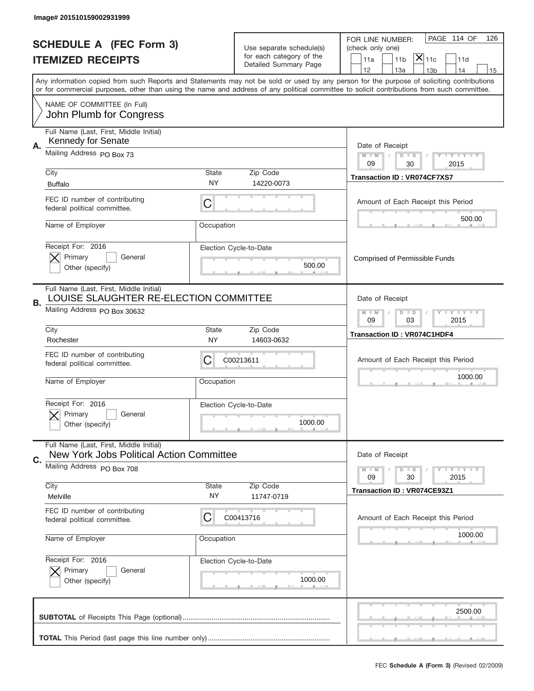|    | Image# 201510159002931999                                                                                         |                    |                                                                               |                                                                                                                                                                                                                                                                                                                               |
|----|-------------------------------------------------------------------------------------------------------------------|--------------------|-------------------------------------------------------------------------------|-------------------------------------------------------------------------------------------------------------------------------------------------------------------------------------------------------------------------------------------------------------------------------------------------------------------------------|
|    | <b>SCHEDULE A (FEC Form 3)</b><br><b>ITEMIZED RECEIPTS</b>                                                        |                    | Use separate schedule(s)<br>for each category of the<br>Detailed Summary Page | PAGE 114 OF<br>126<br>FOR LINE NUMBER:<br>(check only one)<br>$ \overline{\mathsf{X}} _{\mathsf{11c}}$<br>11 <sub>b</sub><br>11d<br>11a<br>14                                                                                                                                                                                 |
|    |                                                                                                                   |                    |                                                                               | 12<br>13a<br>13 <sub>b</sub><br>15<br>Any information copied from such Reports and Statements may not be sold or used by any person for the purpose of soliciting contributions<br>or for commercial purposes, other than using the name and address of any political committee to solicit contributions from such committee. |
|    | NAME OF COMMITTEE (In Full)<br>John Plumb for Congress                                                            |                    |                                                                               |                                                                                                                                                                                                                                                                                                                               |
|    | Full Name (Last, First, Middle Initial)                                                                           |                    |                                                                               |                                                                                                                                                                                                                                                                                                                               |
| Α. | Kennedy for Senate<br>Mailing Address PO Box 73                                                                   |                    |                                                                               | Date of Receipt<br>$M - M$<br><b>LYLYLY</b><br>$D$ $D$<br>09<br>30<br>2015                                                                                                                                                                                                                                                    |
|    | City<br><b>Buffalo</b>                                                                                            | State<br><b>NY</b> | Zip Code<br>14220-0073                                                        | Transaction ID: VR074CF7XS7                                                                                                                                                                                                                                                                                                   |
|    | FEC ID number of contributing<br>federal political committee.                                                     | C                  |                                                                               | Amount of Each Receipt this Period                                                                                                                                                                                                                                                                                            |
|    | Name of Employer                                                                                                  | Occupation         |                                                                               | 500.00                                                                                                                                                                                                                                                                                                                        |
|    | Receipt For: 2016<br>Primary<br>General<br>Other (specify)                                                        |                    | Election Cycle-to-Date<br>500.00                                              | <b>Comprised of Permissible Funds</b>                                                                                                                                                                                                                                                                                         |
| В. | Full Name (Last, First, Middle Initial)<br>LOUISE SLAUGHTER RE-ELECTION COMMITTEE<br>Mailing Address PO Box 30632 |                    |                                                                               | Date of Receipt                                                                                                                                                                                                                                                                                                               |
|    | City                                                                                                              | State              | Zip Code                                                                      | $M - M$<br>$D$ $D$<br><b>LYLYLY</b><br>09<br>03<br>2015                                                                                                                                                                                                                                                                       |
|    | Rochester                                                                                                         | NY.                | 14603-0632                                                                    | <b>Transaction ID: VR074C1HDF4</b>                                                                                                                                                                                                                                                                                            |
|    | FEC ID number of contributing<br>federal political committee.                                                     | C                  | C00213611                                                                     | Amount of Each Receipt this Period                                                                                                                                                                                                                                                                                            |
|    | Name of Employer                                                                                                  | Occupation         |                                                                               | 1000.00                                                                                                                                                                                                                                                                                                                       |
|    | Receipt For: 2016<br>Primary<br>General<br>Other (specify)                                                        |                    | Election Cycle-to-Date<br>1000.00                                             |                                                                                                                                                                                                                                                                                                                               |
|    | Full Name (Last, First, Middle Initial)                                                                           |                    |                                                                               |                                                                                                                                                                                                                                                                                                                               |
| C. | New York Jobs Political Action Committee<br>Mailing Address PO Box 708                                            |                    |                                                                               | Date of Receipt                                                                                                                                                                                                                                                                                                               |
|    | City                                                                                                              | <b>State</b>       | Zip Code                                                                      | <b>LEY LEY LEY</b><br>$M - M$<br>$D$ $D$<br>09<br>2015<br>30<br><b>Transaction ID: VR074CE93Z1</b>                                                                                                                                                                                                                            |
|    | Melville                                                                                                          | NY.                | 11747-0719                                                                    |                                                                                                                                                                                                                                                                                                                               |
|    | FEC ID number of contributing<br>federal political committee.                                                     | C                  | C00413716                                                                     | Amount of Each Receipt this Period                                                                                                                                                                                                                                                                                            |
|    | Name of Employer                                                                                                  | Occupation         |                                                                               | 1000.00                                                                                                                                                                                                                                                                                                                       |
|    | Receipt For: 2016<br>Primary<br>General                                                                           |                    | Election Cycle-to-Date                                                        |                                                                                                                                                                                                                                                                                                                               |
|    | Other (specify)                                                                                                   |                    | 1000.00                                                                       |                                                                                                                                                                                                                                                                                                                               |
|    |                                                                                                                   |                    |                                                                               | 2500.00                                                                                                                                                                                                                                                                                                                       |
|    |                                                                                                                   |                    |                                                                               | FEC Schedule A (Form 3) (Revised 02/2009)                                                                                                                                                                                                                                                                                     |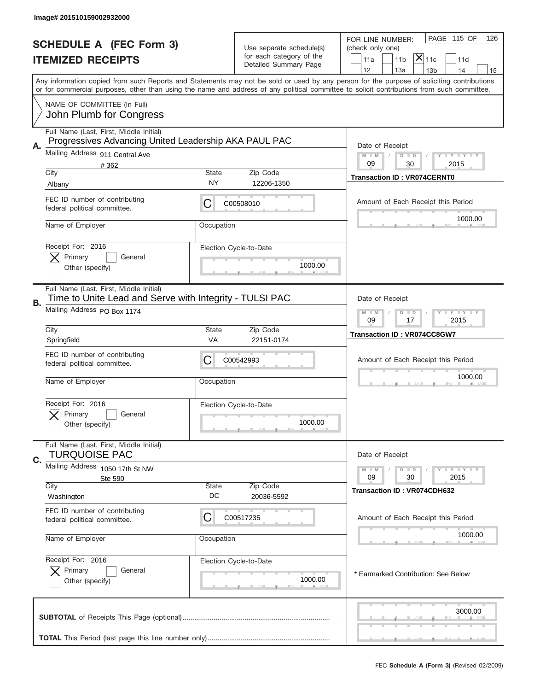| Image# 201510159002932000                                                                                                                  |                    |                                                                               |                                                                                                                                                                                       |
|--------------------------------------------------------------------------------------------------------------------------------------------|--------------------|-------------------------------------------------------------------------------|---------------------------------------------------------------------------------------------------------------------------------------------------------------------------------------|
| <b>SCHEDULE A (FEC Form 3)</b><br><b>ITEMIZED RECEIPTS</b>                                                                                 |                    | Use separate schedule(s)<br>for each category of the<br>Detailed Summary Page | PAGE 115 OF<br>126<br>FOR LINE NUMBER:<br>(check only one)<br>$ \mathsf{X} _{\mathsf{11c}}$<br>11 <sub>b</sub><br>11d<br>11a                                                          |
| or for commercial purposes, other than using the name and address of any political committee to solicit contributions from such committee. |                    |                                                                               | 12<br>13a<br>14<br>13 <sub>b</sub><br>15<br>Any information copied from such Reports and Statements may not be sold or used by any person for the purpose of soliciting contributions |
| NAME OF COMMITTEE (In Full)<br>John Plumb for Congress                                                                                     |                    |                                                                               |                                                                                                                                                                                       |
| Full Name (Last, First, Middle Initial)                                                                                                    |                    |                                                                               |                                                                                                                                                                                       |
| Progressives Advancing United Leadership AKA PAUL PAC<br>А.<br>Mailing Address 911 Central Ave                                             |                    |                                                                               | Date of Receipt<br>$M$ $M$<br><b>THEY THEY</b><br>$D$ $D$                                                                                                                             |
| #362<br>City                                                                                                                               | State              | Zip Code                                                                      | 09<br>30<br>2015                                                                                                                                                                      |
| Albany                                                                                                                                     | NY                 | 12206-1350                                                                    | <b>Transaction ID: VR074CERNT0</b>                                                                                                                                                    |
| FEC ID number of contributing<br>federal political committee.                                                                              | C                  | C00508010                                                                     | Amount of Each Receipt this Period                                                                                                                                                    |
| Name of Employer                                                                                                                           | Occupation         |                                                                               | 1000.00                                                                                                                                                                               |
| Receipt For: 2016                                                                                                                          |                    | Election Cycle-to-Date                                                        |                                                                                                                                                                                       |
| Primary<br>General                                                                                                                         |                    |                                                                               |                                                                                                                                                                                       |
| Other (specify)                                                                                                                            |                    | 1000.00                                                                       |                                                                                                                                                                                       |
| Full Name (Last, First, Middle Initial)<br>Time to Unite Lead and Serve with Integrity - TULSI PAC<br><b>B.</b>                            |                    |                                                                               | Date of Receipt                                                                                                                                                                       |
| Mailing Address PO Box 1174                                                                                                                |                    |                                                                               | <b>LY LY LY</b><br>$M - M$<br>$D$ $D$<br>09<br>17<br>2015                                                                                                                             |
| City<br>Springfield                                                                                                                        | <b>State</b><br>VA | Zip Code<br>22151-0174                                                        | <b>Transaction ID: VR074CC8GW7</b>                                                                                                                                                    |
| FEC ID number of contributing<br>federal political committee.                                                                              | C                  | C00542993                                                                     | Amount of Each Receipt this Period                                                                                                                                                    |
| Name of Employer                                                                                                                           | Occupation         |                                                                               | 1000.00                                                                                                                                                                               |
| Receipt For: 2016<br>General<br>Primary<br>Other (specify)                                                                                 |                    | Election Cycle-to-Date<br>1000.00                                             |                                                                                                                                                                                       |
| Full Name (Last, First, Middle Initial)<br><b>TURQUOISE PAC</b>                                                                            |                    |                                                                               | Date of Receipt                                                                                                                                                                       |
| C.<br>Mailing Address 1050 17th St NW                                                                                                      |                    |                                                                               | <b>LYLYLY</b><br>$M - M$<br>$D$ $D$                                                                                                                                                   |
| Ste 590<br>City                                                                                                                            | State              | Zip Code                                                                      | 09<br>30<br>2015                                                                                                                                                                      |
| Washington                                                                                                                                 | DC                 | 20036-5592                                                                    | <b>Transaction ID: VR074CDH632</b>                                                                                                                                                    |
| FEC ID number of contributing<br>federal political committee.                                                                              | С                  | C00517235                                                                     | Amount of Each Receipt this Period                                                                                                                                                    |
| Name of Employer                                                                                                                           | Occupation         |                                                                               | 1000.00                                                                                                                                                                               |
| Receipt For: 2016                                                                                                                          |                    | Election Cycle-to-Date                                                        |                                                                                                                                                                                       |
| Primary<br>General<br>Other (specify)                                                                                                      |                    | 1000.00                                                                       | * Earmarked Contribution: See Below                                                                                                                                                   |
|                                                                                                                                            |                    |                                                                               | 3000.00                                                                                                                                                                               |
|                                                                                                                                            |                    |                                                                               | FEC Schedule A (Form 3) (Revised 02/2009)                                                                                                                                             |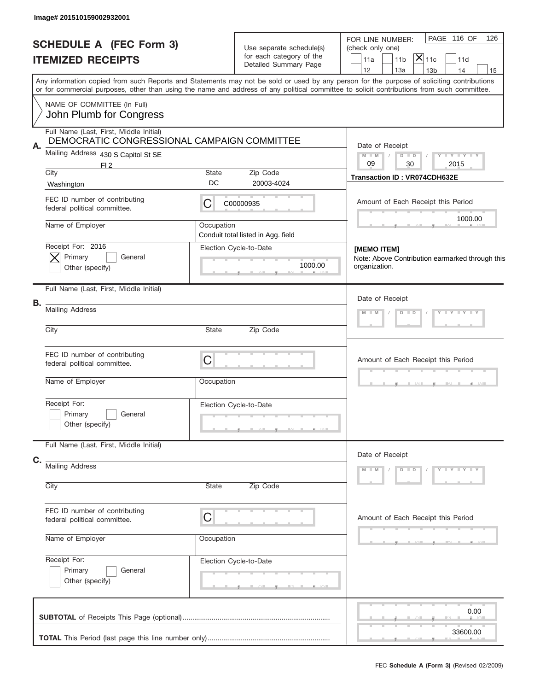|      | Image# 201510159002932001                                                              |            |                                                                               |                                                                                                                                                                                       |
|------|----------------------------------------------------------------------------------------|------------|-------------------------------------------------------------------------------|---------------------------------------------------------------------------------------------------------------------------------------------------------------------------------------|
|      | <b>SCHEDULE A (FEC Form 3)</b><br><b>ITEMIZED RECEIPTS</b>                             |            | Use separate schedule(s)<br>for each category of the<br>Detailed Summary Page | PAGE 116 OF<br>126<br>FOR LINE NUMBER:<br>(check only one)<br>$ \mathsf{\overline{X}} _{\mathsf{11c}}$<br>11a<br>11 <sub>b</sub><br>11d                                               |
|      |                                                                                        |            |                                                                               | 12<br>13a<br>13 <sub>b</sub><br>14<br>15<br>Any information copied from such Reports and Statements may not be sold or used by any person for the purpose of soliciting contributions |
|      | NAME OF COMMITTEE (In Full)                                                            |            |                                                                               | or for commercial purposes, other than using the name and address of any political committee to solicit contributions from such committee.                                            |
|      | John Plumb for Congress                                                                |            |                                                                               |                                                                                                                                                                                       |
|      | Full Name (Last, First, Middle Initial)<br>DEMOCRATIC CONGRESSIONAL CAMPAIGN COMMITTEE |            |                                                                               |                                                                                                                                                                                       |
| Α.   | Mailing Address 430 S Capitol St SE                                                    |            |                                                                               | Date of Receipt<br>Y LY LY LY<br>$M$ M<br>$D$ $D$                                                                                                                                     |
| City | FI <sub>2</sub>                                                                        | State      | Zip Code                                                                      | 09<br>30<br>2015<br><b>Transaction ID: VR074CDH632E</b>                                                                                                                               |
|      | Washington                                                                             | DC         | 20003-4024                                                                    |                                                                                                                                                                                       |
|      | FEC ID number of contributing<br>federal political committee.                          | C          | C00000935                                                                     | Amount of Each Receipt this Period<br>1000.00                                                                                                                                         |
|      | Name of Employer                                                                       | Occupation | Conduit total listed in Agg. field                                            |                                                                                                                                                                                       |
|      | Receipt For: 2016                                                                      |            | Election Cycle-to-Date                                                        | [MEMO ITEM]                                                                                                                                                                           |
|      | Primary<br>General<br>Other (specify)                                                  |            | 1000.00                                                                       | Note: Above Contribution earmarked through this<br>organization.                                                                                                                      |
|      | Full Name (Last, First, Middle Initial)                                                |            |                                                                               |                                                                                                                                                                                       |
| В.   |                                                                                        |            |                                                                               | Date of Receipt                                                                                                                                                                       |
|      | <b>Mailing Address</b>                                                                 |            |                                                                               | $Y = Y = Y + Y$<br>$M$ M<br>$D$ $D$                                                                                                                                                   |
| City |                                                                                        | State      | Zip Code                                                                      |                                                                                                                                                                                       |
|      | FEC ID number of contributing<br>federal political committee.                          | C          |                                                                               | Amount of Each Receipt this Period                                                                                                                                                    |
|      | Name of Employer                                                                       | Occupation |                                                                               |                                                                                                                                                                                       |
|      | Receipt For:<br>Primary<br>General<br>Other (specify)                                  |            | Election Cycle-to-Date                                                        |                                                                                                                                                                                       |
|      | Full Name (Last, First, Middle Initial)                                                |            |                                                                               |                                                                                                                                                                                       |
| C.   | <b>Mailing Address</b>                                                                 |            |                                                                               | Date of Receipt<br>$D$ $D$<br>Y TY TY TY<br>$M - M$                                                                                                                                   |
| City |                                                                                        | State      | Zip Code                                                                      |                                                                                                                                                                                       |
|      | FEC ID number of contributing<br>federal political committee.                          | C          |                                                                               | Amount of Each Receipt this Period                                                                                                                                                    |
|      | Name of Employer                                                                       | Occupation |                                                                               |                                                                                                                                                                                       |
|      | Receipt For:                                                                           |            | Election Cycle-to-Date                                                        |                                                                                                                                                                                       |
|      | Primary<br>General<br>Other (specify)                                                  |            |                                                                               |                                                                                                                                                                                       |
|      |                                                                                        |            |                                                                               | 0.00                                                                                                                                                                                  |
|      |                                                                                        |            |                                                                               | 33600.00                                                                                                                                                                              |
|      |                                                                                        |            |                                                                               | FEC Schedule A (Form 3) (Revised 02/2009)                                                                                                                                             |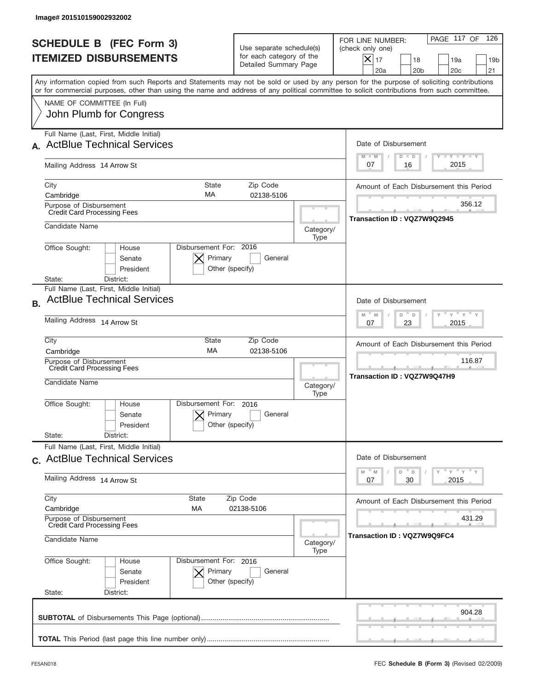| Image# 201510159002932002                                                                      |                                                         |                                                                               |                                                                                                                                                                                                                                                                                         |
|------------------------------------------------------------------------------------------------|---------------------------------------------------------|-------------------------------------------------------------------------------|-----------------------------------------------------------------------------------------------------------------------------------------------------------------------------------------------------------------------------------------------------------------------------------------|
| <b>SCHEDULE B (FEC Form 3)</b><br><b>ITEMIZED DISBURSEMENTS</b>                                |                                                         | Use separate schedule(s)<br>for each category of the<br>Detailed Summary Page | PAGE 117 OF<br>126<br>FOR LINE NUMBER:<br>(check only one)<br>$ \mathsf{X} _{17}$<br>18<br>19a<br>19 <sub>b</sub><br>20a<br>20 <sub>b</sub><br>20 <sub>c</sub><br>21                                                                                                                    |
|                                                                                                |                                                         |                                                                               | Any information copied from such Reports and Statements may not be sold or used by any person for the purpose of soliciting contributions<br>or for commercial purposes, other than using the name and address of any political committee to solicit contributions from such committee. |
| NAME OF COMMITTEE (In Full)<br>John Plumb for Congress                                         |                                                         |                                                                               |                                                                                                                                                                                                                                                                                         |
| Full Name (Last, First, Middle Initial)<br><b>ActBlue Technical Services</b>                   |                                                         |                                                                               | Date of Disbursement<br>Y TY TY TY                                                                                                                                                                                                                                                      |
| Mailing Address 14 Arrow St                                                                    |                                                         |                                                                               | $M - M$<br>$D$ $D$<br>2015<br>07<br>16                                                                                                                                                                                                                                                  |
| City<br>Cambridge                                                                              | <b>State</b><br>Zip Code<br>MA                          | 02138-5106                                                                    | Amount of Each Disbursement this Period                                                                                                                                                                                                                                                 |
| Purpose of Disbursement<br><b>Credit Card Processing Fees</b>                                  |                                                         |                                                                               | 356.12<br>Transaction ID: VQZ7W9Q2945                                                                                                                                                                                                                                                   |
| Candidate Name                                                                                 |                                                         | Category/<br>Type                                                             |                                                                                                                                                                                                                                                                                         |
| Office Sought:<br>House<br>Senate<br>President<br>District:<br>State:                          | Disbursement For: 2016<br>Primary<br>Other (specify)    | General                                                                       |                                                                                                                                                                                                                                                                                         |
| Full Name (Last, First, Middle Initial)<br><b>ActBlue Technical Services</b><br>B <sub>1</sub> |                                                         |                                                                               | Date of Disbursement                                                                                                                                                                                                                                                                    |
| Mailing Address 14 Arrow St                                                                    |                                                         |                                                                               | $\cdots$ $\gamma$ $\cdots$ $\gamma$ $\cdots$ $\gamma$<br>$-$ M<br>M<br>D<br>D<br>2015<br>07<br>23                                                                                                                                                                                       |
| City<br>Cambridge                                                                              | State<br>Zip Code<br>MA                                 | 02138-5106                                                                    | Amount of Each Disbursement this Period                                                                                                                                                                                                                                                 |
| Purpose of Disbursement<br><b>Credit Card Processing Fees</b><br>Candidate Name                |                                                         | Category/                                                                     | 116.87<br>Transaction ID: VQZ7W9Q47H9                                                                                                                                                                                                                                                   |
| Office Sought:<br>House<br>Senate<br>President<br>State:<br>District:                          | Disbursement For:<br>2016<br>Primary<br>Other (specify) | Type<br>General                                                               |                                                                                                                                                                                                                                                                                         |
| Full Name (Last, First, Middle Initial)<br>c. ActBlue Technical Services                       |                                                         |                                                                               | Date of Disbursement                                                                                                                                                                                                                                                                    |
| Mailing Address 14 Arrow St                                                                    |                                                         |                                                                               | $\overline{Y}$ $\overline{Y}$ $\overline{Y}$ $\overline{Y}$ $\overline{Y}$<br>D<br>M<br>M<br>D<br>2015<br>07<br>30                                                                                                                                                                      |
| City<br>Cambridge                                                                              | State<br>Zip Code<br>МA<br>02138-5106                   |                                                                               | Amount of Each Disbursement this Period                                                                                                                                                                                                                                                 |
| Purpose of Disbursement<br><b>Credit Card Processing Fees</b><br>Candidate Name                |                                                         |                                                                               | 431.29<br>Transaction ID: VQZ7W9Q9FC4                                                                                                                                                                                                                                                   |
|                                                                                                |                                                         | Category/<br>Type                                                             |                                                                                                                                                                                                                                                                                         |
| Office Sought:<br>House<br>Senate<br>President<br>State:<br>District:                          | Disbursement For: 2016<br>Primary<br>Other (specify)    | General                                                                       |                                                                                                                                                                                                                                                                                         |
|                                                                                                |                                                         |                                                                               | 904.28                                                                                                                                                                                                                                                                                  |
|                                                                                                |                                                         |                                                                               |                                                                                                                                                                                                                                                                                         |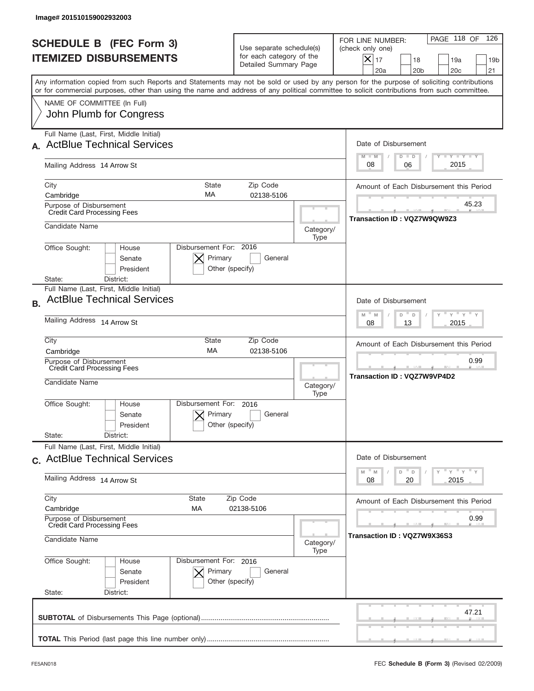| Image# 201510159002932003                                                                                                                                                                                                                                                               |                                                                               |                   |                                                                                                                                                                 |
|-----------------------------------------------------------------------------------------------------------------------------------------------------------------------------------------------------------------------------------------------------------------------------------------|-------------------------------------------------------------------------------|-------------------|-----------------------------------------------------------------------------------------------------------------------------------------------------------------|
| <b>SCHEDULE B (FEC Form 3)</b><br><b>ITEMIZED DISBURSEMENTS</b>                                                                                                                                                                                                                         | Use separate schedule(s)<br>for each category of the<br>Detailed Summary Page |                   | PAGE 118 OF<br>126<br>FOR LINE NUMBER:<br>(check only one)<br>$\times$<br>17<br>18<br>19a<br>19 <sub>b</sub><br>20a<br>20 <sub>b</sub><br>20 <sub>c</sub><br>21 |
| Any information copied from such Reports and Statements may not be sold or used by any person for the purpose of soliciting contributions<br>or for commercial purposes, other than using the name and address of any political committee to solicit contributions from such committee. |                                                                               |                   |                                                                                                                                                                 |
| NAME OF COMMITTEE (In Full)<br>John Plumb for Congress                                                                                                                                                                                                                                  |                                                                               |                   |                                                                                                                                                                 |
| Full Name (Last, First, Middle Initial)<br><b>ActBlue Technical Services</b>                                                                                                                                                                                                            |                                                                               |                   | Date of Disbursement<br>Y TY TY TY<br>$M - M$<br>$D$ $D$                                                                                                        |
| Mailing Address 14 Arrow St                                                                                                                                                                                                                                                             |                                                                               |                   | 2015<br>08<br>06                                                                                                                                                |
| City<br><b>State</b><br>MA<br>Cambridge                                                                                                                                                                                                                                                 | Zip Code<br>02138-5106                                                        |                   | Amount of Each Disbursement this Period                                                                                                                         |
| Purpose of Disbursement<br><b>Credit Card Processing Fees</b>                                                                                                                                                                                                                           |                                                                               |                   | 45.23<br>Transaction ID: VQZ7W9QW9Z3                                                                                                                            |
| Candidate Name                                                                                                                                                                                                                                                                          |                                                                               | Category/<br>Type |                                                                                                                                                                 |
| Office Sought:<br>House<br>Senate<br>President<br>District:<br>State:                                                                                                                                                                                                                   | Disbursement For: 2016<br>Primary<br>General<br>Other (specify)               |                   |                                                                                                                                                                 |
| Full Name (Last, First, Middle Initial)<br><b>ActBlue Technical Services</b><br><b>B.</b>                                                                                                                                                                                               |                                                                               |                   | Date of Disbursement                                                                                                                                            |
| Mailing Address 14 Arrow St                                                                                                                                                                                                                                                             |                                                                               |                   | $\cdots$ $\gamma$ $\cdots$ $\gamma$ $\cdots$<br>$M$ M<br>D<br>D<br>2015<br>08<br>13                                                                             |
| City<br>State<br>MA<br>Cambridge                                                                                                                                                                                                                                                        | Zip Code<br>02138-5106                                                        |                   | Amount of Each Disbursement this Period                                                                                                                         |
| Purpose of Disbursement<br><b>Credit Card Processing Fees</b><br>Candidate Name                                                                                                                                                                                                         |                                                                               | Category/<br>Type | 0.99<br>Transaction ID: VQZ7W9VP4D2                                                                                                                             |
| Disbursement For:<br>Office Sought:<br>House<br>Senate<br>President<br>State:<br>District:                                                                                                                                                                                              | 2016<br>Primary<br>General<br>Other (specify)                                 |                   |                                                                                                                                                                 |
| Full Name (Last, First, Middle Initial)                                                                                                                                                                                                                                                 |                                                                               |                   |                                                                                                                                                                 |
| c. ActBlue Technical Services                                                                                                                                                                                                                                                           |                                                                               |                   | Date of Disbursement<br>$\mathbb{F}$ $\mathsf{y}$ $\mathbb{F}$ $\mathsf{y}$ $\mathbb{F}$ $\mathsf{y}$<br>M<br>D<br>M<br>D                                       |
| Mailing Address 14 Arrow St                                                                                                                                                                                                                                                             |                                                                               |                   | 2015<br>08<br>20                                                                                                                                                |
| City<br>State<br>Cambridge<br>МA                                                                                                                                                                                                                                                        | Zip Code<br>02138-5106                                                        |                   | Amount of Each Disbursement this Period                                                                                                                         |
| Purpose of Disbursement<br><b>Credit Card Processing Fees</b><br>Candidate Name                                                                                                                                                                                                         |                                                                               |                   | 0.99<br>Transaction ID : VQZ7W9X36S3                                                                                                                            |
|                                                                                                                                                                                                                                                                                         |                                                                               | Category/<br>Type |                                                                                                                                                                 |
| Office Sought:<br>House<br>Senate<br>President<br>State:<br>District:                                                                                                                                                                                                                   | Disbursement For: 2016<br>Primary<br>General<br>Other (specify)               |                   |                                                                                                                                                                 |
|                                                                                                                                                                                                                                                                                         |                                                                               |                   | 47.21                                                                                                                                                           |
|                                                                                                                                                                                                                                                                                         |                                                                               |                   |                                                                                                                                                                 |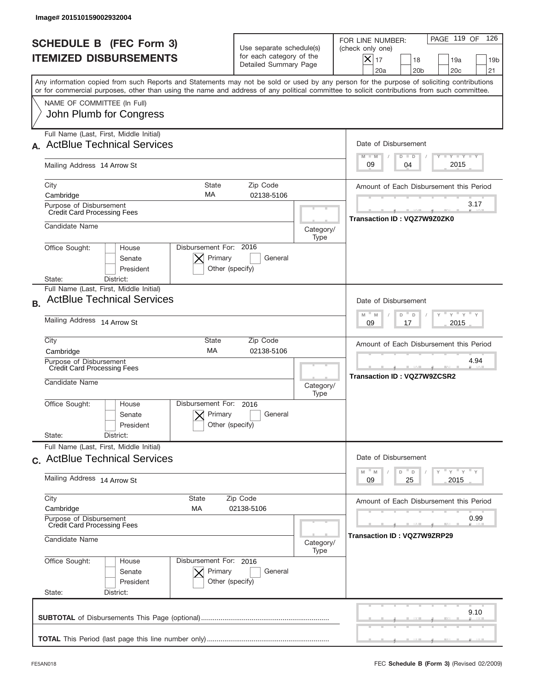| Image# 201510159002932004                                                                                                                                                                                                                                                               |                                                                               |                   |                                                                                                                                                                 |
|-----------------------------------------------------------------------------------------------------------------------------------------------------------------------------------------------------------------------------------------------------------------------------------------|-------------------------------------------------------------------------------|-------------------|-----------------------------------------------------------------------------------------------------------------------------------------------------------------|
| <b>SCHEDULE B (FEC Form 3)</b><br><b>ITEMIZED DISBURSEMENTS</b>                                                                                                                                                                                                                         | Use separate schedule(s)<br>for each category of the<br>Detailed Summary Page |                   | PAGE 119 OF<br>126<br>FOR LINE NUMBER:<br>(check only one)<br>$\times$<br>17<br>18<br>19a<br>19 <sub>b</sub><br>20a<br>20 <sub>b</sub><br>20 <sub>c</sub><br>21 |
| Any information copied from such Reports and Statements may not be sold or used by any person for the purpose of soliciting contributions<br>or for commercial purposes, other than using the name and address of any political committee to solicit contributions from such committee. |                                                                               |                   |                                                                                                                                                                 |
| NAME OF COMMITTEE (In Full)<br>John Plumb for Congress                                                                                                                                                                                                                                  |                                                                               |                   |                                                                                                                                                                 |
| Full Name (Last, First, Middle Initial)<br><b>ActBlue Technical Services</b>                                                                                                                                                                                                            |                                                                               |                   | Date of Disbursement<br>Y TY TY TY<br>$M - M$<br>$D$ $D$                                                                                                        |
| Mailing Address 14 Arrow St                                                                                                                                                                                                                                                             |                                                                               |                   | 2015<br>09<br>04                                                                                                                                                |
| City<br><b>State</b><br>МA<br>Cambridge                                                                                                                                                                                                                                                 | Zip Code<br>02138-5106                                                        |                   | Amount of Each Disbursement this Period                                                                                                                         |
| Purpose of Disbursement<br><b>Credit Card Processing Fees</b>                                                                                                                                                                                                                           |                                                                               |                   | 3.17<br>Transaction ID: VQZ7W9Z0ZK0                                                                                                                             |
| Candidate Name                                                                                                                                                                                                                                                                          |                                                                               | Category/<br>Type |                                                                                                                                                                 |
| Office Sought:<br>House<br>Senate<br>President<br>State:<br>District:                                                                                                                                                                                                                   | Disbursement For: 2016<br>Primary<br>General<br>Other (specify)               |                   |                                                                                                                                                                 |
| Full Name (Last, First, Middle Initial)<br><b>ActBlue Technical Services</b><br><b>B.</b>                                                                                                                                                                                               |                                                                               |                   | Date of Disbursement                                                                                                                                            |
| Mailing Address 14 Arrow St                                                                                                                                                                                                                                                             |                                                                               |                   | $\cdots$ $\gamma$ $\cdots$ $\gamma$ $\cdots$<br>$M$ M<br>D<br>D<br>2015<br>09<br>17                                                                             |
| City<br>State<br>MA<br>Cambridge                                                                                                                                                                                                                                                        | Zip Code<br>02138-5106                                                        |                   | Amount of Each Disbursement this Period                                                                                                                         |
| Purpose of Disbursement<br><b>Credit Card Processing Fees</b><br>Candidate Name                                                                                                                                                                                                         |                                                                               | Category/<br>Type | 4.94<br><b>Transaction ID: VQZ7W9ZCSR2</b>                                                                                                                      |
| Disbursement For:<br>Office Sought:<br>House<br>Senate<br>President                                                                                                                                                                                                                     | 2016<br>Primary<br>General<br>Other (specify)                                 |                   |                                                                                                                                                                 |
| State:<br>District:<br>Full Name (Last, First, Middle Initial)                                                                                                                                                                                                                          |                                                                               |                   |                                                                                                                                                                 |
| c. ActBlue Technical Services                                                                                                                                                                                                                                                           |                                                                               |                   | Date of Disbursement<br>$\mathbb{F}$ $\mathsf{y}$ $\mathbb{F}$ $\mathsf{y}$ $\mathbb{F}$ $\mathsf{y}$<br>D<br>M<br>M<br>D                                       |
| Mailing Address 14 Arrow St                                                                                                                                                                                                                                                             |                                                                               |                   | 2015<br>09<br>25                                                                                                                                                |
| City<br>State<br>Cambridge<br>МA                                                                                                                                                                                                                                                        | Zip Code<br>02138-5106                                                        |                   | Amount of Each Disbursement this Period                                                                                                                         |
| Purpose of Disbursement<br><b>Credit Card Processing Fees</b><br>Candidate Name                                                                                                                                                                                                         |                                                                               |                   | 0.99<br>Transaction ID : VQZ7W9ZRP29                                                                                                                            |
|                                                                                                                                                                                                                                                                                         |                                                                               | Category/<br>Type |                                                                                                                                                                 |
| Office Sought:<br>House<br>Senate<br>President<br>State:<br>District:                                                                                                                                                                                                                   | Disbursement For: 2016<br>Primary<br>General<br>Other (specify)               |                   |                                                                                                                                                                 |
|                                                                                                                                                                                                                                                                                         |                                                                               |                   | 9.10                                                                                                                                                            |
|                                                                                                                                                                                                                                                                                         |                                                                               |                   |                                                                                                                                                                 |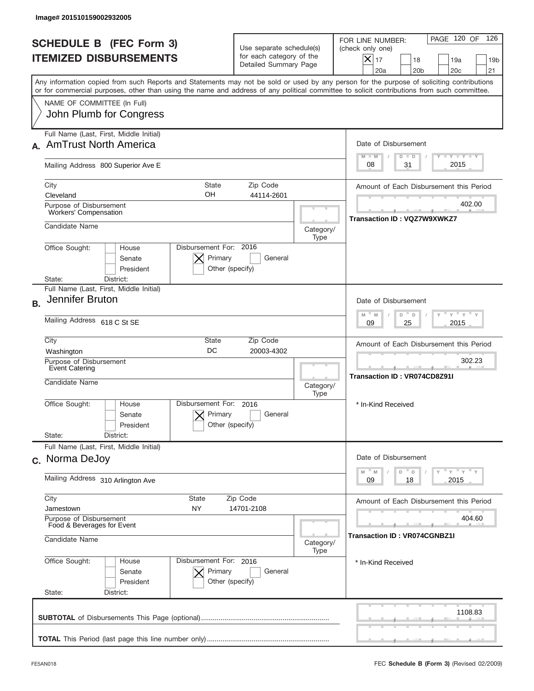|                          | <b>SCHEDULE B (FEC Form 3)</b><br><b>ITEMIZED DISBURSEMENTS</b>     |                                                      | Use separate schedule(s)<br>for each category of the<br>Detailed Summary Page |                   | 126<br>PAGE 120 OF<br>FOR LINE NUMBER:<br>(check only one)<br>$\boldsymbol{\times}$<br>17<br>18<br>19a<br>19 <sub>b</sub><br>20a<br>20 <sub>b</sub><br>20 <sub>c</sub><br>21                                                                                                            |
|--------------------------|---------------------------------------------------------------------|------------------------------------------------------|-------------------------------------------------------------------------------|-------------------|-----------------------------------------------------------------------------------------------------------------------------------------------------------------------------------------------------------------------------------------------------------------------------------------|
|                          |                                                                     |                                                      |                                                                               |                   | Any information copied from such Reports and Statements may not be sold or used by any person for the purpose of soliciting contributions<br>or for commercial purposes, other than using the name and address of any political committee to solicit contributions from such committee. |
|                          | NAME OF COMMITTEE (In Full)<br>John Plumb for Congress              |                                                      |                                                                               |                   |                                                                                                                                                                                                                                                                                         |
|                          | Full Name (Last, First, Middle Initial)<br>A. AmTrust North America |                                                      |                                                                               |                   | Date of Disbursement<br><b>TANK TANK</b><br>$M - M$                                                                                                                                                                                                                                     |
|                          | Mailing Address 800 Superior Ave E                                  |                                                      |                                                                               |                   | $D$ $D$<br>2015<br>31<br>08                                                                                                                                                                                                                                                             |
| City<br>Cleveland        |                                                                     | State<br>OН                                          | Zip Code<br>44114-2601                                                        |                   | Amount of Each Disbursement this Period                                                                                                                                                                                                                                                 |
|                          | Purpose of Disbursement<br>Workers' Compensation                    |                                                      |                                                                               |                   | 402.00<br>Transaction ID: VQZ7W9XWKZ7                                                                                                                                                                                                                                                   |
|                          | Candidate Name                                                      |                                                      |                                                                               | Category/<br>Type |                                                                                                                                                                                                                                                                                         |
| Office Sought:           | House<br>Senate<br>President                                        | Disbursement For: 2016<br>Primary<br>Other (specify) | General                                                                       |                   |                                                                                                                                                                                                                                                                                         |
| State:                   | District:<br>Full Name (Last, First, Middle Initial)                |                                                      |                                                                               |                   |                                                                                                                                                                                                                                                                                         |
| <b>B.</b>                | Jennifer Bruton                                                     |                                                      |                                                                               |                   | Date of Disbursement<br>$\cdots$ $\gamma$ $\cdots$ $\gamma$ $\cdots$ $\gamma$<br>$M - M$<br>D<br>$\Box$                                                                                                                                                                                 |
|                          | Mailing Address 618 C St SE                                         |                                                      |                                                                               |                   | 2015<br>09<br>25                                                                                                                                                                                                                                                                        |
| City<br>Washington       |                                                                     | State<br>DC                                          | Zip Code<br>20003-4302                                                        |                   | Amount of Each Disbursement this Period                                                                                                                                                                                                                                                 |
|                          | Purpose of Disbursement<br>Event Catering<br>Candidate Name         |                                                      |                                                                               | Category/<br>Type | 302.23<br><b>Transaction ID: VR074CD8Z91I</b>                                                                                                                                                                                                                                           |
| Office Sought:           | House<br>Senate<br>President                                        | Disbursement For:<br>Primary<br>Other (specify)      | 2016<br>General                                                               |                   | * In-Kind Received                                                                                                                                                                                                                                                                      |
| State:                   | District:<br>Full Name (Last, First, Middle Initial)                |                                                      |                                                                               |                   |                                                                                                                                                                                                                                                                                         |
|                          | c. Norma DeJoy                                                      |                                                      |                                                                               |                   | Date of Disbursement<br>$\mathbb{F}$ $\mathsf{y}$ $\mathbb{F}$ $\mathsf{y}$ $\mathbb{F}$ $\mathsf{y}$<br>M<br>D                                                                                                                                                                         |
|                          | Mailing Address 310 Arlington Ave                                   |                                                      |                                                                               |                   | M<br>D<br>09<br>2015<br>18                                                                                                                                                                                                                                                              |
| City<br>Jamestown        |                                                                     | <b>State</b><br>NY.                                  | Zip Code<br>14701-2108                                                        |                   | Amount of Each Disbursement this Period                                                                                                                                                                                                                                                 |
|                          | Purpose of Disbursement<br>Food & Beverages for Event               |                                                      |                                                                               |                   | 404.60<br><b>Transaction ID: VR074CGNBZ1I</b>                                                                                                                                                                                                                                           |
|                          | Candidate Name<br>Category/<br>Type                                 |                                                      |                                                                               |                   |                                                                                                                                                                                                                                                                                         |
| Office Sought:<br>State: | House<br>Senate<br>President<br>District:                           | Disbursement For: 2016<br>Primary<br>Other (specify) | General                                                                       |                   | * In-Kind Received                                                                                                                                                                                                                                                                      |
|                          |                                                                     |                                                      |                                                                               |                   |                                                                                                                                                                                                                                                                                         |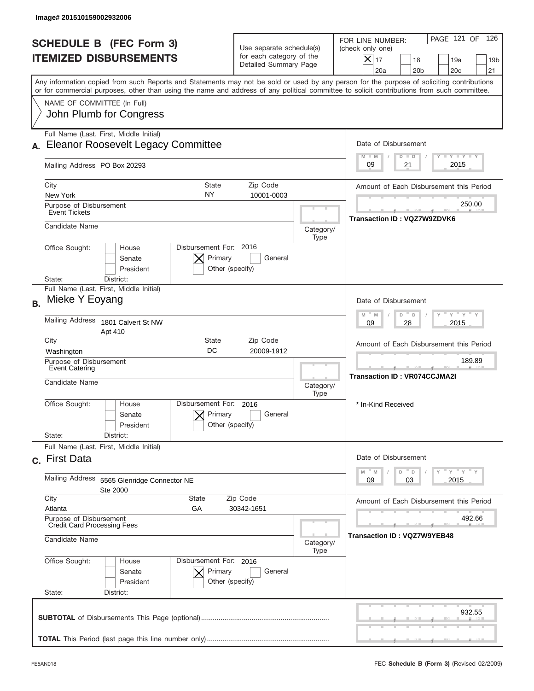| Image# 201510159002932006                                                                                                                                                                                                                                                               |                                                                                                                     |                                                                                                                                                     |
|-----------------------------------------------------------------------------------------------------------------------------------------------------------------------------------------------------------------------------------------------------------------------------------------|---------------------------------------------------------------------------------------------------------------------|-----------------------------------------------------------------------------------------------------------------------------------------------------|
| <b>SCHEDULE B (FEC Form 3)</b><br><b>ITEMIZED DISBURSEMENTS</b>                                                                                                                                                                                                                         | Use separate schedule(s)<br>for each category of the<br>Detailed Summary Page                                       | PAGE 121 OF<br>126<br>FOR LINE NUMBER:<br>(check only one)<br>$\times$<br>17<br>18<br>19a<br>19 <sub>b</sub><br>20a<br>20 <sub>b</sub><br>20c<br>21 |
| Any information copied from such Reports and Statements may not be sold or used by any person for the purpose of soliciting contributions<br>or for commercial purposes, other than using the name and address of any political committee to solicit contributions from such committee. |                                                                                                                     |                                                                                                                                                     |
| NAME OF COMMITTEE (In Full)<br>John Plumb for Congress                                                                                                                                                                                                                                  |                                                                                                                     |                                                                                                                                                     |
| Full Name (Last, First, Middle Initial)                                                                                                                                                                                                                                                 |                                                                                                                     |                                                                                                                                                     |
| <b>Eleanor Roosevelt Legacy Committee</b>                                                                                                                                                                                                                                               |                                                                                                                     | Date of Disbursement                                                                                                                                |
| Mailing Address PO Box 20293                                                                                                                                                                                                                                                            | $T$ $Y$ $Y$ $Y$ $Y$<br>$M - M$<br>$D$ $D$<br>2015<br>09<br>21                                                       |                                                                                                                                                     |
| City<br>State                                                                                                                                                                                                                                                                           | Zip Code                                                                                                            | Amount of Each Disbursement this Period                                                                                                             |
| NY<br>New York                                                                                                                                                                                                                                                                          | 10001-0003                                                                                                          |                                                                                                                                                     |
| Purpose of Disbursement<br><b>Event Tickets</b>                                                                                                                                                                                                                                         | 250.00<br>Transaction ID: VQZ7W9ZDVK6                                                                               |                                                                                                                                                     |
| Candidate Name                                                                                                                                                                                                                                                                          | Category/<br>Type                                                                                                   |                                                                                                                                                     |
| Disbursement For: 2016<br>Office Sought:<br>House<br>Primary<br>Senate<br>President<br>District:<br>State:                                                                                                                                                                              | General<br>Other (specify)                                                                                          |                                                                                                                                                     |
| Full Name (Last, First, Middle Initial)<br>Mieke Y Eoyang<br><b>B.</b>                                                                                                                                                                                                                  |                                                                                                                     | Date of Disbursement                                                                                                                                |
| Mailing Address<br>1801 Calvert St NW<br>Apt 410                                                                                                                                                                                                                                        | $-\gamma + \gamma - \gamma$<br>$M$ <sup><math>\Box</math></sup><br>D<br>M<br>D<br>2015<br>09<br>28                  |                                                                                                                                                     |
| City<br>State<br>DC<br>Washington                                                                                                                                                                                                                                                       | Zip Code<br>20009-1912                                                                                              | Amount of Each Disbursement this Period                                                                                                             |
| Purpose of Disbursement<br>Event Catering<br>Candidate Name                                                                                                                                                                                                                             | Category/                                                                                                           | 189.89<br><b>Transaction ID: VR074CCJMA2I</b>                                                                                                       |
| Disbursement For:<br>Office Sought:<br>House<br>Primary<br>Senate<br>President<br>State:<br>District:                                                                                                                                                                                   | Type<br>2016<br>General<br>Other (specify)                                                                          | * In-Kind Received                                                                                                                                  |
| Full Name (Last, First, Middle Initial)                                                                                                                                                                                                                                                 |                                                                                                                     |                                                                                                                                                     |
| c. First Data                                                                                                                                                                                                                                                                           | Date of Disbursement                                                                                                |                                                                                                                                                     |
| Mailing Address<br>5565 Glenridge Connector NE<br>Ste 2000                                                                                                                                                                                                                              | $=\frac{1}{\gamma}+\frac{1}{\gamma}+\frac{1}{\gamma}+\frac{1}{\gamma}$<br>D<br>M<br>M<br>$\Box$<br>2015<br>09<br>03 |                                                                                                                                                     |
| City<br>State                                                                                                                                                                                                                                                                           | Zip Code<br>30342-1651                                                                                              | Amount of Each Disbursement this Period                                                                                                             |
| Atlanta<br>GА<br>Purpose of Disbursement<br><b>Credit Card Processing Fees</b>                                                                                                                                                                                                          | 492.66                                                                                                              |                                                                                                                                                     |
| Candidate Name                                                                                                                                                                                                                                                                          | Category/<br>Type                                                                                                   | <b>Transaction ID: VQZ7W9YEB48</b>                                                                                                                  |
| Office Sought:<br>Disbursement For: 2016<br>House<br>Senate<br>Primary<br>President<br>State:<br>District:                                                                                                                                                                              | General<br>Other (specify)                                                                                          |                                                                                                                                                     |
|                                                                                                                                                                                                                                                                                         |                                                                                                                     | 932.55                                                                                                                                              |
|                                                                                                                                                                                                                                                                                         |                                                                                                                     |                                                                                                                                                     |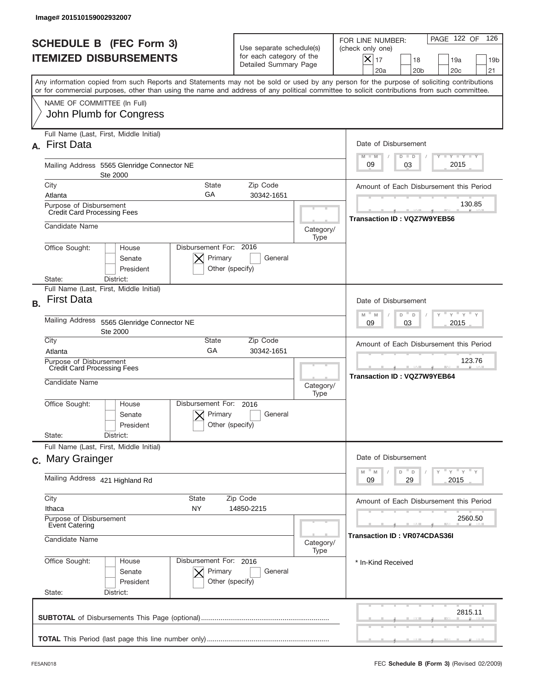|                 | Image# 201510159002932007                                                       |                                                                 |                                                      |                                                                                                            |                                               |                                                                                                                                                                                                                                                                                         |  |  |
|-----------------|---------------------------------------------------------------------------------|-----------------------------------------------------------------|------------------------------------------------------|------------------------------------------------------------------------------------------------------------|-----------------------------------------------|-----------------------------------------------------------------------------------------------------------------------------------------------------------------------------------------------------------------------------------------------------------------------------------------|--|--|
|                 |                                                                                 | <b>SCHEDULE B (FEC Form 3)</b><br><b>ITEMIZED DISBURSEMENTS</b> |                                                      | Use separate schedule(s)<br>for each category of the<br>Detailed Summary Page                              |                                               | PAGE 122 OF<br>126<br>FOR LINE NUMBER:<br>(check only one)<br>$ \boldsymbol{\times} $<br>17<br>18<br>19a<br>19 <sub>b</sub><br>20a<br>20 <sub>b</sub><br>20 <sub>c</sub><br>21                                                                                                          |  |  |
|                 |                                                                                 |                                                                 |                                                      |                                                                                                            |                                               | Any information copied from such Reports and Statements may not be sold or used by any person for the purpose of soliciting contributions<br>or for commercial purposes, other than using the name and address of any political committee to solicit contributions from such committee. |  |  |
|                 |                                                                                 | NAME OF COMMITTEE (In Full)<br>John Plumb for Congress          |                                                      |                                                                                                            |                                               |                                                                                                                                                                                                                                                                                         |  |  |
| A.              | <b>First Data</b>                                                               | Full Name (Last, First, Middle Initial)                         |                                                      |                                                                                                            |                                               | Date of Disbursement<br>$T - Y$ $T - Y$<br>$M - M$<br>$D$ $D$                                                                                                                                                                                                                           |  |  |
|                 | Mailing Address 5565 Glenridge Connector NE<br>Ste 2000                         |                                                                 |                                                      |                                                                                                            | 2015<br>09<br>03                              |                                                                                                                                                                                                                                                                                         |  |  |
| City            |                                                                                 |                                                                 | <b>State</b><br>GA                                   | Zip Code<br>30342-1651                                                                                     |                                               | Amount of Each Disbursement this Period                                                                                                                                                                                                                                                 |  |  |
|                 | Atlanta<br>Purpose of Disbursement<br><b>Credit Card Processing Fees</b>        |                                                                 |                                                      |                                                                                                            | 130.85                                        |                                                                                                                                                                                                                                                                                         |  |  |
|                 | Candidate Name                                                                  |                                                                 |                                                      | Category/<br>Type                                                                                          | Transaction ID: VQZ7W9YEB56                   |                                                                                                                                                                                                                                                                                         |  |  |
| State:          | Office Sought:                                                                  | House<br>Senate<br>President<br>District:                       | Disbursement For: 2016<br>Primary<br>Other (specify) | General                                                                                                    |                                               |                                                                                                                                                                                                                                                                                         |  |  |
| <b>B.</b>       | <b>First Data</b>                                                               | Full Name (Last, First, Middle Initial)                         |                                                      |                                                                                                            |                                               | Date of Disbursement                                                                                                                                                                                                                                                                    |  |  |
|                 | <b>Mailing Address</b><br>5565 Glenridge Connector NE<br>Ste 2000               |                                                                 |                                                      | $\cdots$ $\gamma$ $\cdots$ $\gamma$ $\cdots$ $\gamma$<br>$M - M$<br>D "<br>$\Box$<br>03<br>2015<br>09      |                                               |                                                                                                                                                                                                                                                                                         |  |  |
| City<br>Atlanta |                                                                                 |                                                                 | <b>State</b><br>GA                                   | Zip Code<br>30342-1651                                                                                     |                                               | Amount of Each Disbursement this Period                                                                                                                                                                                                                                                 |  |  |
|                 | Purpose of Disbursement<br><b>Credit Card Processing Fees</b><br>Candidate Name |                                                                 |                                                      | Category/<br>Type                                                                                          | 123.76<br><b>Transaction ID : VQZ7W9YEB64</b> |                                                                                                                                                                                                                                                                                         |  |  |
|                 | Office Sought:                                                                  | House<br>Senate<br>President                                    | Disbursement For:<br>Primary<br>Other (specify)      | 2016<br>General                                                                                            |                                               |                                                                                                                                                                                                                                                                                         |  |  |
| State:          |                                                                                 | District:<br>Full Name (Last, First, Middle Initial)            |                                                      |                                                                                                            |                                               |                                                                                                                                                                                                                                                                                         |  |  |
|                 | c. Mary Grainger                                                                |                                                                 |                                                      | Date of Disbursement<br>$\overline{y}$ $\overline{y}$ $\overline{y}$ $\overline{y}$ $\overline{y}$<br>$-M$ |                                               |                                                                                                                                                                                                                                                                                         |  |  |
|                 | Mailing Address 421 Highland Rd                                                 |                                                                 |                                                      |                                                                                                            | M<br>D<br>$\mathsf D$<br>2015<br>09<br>29     |                                                                                                                                                                                                                                                                                         |  |  |
| City<br>Ithaca  |                                                                                 |                                                                 | <b>State</b><br>NY                                   | Zip Code<br>14850-2215                                                                                     |                                               | Amount of Each Disbursement this Period                                                                                                                                                                                                                                                 |  |  |
|                 | Purpose of Disbursement<br><b>Event Catering</b>                                |                                                                 |                                                      | 2560.50                                                                                                    |                                               |                                                                                                                                                                                                                                                                                         |  |  |
|                 | Candidate Name<br>Category/<br>Type                                             |                                                                 |                                                      | <b>Transaction ID: VR074CDAS36I</b>                                                                        |                                               |                                                                                                                                                                                                                                                                                         |  |  |
| State:          | Office Sought:                                                                  | House<br>Senate<br>President<br>District:                       | Disbursement For: 2016<br>Primary<br>Other (specify) | General                                                                                                    |                                               | * In-Kind Received                                                                                                                                                                                                                                                                      |  |  |
|                 |                                                                                 |                                                                 |                                                      |                                                                                                            |                                               | 2815.11                                                                                                                                                                                                                                                                                 |  |  |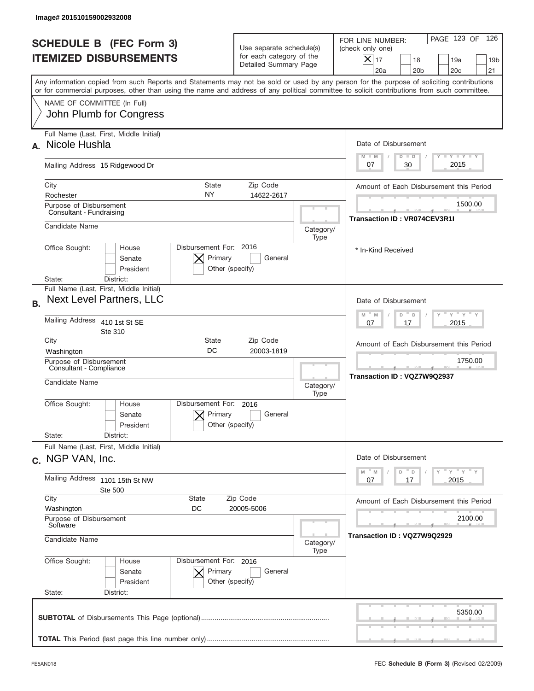| Image# 201510159002932008                                                                                                                                                                                                                                                               |                                                                                        |                                         |                                                                                                                                                                 |  |
|-----------------------------------------------------------------------------------------------------------------------------------------------------------------------------------------------------------------------------------------------------------------------------------------|----------------------------------------------------------------------------------------|-----------------------------------------|-----------------------------------------------------------------------------------------------------------------------------------------------------------------|--|
| <b>SCHEDULE B (FEC Form 3)</b><br><b>ITEMIZED DISBURSEMENTS</b>                                                                                                                                                                                                                         | Use separate schedule(s)<br>for each category of the<br>Detailed Summary Page          |                                         | PAGE 123 OF<br>126<br>FOR LINE NUMBER:<br>(check only one)<br>$\times$<br>17<br>18<br>19a<br>19 <sub>b</sub><br>20a<br>20 <sub>b</sub><br>20 <sub>c</sub><br>21 |  |
| Any information copied from such Reports and Statements may not be sold or used by any person for the purpose of soliciting contributions<br>or for commercial purposes, other than using the name and address of any political committee to solicit contributions from such committee. |                                                                                        |                                         |                                                                                                                                                                 |  |
| NAME OF COMMITTEE (In Full)<br>John Plumb for Congress                                                                                                                                                                                                                                  |                                                                                        |                                         |                                                                                                                                                                 |  |
| Full Name (Last, First, Middle Initial)<br>Nicole Hushla<br>А.                                                                                                                                                                                                                          |                                                                                        |                                         | Date of Disbursement                                                                                                                                            |  |
| Mailing Address 15 Ridgewood Dr                                                                                                                                                                                                                                                         | <b>TANK TANK</b><br>$M - M$<br>$D$ $D$<br>2015<br>30<br>07                             |                                         |                                                                                                                                                                 |  |
| City<br>Rochester                                                                                                                                                                                                                                                                       | <b>State</b><br>Zip Code<br>NY.<br>14622-2617                                          | Amount of Each Disbursement this Period |                                                                                                                                                                 |  |
| Purpose of Disbursement<br>Consultant - Fundraising                                                                                                                                                                                                                                     |                                                                                        |                                         |                                                                                                                                                                 |  |
| Candidate Name<br>Office Sought:<br>House                                                                                                                                                                                                                                               | Disbursement For: 2016                                                                 | Category/<br>Type                       | * In-Kind Received                                                                                                                                              |  |
| Senate<br>President<br>State:<br>District:                                                                                                                                                                                                                                              | Primary<br>General<br>Other (specify)                                                  |                                         |                                                                                                                                                                 |  |
| Full Name (Last, First, Middle Initial)<br><b>Next Level Partners, LLC</b><br><b>B.</b>                                                                                                                                                                                                 |                                                                                        |                                         | Date of Disbursement                                                                                                                                            |  |
| Mailing Address 410 1st St SE<br>Ste 310                                                                                                                                                                                                                                                |                                                                                        |                                         | $\cdots$ $\gamma$ $\cdots$ $\gamma$ $\cdots$<br>$M - M$<br>D<br>D<br>2015<br>07<br>17                                                                           |  |
| City<br>Washington                                                                                                                                                                                                                                                                      | State<br>Zip Code<br>DC<br>20003-1819                                                  |                                         | Amount of Each Disbursement this Period                                                                                                                         |  |
| Purpose of Disbursement<br>Consultant - Compliance<br>Candidate Name                                                                                                                                                                                                                    | Category/<br>Type                                                                      | 1750.00<br>Transaction ID: VQZ7W9Q2937  |                                                                                                                                                                 |  |
| Office Sought:<br>House<br>Senate<br>President                                                                                                                                                                                                                                          | Disbursement For:<br>2016<br>Primary<br>General<br>Other (specify)                     |                                         |                                                                                                                                                                 |  |
| State:<br>District:<br>Full Name (Last, First, Middle Initial)<br>c. NGP VAN, Inc.                                                                                                                                                                                                      |                                                                                        |                                         | Date of Disbursement                                                                                                                                            |  |
| Mailing Address 1101 15th St NW<br>Ste 500                                                                                                                                                                                                                                              | γ <sup>=</sup> γ <sup>=</sup> γ <sup>=</sup> γ<br>M<br>M<br>D<br>D<br>2015<br>07<br>17 |                                         |                                                                                                                                                                 |  |
| City<br>Washington                                                                                                                                                                                                                                                                      | State<br>Zip Code<br>DC<br>20005-5006                                                  |                                         | Amount of Each Disbursement this Period                                                                                                                         |  |
| Purpose of Disbursement<br>Software<br>Candidate Name<br>Category/                                                                                                                                                                                                                      |                                                                                        |                                         | 2100.00<br>Transaction ID : VQZ7W9Q2929                                                                                                                         |  |
| Office Sought:<br>Disbursement For: 2016<br>House                                                                                                                                                                                                                                       |                                                                                        |                                         |                                                                                                                                                                 |  |
| Senate<br>President<br>State:<br>District:                                                                                                                                                                                                                                              | Primary<br>General<br>Other (specify)                                                  |                                         |                                                                                                                                                                 |  |
|                                                                                                                                                                                                                                                                                         |                                                                                        |                                         | 5350.00                                                                                                                                                         |  |
|                                                                                                                                                                                                                                                                                         |                                                                                        |                                         |                                                                                                                                                                 |  |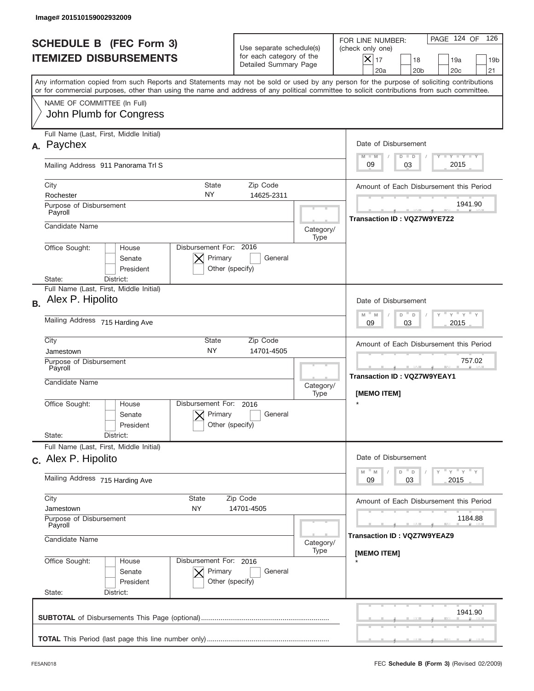| Image# 201510159002932009                                                                                                                                                                                                                                                               |                                                                               |                                                                   |                                                                                                                                                            |  |
|-----------------------------------------------------------------------------------------------------------------------------------------------------------------------------------------------------------------------------------------------------------------------------------------|-------------------------------------------------------------------------------|-------------------------------------------------------------------|------------------------------------------------------------------------------------------------------------------------------------------------------------|--|
| <b>SCHEDULE B (FEC Form 3)</b><br><b>ITEMIZED DISBURSEMENTS</b>                                                                                                                                                                                                                         | Use separate schedule(s)<br>for each category of the<br>Detailed Summary Page |                                                                   | 126<br>PAGE 124 OF<br>FOR LINE NUMBER:<br>(check only one)<br>$X _{17}$<br>18<br>19a<br>19 <sub>b</sub><br>20 <sub>c</sub><br>20a<br>20 <sub>b</sub><br>21 |  |
| Any information copied from such Reports and Statements may not be sold or used by any person for the purpose of soliciting contributions<br>or for commercial purposes, other than using the name and address of any political committee to solicit contributions from such committee. |                                                                               |                                                                   |                                                                                                                                                            |  |
| NAME OF COMMITTEE (In Full)<br>John Plumb for Congress                                                                                                                                                                                                                                  |                                                                               |                                                                   |                                                                                                                                                            |  |
| Full Name (Last, First, Middle Initial)<br>Paychex<br>А.                                                                                                                                                                                                                                |                                                                               |                                                                   | Date of Disbursement<br>$T - Y$ $T - Y$                                                                                                                    |  |
| Mailing Address 911 Panorama Trl S                                                                                                                                                                                                                                                      | $M - M$<br>$D$ $D$<br>2015<br>09<br>03                                        |                                                                   |                                                                                                                                                            |  |
| City<br>State<br>NY<br>Rochester<br>Purpose of Disbursement                                                                                                                                                                                                                             | Zip Code<br>14625-2311                                                        |                                                                   | Amount of Each Disbursement this Period<br>1941.90                                                                                                         |  |
| Payroll<br>Candidate Name<br>Category/                                                                                                                                                                                                                                                  |                                                                               |                                                                   | Transaction ID: VQZ7W9YE7Z2                                                                                                                                |  |
| Disbursement For: 2016<br>Office Sought:<br>House<br>Senate<br>President<br>State:<br>District:                                                                                                                                                                                         | Primary<br>General<br>Other (specify)                                         | Type                                                              |                                                                                                                                                            |  |
| Full Name (Last, First, Middle Initial)<br>Alex P. Hipolito<br><b>B.</b>                                                                                                                                                                                                                |                                                                               |                                                                   | Date of Disbursement                                                                                                                                       |  |
| Mailing Address 715 Harding Ave                                                                                                                                                                                                                                                         |                                                                               |                                                                   | $\frac{1}{\gamma}$ $\frac{1}{\gamma}$ $\frac{1}{\gamma}$ $\frac{1}{\gamma}$<br>$M - M$<br>D<br>$\Box$<br>2015<br>09<br>03                                  |  |
| City<br>State<br><b>NY</b><br>Jamestown                                                                                                                                                                                                                                                 | Zip Code<br>14701-4505                                                        |                                                                   | Amount of Each Disbursement this Period                                                                                                                    |  |
| Purpose of Disbursement<br>Payroll<br>Candidate Name                                                                                                                                                                                                                                    | Category/<br>Type                                                             | 757.02<br>--<br><b>Transaction ID: VQZ7W9YEAY1</b><br>[MEMO ITEM] |                                                                                                                                                            |  |
| Disbursement For:<br>Office Sought:<br>House<br>Senate<br>President                                                                                                                                                                                                                     | 2016<br>Primary<br>General<br>Other (specify)                                 |                                                                   | $\star$                                                                                                                                                    |  |
| State:<br>District:<br>Full Name (Last, First, Middle Initial)                                                                                                                                                                                                                          |                                                                               |                                                                   |                                                                                                                                                            |  |
| c. Alex P. Hipolito<br>Mailing Address 715 Harding Ave                                                                                                                                                                                                                                  |                                                                               |                                                                   | Date of Disbursement<br>≡ γ ≡ γ ≡ γ<br>$-M$<br>$\mathbb M$<br>D<br>$\mathsf D$<br>03<br>2015<br>09                                                         |  |
| City<br><b>State</b><br>NY<br>Jamestown                                                                                                                                                                                                                                                 | Amount of Each Disbursement this Period                                       |                                                                   |                                                                                                                                                            |  |
| 14701-4505<br>Purpose of Disbursement<br>Payroll                                                                                                                                                                                                                                        |                                                                               |                                                                   | 1184.88<br>Transaction ID : VQZ7W9YEAZ9                                                                                                                    |  |
| Candidate Name<br>Category/<br>Type<br>Disbursement For: 2016                                                                                                                                                                                                                           |                                                                               |                                                                   | [MEMO ITEM]                                                                                                                                                |  |
| Office Sought:<br>House<br>Senate<br>President<br>State:<br>District:                                                                                                                                                                                                                   | Primary<br>General<br>Other (specify)                                         |                                                                   |                                                                                                                                                            |  |
|                                                                                                                                                                                                                                                                                         |                                                                               |                                                                   | 1941.90                                                                                                                                                    |  |
|                                                                                                                                                                                                                                                                                         |                                                                               |                                                                   |                                                                                                                                                            |  |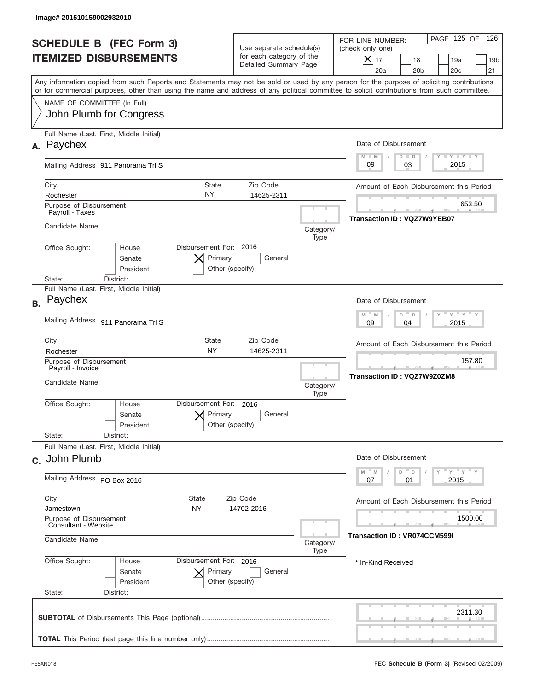|           | Image# 201510159002932010                                                                                                                                                                                                                                                               |                                                                               |                                                   |                                                                                                                                                            |  |
|-----------|-----------------------------------------------------------------------------------------------------------------------------------------------------------------------------------------------------------------------------------------------------------------------------------------|-------------------------------------------------------------------------------|---------------------------------------------------|------------------------------------------------------------------------------------------------------------------------------------------------------------|--|
|           | <b>SCHEDULE B (FEC Form 3)</b><br><b>ITEMIZED DISBURSEMENTS</b>                                                                                                                                                                                                                         | Use separate schedule(s)<br>for each category of the<br>Detailed Summary Page |                                                   | 126<br>PAGE 125 OF<br>FOR LINE NUMBER:<br>(check only one)<br>$X _{17}$<br>18<br>19a<br>19 <sub>b</sub><br>20 <sub>c</sub><br>20a<br>20 <sub>b</sub><br>21 |  |
|           | Any information copied from such Reports and Statements may not be sold or used by any person for the purpose of soliciting contributions<br>or for commercial purposes, other than using the name and address of any political committee to solicit contributions from such committee. |                                                                               |                                                   |                                                                                                                                                            |  |
|           | NAME OF COMMITTEE (In Full)<br>John Plumb for Congress                                                                                                                                                                                                                                  |                                                                               |                                                   |                                                                                                                                                            |  |
| А.        | Full Name (Last, First, Middle Initial)<br>Paychex                                                                                                                                                                                                                                      |                                                                               |                                                   | Date of Disbursement<br>$T - Y$ $T - Y$<br>$M - M$<br>$D$ $D$                                                                                              |  |
|           | Mailing Address 911 Panorama Trl S                                                                                                                                                                                                                                                      | 2015<br>09<br>03                                                              |                                                   |                                                                                                                                                            |  |
|           | City<br>State<br>NY<br>Rochester<br>Purpose of Disbursement                                                                                                                                                                                                                             | Zip Code<br>14625-2311                                                        | Amount of Each Disbursement this Period<br>653.50 |                                                                                                                                                            |  |
|           | Payroll - Taxes<br>Candidate Name<br>Category/                                                                                                                                                                                                                                          |                                                                               |                                                   | Transaction ID: VQZ7W9YEB07                                                                                                                                |  |
|           | Office Sought:<br>House<br>Senate<br>President<br>State:<br>District:                                                                                                                                                                                                                   | Disbursement For: 2016<br>Primary<br>General<br>Other (specify)               | Type                                              |                                                                                                                                                            |  |
| <b>B.</b> | Full Name (Last, First, Middle Initial)<br>Paychex                                                                                                                                                                                                                                      |                                                                               |                                                   | Date of Disbursement                                                                                                                                       |  |
|           | Mailing Address 911 Panorama Trl S                                                                                                                                                                                                                                                      |                                                                               |                                                   | $\cdots$ $\gamma$ $\cdots$ $\gamma$ $\cdots$<br>$M$ M<br>D<br>D<br>2015<br>09<br>04                                                                        |  |
|           | City<br>State<br><b>NY</b><br>Rochester                                                                                                                                                                                                                                                 | Zip Code<br>14625-2311                                                        |                                                   | Amount of Each Disbursement this Period                                                                                                                    |  |
|           | Purpose of Disbursement<br>Payroll - Invoice<br>Candidate Name                                                                                                                                                                                                                          |                                                                               |                                                   | 157.80<br>Transaction ID: VQZ7W9Z0ZM8                                                                                                                      |  |
|           | Disbursement For:<br>Office Sought:<br>House<br>Senate<br>President                                                                                                                                                                                                                     | 2016<br>Primary<br>General<br>Other (specify)                                 | Type                                              |                                                                                                                                                            |  |
|           | State:<br>District:<br>Full Name (Last, First, Middle Initial)                                                                                                                                                                                                                          |                                                                               |                                                   |                                                                                                                                                            |  |
|           | c. John Plumb<br>Mailing Address PO Box 2016                                                                                                                                                                                                                                            |                                                                               |                                                   | Date of Disbursement<br>≡ γ ≡ γ ≡ γ<br>D<br>M<br>M<br>D                                                                                                    |  |
|           | City<br><b>State</b>                                                                                                                                                                                                                                                                    | 2015<br>07<br>01                                                              |                                                   |                                                                                                                                                            |  |
|           | Zip Code<br>NY<br>14702-2016<br>Jamestown                                                                                                                                                                                                                                               |                                                                               |                                                   | Amount of Each Disbursement this Period                                                                                                                    |  |
|           | Purpose of Disbursement<br>Consultant - Website<br>Candidate Name<br>Category/                                                                                                                                                                                                          |                                                                               |                                                   | 1500.00<br>Transaction ID : VR074CCM599I                                                                                                                   |  |
|           | Office Sought:<br>House<br>Senate<br>President<br>State:<br>District:                                                                                                                                                                                                                   | Disbursement For: 2016<br>Primary<br>General<br>Other (specify)               | Type                                              | * In-Kind Received                                                                                                                                         |  |
|           |                                                                                                                                                                                                                                                                                         |                                                                               |                                                   | 2311.30                                                                                                                                                    |  |
|           |                                                                                                                                                                                                                                                                                         |                                                                               |                                                   |                                                                                                                                                            |  |